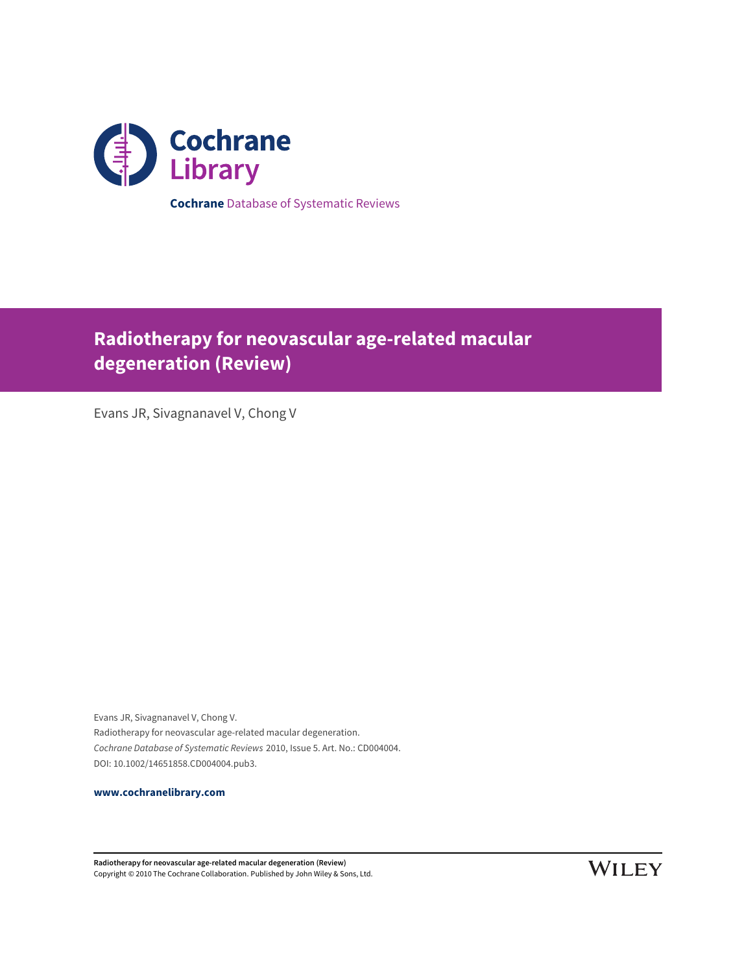

**Radiotherapy for neovascular age-related macular degeneration (Review)**

Evans JR, Sivagnanavel V, Chong V

Evans JR, Sivagnanavel V, Chong V. Radiotherapy for neovascular age-related macular degeneration. Cochrane Database of Systematic Reviews 2010, Issue 5. Art. No.: CD004004. DOI: 10.1002/14651858.CD004004.pub3.

**[www.cochranelibrary.com](http://www.cochranelibrary.com)**

**Radiotherapy for neovascular age-related macular degeneration (Review)** Copyright © 2010 The Cochrane Collaboration. Published by John Wiley & Sons, Ltd.

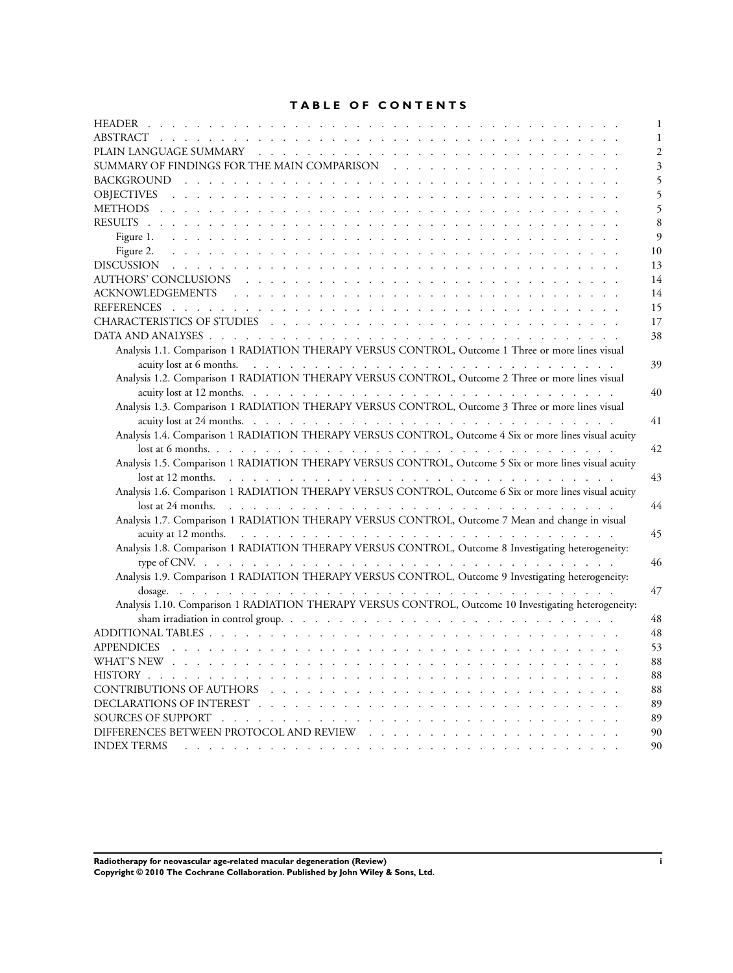### **TABLE OF CONTENTS**

| $\mathbf{1}$                                                                                                                        |
|-------------------------------------------------------------------------------------------------------------------------------------|
| 1                                                                                                                                   |
| $\overline{2}$                                                                                                                      |
| 3                                                                                                                                   |
| 5                                                                                                                                   |
|                                                                                                                                     |
| 5                                                                                                                                   |
| 8                                                                                                                                   |
| 9                                                                                                                                   |
| 10                                                                                                                                  |
| 13                                                                                                                                  |
| 14                                                                                                                                  |
| 14                                                                                                                                  |
| 15                                                                                                                                  |
| 17                                                                                                                                  |
| 38                                                                                                                                  |
| Analysis 1.1. Comparison 1 RADIATION THERAPY VERSUS CONTROL, Outcome 1 Three or more lines visual<br>acuity lost at 6 months.<br>39 |
| Analysis 1.2. Comparison 1 RADIATION THERAPY VERSUS CONTROL, Outcome 2 Three or more lines visual                                   |
| 40                                                                                                                                  |
| Analysis 1.3. Comparison 1 RADIATION THERAPY VERSUS CONTROL, Outcome 3 Three or more lines visual                                   |
| 41                                                                                                                                  |
| Analysis 1.4. Comparison 1 RADIATION THERAPY VERSUS CONTROL, Outcome 4 Six or more lines visual acuity                              |
| 42                                                                                                                                  |
| Analysis 1.5. Comparison 1 RADIATION THERAPY VERSUS CONTROL, Outcome 5 Six or more lines visual acuity                              |
| 43                                                                                                                                  |
| Analysis 1.6. Comparison 1 RADIATION THERAPY VERSUS CONTROL, Outcome 6 Six or more lines visual acuity                              |
| $\frac{1}{2}$ lost at 24 months.<br>44                                                                                              |
| Analysis 1.7. Comparison 1 RADIATION THERAPY VERSUS CONTROL, Outcome 7 Mean and change in visual                                    |
| 45                                                                                                                                  |
| Analysis 1.8. Comparison 1 RADIATION THERAPY VERSUS CONTROL, Outcome 8 Investigating heterogeneity:                                 |
| 46                                                                                                                                  |
| Analysis 1.9. Comparison 1 RADIATION THERAPY VERSUS CONTROL, Outcome 9 Investigating heterogeneity:                                 |
| 47                                                                                                                                  |
| Analysis 1.10. Comparison 1 RADIATION THERAPY VERSUS CONTROL, Outcome 10 Investigating heterogeneity:                               |
| 48                                                                                                                                  |
| 48                                                                                                                                  |
| 53                                                                                                                                  |
| 88                                                                                                                                  |
| 88                                                                                                                                  |
| 88                                                                                                                                  |
| 89                                                                                                                                  |
| 89                                                                                                                                  |
| 90                                                                                                                                  |
| 90<br><b>INDEX TERMS</b>                                                                                                            |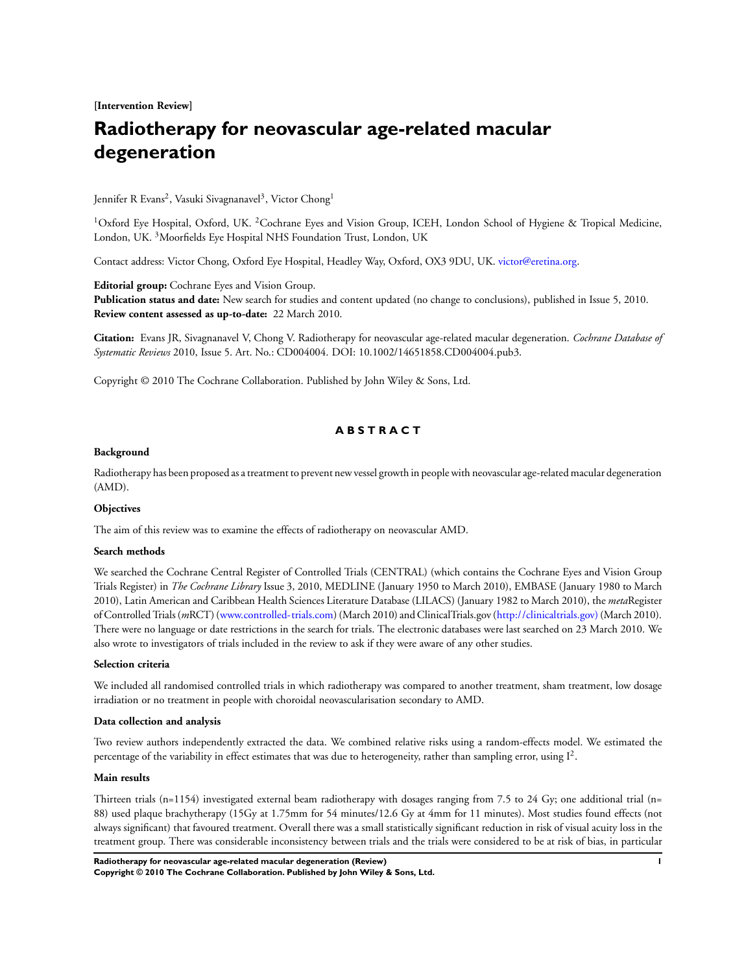**[Intervention Review]**

# **Radiotherapy for neovascular age-related macular degeneration**

### Jennifer R Evans<sup>2</sup>, Vasuki Sivagnanavel<sup>3</sup>, Victor Chong<sup>1</sup>

<sup>1</sup>Oxford Eye Hospital, Oxford, UK. <sup>2</sup>Cochrane Eyes and Vision Group, ICEH, London School of Hygiene & Tropical Medicine, London, UK. <sup>3</sup>Moorfields Eye Hospital NHS Foundation Trust, London, UK

Contact address: Victor Chong, Oxford Eye Hospital, Headley Way, Oxford, OX3 9DU, UK. [victor@eretina.org.](mailto:victor@eretina.org)

**Editorial group:** Cochrane Eyes and Vision Group.

**Publication status and date:** New search for studies and content updated (no change to conclusions), published in Issue 5, 2010. **Review content assessed as up-to-date:** 22 March 2010.

**Citation:** Evans JR, Sivagnanavel V, Chong V. Radiotherapy for neovascular age-related macular degeneration. *Cochrane Database of Systematic Reviews* 2010, Issue 5. Art. No.: CD004004. DOI: 10.1002/14651858.CD004004.pub3.

Copyright © 2010 The Cochrane Collaboration. Published by John Wiley & Sons, Ltd.

### **A B S T R A C T**

#### **Background**

Radiotherapy has been proposed as a treatment to prevent newvessel growth in people with neovascular age-related macular degeneration (AMD).

#### **Objectives**

The aim of this review was to examine the effects of radiotherapy on neovascular AMD.

#### **Search methods**

We searched the Cochrane Central Register of Controlled Trials (CENTRAL) (which contains the Cochrane Eyes and Vision Group Trials Register) in *The Cochrane Library* Issue 3, 2010, MEDLINE (January 1950 to March 2010), EMBASE (January 1980 to March 2010), Latin American and Caribbean Health Sciences Literature Database (LILACS) (January 1982 to March 2010), the *meta*Register of Controlled Trials (*m*RCT) ([www.controlled-trials.com](http://www.controlled-trials.com/)) (March 2010) and ClinicalTrials.gov ([http:/ /clinicaltrials.gov\)](http://error:_left_parenthesis_in_address;_Please_contact_the_author_for_the_correct_link) (March 2010). There were no language or date restrictions in the search for trials. The electronic databases were last searched on 23 March 2010. We also wrote to investigators of trials included in the review to ask if they were aware of any other studies.

#### **Selection criteria**

We included all randomised controlled trials in which radiotherapy was compared to another treatment, sham treatment, low dosage irradiation or no treatment in people with choroidal neovascularisation secondary to AMD.

#### **Data collection and analysis**

Two review authors independently extracted the data. We combined relative risks using a random-effects model. We estimated the percentage of the variability in effect estimates that was due to heterogeneity, rather than sampling error, using  $I^2$ .

#### **Main results**

Thirteen trials (n=1154) investigated external beam radiotherapy with dosages ranging from 7.5 to 24 Gy; one additional trial (n= 88) used plaque brachytherapy (15Gy at 1.75mm for 54 minutes/12.6 Gy at 4mm for 11 minutes). Most studies found effects (not always significant) that favoured treatment. Overall there was a small statistically significant reduction in risk of visual acuity loss in the treatment group. There was considerable inconsistency between trials and the trials were considered to be at risk of bias, in particular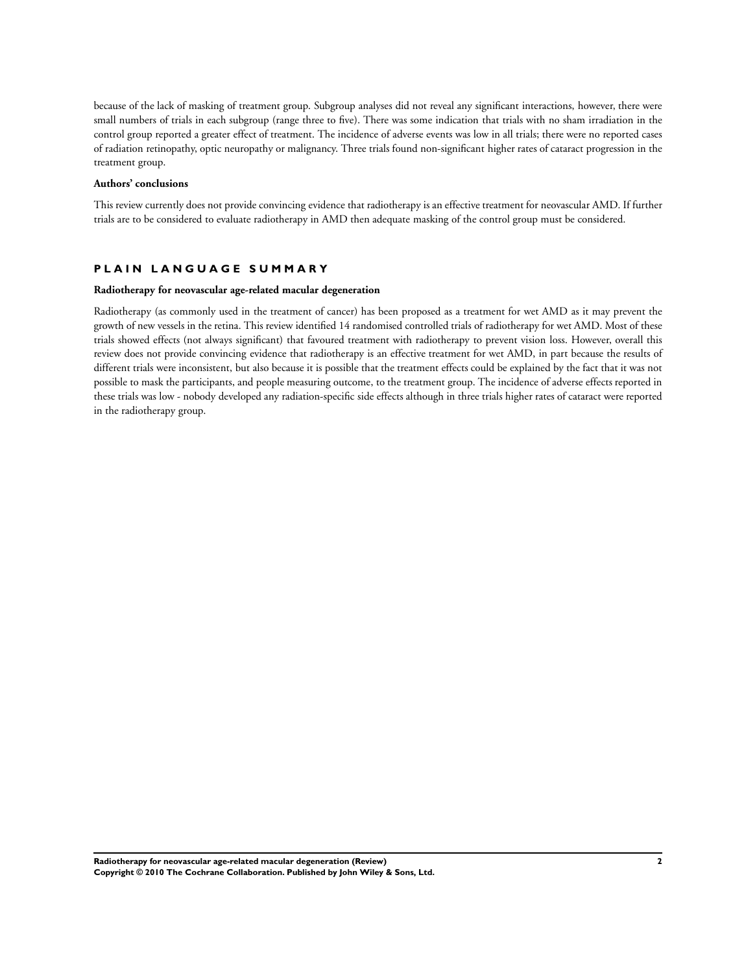because of the lack of masking of treatment group. Subgroup analyses did not reveal any significant interactions, however, there were small numbers of trials in each subgroup (range three to five). There was some indication that trials with no sham irradiation in the control group reported a greater effect of treatment. The incidence of adverse events was low in all trials; there were no reported cases of radiation retinopathy, optic neuropathy or malignancy. Three trials found non-significant higher rates of cataract progression in the treatment group.

#### **Authors' conclusions**

This review currently does not provide convincing evidence that radiotherapy is an effective treatment for neovascular AMD. If further trials are to be considered to evaluate radiotherapy in AMD then adequate masking of the control group must be considered.

### **P L A I N L A N G U A G E S U M M A R Y**

#### **Radiotherapy for neovascular age-related macular degeneration**

Radiotherapy (as commonly used in the treatment of cancer) has been proposed as a treatment for wet AMD as it may prevent the growth of new vessels in the retina. This review identified 14 randomised controlled trials of radiotherapy for wet AMD. Most of these trials showed effects (not always significant) that favoured treatment with radiotherapy to prevent vision loss. However, overall this review does not provide convincing evidence that radiotherapy is an effective treatment for wet AMD, in part because the results of different trials were inconsistent, but also because it is possible that the treatment effects could be explained by the fact that it was not possible to mask the participants, and people measuring outcome, to the treatment group. The incidence of adverse effects reported in these trials was low - nobody developed any radiation-specific side effects although in three trials higher rates of cataract were reported in the radiotherapy group.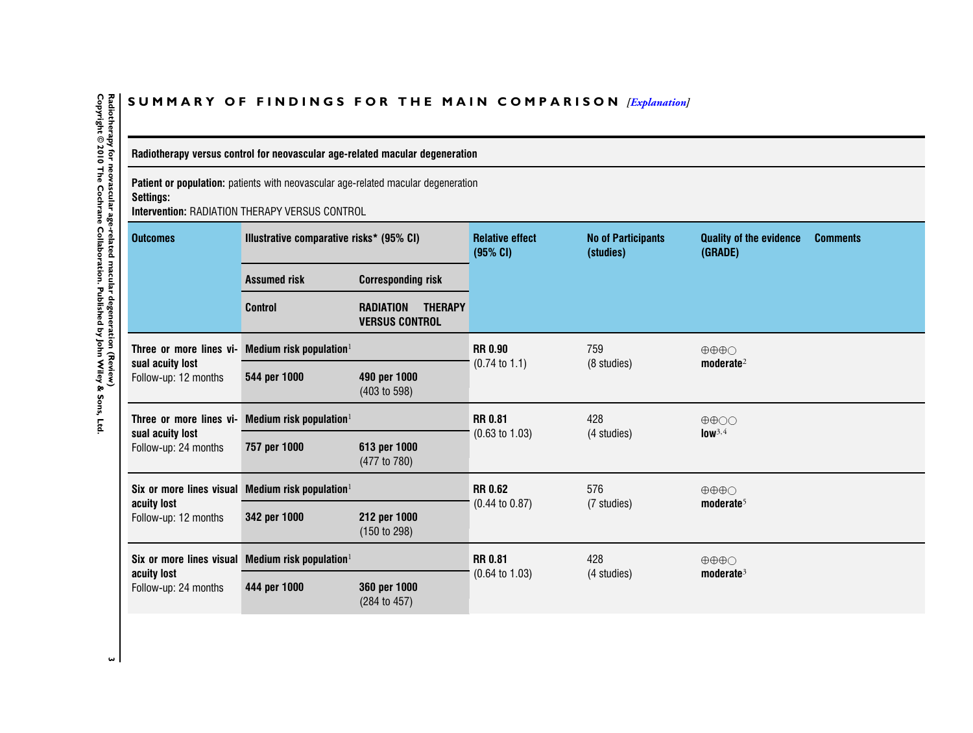# <span id="page-4-0"></span>SUMMARY OF FINDINGS FOR THE MAIN COMPARISON *[\[Explanation\]](http://www.thecochranelibrary.com/view/0/SummaryFindings.html)*

### **Radiotherapy versus control for neovascular age-related macular degeneration**

**Patient or population:** patients with neovascular age-related macular degeneration **Settings:**

**Intervention:** RADIATION THERAPY VERSUS CONTROL

| <b>Outcomes</b>                                                     | Illustrative comparative risks* (95% CI)                     |                                                             | <b>Relative effect</b><br>(95% CI) | <b>No of Participants</b><br>(studies) | <b>Quality of the evidence</b><br>(GRADE) | <b>Comments</b> |
|---------------------------------------------------------------------|--------------------------------------------------------------|-------------------------------------------------------------|------------------------------------|----------------------------------------|-------------------------------------------|-----------------|
|                                                                     | <b>Assumed risk</b>                                          | <b>Corresponding risk</b>                                   |                                    |                                        |                                           |                 |
|                                                                     | <b>Control</b>                                               | <b>RADIATION</b><br><b>THERAPY</b><br><b>VERSUS CONTROL</b> |                                    |                                        |                                           |                 |
| Three or more lines vi-<br>sual acuity lost<br>Follow-up: 12 months | Medium risk population $1$                                   |                                                             | <b>RR 0.90</b>                     | 759                                    | $\oplus \oplus \oplus \cap$               |                 |
|                                                                     | 544 per 1000                                                 | 490 per 1000<br>$(403 \text{ to } 598)$                     | $(0.74 \text{ to } 1.1)$           | (8 studies)                            | moderate <sup>2</sup>                     |                 |
| Three or more lines vi-<br>sual acuity lost<br>Follow-up: 24 months | Medium risk population $1$                                   |                                                             | <b>RR 0.81</b><br>428              |                                        | $\oplus \oplus \bigcirc \bigcirc$         |                 |
|                                                                     | 757 per 1000                                                 | 613 per 1000<br>(477 to 780)                                | $(0.63 \text{ to } 1.03)$          | (4 studies)                            | low <sup>3,4</sup>                        |                 |
| acuity lost<br>Follow-up: 12 months                                 | Six or more lines visual Medium risk population <sup>1</sup> |                                                             | <b>RR 0.62</b>                     | 576                                    | $\oplus \oplus \oplus \cap$               |                 |
|                                                                     | 342 per 1000                                                 | 212 per 1000<br>(150 to 298)                                | $(0.44 \text{ to } 0.87)$          | (7 studies)                            | moderate <sup>5</sup>                     |                 |
| acuity lost<br>Follow-up: 24 months                                 | Six or more lines visual Medium risk population <sup>1</sup> |                                                             | <b>RR 0.81</b>                     | 428                                    | $\oplus \oplus \oplus \cap$               |                 |
|                                                                     | 444 per 1000                                                 | 360 per 1000<br>$(284 \text{ to } 457)$                     | $(0.64 \text{ to } 1.03)$          | (4 studies)                            | moderate <sup>3</sup>                     |                 |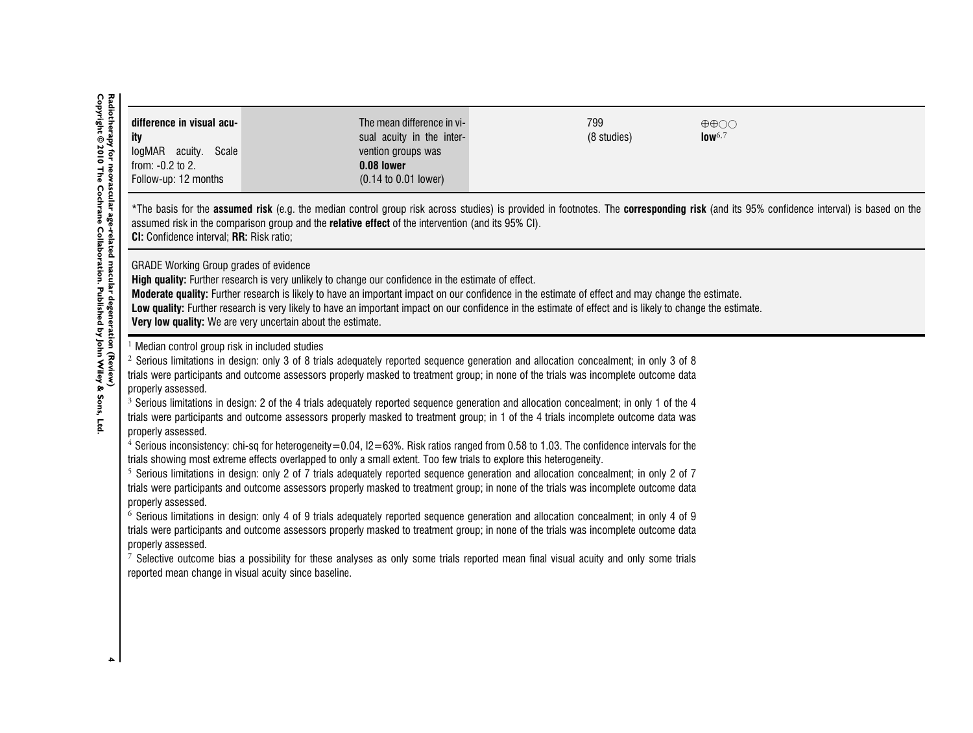| difference in visual acu-<br>ity<br>logMAR acuity. Scale<br>from: -0.2 to 2.<br>Follow-up: 12 months        | The mean difference in vi-<br>sual acuity in the inter-<br>vention groups was<br>0.08 lower<br>(0.14 to 0.01 lower)                                                                                                                                                                                                                                                                                                                                                                                                                                                                      | 799<br>(8 studies) | $\oplus \oplus \bigcirc \bigcirc$<br>low <sup>6,7</sup>                                                                                                                                |
|-------------------------------------------------------------------------------------------------------------|------------------------------------------------------------------------------------------------------------------------------------------------------------------------------------------------------------------------------------------------------------------------------------------------------------------------------------------------------------------------------------------------------------------------------------------------------------------------------------------------------------------------------------------------------------------------------------------|--------------------|----------------------------------------------------------------------------------------------------------------------------------------------------------------------------------------|
| CI: Confidence interval; RR: Risk ratio;                                                                    | assumed risk in the comparison group and the relative effect of the intervention (and its 95% CI).                                                                                                                                                                                                                                                                                                                                                                                                                                                                                       |                    | *The basis for the assumed risk (e.g. the median control group risk across studies) is provided in footnotes. The corresponding risk (and its 95% confidence interval) is based on the |
| <b>GRADE Working Group grades of evidence</b><br><sup>1</sup> Median control group risk in included studies | High quality: Further research is very unlikely to change our confidence in the estimate of effect.<br>Moderate quality: Further research is likely to have an important impact on our confidence in the estimate of effect and may change the estimate.<br>Low quality: Further research is very likely to have an important impact on our confidence in the estimate of effect and is likely to change the estimate.<br>Very low quality: We are very uncertain about the estimate.                                                                                                    |                    |                                                                                                                                                                                        |
| properly assessed.<br>properly assessed.                                                                    | <sup>2</sup> Serious limitations in design: only 3 of 8 trials adequately reported sequence generation and allocation concealment; in only 3 of 8<br>trials were participants and outcome assessors properly masked to treatment group; in none of the trials was incomplete outcome data<br><sup>3</sup> Serious limitations in design: 2 of the 4 trials adequately reported sequence generation and allocation concealment; in only 1 of the 4<br>trials were participants and outcome assessors properly masked to treatment group; in 1 of the 4 trials incomplete outcome data was |                    |                                                                                                                                                                                        |
| properly assessed.                                                                                          | $4$ Serious inconsistency: chi-sq for heterogeneity=0.04, $12=63\%$ . Risk ratios ranged from 0.58 to 1.03. The confidence intervals for the<br>trials showing most extreme effects overlapped to only a small extent. Too few trials to explore this heterogeneity.<br><sup>5</sup> Serious limitations in design: only 2 of 7 trials adequately reported sequence generation and allocation concealment; in only 2 of 7<br>trials were participants and outcome assessors properly masked to treatment group; in none of the trials was incomplete outcome data                        |                    |                                                                                                                                                                                        |
| properly assessed.                                                                                          | $6$ Serious limitations in design: only 4 of 9 trials adequately reported sequence generation and allocation concealment; in only 4 of 9<br>trials were participants and outcome assessors properly masked to treatment group; in none of the trials was incomplete outcome data<br>$7$ Selective outcome bias a possibility for these analyses as only some trials reported mean final visual acuity and only some trials                                                                                                                                                               |                    |                                                                                                                                                                                        |
| reported mean change in visual acuity since baseline.                                                       |                                                                                                                                                                                                                                                                                                                                                                                                                                                                                                                                                                                          |                    |                                                                                                                                                                                        |
|                                                                                                             |                                                                                                                                                                                                                                                                                                                                                                                                                                                                                                                                                                                          |                    |                                                                                                                                                                                        |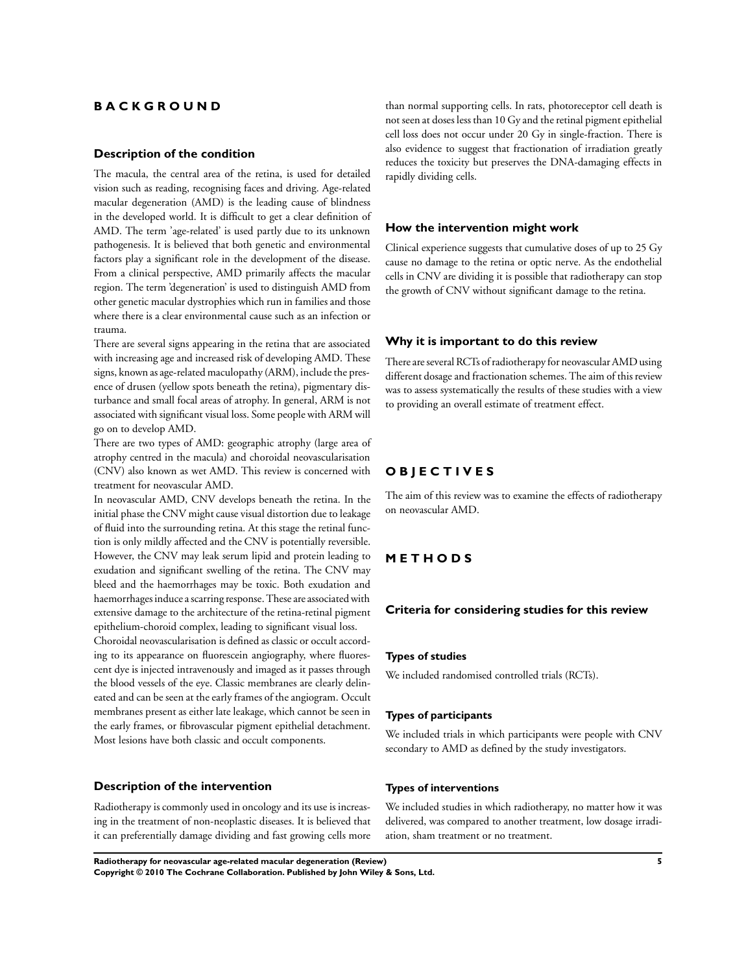### <span id="page-6-0"></span>**B A C K G R O U N D**

#### **Description of the condition**

The macula, the central area of the retina, is used for detailed vision such as reading, recognising faces and driving. Age-related macular degeneration (AMD) is the leading cause of blindness in the developed world. It is difficult to get a clear definition of AMD. The term 'age-related' is used partly due to its unknown pathogenesis. It is believed that both genetic and environmental factors play a significant role in the development of the disease. From a clinical perspective, AMD primarily affects the macular region. The term 'degeneration' is used to distinguish AMD from other genetic macular dystrophies which run in families and those where there is a clear environmental cause such as an infection or trauma.

There are several signs appearing in the retina that are associated with increasing age and increased risk of developing AMD. These signs, known as age-related maculopathy (ARM), include the presence of drusen (yellow spots beneath the retina), pigmentary disturbance and small focal areas of atrophy. In general, ARM is not associated with significant visual loss. Some people with ARM will go on to develop AMD.

There are two types of AMD: geographic atrophy (large area of atrophy centred in the macula) and choroidal neovascularisation (CNV) also known as wet AMD. This review is concerned with treatment for neovascular AMD.

In neovascular AMD, CNV develops beneath the retina. In the initial phase the CNV might cause visual distortion due to leakage of fluid into the surrounding retina. At this stage the retinal function is only mildly affected and the CNV is potentially reversible. However, the CNV may leak serum lipid and protein leading to exudation and significant swelling of the retina. The CNV may bleed and the haemorrhages may be toxic. Both exudation and haemorrhages induce a scarring response. These are associated with extensive damage to the architecture of the retina-retinal pigment epithelium-choroid complex, leading to significant visual loss.

Choroidal neovascularisation is defined as classic or occult according to its appearance on fluorescein angiography, where fluorescent dye is injected intravenously and imaged as it passes through the blood vessels of the eye. Classic membranes are clearly delineated and can be seen at the early frames of the angiogram. Occult membranes present as either late leakage, which cannot be seen in the early frames, or fibrovascular pigment epithelial detachment. Most lesions have both classic and occult components.

### **Description of the intervention**

Radiotherapy is commonly used in oncology and its use is increasing in the treatment of non-neoplastic diseases. It is believed that it can preferentially damage dividing and fast growing cells more

than normal supporting cells. In rats, photoreceptor cell death is not seen at doses less than 10 Gy and the retinal pigment epithelial cell loss does not occur under 20 Gy in single-fraction. There is also evidence to suggest that fractionation of irradiation greatly reduces the toxicity but preserves the DNA-damaging effects in rapidly dividing cells.

#### **How the intervention might work**

Clinical experience suggests that cumulative doses of up to 25 Gy cause no damage to the retina or optic nerve. As the endothelial cells in CNV are dividing it is possible that radiotherapy can stop the growth of CNV without significant damage to the retina.

#### **Why it is important to do this review**

There are several RCTs of radiotherapy for neovascular AMD using different dosage and fractionation schemes. The aim of this review was to assess systematically the results of these studies with a view to providing an overall estimate of treatment effect.

### **O B J E C T I V E S**

The aim of this review was to examine the effects of radiotherapy on neovascular AMD.

### **M E T H O D S**

### **Criteria for considering studies for this review**

#### **Types of studies**

We included randomised controlled trials (RCTs).

#### **Types of participants**

We included trials in which participants were people with CNV secondary to AMD as defined by the study investigators.

#### **Types of interventions**

We included studies in which radiotherapy, no matter how it was delivered, was compared to another treatment, low dosage irradiation, sham treatment or no treatment.

**Radiotherapy for neovascular age-related macular degeneration (Review) 5 Copyright © 2010 The Cochrane Collaboration. Published by John Wiley & Sons, Ltd.**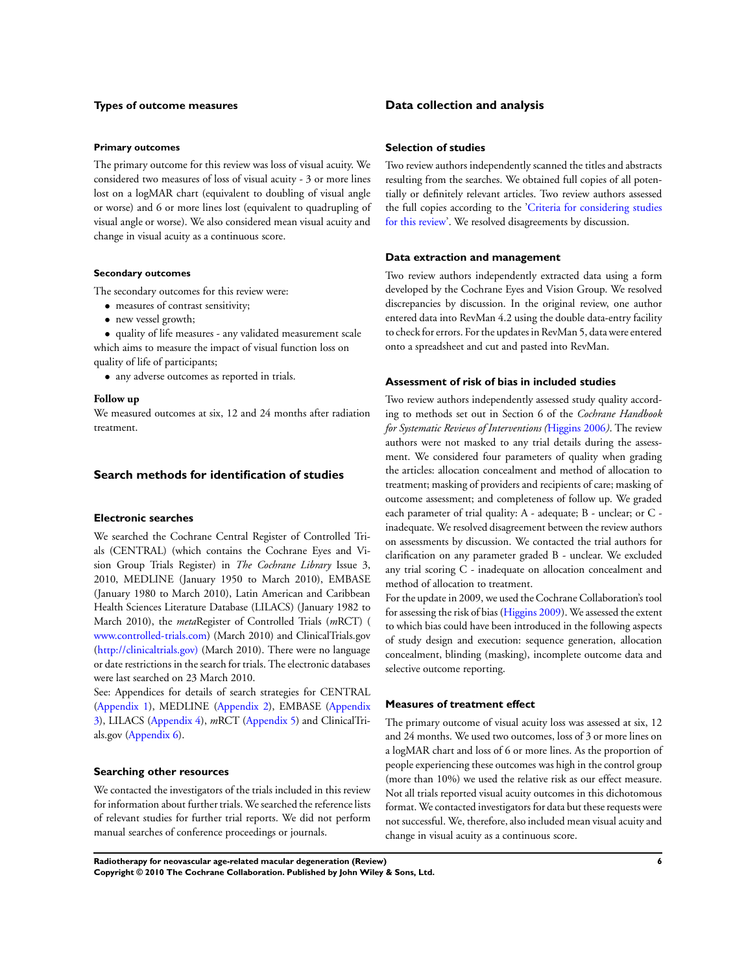#### **Types of outcome measures**

#### **Primary outcomes**

The primary outcome for this review was loss of visual acuity. We considered two measures of loss of visual acuity - 3 or more lines lost on a logMAR chart (equivalent to doubling of visual angle or worse) and 6 or more lines lost (equivalent to quadrupling of visual angle or worse). We also considered mean visual acuity and change in visual acuity as a continuous score.

#### **Secondary outcomes**

The secondary outcomes for this review were:

- measures of contrast sensitivity;
- new vessel growth;

• quality of life measures - any validated measurement scale which aims to measure the impact of visual function loss on quality of life of participants;

• any adverse outcomes as reported in trials.

#### **Follow up**

We measured outcomes at six, 12 and 24 months after radiation treatment.

#### **Search methods for identification of studies**

#### **Electronic searches**

We searched the Cochrane Central Register of Controlled Trials (CENTRAL) (which contains the Cochrane Eyes and Vision Group Trials Register) in *The Cochrane Library* Issue 3, 2010, MEDLINE (January 1950 to March 2010), EMBASE (January 1980 to March 2010), Latin American and Caribbean Health Sciences Literature Database (LILACS) (January 1982 to March 2010), the *meta*Register of Controlled Trials (*m*RCT) ( [www.controlled-trials.com](http://www.controlled-trials.com/)) (March 2010) and ClinicalTrials.gov [\(http://clinicaltrials.gov\)](http://error:_left_parenthesis_in_address;_Please_contact_the_author_for_the_correct_link) (March 2010). There were no language or date restrictions in the search for trials. The electronic databases were last searched on 23 March 2010.

See: Appendices for details of search strategies for CENTRAL [\(Appendix 1\)](#page-54-0), MEDLINE ([Appendix 2](#page-55-0)), EMBASE [\(Appendix](#page-55-0) [3\)](#page-55-0), LILACS ([Appendix 4](#page-56-0)), *m*RCT [\(Appendix 5\)](#page-56-0) and ClinicalTrials.gov ([Appendix 6\)](#page-56-0).

#### **Searching other resources**

We contacted the investigators of the trials included in this review for information about further trials. We searched the reference lists of relevant studies for further trial reports. We did not perform manual searches of conference proceedings or journals.

### **Data collection and analysis**

#### **Selection of studies**

Two review authors independently scanned the titles and abstracts resulting from the searches. We obtained full copies of all potentially or definitely relevant articles. Two review authors assessed the full copies according to the '[Criteria for considering studies](#page-6-0) [for this review'](#page-6-0). We resolved disagreements by discussion.

#### **Data extraction and management**

Two review authors independently extracted data using a form developed by the Cochrane Eyes and Vision Group. We resolved discrepancies by discussion. In the original review, one author entered data into RevMan 4.2 using the double data-entry facility to check for errors. For the updates in RevMan 5, data were entered onto a spreadsheet and cut and pasted into RevMan.

#### **Assessment of risk of bias in included studies**

Two review authors independently assessed study quality according to methods set out in Section 6 of the *Cochrane Handbook for Systematic Reviews of Interventions (*[Higgins 2006](#page-16-0)*)*. The review authors were not masked to any trial details during the assessment. We considered four parameters of quality when grading the articles: allocation concealment and method of allocation to treatment; masking of providers and recipients of care; masking of outcome assessment; and completeness of follow up. We graded each parameter of trial quality: A - adequate; B - unclear; or C inadequate. We resolved disagreement between the review authors on assessments by discussion. We contacted the trial authors for clarification on any parameter graded B - unclear. We excluded any trial scoring C - inadequate on allocation concealment and method of allocation to treatment.

For the update in 2009, we used the Cochrane Collaboration's tool for assessing the risk of bias [\(Higgins 2009](#page-16-0)). We assessed the extent to which bias could have been introduced in the following aspects of study design and execution: sequence generation, allocation concealment, blinding (masking), incomplete outcome data and selective outcome reporting.

#### **Measures of treatment effect**

The primary outcome of visual acuity loss was assessed at six, 12 and 24 months. We used two outcomes, loss of 3 or more lines on a logMAR chart and loss of 6 or more lines. As the proportion of people experiencing these outcomes was high in the control group (more than 10%) we used the relative risk as our effect measure. Not all trials reported visual acuity outcomes in this dichotomous format. We contacted investigators for data but these requests were not successful. We, therefore, also included mean visual acuity and change in visual acuity as a continuous score.

**Radiotherapy for neovascular age-related macular degeneration (Review) 6 Copyright © 2010 The Cochrane Collaboration. Published by John Wiley & Sons, Ltd.**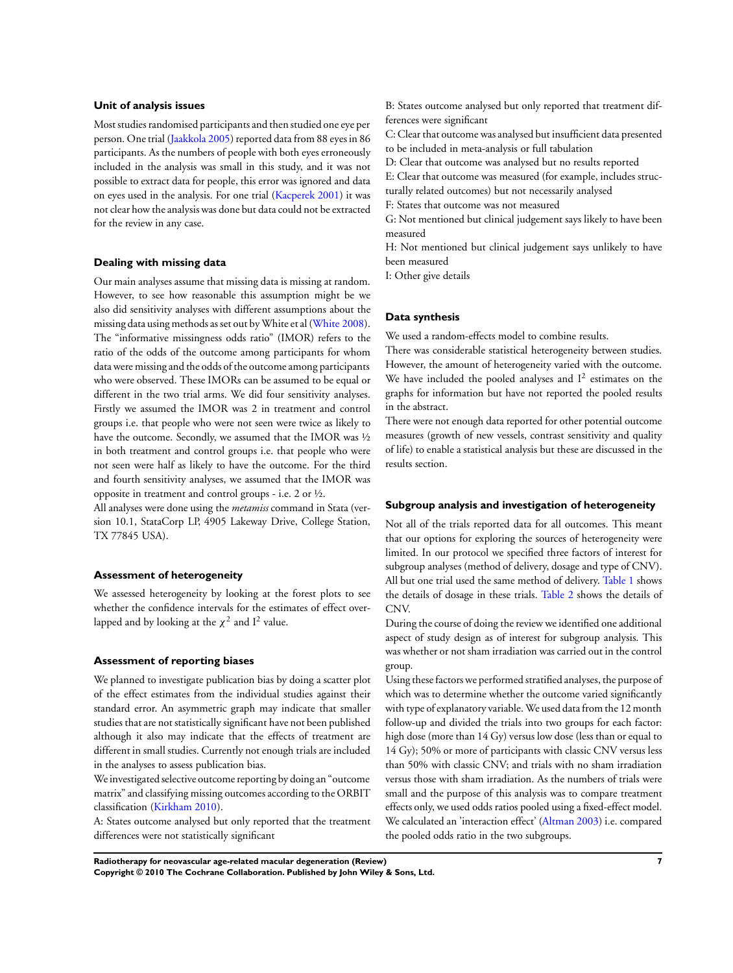#### **Unit of analysis issues**

Most studies randomised participants and then studied one eye per person. One trial ([Jaakkola 2005](#page-16-0)) reported data from 88 eyes in 86 participants. As the numbers of people with both eyes erroneously included in the analysis was small in this study, and it was not possible to extract data for people, this error was ignored and data on eyes used in the analysis. For one trial ([Kacperek 2001](#page-16-0)) it was not clear how the analysis was done but data could not be extracted for the review in any case.

#### **Dealing with missing data**

Our main analyses assume that missing data is missing at random. However, to see how reasonable this assumption might be we also did sensitivity analyses with different assumptions about the missing data using methods as set out by White et al [\(White 2008](#page-16-0)). The "informative missingness odds ratio" (IMOR) refers to the ratio of the odds of the outcome among participants for whom data were missing and the odds of the outcome among participants who were observed. These IMORs can be assumed to be equal or different in the two trial arms. We did four sensitivity analyses. Firstly we assumed the IMOR was 2 in treatment and control groups i.e. that people who were not seen were twice as likely to have the outcome. Secondly, we assumed that the IMOR was ½ in both treatment and control groups i.e. that people who were not seen were half as likely to have the outcome. For the third and fourth sensitivity analyses, we assumed that the IMOR was opposite in treatment and control groups - i.e. 2 or ½.

All analyses were done using the *metamiss* command in Stata (version 10.1, StataCorp LP, 4905 Lakeway Drive, College Station, TX 77845 USA).

#### **Assessment of heterogeneity**

We assessed heterogeneity by looking at the forest plots to see whether the confidence intervals for the estimates of effect overlapped and by looking at the  $\chi^2$  and  $I^2$  value.

#### **Assessment of reporting biases**

We planned to investigate publication bias by doing a scatter plot of the effect estimates from the individual studies against their standard error. An asymmetric graph may indicate that smaller studies that are not statistically significant have not been published although it also may indicate that the effects of treatment are different in small studies. Currently not enough trials are included in the analyses to assess publication bias.

We investigated selective outcome reporting by doing an "outcome matrix" and classifying missing outcomes according to the ORBIT classification [\(Kirkham 2010](#page-16-0)).

A: States outcome analysed but only reported that the treatment differences were not statistically significant

B: States outcome analysed but only reported that treatment differences were significant

C: Clear that outcome was analysed but insufficient data presented to be included in meta-analysis or full tabulation

D: Clear that outcome was analysed but no results reported

E: Clear that outcome was measured (for example, includes structurally related outcomes) but not necessarily analysed

F: States that outcome was not measured

G: Not mentioned but clinical judgement says likely to have been measured

H: Not mentioned but clinical judgement says unlikely to have been measured

I: Other give details

#### **Data synthesis**

We used a random-effects model to combine results.

There was considerable statistical heterogeneity between studies. However, the amount of heterogeneity varied with the outcome. We have included the pooled analyses and  $I^2$  estimates on the graphs for information but have not reported the pooled results in the abstract.

There were not enough data reported for other potential outcome measures (growth of new vessels, contrast sensitivity and quality of life) to enable a statistical analysis but these are discussed in the results section.

#### **Subgroup analysis and investigation of heterogeneity**

Not all of the trials reported data for all outcomes. This meant that our options for exploring the sources of heterogeneity were limited. In our protocol we specified three factors of interest for subgroup analyses (method of delivery, dosage and type of CNV). All but one trial used the same method of delivery. [Table 1](#page-50-0) shows the details of dosage in these trials. [Table 2](#page-50-0) shows the details of CNV.

During the course of doing the review we identified one additional aspect of study design as of interest for subgroup analysis. This was whether or not sham irradiation was carried out in the control group.

Using these factors we performed stratified analyses, the purpose of which was to determine whether the outcome varied significantly with type of explanatory variable. We used data from the 12 month follow-up and divided the trials into two groups for each factor: high dose (more than 14 Gy) versus low dose (less than or equal to 14 Gy); 50% or more of participants with classic CNV versus less than 50% with classic CNV; and trials with no sham irradiation versus those with sham irradiation. As the numbers of trials were small and the purpose of this analysis was to compare treatment effects only, we used odds ratios pooled using a fixed-effect model. We calculated an 'interaction effect' ([Altman 2003\)](#page-16-0) i.e. compared the pooled odds ratio in the two subgroups.

**Radiotherapy for neovascular age-related macular degeneration (Review) 7 Copyright © 2010 The Cochrane Collaboration. Published by John Wiley & Sons, Ltd.**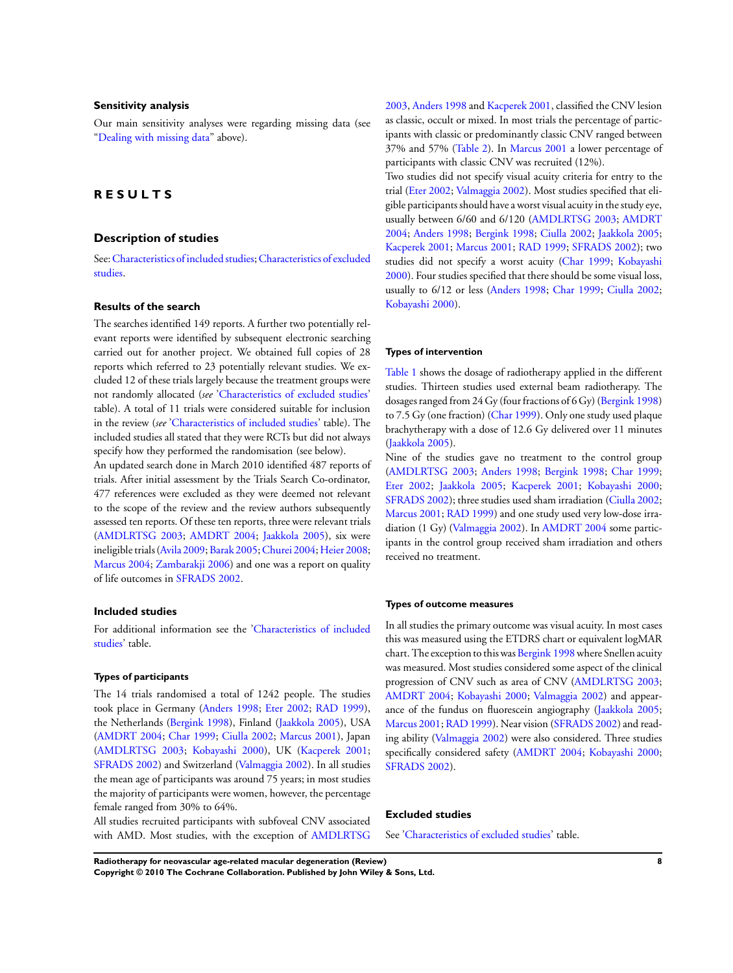#### **Sensitivity analysis**

Our main sensitivity analyses were regarding missing data (see "[Dealing with missing data](#page-6-0)" above).

### **R E S U L T S**

#### **Description of studies**

See:[Characteristics of included studies;](#page-19-0)[Characteristics of excluded](#page-37-0) [studies.](#page-37-0)

### **Results of the search**

The searches identified 149 reports. A further two potentially relevant reports were identified by subsequent electronic searching carried out for another project. We obtained full copies of 28 reports which referred to 23 potentially relevant studies. We excluded 12 of these trials largely because the treatment groups were not randomly allocated (*see* '[Characteristics of excluded studies](#page-37-0)' table). A total of 11 trials were considered suitable for inclusion in the review (*see* '[Characteristics of included studies](#page-19-0)' table). The included studies all stated that they were RCTs but did not always specify how they performed the randomisation (see below).

An updated search done in March 2010 identified 487 reports of trials. After initial assessment by the Trials Search Co-ordinator, 477 references were excluded as they were deemed not relevant to the scope of the review and the review authors subsequently assessed ten reports. Of these ten reports, three were relevant trials [\(AMDLRTSG 2003;](#page-16-0) [AMDRT 2004;](#page-16-0) [Jaakkola 2005](#page-16-0)), six were ineligible trials (Avila 2009; Barak 2005; Churei 2004; [Heier 2008;](#page-16-0) [Marcus 2004](#page-16-0); [Zambarakji 2006\)](#page-16-0) and one was a report on quality of life outcomes in [SFRADS 2002](#page-16-0).

#### **Included studies**

For additional information see the'[Characteristics of included](#page-19-0) [studies'](#page-19-0) table.

#### **Types of participants**

The 14 trials randomised a total of 1242 people. The studies took place in Germany ([Anders 1998](#page-16-0); [Eter 2002](#page-16-0); [RAD 1999](#page-16-0)), the Netherlands [\(Bergink 1998](#page-16-0)), Finland ([Jaakkola 2005](#page-16-0)), USA [\(AMDRT 2004](#page-16-0); [Char 1999](#page-16-0); [Ciulla 2002](#page-16-0); [Marcus 2001\)](#page-16-0), Japan [\(AMDLRTSG 2003;](#page-16-0) [Kobayashi 2000\)](#page-16-0), UK [\(Kacperek 2001;](#page-16-0) [SFRADS 2002\)](#page-16-0) and Switzerland [\(Valmaggia 2002](#page-16-0)). In all studies the mean age of participants was around 75 years; in most studies the majority of participants were women, however, the percentage female ranged from 30% to 64%.

All studies recruited participants with subfoveal CNV associated with AMD. Most studies, with the exception of [AMDLRTSG](#page-16-0)

[2003](#page-16-0), [Anders 1998](#page-16-0) and [Kacperek 2001,](#page-16-0) classified the CNV lesion as classic, occult or mixed. In most trials the percentage of participants with classic or predominantly classic CNV ranged between 37% and 57% [\(Table 2](#page-50-0)). In [Marcus 2001](#page-16-0) a lower percentage of participants with classic CNV was recruited (12%).

Two studies did not specify visual acuity criteria for entry to the trial [\(Eter 2002](#page-16-0); [Valmaggia 2002\)](#page-16-0). Most studies specified that eligible participants should have a worst visual acuity in the study eye, usually between 6/60 and 6/120 [\(AMDLRTSG 2003](#page-16-0); [AMDRT](#page-16-0) [2004](#page-16-0); [Anders 1998](#page-16-0); [Bergink 1998](#page-16-0); [Ciulla 2002](#page-16-0); [Jaakkola 2005;](#page-16-0) [Kacperek 2001;](#page-16-0) [Marcus 2001;](#page-16-0) [RAD 1999](#page-16-0); [SFRADS 2002\)](#page-16-0); two studies did not specify a worst acuity ([Char 1999](#page-16-0); [Kobayashi](#page-16-0) [2000](#page-16-0)). Four studies specified that there should be some visual loss, usually to 6/12 or less ([Anders 1998](#page-16-0); [Char 1999](#page-16-0); [Ciulla 2002;](#page-16-0) [Kobayashi 2000](#page-16-0)).

#### **Types of intervention**

[Table 1](#page-50-0) shows the dosage of radiotherapy applied in the different studies. Thirteen studies used external beam radiotherapy. The dosages ranged from 24 Gy (four fractions of 6 Gy) [\(Bergink 1998](#page-16-0)) to 7.5 Gy (one fraction) [\(Char 1999](#page-16-0)). Only one study used plaque brachytherapy with a dose of 12.6 Gy delivered over 11 minutes [\(Jaakkola 2005](#page-16-0)).

Nine of the studies gave no treatment to the control group [\(AMDLRTSG 2003;](#page-16-0) [Anders 1998](#page-16-0); [Bergink 1998](#page-16-0); [Char 1999;](#page-16-0) [Eter 2002](#page-16-0); [Jaakkola 2005;](#page-16-0) [Kacperek 2001;](#page-16-0) [Kobayashi 2000;](#page-16-0) [SFRADS 2002](#page-16-0)); three studies used sham irradiation ([Ciulla 2002;](#page-16-0) [Marcus 2001;](#page-16-0) [RAD 1999\)](#page-16-0) and one study used very low-dose irradiation (1 Gy) ([Valmaggia 2002\)](#page-16-0). In [AMDRT 2004](#page-16-0) some participants in the control group received sham irradiation and others received no treatment.

#### **Types of outcome measures**

In all studies the primary outcome was visual acuity. In most cases this was measured using the ETDRS chart or equivalent logMAR chart. The exception to this was [Bergink 1998](#page-16-0) where Snellen acuity was measured. Most studies considered some aspect of the clinical progression of CNV such as area of CNV ([AMDLRTSG 2003;](#page-16-0) [AMDRT 2004](#page-16-0); [Kobayashi 2000;](#page-16-0) [Valmaggia 2002\)](#page-16-0) and appearance of the fundus on fluorescein angiography ([Jaakkola 2005;](#page-16-0) [Marcus 2001](#page-16-0); [RAD 1999](#page-16-0)). Near vision [\(SFRADS 2002\)](#page-16-0) and reading ability ([Valmaggia 2002](#page-16-0)) were also considered. Three studies specifically considered safety ([AMDRT 2004](#page-16-0); [Kobayashi 2000;](#page-16-0) [SFRADS 2002\)](#page-16-0).

#### **Excluded studies**

See'[Characteristics of excluded studies'](#page-37-0) table.

**Radiotherapy for neovascular age-related macular degeneration (Review) 8**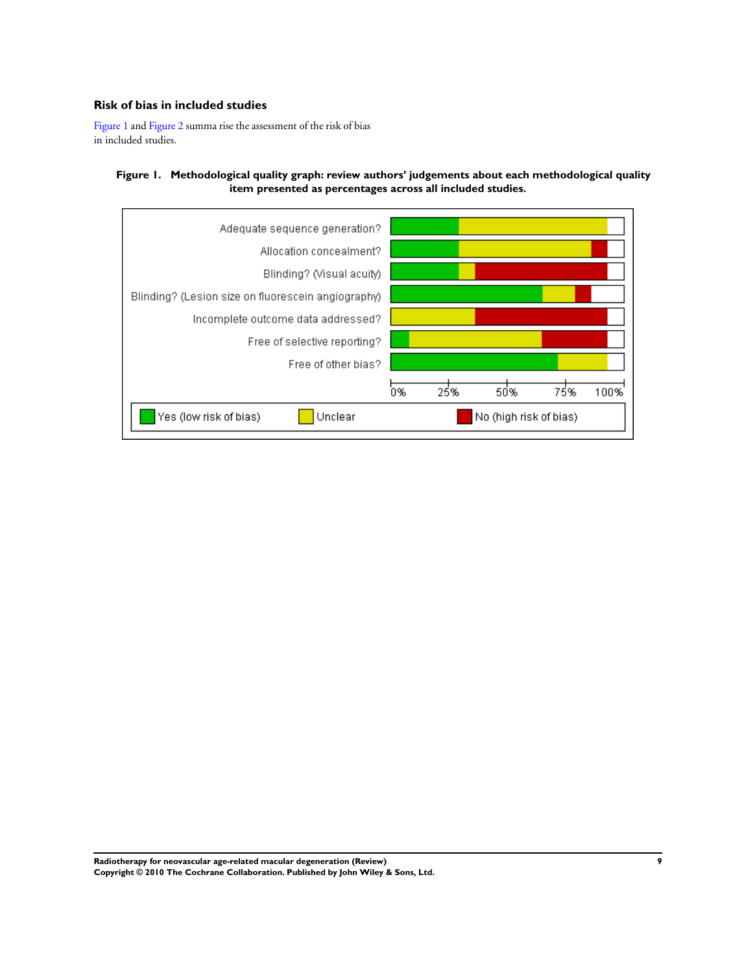### **Risk of bias in included studies**

Figure 1 and [Figure 2](#page-11-0) summa rise the assessment of the risk of bias in included studies.



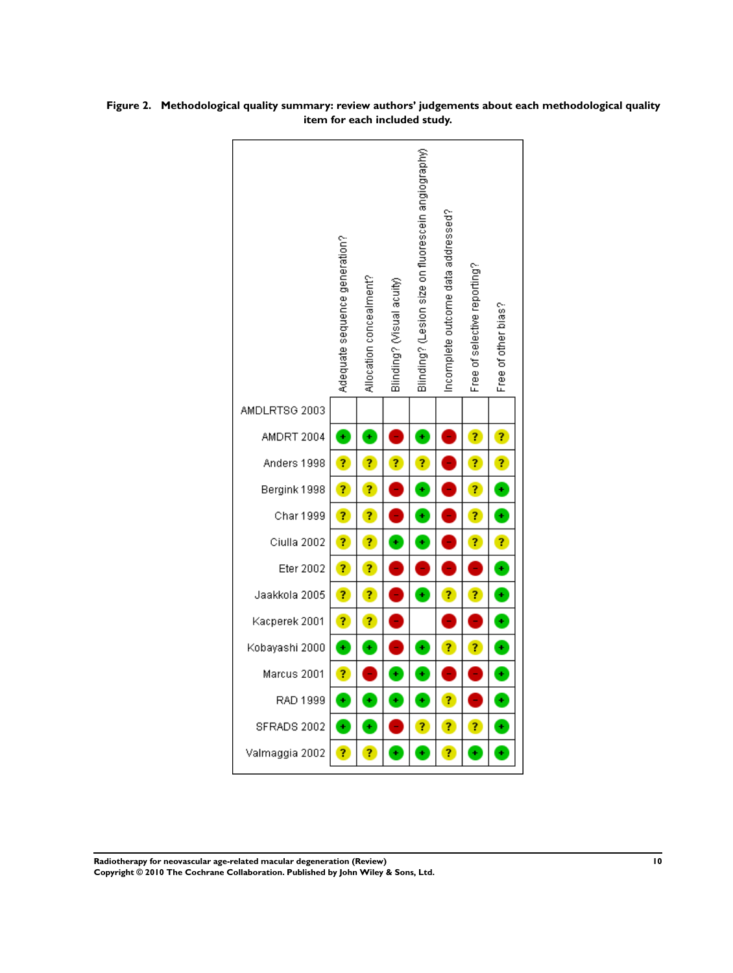

<span id="page-11-0"></span>**Figure 2. Methodological quality summary: review authors' judgements about each methodological quality item for each included study.**

**Radiotherapy for neovascular age-related macular degeneration (Review) 10 Copyright © 2010 The Cochrane Collaboration. Published by John Wiley & Sons, Ltd.**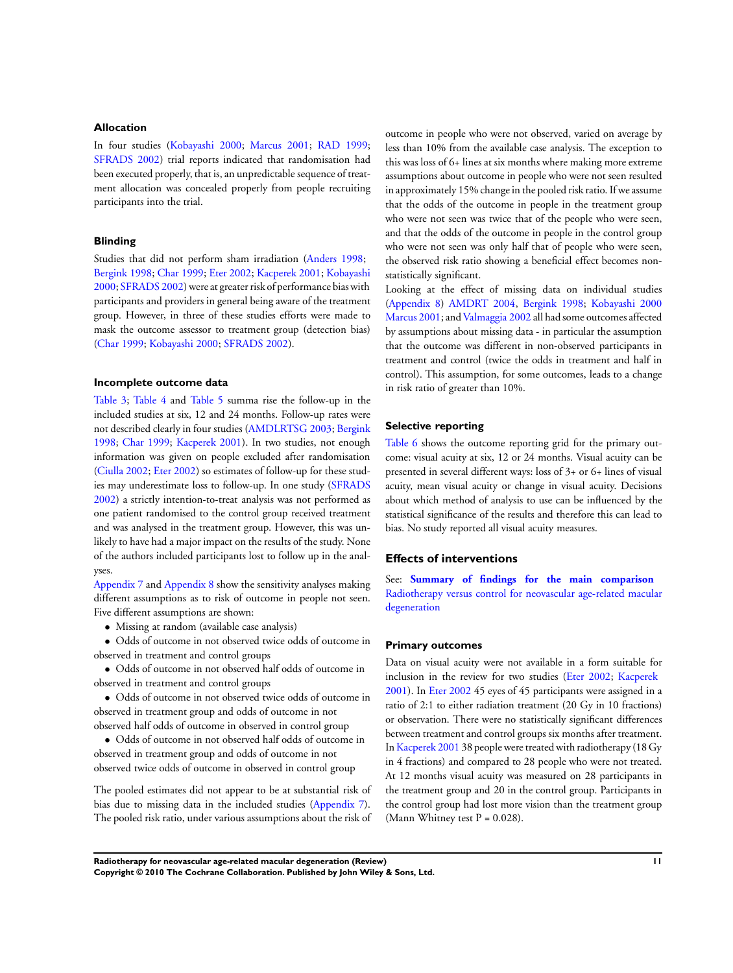### <span id="page-12-0"></span>**Allocation**

In four studies [\(Kobayashi 2000;](#page-16-0) [Marcus 2001](#page-16-0); [RAD 1999;](#page-16-0) [SFRADS 2002\)](#page-16-0) trial reports indicated that randomisation had been executed properly, that is, an unpredictable sequence of treatment allocation was concealed properly from people recruiting participants into the trial.

#### **Blinding**

Studies that did not perform sham irradiation [\(Anders 1998](#page-16-0); [Bergink 1998;](#page-16-0) [Char 1999;](#page-16-0) [Eter 2002](#page-16-0); [Kacperek 2001](#page-16-0); [Kobayashi](#page-16-0) [2000](#page-16-0); [SFRADS 2002](#page-16-0)) were at greater risk of performance bias with participants and providers in general being aware of the treatment group. However, in three of these studies efforts were made to mask the outcome assessor to treatment group (detection bias) [\(Char 1999;](#page-16-0) [Kobayashi 2000](#page-16-0); [SFRADS 2002](#page-16-0)).

#### **Incomplete outcome data**

[Table 3;](#page-51-0) [Table 4](#page-51-0) and [Table 5](#page-52-0) summa rise the follow-up in the included studies at six, 12 and 24 months. Follow-up rates were not described clearly in four studies ([AMDLRTSG 2003;](#page-16-0) [Bergink](#page-16-0) [1998](#page-16-0); [Char 1999](#page-16-0); [Kacperek 2001\)](#page-16-0). In two studies, not enough information was given on people excluded after randomisation [\(Ciulla 2002](#page-16-0); [Eter 2002](#page-16-0)) so estimates of follow-up for these studies may underestimate loss to follow-up. In one study [\(SFRADS](#page-16-0) [2002](#page-16-0)) a strictly intention-to-treat analysis was not performed as one patient randomised to the control group received treatment and was analysed in the treatment group. However, this was unlikely to have had a major impact on the results of the study. None of the authors included participants lost to follow up in the analyses.

[Appendix 7](#page-57-0) and [Appendix 8](#page-61-0) show the sensitivity analyses making different assumptions as to risk of outcome in people not seen. Five different assumptions are shown:

• Missing at random (available case analysis)

• Odds of outcome in not observed twice odds of outcome in observed in treatment and control groups

• Odds of outcome in not observed half odds of outcome in observed in treatment and control groups

• Odds of outcome in not observed twice odds of outcome in observed in treatment group and odds of outcome in not observed half odds of outcome in observed in control group

• Odds of outcome in not observed half odds of outcome in observed in treatment group and odds of outcome in not observed twice odds of outcome in observed in control group

The pooled estimates did not appear to be at substantial risk of bias due to missing data in the included studies ([Appendix 7](#page-57-0)). The pooled risk ratio, under various assumptions about the risk of

outcome in people who were not observed, varied on average by less than 10% from the available case analysis. The exception to this was loss of 6+ lines at six months where making more extreme assumptions about outcome in people who were not seen resulted in approximately 15% change in the pooled risk ratio. If we assume that the odds of the outcome in people in the treatment group who were not seen was twice that of the people who were seen, and that the odds of the outcome in people in the control group who were not seen was only half that of people who were seen, the observed risk ratio showing a beneficial effect becomes nonstatistically significant.

Looking at the effect of missing data on individual studies [\(Appendix 8](#page-61-0)) [AMDRT 2004,](#page-16-0) [Bergink 1998](#page-16-0); [Kobayashi 2000](#page-16-0) [Marcus 2001](#page-16-0); and [Valmaggia 2002](#page-16-0) all had some outcomes affected by assumptions about missing data - in particular the assumption that the outcome was different in non-observed participants in treatment and control (twice the odds in treatment and half in control). This assumption, for some outcomes, leads to a change in risk ratio of greater than 10%.

#### **Selective reporting**

[Table 6](#page-52-0) shows the outcome reporting grid for the primary outcome: visual acuity at six, 12 or 24 months. Visual acuity can be presented in several different ways: loss of 3+ or 6+ lines of visual acuity, mean visual acuity or change in visual acuity. Decisions about which method of analysis to use can be influenced by the statistical significance of the results and therefore this can lead to bias. No study reported all visual acuity measures.

#### **Effects of interventions**

See: **[Summary of findings for the main comparison](#page-4-0)** [Radiotherapy versus control for neovascular age-related macular](#page-4-0) [degeneration](#page-4-0)

#### **Primary outcomes**

Data on visual acuity were not available in a form suitable for inclusion in the review for two studies [\(Eter 2002](#page-16-0); [Kacperek](#page-16-0) [2001](#page-16-0)). In [Eter 2002](#page-16-0) 45 eyes of 45 participants were assigned in a ratio of 2:1 to either radiation treatment (20 Gy in 10 fractions) or observation. There were no statistically significant differences between treatment and control groups six months after treatment. In[Kacperek 2001](#page-16-0) 38 people were treated with radiotherapy (18 Gy in 4 fractions) and compared to 28 people who were not treated. At 12 months visual acuity was measured on 28 participants in the treatment group and 20 in the control group. Participants in the control group had lost more vision than the treatment group (Mann Whitney test  $P = 0.028$ ).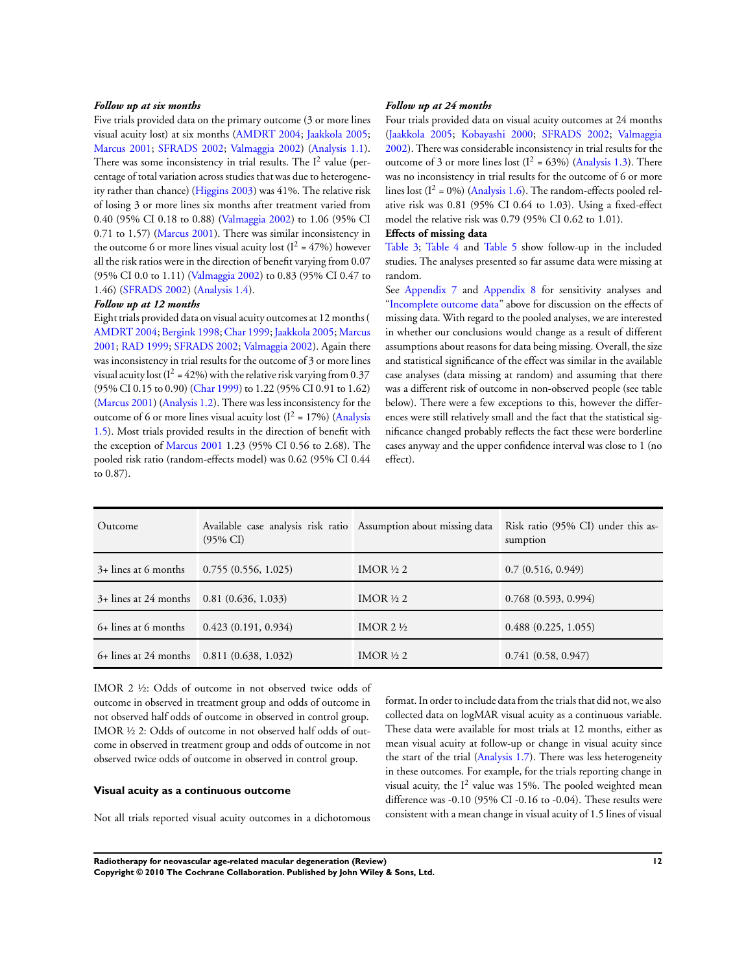#### *Follow up at six months*

Five trials provided data on the primary outcome (3 or more lines visual acuity lost) at six months ([AMDRT 2004;](#page-16-0) [Jaakkola 2005;](#page-16-0) [Marcus 2001](#page-16-0); [SFRADS 2002;](#page-16-0) [Valmaggia 2002](#page-16-0)) [\(Analysis 1.1](#page-40-0)). There was some inconsistency in trial results. The  $I^2$  value (percentage of total variation across studies that was due to heterogeneity rather than chance) ([Higgins 2003\)](#page-16-0) was 41%. The relative risk of losing 3 or more lines six months after treatment varied from 0.40 (95% CI 0.18 to 0.88) [\(Valmaggia 2002\)](#page-16-0) to 1.06 (95% CI 0.71 to 1.57) ([Marcus 2001](#page-16-0)). There was similar inconsistency in the outcome 6 or more lines visual acuity lost  $(I^2 = 47\%)$  however all the risk ratios were in the direction of benefit varying from 0.07 (95% CI 0.0 to 1.11) [\(Valmaggia 2002](#page-16-0)) to 0.83 (95% CI 0.47 to 1.46) ([SFRADS 2002](#page-16-0)) [\(Analysis 1.4](#page-43-0)).

#### *Follow up at 12 months*

Eight trials provided data on visual acuity outcomes at 12 months ( [AMDRT 2004;](#page-16-0) Bergink 1998; Char 1999; [Jaakkola 2005;](#page-16-0) [Marcus](#page-16-0) [2001](#page-16-0); [RAD 1999](#page-16-0); [SFRADS 2002;](#page-16-0) [Valmaggia 2002](#page-16-0)). Again there was inconsistency in trial results for the outcome of 3 or more lines visual acuity lost ( $I^2 = 42\%$ ) with the relative risk varying from 0.37 (95% CI 0.15 to 0.90) [\(Char 1999](#page-16-0)) to 1.22 (95% CI 0.91 to 1.62) [\(Marcus 2001\)](#page-16-0) [\(Analysis 1.2](#page-41-0)). There was less inconsistency for the outcome of 6 or more lines visual acuity lost  $(I^2 = 17\%)$  ([Analysis](#page-44-0) [1.5](#page-44-0)). Most trials provided results in the direction of benefit with the exception of [Marcus 2001](#page-16-0) 1.23 (95% CI 0.56 to 2.68). The pooled risk ratio (random-effects model) was 0.62 (95% CI 0.44 to 0.87).

#### *Follow up at 24 months*

Four trials provided data on visual acuity outcomes at 24 months [\(Jaakkola 2005;](#page-16-0) [Kobayashi 2000](#page-16-0); [SFRADS 2002](#page-16-0); [Valmaggia](#page-16-0) [2002](#page-16-0)). There was considerable inconsistency in trial results for the outcome of 3 or more lines lost  $(I^2 = 63\%)$  [\(Analysis 1.3](#page-42-0)). There was no inconsistency in trial results for the outcome of 6 or more lines lost ( $I^2 = 0\%$ ) ([Analysis 1.6](#page-45-0)). The random-effects pooled relative risk was 0.81 (95% CI 0.64 to 1.03). Using a fixed-effect model the relative risk was 0.79 (95% CI 0.62 to 1.01).

### **Effects of missing data**

[Table 3](#page-51-0); [Table 4](#page-51-0) and [Table 5](#page-52-0) show follow-up in the included studies. The analyses presented so far assume data were missing at random.

See [Appendix 7](#page-57-0) and [Appendix 8](#page-61-0) for sensitivity analyses and "[Incomplete outcome data"](#page-12-0) above for discussion on the effects of missing data. With regard to the pooled analyses, we are interested in whether our conclusions would change as a result of different assumptions about reasons for data being missing. Overall, the size and statistical significance of the effect was similar in the available case analyses (data missing at random) and assuming that there was a different risk of outcome in non-observed people (see table below). There were a few exceptions to this, however the differences were still relatively small and the fact that the statistical significance changed probably reflects the fact these were borderline cases anyway and the upper confidence interval was close to 1 (no effect).

| Outcome                                           | Available case analysis risk ratio Assumption about missing data<br>$(95\% \text{ CI})$ |                      | Risk ratio (95% CI) under this as-<br>sumption |
|---------------------------------------------------|-----------------------------------------------------------------------------------------|----------------------|------------------------------------------------|
| $3+$ lines at 6 months                            | 0.755(0.556, 1.025)                                                                     | IMOR $\frac{1}{2}$ 2 | 0.7(0.516, 0.949)                              |
| $3+$ lines at 24 months 0.81 (0.636, 1.033)       |                                                                                         | IMOR $\frac{1}{2}$ 2 | 0.768(0.593, 0.994)                            |
| 6+ lines at 6 months                              | 0.423(0.191, 0.934)                                                                     | IMOR $2\frac{1}{2}$  | 0.488(0.225, 1.055)                            |
| $6+$ lines at 24 months $\,0.811\,(0.638, 1.032)$ |                                                                                         | IMOR $\frac{1}{2}$ 2 | 0.741(0.58, 0.947)                             |

IMOR 2 ½: Odds of outcome in not observed twice odds of outcome in observed in treatment group and odds of outcome in not observed half odds of outcome in observed in control group. IMOR ½ 2: Odds of outcome in not observed half odds of outcome in observed in treatment group and odds of outcome in not observed twice odds of outcome in observed in control group.

#### **Visual acuity as a continuous outcome**

Not all trials reported visual acuity outcomes in a dichotomous

format. In order to include data from the trials that did not, we also collected data on logMAR visual acuity as a continuous variable. These data were available for most trials at 12 months, either as mean visual acuity at follow-up or change in visual acuity since the start of the trial [\(Analysis 1.7](#page-46-0)). There was less heterogeneity in these outcomes. For example, for the trials reporting change in visual acuity, the  $I^2$  value was 15%. The pooled weighted mean difference was -0.10 (95% CI -0.16 to -0.04). These results were consistent with a mean change in visual acuity of 1.5 lines of visual

**Radiotherapy for neovascular age-related macular degeneration (Review) 12 Copyright © 2010 The Cochrane Collaboration. Published by John Wiley & Sons, Ltd.**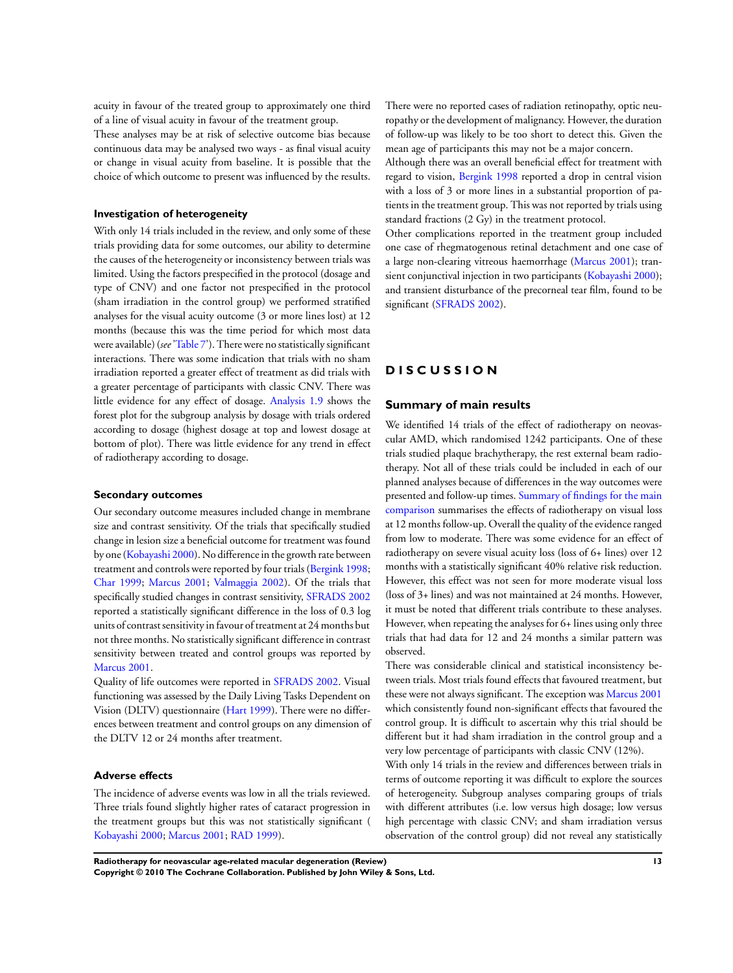acuity in favour of the treated group to approximately one third of a line of visual acuity in favour of the treatment group.

These analyses may be at risk of selective outcome bias because continuous data may be analysed two ways - as final visual acuity or change in visual acuity from baseline. It is possible that the choice of which outcome to present was influenced by the results.

#### **Investigation of heterogeneity**

With only 14 trials included in the review, and only some of these trials providing data for some outcomes, our ability to determine the causes of the heterogeneity or inconsistency between trials was limited. Using the factors prespecified in the protocol (dosage and type of CNV) and one factor not prespecified in the protocol (sham irradiation in the control group) we performed stratified analyses for the visual acuity outcome (3 or more lines lost) at 12 months (because this was the time period for which most data were available) (*see*'[Table 7](#page-54-0)'). There were no statistically significant interactions. There was some indication that trials with no sham irradiation reported a greater effect of treatment as did trials with a greater percentage of participants with classic CNV. There was little evidence for any effect of dosage. [Analysis 1.9](#page-48-0) shows the forest plot for the subgroup analysis by dosage with trials ordered according to dosage (highest dosage at top and lowest dosage at bottom of plot). There was little evidence for any trend in effect of radiotherapy according to dosage.

#### **Secondary outcomes**

Our secondary outcome measures included change in membrane size and contrast sensitivity. Of the trials that specifically studied change in lesion size a beneficial outcome for treatment was found by one ([Kobayashi 2000\)](#page-16-0). No difference in the growth rate between treatment and controls were reported by four trials [\(Bergink 1998;](#page-16-0) [Char 1999](#page-16-0); [Marcus 2001](#page-16-0); [Valmaggia 2002](#page-16-0)). Of the trials that specifically studied changes in contrast sensitivity, [SFRADS 2002](#page-16-0) reported a statistically significant difference in the loss of 0.3 log units of contrast sensitivity in favour of treatment at 24 months but not three months. No statistically significant difference in contrast sensitivity between treated and control groups was reported by [Marcus 2001](#page-16-0).

Quality of life outcomes were reported in [SFRADS 2002.](#page-16-0) Visual functioning was assessed by the Daily Living Tasks Dependent on Vision (DLTV) questionnaire ([Hart 1999\)](#page-16-0). There were no differences between treatment and control groups on any dimension of the DLTV 12 or 24 months after treatment.

#### **Adverse effects**

The incidence of adverse events was low in all the trials reviewed. Three trials found slightly higher rates of cataract progression in the treatment groups but this was not statistically significant ( [Kobayashi 2000](#page-16-0); [Marcus 2001;](#page-16-0) [RAD 1999](#page-16-0)).

There were no reported cases of radiation retinopathy, optic neuropathy or the development of malignancy. However, the duration of follow-up was likely to be too short to detect this. Given the mean age of participants this may not be a major concern.

Although there was an overall beneficial effect for treatment with regard to vision, [Bergink 1998](#page-16-0) reported a drop in central vision with a loss of 3 or more lines in a substantial proportion of patients in the treatment group. This was not reported by trials using standard fractions (2 Gy) in the treatment protocol.

Other complications reported in the treatment group included one case of rhegmatogenous retinal detachment and one case of a large non-clearing vitreous haemorrhage ([Marcus 2001](#page-16-0)); transient conjunctival injection in two participants [\(Kobayashi 2000](#page-16-0)); and transient disturbance of the precorneal tear film, found to be significant ([SFRADS 2002](#page-16-0)).

### **D I S C U S S I O N**

#### **Summary of main results**

We identified 14 trials of the effect of radiotherapy on neovascular AMD, which randomised 1242 participants. One of these trials studied plaque brachytherapy, the rest external beam radiotherapy. Not all of these trials could be included in each of our planned analyses because of differences in the way outcomes were presented and follow-up times. [Summary of findings for the main](#page-4-0) [comparison](#page-4-0) summarises the effects of radiotherapy on visual loss at 12 months follow-up. Overall the quality of the evidence ranged from low to moderate. There was some evidence for an effect of radiotherapy on severe visual acuity loss (loss of 6+ lines) over 12 months with a statistically significant 40% relative risk reduction. However, this effect was not seen for more moderate visual loss (loss of 3+ lines) and was not maintained at 24 months. However, it must be noted that different trials contribute to these analyses. However, when repeating the analyses for 6+ lines using only three trials that had data for 12 and 24 months a similar pattern was observed.

There was considerable clinical and statistical inconsistency between trials. Most trials found effects that favoured treatment, but these were not always significant. The exception was [Marcus 2001](#page-16-0) which consistently found non-significant effects that favoured the control group. It is difficult to ascertain why this trial should be different but it had sham irradiation in the control group and a very low percentage of participants with classic CNV (12%).

With only 14 trials in the review and differences between trials in terms of outcome reporting it was difficult to explore the sources of heterogeneity. Subgroup analyses comparing groups of trials with different attributes (i.e. low versus high dosage; low versus high percentage with classic CNV; and sham irradiation versus observation of the control group) did not reveal any statistically

**Radiotherapy for neovascular age-related macular degeneration (Review) 13 Copyright © 2010 The Cochrane Collaboration. Published by John Wiley & Sons, Ltd.**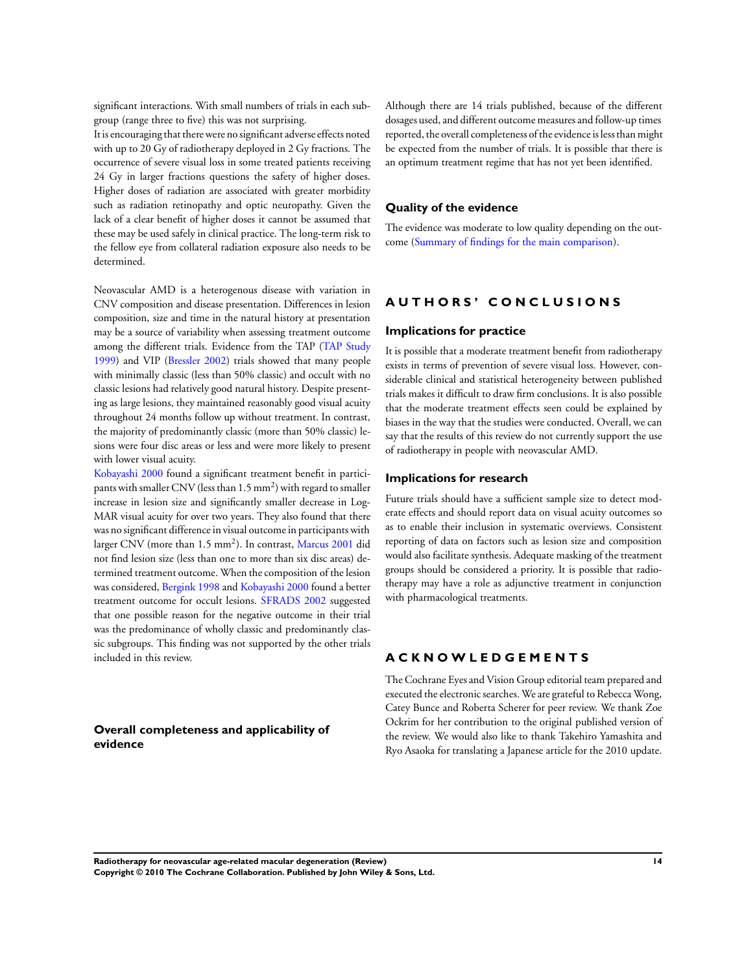significant interactions. With small numbers of trials in each subgroup (range three to five) this was not surprising.

It is encouraging that there were no significant adverse effects noted with up to 20 Gy of radiotherapy deployed in 2 Gy fractions. The occurrence of severe visual loss in some treated patients receiving 24 Gy in larger fractions questions the safety of higher doses. Higher doses of radiation are associated with greater morbidity such as radiation retinopathy and optic neuropathy. Given the lack of a clear benefit of higher doses it cannot be assumed that these may be used safely in clinical practice. The long-term risk to the fellow eye from collateral radiation exposure also needs to be determined.

Neovascular AMD is a heterogenous disease with variation in CNV composition and disease presentation. Differences in lesion composition, size and time in the natural history at presentation may be a source of variability when assessing treatment outcome among the different trials. Evidence from the TAP [\(TAP Study](#page-16-0) [1999](#page-16-0)) and VIP [\(Bressler 2002\)](#page-16-0) trials showed that many people with minimally classic (less than 50% classic) and occult with no classic lesions had relatively good natural history. Despite presenting as large lesions, they maintained reasonably good visual acuity throughout 24 months follow up without treatment. In contrast, the majority of predominantly classic (more than 50% classic) lesions were four disc areas or less and were more likely to present with lower visual acuity.

[Kobayashi 2000](#page-16-0) found a significant treatment benefit in participants with smaller CNV (less than 1.5  $\mathrm{mm}^2$ ) with regard to smaller increase in lesion size and significantly smaller decrease in Log-MAR visual acuity for over two years. They also found that there was no significant difference in visual outcome in participants with larger CNV (more than 1.5 mm<sup>2</sup>). In contrast, [Marcus 2001](#page-16-0) did not find lesion size (less than one to more than six disc areas) determined treatment outcome. When the composition of the lesion was considered, [Bergink 1998](#page-16-0) and [Kobayashi 2000](#page-16-0) found a better treatment outcome for occult lesions. [SFRADS 2002](#page-16-0) suggested that one possible reason for the negative outcome in their trial was the predominance of wholly classic and predominantly classic subgroups. This finding was not supported by the other trials included in this review.

### **Overall completeness and applicability of evidence**

Although there are 14 trials published, because of the different dosages used, and different outcome measures and follow-up times reported, the overall completeness of the evidence is less than might be expected from the number of trials. It is possible that there is an optimum treatment regime that has not yet been identified.

### **Quality of the evidence**

The evidence was moderate to low quality depending on the outcome ([Summary of findings for the main comparison](#page-4-0)).

### **A U T H O R S ' C O N C L U S I O N S**

### **Implications for practice**

It is possible that a moderate treatment benefit from radiotherapy exists in terms of prevention of severe visual loss. However, considerable clinical and statistical heterogeneity between published trials makes it difficult to draw firm conclusions. It is also possible that the moderate treatment effects seen could be explained by biases in the way that the studies were conducted. Overall, we can say that the results of this review do not currently support the use of radiotherapy in people with neovascular AMD.

#### **Implications for research**

Future trials should have a sufficient sample size to detect moderate effects and should report data on visual acuity outcomes so as to enable their inclusion in systematic overviews. Consistent reporting of data on factors such as lesion size and composition would also facilitate synthesis. Adequate masking of the treatment groups should be considered a priority. It is possible that radiotherapy may have a role as adjunctive treatment in conjunction with pharmacological treatments.

### **A C K N O W L E D G E M E N T S**

The Cochrane Eyes and Vision Group editorial team prepared and executed the electronic searches. We are grateful to Rebecca Wong, Catey Bunce and Roberta Scherer for peer review. We thank Zoe Ockrim for her contribution to the original published version of the review. We would also like to thank Takehiro Yamashita and Ryo Asaoka for translating a Japanese article for the 2010 update.

**Radiotherapy for neovascular age-related macular degeneration (Review) 14 Copyright © 2010 The Cochrane Collaboration. Published by John Wiley & Sons, Ltd.**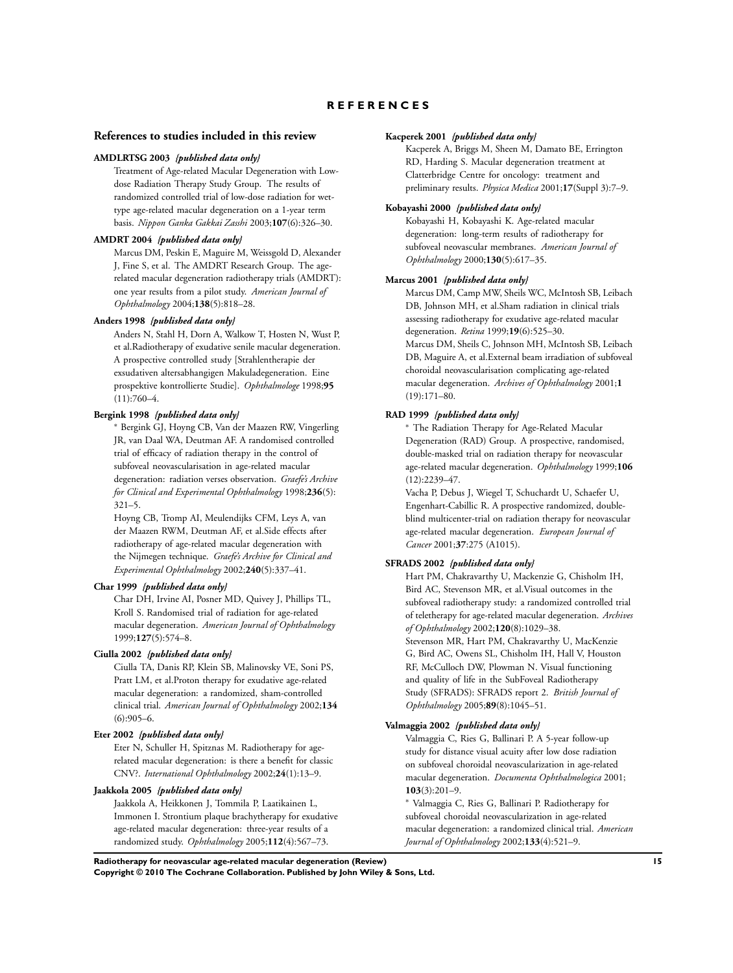### **R E F E R E N C E S**

#### <span id="page-16-0"></span>**References to studies included in this review**

#### **AMDLRTSG 2003** *{published data only}*

Treatment of Age-related Macular Degeneration with Lowdose Radiation Therapy Study Group. The results of randomized controlled trial of low-dose radiation for wettype age-related macular degeneration on a 1-year term basis. *Nippon Ganka Gakkai Zasshi* 2003;**107**(6):326–30.

#### **AMDRT 2004** *{published data only}*

Marcus DM, Peskin E, Maguire M, Weissgold D, Alexander J, Fine S, et al. The AMDRT Research Group. The agerelated macular degeneration radiotherapy trials (AMDRT): one year results from a pilot study. *American Journal of Ophthalmology* 2004;**138**(5):818–28.

#### **Anders 1998** *{published data only}*

Anders N, Stahl H, Dorn A, Walkow T, Hosten N, Wust P, et al.Radiotherapy of exudative senile macular degeneration. A prospective controlled study [Strahlentherapie der exsudativen altersabhangigen Makuladegeneration. Eine prospektive kontrollierte Studie]. *Ophthalmologe* 1998;**95**  $(11):760-4.$ 

#### **Bergink 1998** *{published data only}*

<sup>∗</sup> Bergink GJ, Hoyng CB, Van der Maazen RW, Vingerling JR, van Daal WA, Deutman AF. A randomised controlled trial of efficacy of radiation therapy in the control of subfoveal neovascularisation in age-related macular degeneration: radiation verses observation. *Graefe's Archive for Clinical and Experimental Ophthalmology* 1998;**236**(5): 321–5.

Hoyng CB, Tromp AI, Meulendijks CFM, Leys A, van der Maazen RWM, Deutman AF, et al.Side effects after radiotherapy of age-related macular degeneration with the Nijmegen technique. *Graefe's Archive for Clinical and Experimental Ophthalmology* 2002;**240**(5):337–41.

#### **Char 1999** *{published data only}*

Char DH, Irvine AI, Posner MD, Quivey J, Phillips TL, Kroll S. Randomised trial of radiation for age-related macular degeneration. *American Journal of Ophthalmology* 1999;**127**(5):574–8.

### **Ciulla 2002** *{published data only}*

Ciulla TA, Danis RP, Klein SB, Malinovsky VE, Soni PS, Pratt LM, et al.Proton therapy for exudative age-related macular degeneration: a randomized, sham-controlled clinical trial. *American Journal of Ophthalmology* 2002;**134** (6):905–6.

#### **Eter 2002** *{published data only}*

Eter N, Schuller H, Spitznas M. Radiotherapy for agerelated macular degeneration: is there a benefit for classic CNV?. *International Ophthalmology* 2002;**24**(1):13–9.

#### **Jaakkola 2005** *{published data only}*

Jaakkola A, Heikkonen J, Tommila P, Laatikainen L, Immonen I. Strontium plaque brachytherapy for exudative age-related macular degeneration: three-year results of a randomized study. *Ophthalmology* 2005;**112**(4):567–73.

#### **Kacperek 2001** *{published data only}*

Kacperek A, Briggs M, Sheen M, Damato BE, Errington RD, Harding S. Macular degeneration treatment at Clatterbridge Centre for oncology: treatment and preliminary results. *Physica Medica* 2001;**17**(Suppl 3):7–9.

#### **Kobayashi 2000** *{published data only}*

Kobayashi H, Kobayashi K. Age-related macular degeneration: long-term results of radiotherapy for subfoveal neovascular membranes. *American Journal of Ophthalmology* 2000;**130**(5):617–35.

#### **Marcus 2001** *{published data only}*

Marcus DM, Camp MW, Sheils WC, McIntosh SB, Leibach DB, Johnson MH, et al.Sham radiation in clinical trials assessing radiotherapy for exudative age-related macular degeneration. *Retina* 1999;**19**(6):525–30. Marcus DM, Sheils C, Johnson MH, McIntosh SB, Leibach DB, Maguire A, et al.External beam irradiation of subfoveal choroidal neovascularisation complicating age-related macular degeneration. *Archives of Ophthalmology* 2001;**1**  $(19):171-80.$ 

#### **RAD 1999** *{published data only}*

<sup>∗</sup> The Radiation Therapy for Age-Related Macular Degeneration (RAD) Group. A prospective, randomised, double-masked trial on radiation therapy for neovascular age-related macular degeneration. *Ophthalmology* 1999;**106**  $(12): 2239 - 47.$ 

Vacha P, Debus J, Wiegel T, Schuchardt U, Schaefer U, Engenhart-Cabillic R. A prospective randomized, doubleblind multicenter-trial on radiation therapy for neovascular age-related macular degeneration. *European Journal of Cancer* 2001;**37**:275 (A1015).

#### **SFRADS 2002** *{published data only}*

Hart PM, Chakravarthy U, Mackenzie G, Chisholm IH, Bird AC, Stevenson MR, et al.Visual outcomes in the subfoveal radiotherapy study: a randomized controlled trial of teletherapy for age-related macular degeneration. *Archives of Ophthalmology* 2002;**120**(8):1029–38.

Stevenson MR, Hart PM, Chakravarthy U, MacKenzie G, Bird AC, Owens SL, Chisholm IH, Hall V, Houston RF, McCulloch DW, Plowman N. Visual functioning and quality of life in the SubFoveal Radiotherapy Study (SFRADS): SFRADS report 2. *British Journal of Ophthalmology* 2005;**89**(8):1045–51.

#### **Valmaggia 2002** *{published data only}*

Valmaggia C, Ries G, Ballinari P. A 5-year follow-up study for distance visual acuity after low dose radiation on subfoveal choroidal neovascularization in age-related macular degeneration. *Documenta Ophthalmologica* 2001; **103**(3):201–9.

<sup>∗</sup> Valmaggia C, Ries G, Ballinari P. Radiotherapy for subfoveal choroidal neovascularization in age-related macular degeneration: a randomized clinical trial. *American Journal of Ophthalmology* 2002;**133**(4):521–9.

**Radiotherapy for neovascular age-related macular degeneration (Review) 15 Copyright © 2010 The Cochrane Collaboration. Published by John Wiley & Sons, Ltd.**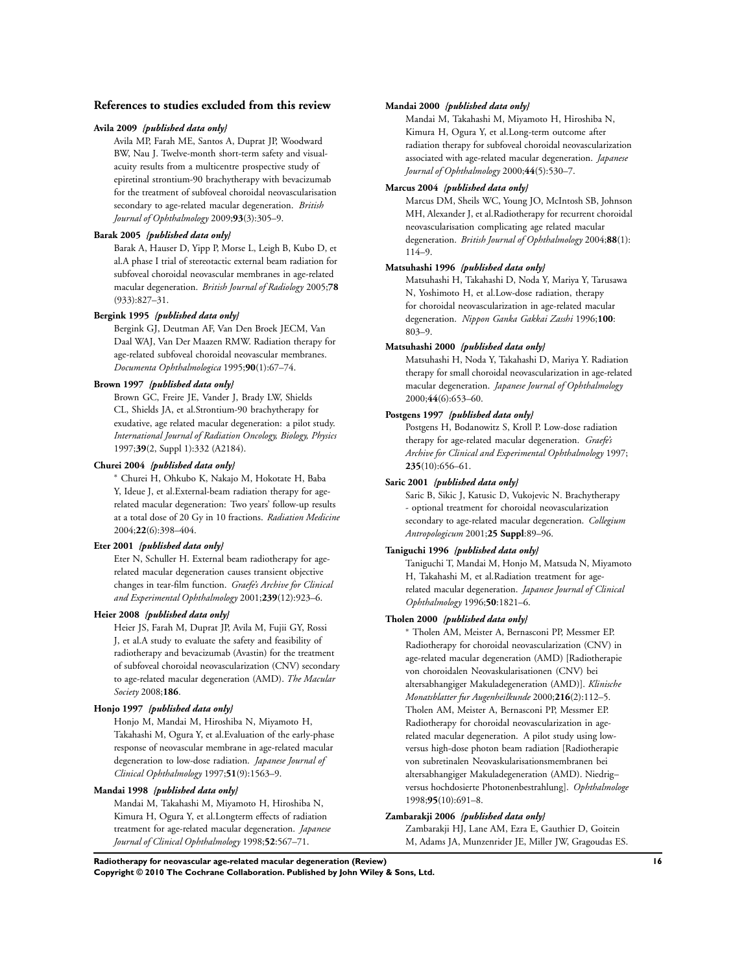#### **References to studies excluded from this review**

#### **Avila 2009** *{published data only}*

Avila MP, Farah ME, Santos A, Duprat JP, Woodward BW, Nau J. Twelve-month short-term safety and visualacuity results from a multicentre prospective study of epiretinal strontium-90 brachytherapy with bevacizumab for the treatment of subfoveal choroidal neovascularisation secondary to age-related macular degeneration. *British Journal of Ophthalmology* 2009;**93**(3):305–9.

#### **Barak 2005** *{published data only}*

Barak A, Hauser D, Yipp P, Morse L, Leigh B, Kubo D, et al.A phase I trial of stereotactic external beam radiation for subfoveal choroidal neovascular membranes in age-related macular degeneration. *British Journal of Radiology* 2005;**78** (933):827–31.

#### **Bergink 1995** *{published data only}*

Bergink GJ, Deutman AF, Van Den Broek JECM, Van Daal WAJ, Van Der Maazen RMW. Radiation therapy for age-related subfoveal choroidal neovascular membranes. *Documenta Ophthalmologica* 1995;**90**(1):67–74.

#### **Brown 1997** *{published data only}*

Brown GC, Freire JE, Vander J, Brady LW, Shields CL, Shields JA, et al.Strontium-90 brachytherapy for exudative, age related macular degeneration: a pilot study. *International Journal of Radiation Oncology, Biology, Physics* 1997;**39**(2, Suppl 1):332 (A2184).

#### **Churei 2004** *{published data only}*

<sup>∗</sup> Churei H, Ohkubo K, Nakajo M, Hokotate H, Baba Y, Ideue J, et al.External-beam radiation therapy for agerelated macular degeneration: Two years' follow-up results at a total dose of 20 Gy in 10 fractions. *Radiation Medicine* 2004;**22**(6):398–404.

#### **Eter 2001** *{published data only}*

Eter N, Schuller H. External beam radiotherapy for agerelated macular degeneration causes transient objective changes in tear-film function. *Graefe's Archive for Clinical and Experimental Ophthalmology* 2001;**239**(12):923–6.

#### **Heier 2008** *{published data only}*

Heier JS, Farah M, Duprat JP, Avila M, Fujii GY, Rossi J, et al.A study to evaluate the safety and feasibility of radiotherapy and bevacizumab (Avastin) for the treatment of subfoveal choroidal neovascularization (CNV) secondary to age-related macular degeneration (AMD). *The Macular Society* 2008;**186**.

#### **Honjo 1997** *{published data only}*

Honjo M, Mandai M, Hiroshiba N, Miyamoto H, Takahashi M, Ogura Y, et al.Evaluation of the early-phase response of neovascular membrane in age-related macular degeneration to low-dose radiation. *Japanese Journal of Clinical Ophthalmology* 1997;**51**(9):1563–9.

#### **Mandai 1998** *{published data only}*

Mandai M, Takahashi M, Miyamoto H, Hiroshiba N, Kimura H, Ogura Y, et al.Longterm effects of radiation treatment for age-related macular degeneration. *Japanese Journal of Clinical Ophthalmology* 1998;**52**:567–71.

#### **Mandai 2000** *{published data only}*

Mandai M, Takahashi M, Miyamoto H, Hiroshiba N, Kimura H, Ogura Y, et al.Long-term outcome after radiation therapy for subfoveal choroidal neovascularization associated with age-related macular degeneration. *Japanese Journal of Ophthalmology* 2000;**44**(5):530–7.

### **Marcus 2004** *{published data only}*

Marcus DM, Sheils WC, Young JO, McIntosh SB, Johnson MH, Alexander J, et al.Radiotherapy for recurrent choroidal neovascularisation complicating age related macular degeneration. *British Journal of Ophthalmology* 2004;**88**(1): 114–9.

#### **Matsuhashi 1996** *{published data only}*

Matsuhashi H, Takahashi D, Noda Y, Mariya Y, Tarusawa N, Yoshimoto H, et al.Low-dose radiation, therapy for choroidal neovascularization in age-related macular degeneration. *Nippon Ganka Gakkai Zasshi* 1996;**100**: 803–9.

#### **Matsuhashi 2000** *{published data only}*

Matsuhashi H, Noda Y, Takahashi D, Mariya Y. Radiation therapy for small choroidal neovascularization in age-related macular degeneration. *Japanese Journal of Ophthalmology* 2000;**44**(6):653–60.

#### **Postgens 1997** *{published data only}*

Postgens H, Bodanowitz S, Kroll P. Low-dose radiation therapy for age-related macular degeneration. *Graefe's Archive for Clinical and Experimental Ophthalmology* 1997; **235**(10):656–61.

#### **Saric 2001** *{published data only}*

Saric B, Sikic J, Katusic D, Vukojevic N. Brachytherapy - optional treatment for choroidal neovascularization secondary to age-related macular degeneration. *Collegium Antropologicum* 2001;**25 Suppl**:89–96.

#### **Taniguchi 1996** *{published data only}*

Taniguchi T, Mandai M, Honjo M, Matsuda N, Miyamoto H, Takahashi M, et al.Radiation treatment for agerelated macular degeneration. *Japanese Journal of Clinical Ophthalmology* 1996;**50**:1821–6.

#### **Tholen 2000** *{published data only}*

<sup>∗</sup> Tholen AM, Meister A, Bernasconi PP, Messmer EP. Radiotherapy for choroidal neovascularization (CNV) in age-related macular degeneration (AMD) [Radiotherapie von choroidalen Neovaskularisationen (CNV) bei altersabhangiger Makuladegeneration (AMD)]. *Klinische Monatsblatter fur Augenheilkunde* 2000;**216**(2):112–5. Tholen AM, Meister A, Bernasconi PP, Messmer EP. Radiotherapy for choroidal neovascularization in agerelated macular degeneration. A pilot study using lowversus high-dose photon beam radiation [Radiotherapie von subretinalen Neovaskularisationsmembranen bei altersabhangiger Makuladegeneration (AMD). Niedrig– versus hochdosierte Photonenbestrahlung]. *Ophthalmologe* 1998;**95**(10):691–8.

#### **Zambarakji 2006** *{published data only}*

Zambarakji HJ, Lane AM, Ezra E, Gauthier D, Goitein M, Adams JA, Munzenrider JE, Miller JW, Gragoudas ES.

**Radiotherapy for neovascular age-related macular degeneration (Review) 16 Copyright © 2010 The Cochrane Collaboration. Published by John Wiley & Sons, Ltd.**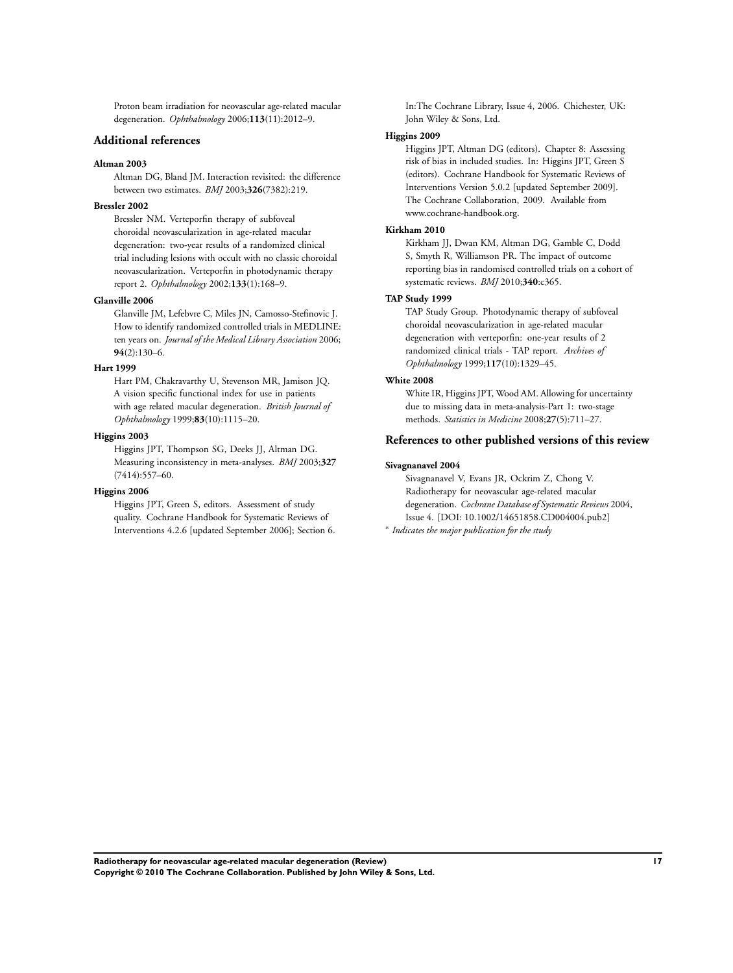Proton beam irradiation for neovascular age-related macular degeneration. *Ophthalmology* 2006;**113**(11):2012–9.

#### **Additional references**

#### **Altman 2003**

Altman DG, Bland JM. Interaction revisited: the difference between two estimates. *BMJ* 2003;**326**(7382):219.

#### **Bressler 2002**

Bressler NM. Verteporfin therapy of subfoveal choroidal neovascularization in age-related macular degeneration: two-year results of a randomized clinical trial including lesions with occult with no classic choroidal neovascularization. Verteporfin in photodynamic therapy report 2. *Ophthalmology* 2002;**133**(1):168–9.

#### **Glanville 2006**

Glanville JM, Lefebvre C, Miles JN, Camosso-Stefinovic J. How to identify randomized controlled trials in MEDLINE: ten years on. *Journal of the Medical Library Association* 2006; **94**(2):130–6.

#### **Hart 1999**

Hart PM, Chakravarthy U, Stevenson MR, Jamison JQ. A vision specific functional index for use in patients with age related macular degeneration. *British Journal of Ophthalmology* 1999;**83**(10):1115–20.

#### **Higgins 2003**

Higgins JPT, Thompson SG, Deeks JJ, Altman DG. Measuring inconsistency in meta-analyses. *BMJ* 2003;**327** (7414):557–60.

### **Higgins 2006**

Higgins JPT, Green S, editors. Assessment of study quality. Cochrane Handbook for Systematic Reviews of Interventions 4.2.6 [updated September 2006]; Section 6. In:The Cochrane Library, Issue 4, 2006. Chichester, UK: John Wiley & Sons, Ltd.

#### **Higgins 2009**

Higgins JPT, Altman DG (editors). Chapter 8: Assessing risk of bias in included studies. In: Higgins JPT, Green S (editors). Cochrane Handbook for Systematic Reviews of Interventions Version 5.0.2 [updated September 2009]. The Cochrane Collaboration, 2009. Available from www.cochrane-handbook.org.

#### **Kirkham 2010**

Kirkham JJ, Dwan KM, Altman DG, Gamble C, Dodd S, Smyth R, Williamson PR. The impact of outcome reporting bias in randomised controlled trials on a cohort of systematic reviews. *BMJ* 2010;**340**:c365.

#### **TAP Study 1999**

TAP Study Group. Photodynamic therapy of subfoveal choroidal neovascularization in age-related macular degeneration with verteporfin: one-year results of 2 randomized clinical trials - TAP report. *Archives of Ophthalmology* 1999;**117**(10):1329–45.

#### **White 2008**

White IR, Higgins JPT, Wood AM. Allowing for uncertainty due to missing data in meta-analysis-Part 1: two-stage methods. *Statistics in Medicine* 2008;**27**(5):711–27.

#### **References to other published versions of this review**

#### **Sivagnanavel 2004**

Sivagnanavel V, Evans JR, Ockrim Z, Chong V. Radiotherapy for neovascular age-related macular degeneration. *Cochrane Database of Systematic Reviews* 2004, Issue 4. [DOI: 10.1002/14651858.CD004004.pub2]

∗ *Indicates the major publication for the study*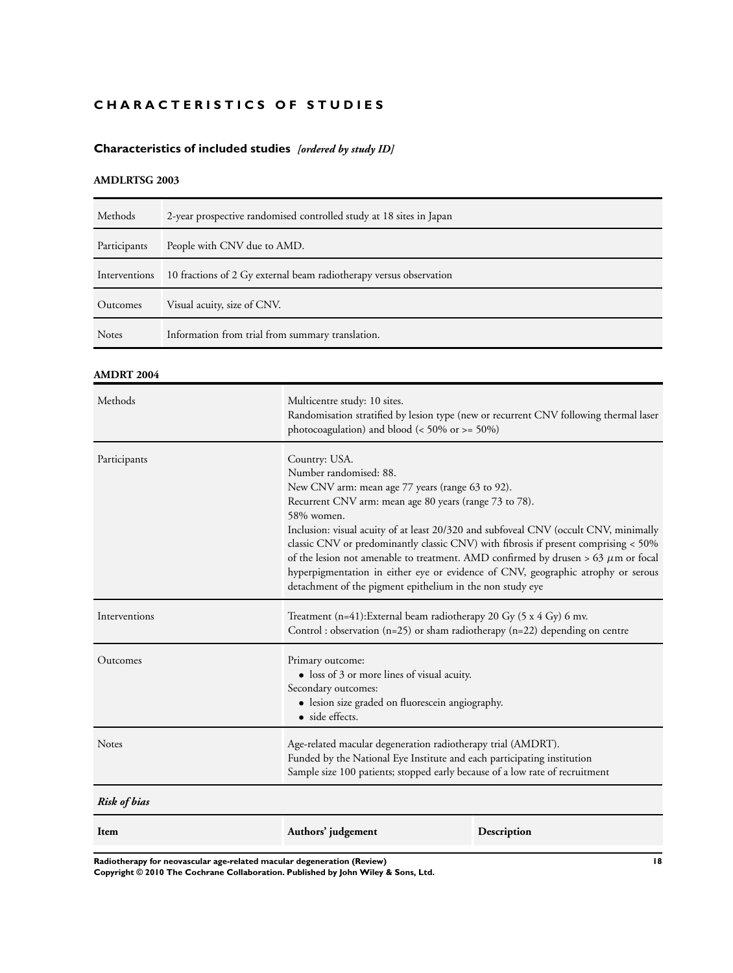### <span id="page-19-0"></span>**CHARACTERISTICS OF STUDIES**

### **Characteristics of included studies** *[ordered by study ID]*

### **AMDLRTSG 2003**

| Methods       | 2-year prospective randomised controlled study at 18 sites in Japan |
|---------------|---------------------------------------------------------------------|
| Participants  | People with CNV due to AMD.                                         |
| Interventions | 10 fractions of 2 Gy external beam radiotherapy versus observation  |
| Outcomes      | Visual acuity, size of CNV.                                         |
| <b>Notes</b>  | Information from trial from summary translation.                    |

### **AMDRT 2004**

| Item                | Authors' judgement                                                                                                                                                                                                                                                                                                                                                                                                                                                                                                                                                                            | Description |  |
|---------------------|-----------------------------------------------------------------------------------------------------------------------------------------------------------------------------------------------------------------------------------------------------------------------------------------------------------------------------------------------------------------------------------------------------------------------------------------------------------------------------------------------------------------------------------------------------------------------------------------------|-------------|--|
| <b>Risk of bias</b> |                                                                                                                                                                                                                                                                                                                                                                                                                                                                                                                                                                                               |             |  |
| <b>Notes</b>        | Age-related macular degeneration radiotherapy trial (AMDRT).<br>Funded by the National Eye Institute and each participating institution<br>Sample size 100 patients; stopped early because of a low rate of recruitment                                                                                                                                                                                                                                                                                                                                                                       |             |  |
| Outcomes            | Primary outcome:<br>• loss of 3 or more lines of visual acuity.<br>Secondary outcomes:<br>• lesion size graded on fluorescein angiography.<br>· side effects.                                                                                                                                                                                                                                                                                                                                                                                                                                 |             |  |
| Interventions       | Treatment (n=41): External beam radiotherapy 20 Gy (5 x 4 Gy) 6 mv.<br>Control: observation $(n=25)$ or sham radiotherapy $(n=22)$ depending on centre                                                                                                                                                                                                                                                                                                                                                                                                                                        |             |  |
| Participants        | Country: USA.<br>Number randomised: 88.<br>New CNV arm: mean age 77 years (range 63 to 92).<br>Recurrent CNV arm: mean age 80 years (range 73 to 78).<br>58% women.<br>Inclusion: visual acuity of at least 20/320 and subfoveal CNV (occult CNV, minimally<br>classic CNV or predominantly classic CNV) with fibrosis if present comprising < 50%<br>of the lesion not amenable to treatment. AMD confirmed by drusen > 63 $\mu$ m or focal<br>hyperpigmentation in either eye or evidence of CNV, geographic atrophy or serous<br>detachment of the pigment epithelium in the non study eye |             |  |
| Methods             | Multicentre study: 10 sites.<br>Randomisation stratified by lesion type (new or recurrent CNV following thermal laser<br>photocoagulation) and blood ( $< 50\%$ or $>= 50\%$ )                                                                                                                                                                                                                                                                                                                                                                                                                |             |  |

**Radiotherapy for neovascular age-related macular degeneration (Review) 18**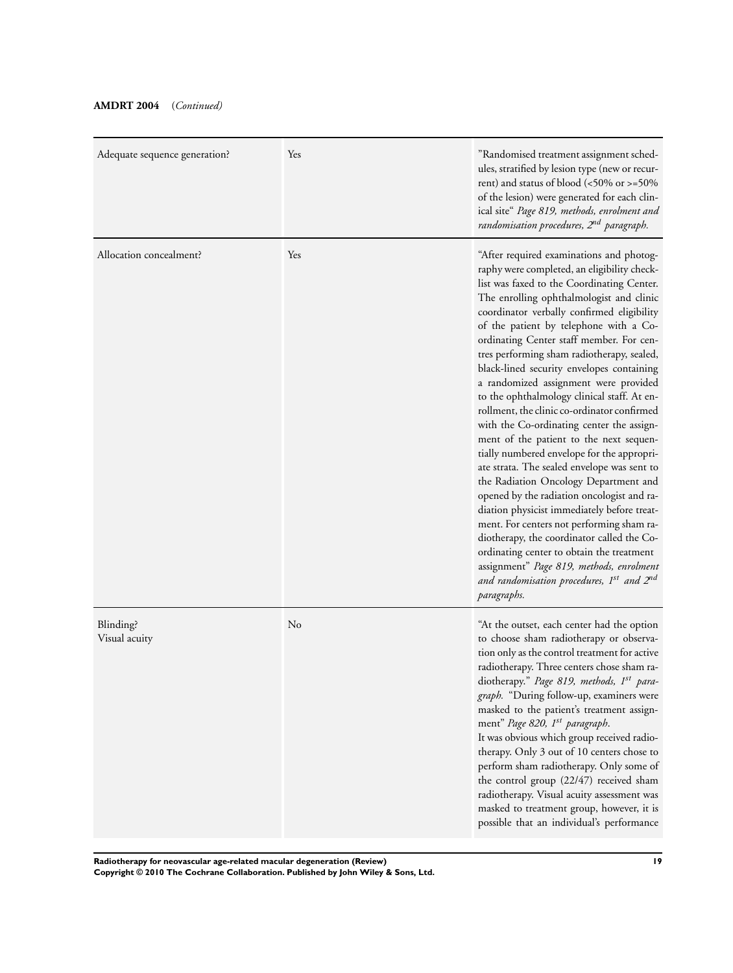| (Continued) |
|-------------|
|             |

| Adequate sequence generation? | Yes | "Randomised treatment assignment sched-<br>ules, stratified by lesion type (new or recur-<br>rent) and status of blood (<50% or >=50%<br>of the lesion) were generated for each clin-<br>ical site" Page 819, methods, enrolment and<br>randomisation procedures, 2 <sup>nd</sup> paragraph.                                                                                                                                                                                                                                                                                                                                                                                                                                                                                                                                                                                                                                                                                                                                                                                                                                       |
|-------------------------------|-----|------------------------------------------------------------------------------------------------------------------------------------------------------------------------------------------------------------------------------------------------------------------------------------------------------------------------------------------------------------------------------------------------------------------------------------------------------------------------------------------------------------------------------------------------------------------------------------------------------------------------------------------------------------------------------------------------------------------------------------------------------------------------------------------------------------------------------------------------------------------------------------------------------------------------------------------------------------------------------------------------------------------------------------------------------------------------------------------------------------------------------------|
| Allocation concealment?       | Yes | "After required examinations and photog-<br>raphy were completed, an eligibility check-<br>list was faxed to the Coordinating Center.<br>The enrolling ophthalmologist and clinic<br>coordinator verbally confirmed eligibility<br>of the patient by telephone with a Co-<br>ordinating Center staff member. For cen-<br>tres performing sham radiotherapy, sealed,<br>black-lined security envelopes containing<br>a randomized assignment were provided<br>to the ophthalmology clinical staff. At en-<br>rollment, the clinic co-ordinator confirmed<br>with the Co-ordinating center the assign-<br>ment of the patient to the next sequen-<br>tially numbered envelope for the appropri-<br>ate strata. The sealed envelope was sent to<br>the Radiation Oncology Department and<br>opened by the radiation oncologist and ra-<br>diation physicist immediately before treat-<br>ment. For centers not performing sham ra-<br>diotherapy, the coordinator called the Co-<br>ordinating center to obtain the treatment<br>assignment" Page 819, methods, enrolment<br>and randomisation procedures, 1st and 2nd<br>paragraphs. |
| Blinding?<br>Visual acuity    | No  | "At the outset, each center had the option<br>to choose sham radiotherapy or observa-<br>tion only as the control treatment for active<br>radiotherapy. Three centers chose sham ra-<br>diotherapy." Page 819, methods, 1st para-<br>graph. "During follow-up, examiners were<br>masked to the patient's treatment assign-<br>ment" Page 820, 1st paragraph.<br>It was obvious which group received radio-<br>therapy. Only 3 out of 10 centers chose to<br>perform sham radiotherapy. Only some of<br>the control group (22/47) received sham<br>radiotherapy. Visual acuity assessment was<br>masked to treatment group, however, it is<br>possible that an individual's performance                                                                                                                                                                                                                                                                                                                                                                                                                                             |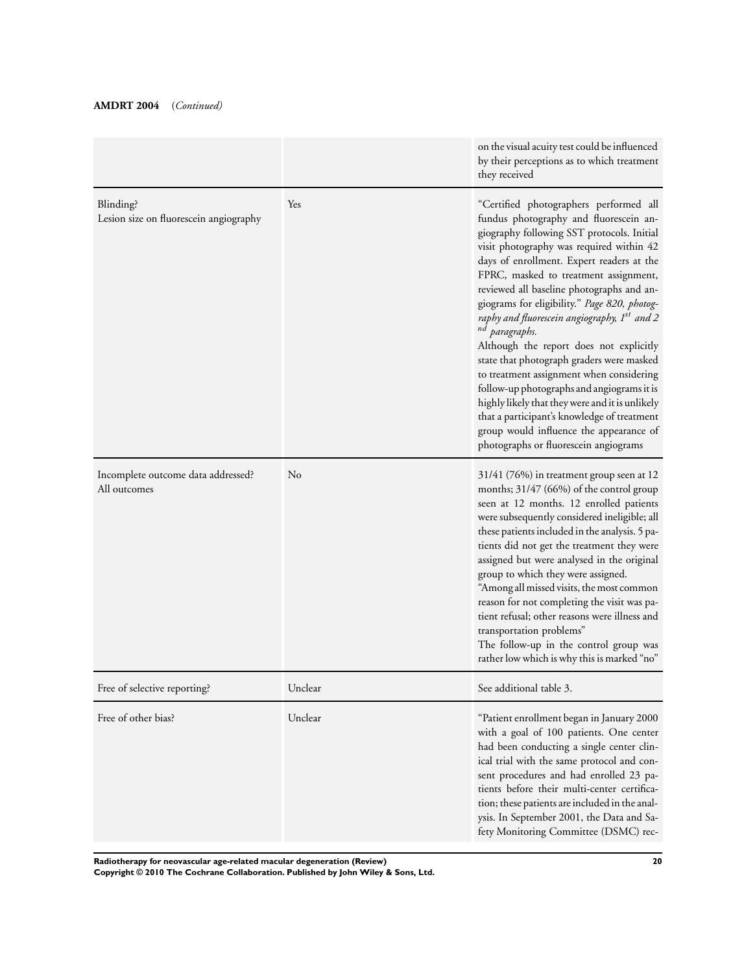### **AMDRT 2004** (*Continued)*

|                                                     |         | on the visual acuity test could be influenced<br>by their perceptions as to which treatment<br>they received                                                                                                                                                                                                                                                                                                                                                                                                                                                                                                                                                                                                                                                                                            |
|-----------------------------------------------------|---------|---------------------------------------------------------------------------------------------------------------------------------------------------------------------------------------------------------------------------------------------------------------------------------------------------------------------------------------------------------------------------------------------------------------------------------------------------------------------------------------------------------------------------------------------------------------------------------------------------------------------------------------------------------------------------------------------------------------------------------------------------------------------------------------------------------|
| Blinding?<br>Lesion size on fluorescein angiography | Yes     | "Certified photographers performed all<br>fundus photography and fluorescein an-<br>giography following SST protocols. Initial<br>visit photography was required within 42<br>days of enrollment. Expert readers at the<br>FPRC, masked to treatment assignment,<br>reviewed all baseline photographs and an-<br>giograms for eligibility." Page 820, photog-<br>raphy and fluorescein angiography, 1st and 2<br>nd paragraphs.<br>Although the report does not explicitly<br>state that photograph graders were masked<br>to treatment assignment when considering<br>follow-up photographs and angiograms it is<br>highly likely that they were and it is unlikely<br>that a participant's knowledge of treatment<br>group would influence the appearance of<br>photographs or fluorescein angiograms |
| Incomplete outcome data addressed?<br>All outcomes  | No      | 31/41 (76%) in treatment group seen at 12<br>months; 31/47 (66%) of the control group<br>seen at 12 months. 12 enrolled patients<br>were subsequently considered ineligible; all<br>these patients included in the analysis. 5 pa-<br>tients did not get the treatment they were<br>assigned but were analysed in the original<br>group to which they were assigned.<br>"Among all missed visits, the most common<br>reason for not completing the visit was pa-<br>tient refusal; other reasons were illness and<br>transportation problems"<br>The follow-up in the control group was<br>rather low which is why this is marked "no"                                                                                                                                                                  |
| Free of selective reporting?                        | Unclear | See additional table 3.                                                                                                                                                                                                                                                                                                                                                                                                                                                                                                                                                                                                                                                                                                                                                                                 |
| Free of other bias?                                 | Unclear | "Patient enrollment began in January 2000<br>with a goal of 100 patients. One center<br>had been conducting a single center clin-<br>ical trial with the same protocol and con-<br>sent procedures and had enrolled 23 pa-<br>tients before their multi-center certifica-<br>tion; these patients are included in the anal-<br>ysis. In September 2001, the Data and Sa-<br>fety Monitoring Committee (DSMC) rec-                                                                                                                                                                                                                                                                                                                                                                                       |

**Radiotherapy for neovascular age-related macular degeneration (Review) 20 Copyright © 2010 The Cochrane Collaboration. Published by John Wiley & Sons, Ltd.**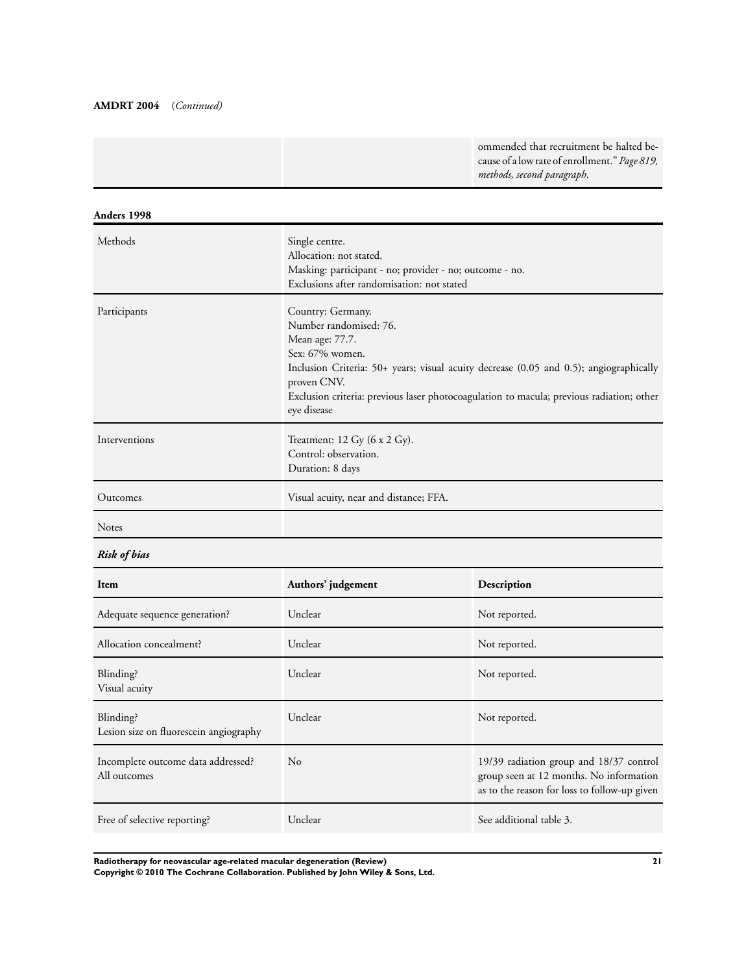ommended that recruitment be halted because of a low rate of enrollment." *Page 819, methods, second paragraph.*

| Anders 1998 |  |
|-------------|--|
|-------------|--|

All outcomes

| Methods                                             | Single centre.<br>Allocation: not stated.<br>Masking: participant - no; provider - no; outcome - no.<br>Exclusions after randomisation: not stated                                                                                                                                                    |                                         |  |
|-----------------------------------------------------|-------------------------------------------------------------------------------------------------------------------------------------------------------------------------------------------------------------------------------------------------------------------------------------------------------|-----------------------------------------|--|
| Participants                                        | Country: Germany.<br>Number randomised: 76.<br>Mean age: 77.7.<br>Sex: 67% women.<br>Inclusion Criteria: 50+ years; visual acuity decrease (0.05 and 0.5); angiographically<br>proven CNV.<br>Exclusion criteria: previous laser photocoagulation to macula; previous radiation; other<br>eye disease |                                         |  |
| Interventions                                       | Treatment: 12 Gy (6 x 2 Gy).<br>Control: observation.<br>Duration: 8 days                                                                                                                                                                                                                             |                                         |  |
| Outcomes                                            | Visual acuity, near and distance; FFA.                                                                                                                                                                                                                                                                |                                         |  |
| Notes                                               |                                                                                                                                                                                                                                                                                                       |                                         |  |
| Risk of bias                                        |                                                                                                                                                                                                                                                                                                       |                                         |  |
| Item                                                | Authors' judgement                                                                                                                                                                                                                                                                                    | Description                             |  |
| Adequate sequence generation?                       | Unclear                                                                                                                                                                                                                                                                                               | Not reported.                           |  |
| Allocation concealment?                             | Unclear                                                                                                                                                                                                                                                                                               | Not reported.                           |  |
| Blinding?<br>Visual acuity                          | Unclear                                                                                                                                                                                                                                                                                               | Not reported.                           |  |
| Blinding?<br>Lesion size on fluorescein angiography | Unclear                                                                                                                                                                                                                                                                                               | Not reported.                           |  |
| Incomplete outcome data addressed?                  | $\rm No$                                                                                                                                                                                                                                                                                              | 19/39 radiation group and 18/37 control |  |

as to the reason for loss to follow-up given Free of selective reporting? Unclear Unclear See additional table 3.

**Radiotherapy for neovascular age-related macular degeneration (Review) 21**

**Copyright © 2010 The Cochrane Collaboration. Published by John Wiley & Sons, Ltd.**

group seen at 12 months. No information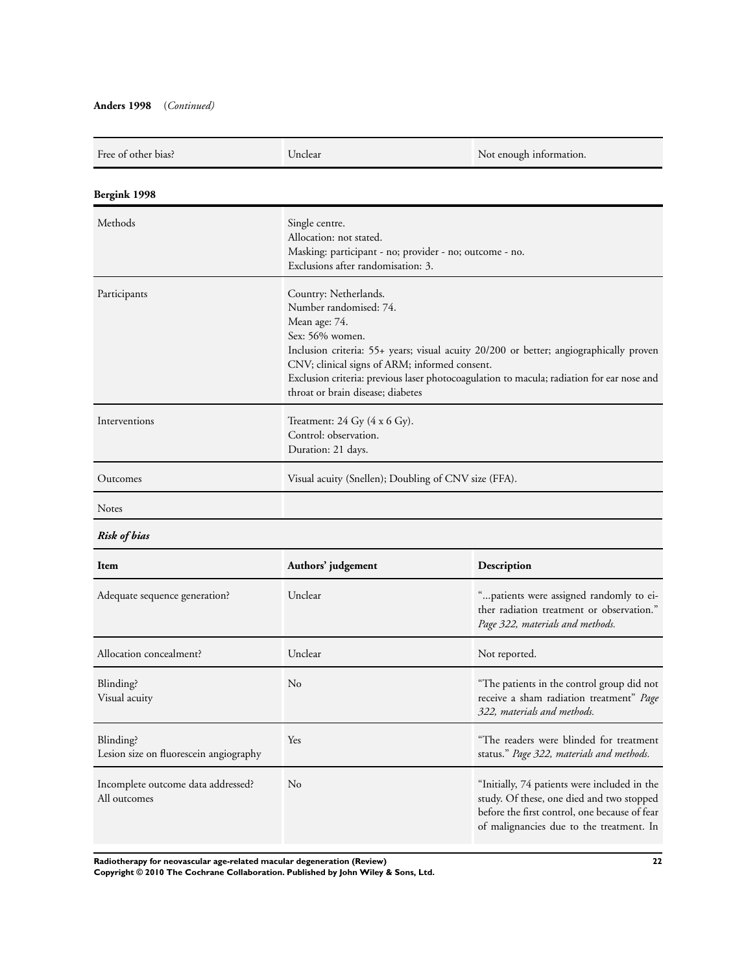### **Anders 1998** (*Continued)*

| Free of other bias? | Unclear                                                                                                                                                                                                                                                                                                                                                          | Not enough information. |
|---------------------|------------------------------------------------------------------------------------------------------------------------------------------------------------------------------------------------------------------------------------------------------------------------------------------------------------------------------------------------------------------|-------------------------|
| Bergink 1998        |                                                                                                                                                                                                                                                                                                                                                                  |                         |
| Methods             | Single centre.<br>Allocation: not stated.<br>Masking: participant - no; provider - no; outcome - no.<br>Exclusions after randomisation: 3.                                                                                                                                                                                                                       |                         |
| Participants        | Country: Netherlands.<br>Number randomised: 74.<br>Mean age: 74.<br>Sex: 56% women.<br>Inclusion criteria: 55+ years; visual acuity 20/200 or better; angiographically proven<br>CNV; clinical signs of ARM; informed consent.<br>Exclusion criteria: previous laser photocoagulation to macula; radiation for ear nose and<br>throat or brain disease; diabetes |                         |
| Interventions       | Treatment: $24$ Gy ( $4 \times 6$ Gy).<br>Control: observation.<br>Duration: 21 days.                                                                                                                                                                                                                                                                            |                         |
| Outcomes            | Visual acuity (Snellen); Doubling of CNV size (FFA).                                                                                                                                                                                                                                                                                                             |                         |
| Notes               |                                                                                                                                                                                                                                                                                                                                                                  |                         |

*Risk of bias*

| Item                                                | Authors' judgement | Description                                                                                                                                                                            |
|-----------------------------------------------------|--------------------|----------------------------------------------------------------------------------------------------------------------------------------------------------------------------------------|
| Adequate sequence generation?                       | Unclear            | " patients were assigned randomly to ei-<br>ther radiation treatment or observation."<br>Page 322, materials and methods.                                                              |
| Allocation concealment?                             | Unclear            | Not reported.                                                                                                                                                                          |
| Blinding?<br>Visual acuity                          | N <sub>0</sub>     | "The patients in the control group did not<br>receive a sham radiation treatment" Page<br>322, materials and methods.                                                                  |
| Blinding?<br>Lesion size on fluorescein angiography | Yes                | "The readers were blinded for treatment<br>status." Page 322, materials and methods.                                                                                                   |
| Incomplete outcome data addressed?<br>All outcomes  | N <sub>0</sub>     | "Initially, 74 patients were included in the<br>study. Of these, one died and two stopped<br>before the first control, one because of fear<br>of malignancies due to the treatment. In |

**Radiotherapy for neovascular age-related macular degeneration (Review) 22**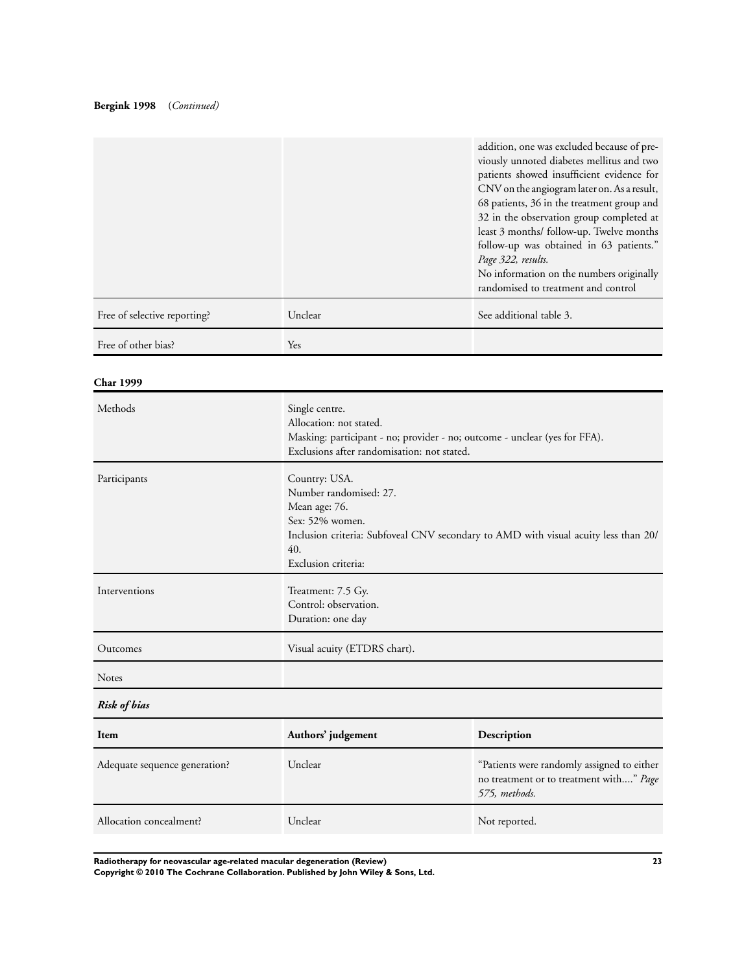### **Bergink 1998** (*Continued)*

|                              |         | addition, one was excluded because of pre-<br>viously unnoted diabetes mellitus and two<br>patients showed insufficient evidence for<br>CNV on the angiogram later on. As a result,<br>68 patients, 36 in the treatment group and<br>32 in the observation group completed at<br>least 3 months/ follow-up. Twelve months<br>follow-up was obtained in 63 patients."<br>Page 322, results.<br>No information on the numbers originally<br>randomised to treatment and control |
|------------------------------|---------|-------------------------------------------------------------------------------------------------------------------------------------------------------------------------------------------------------------------------------------------------------------------------------------------------------------------------------------------------------------------------------------------------------------------------------------------------------------------------------|
| Free of selective reporting? | Unclear | See additional table 3.                                                                                                                                                                                                                                                                                                                                                                                                                                                       |
| Free of other bias?          | Yes     |                                                                                                                                                                                                                                                                                                                                                                                                                                                                               |

### **Char 1999**

| Methods                       | Single centre.<br>Allocation: not stated.<br>Masking: participant - no; provider - no; outcome - unclear (yes for FFA).<br>Exclusions after randomisation: not stated.                           |                                                                                                        |  |  |
|-------------------------------|--------------------------------------------------------------------------------------------------------------------------------------------------------------------------------------------------|--------------------------------------------------------------------------------------------------------|--|--|
| Participants                  | Country: USA.<br>Number randomised: 27.<br>Mean age: 76.<br>Sex: 52% women.<br>Inclusion criteria: Subfoveal CNV secondary to AMD with visual acuity less than 20/<br>40.<br>Exclusion criteria: |                                                                                                        |  |  |
| Interventions                 | Treatment: 7.5 Gy.<br>Control: observation.<br>Duration: one day                                                                                                                                 |                                                                                                        |  |  |
| Outcomes                      | Visual acuity (ETDRS chart).                                                                                                                                                                     |                                                                                                        |  |  |
| Notes                         |                                                                                                                                                                                                  |                                                                                                        |  |  |
| <b>Risk of bias</b>           |                                                                                                                                                                                                  |                                                                                                        |  |  |
| Item                          | Authors' judgement<br>Description                                                                                                                                                                |                                                                                                        |  |  |
| Adequate sequence generation? | Unclear                                                                                                                                                                                          | "Patients were randomly assigned to either<br>no treatment or to treatment with" Page<br>575, methods. |  |  |
| Allocation concealment?       | Unclear<br>Not reported.                                                                                                                                                                         |                                                                                                        |  |  |

**Radiotherapy for neovascular age-related macular degeneration (Review) 23**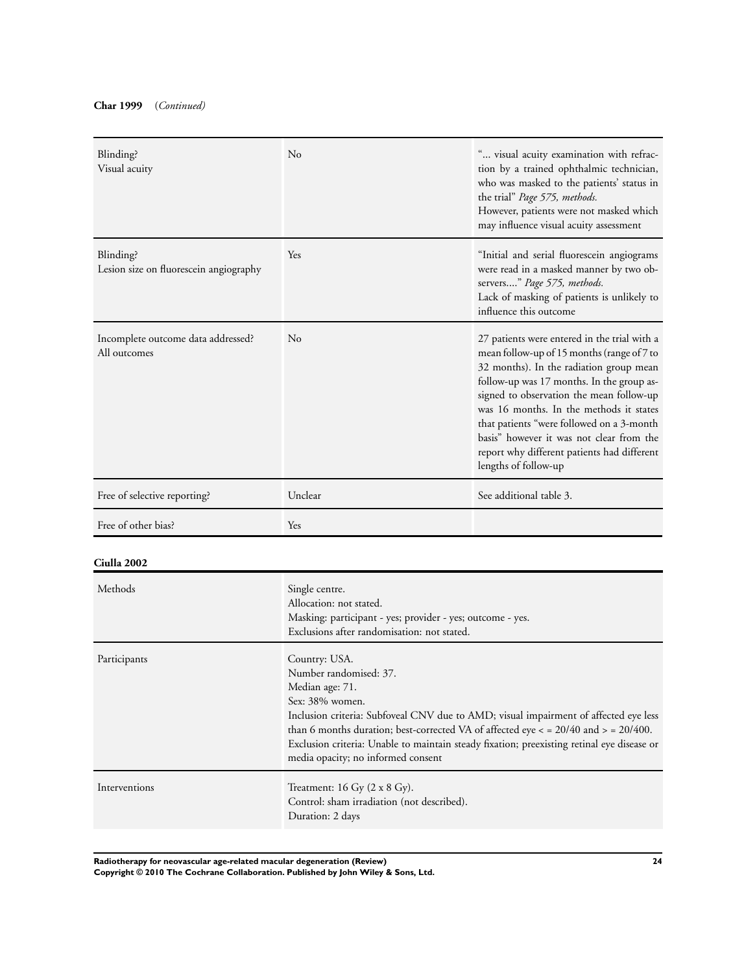### **Char 1999** (*Continued)*

| Blinding?<br>Visual acuity                          | N <sub>o</sub> | " visual acuity examination with refrac-<br>tion by a trained ophthalmic technician,<br>who was masked to the patients' status in<br>the trial" Page 575, methods.<br>However, patients were not masked which<br>may influence visual acuity assessment                                                                                                                                                                                   |
|-----------------------------------------------------|----------------|-------------------------------------------------------------------------------------------------------------------------------------------------------------------------------------------------------------------------------------------------------------------------------------------------------------------------------------------------------------------------------------------------------------------------------------------|
| Blinding?<br>Lesion size on fluorescein angiography | Yes            | "Initial and serial fluorescein angiograms<br>were read in a masked manner by two ob-<br>servers" Page 575, methods.<br>Lack of masking of patients is unlikely to<br>influence this outcome                                                                                                                                                                                                                                              |
| Incomplete outcome data addressed?<br>All outcomes  | N <sub>o</sub> | 27 patients were entered in the trial with a<br>mean follow-up of 15 months (range of 7 to<br>32 months). In the radiation group mean<br>follow-up was 17 months. In the group as-<br>signed to observation the mean follow-up<br>was 16 months. In the methods it states<br>that patients "were followed on a 3-month<br>basis" however it was not clear from the<br>report why different patients had different<br>lengths of follow-up |
| Free of selective reporting?                        | Unclear        | See additional table 3.                                                                                                                                                                                                                                                                                                                                                                                                                   |
| Free of other bias?                                 | Yes            |                                                                                                                                                                                                                                                                                                                                                                                                                                           |

## **Ciulla 2002**

| Methods       | Single centre.<br>Allocation: not stated.<br>Masking: participant - yes; provider - yes; outcome - yes.<br>Exclusions after randomisation: not stated.                                                                                                                                                                                                                                                   |
|---------------|----------------------------------------------------------------------------------------------------------------------------------------------------------------------------------------------------------------------------------------------------------------------------------------------------------------------------------------------------------------------------------------------------------|
| Participants  | Country: USA.<br>Number randomised: 37.<br>Median age: 71.<br>Sex: 38% women.<br>Inclusion criteria: Subfoveal CNV due to AMD; visual impairment of affected eye less<br>than 6 months duration; best-corrected VA of affected eye $\lt$ = 20/40 and $\gt$ = 20/400.<br>Exclusion criteria: Unable to maintain steady fixation; preexisting retinal eye disease or<br>media opacity; no informed consent |
| Interventions | Treatment: 16 Gy $(2 \times 8 \text{ Gy})$ .<br>Control: sham irradiation (not described).<br>Duration: 2 days                                                                                                                                                                                                                                                                                           |

**Radiotherapy for neovascular age-related macular degeneration (Review) 24**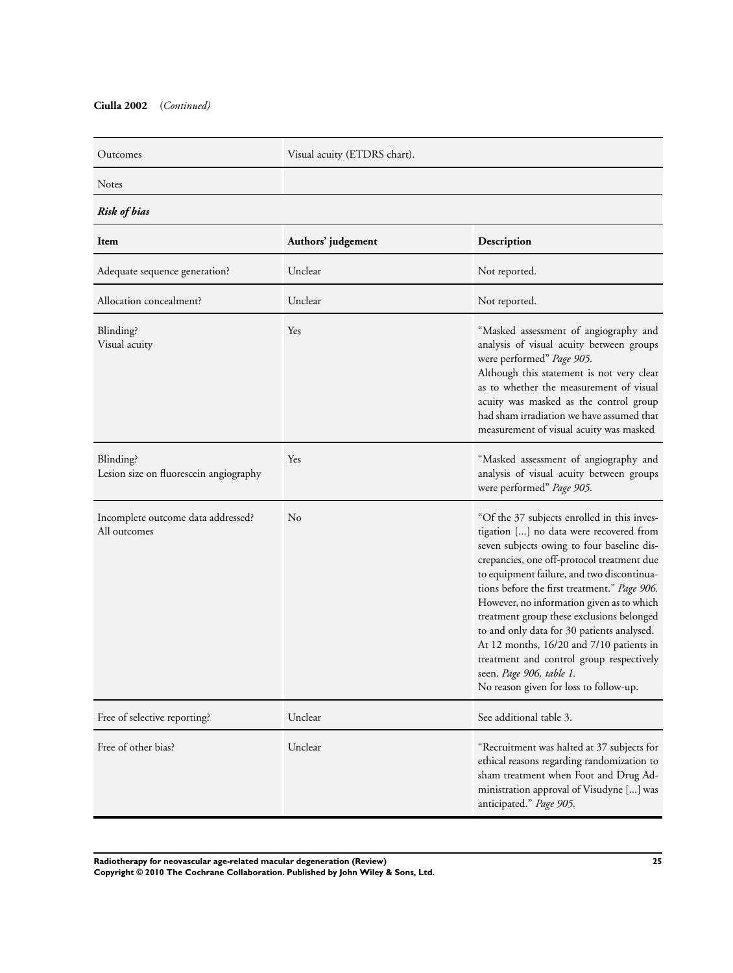### **Ciulla 2002** (*Continued)*

Outcomes Visual acuity (ETDRS chart).

Notes

*Risk of bias*

| Item                                                | Authors' judgement | Description                                                                                                                                                                                                                                                                                                                                                                                                                                                                                                                                                                            |
|-----------------------------------------------------|--------------------|----------------------------------------------------------------------------------------------------------------------------------------------------------------------------------------------------------------------------------------------------------------------------------------------------------------------------------------------------------------------------------------------------------------------------------------------------------------------------------------------------------------------------------------------------------------------------------------|
| Adequate sequence generation?                       | Unclear            | Not reported.                                                                                                                                                                                                                                                                                                                                                                                                                                                                                                                                                                          |
| Allocation concealment?                             | Unclear            | Not reported.                                                                                                                                                                                                                                                                                                                                                                                                                                                                                                                                                                          |
| Blinding?<br>Visual acuity                          | Yes                | "Masked assessment of angiography and<br>analysis of visual acuity between groups<br>were performed" Page 905.<br>Although this statement is not very clear<br>as to whether the measurement of visual<br>acuity was masked as the control group<br>had sham irradiation we have assumed that<br>measurement of visual acuity was masked                                                                                                                                                                                                                                               |
| Blinding?<br>Lesion size on fluorescein angiography | Yes                | "Masked assessment of angiography and<br>analysis of visual acuity between groups<br>were performed" Page 905.                                                                                                                                                                                                                                                                                                                                                                                                                                                                         |
| Incomplete outcome data addressed?<br>All outcomes  | No                 | "Of the 37 subjects enrolled in this inves-<br>tigation [] no data were recovered from<br>seven subjects owing to four baseline dis-<br>crepancies, one off-protocol treatment due<br>to equipment failure, and two discontinua-<br>tions before the first treatment." Page 906.<br>However, no information given as to which<br>treatment group these exclusions belonged<br>to and only data for 30 patients analysed.<br>At 12 months, 16/20 and 7/10 patients in<br>treatment and control group respectively<br>seen. Page 906, table 1.<br>No reason given for loss to follow-up. |
| Free of selective reporting?                        | Unclear            | See additional table 3.                                                                                                                                                                                                                                                                                                                                                                                                                                                                                                                                                                |
| Free of other bias?                                 | Unclear            | "Recruitment was halted at 37 subjects for<br>ethical reasons regarding randomization to<br>sham treatment when Foot and Drug Ad-<br>ministration approval of Visudyne [] was<br>anticipated." Page 905.                                                                                                                                                                                                                                                                                                                                                                               |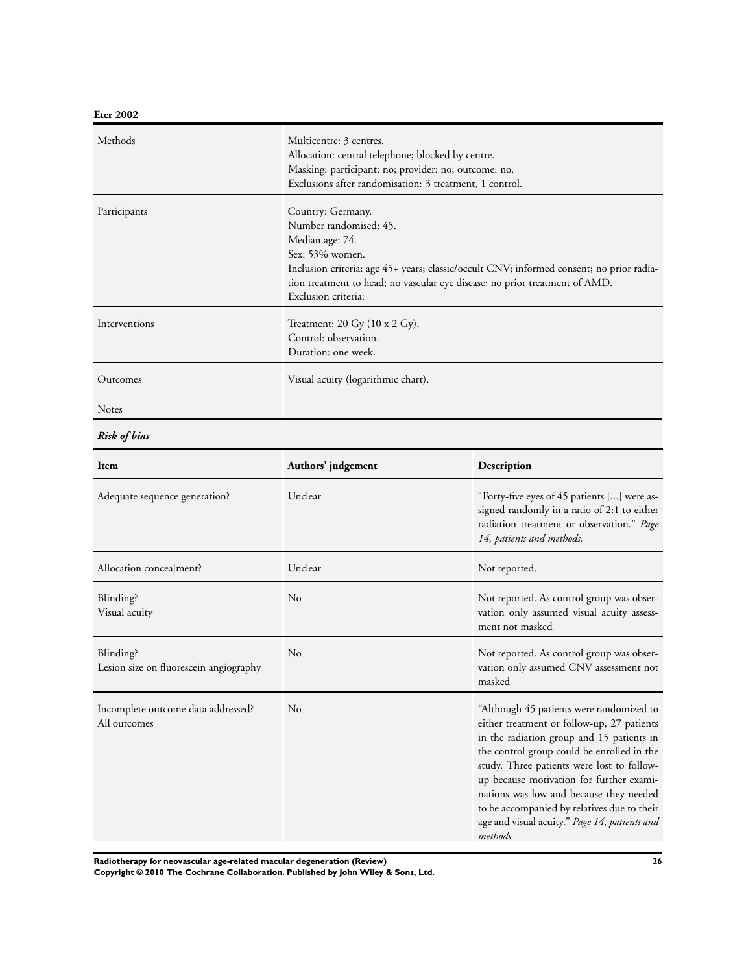| <b>Eter 2002</b> |
|------------------|
|                  |

| Methods                                             | Multicentre: 3 centres.<br>Allocation: central telephone; blocked by centre.<br>Masking: participant: no; provider: no; outcome: no.<br>Exclusions after randomisation: 3 treatment, 1 control.                                                                                     |                                                                                                                                                                                                                                                                                                                                                                                                                                    |  |
|-----------------------------------------------------|-------------------------------------------------------------------------------------------------------------------------------------------------------------------------------------------------------------------------------------------------------------------------------------|------------------------------------------------------------------------------------------------------------------------------------------------------------------------------------------------------------------------------------------------------------------------------------------------------------------------------------------------------------------------------------------------------------------------------------|--|
| Participants                                        | Country: Germany.<br>Number randomised: 45.<br>Median age: 74.<br>Sex: 53% women.<br>Inclusion criteria: age 45+ years; classic/occult CNV; informed consent; no prior radia-<br>tion treatment to head; no vascular eye disease; no prior treatment of AMD.<br>Exclusion criteria: |                                                                                                                                                                                                                                                                                                                                                                                                                                    |  |
| Interventions                                       | Treatment: 20 Gy (10 x 2 Gy).<br>Control: observation.<br>Duration: one week.                                                                                                                                                                                                       |                                                                                                                                                                                                                                                                                                                                                                                                                                    |  |
| Outcomes                                            | Visual acuity (logarithmic chart).                                                                                                                                                                                                                                                  |                                                                                                                                                                                                                                                                                                                                                                                                                                    |  |
| <b>Notes</b>                                        |                                                                                                                                                                                                                                                                                     |                                                                                                                                                                                                                                                                                                                                                                                                                                    |  |
| <b>Risk of bias</b>                                 |                                                                                                                                                                                                                                                                                     |                                                                                                                                                                                                                                                                                                                                                                                                                                    |  |
| Item                                                | Authors' judgement                                                                                                                                                                                                                                                                  | Description                                                                                                                                                                                                                                                                                                                                                                                                                        |  |
| Adequate sequence generation?                       | Unclear                                                                                                                                                                                                                                                                             | "Forty-five eyes of 45 patients [] were as-<br>signed randomly in a ratio of 2:1 to either<br>radiation treatment or observation." Page<br>14, patients and methods.                                                                                                                                                                                                                                                               |  |
| Allocation concealment?                             | Unclear                                                                                                                                                                                                                                                                             | Not reported.                                                                                                                                                                                                                                                                                                                                                                                                                      |  |
| Blinding?<br>Visual acuity                          | No                                                                                                                                                                                                                                                                                  | Not reported. As control group was obser-<br>vation only assumed visual acuity assess-<br>ment not masked                                                                                                                                                                                                                                                                                                                          |  |
| Blinding?<br>Lesion size on fluorescein angiography | No                                                                                                                                                                                                                                                                                  | Not reported. As control group was obser-<br>vation only assumed CNV assessment not<br>masked                                                                                                                                                                                                                                                                                                                                      |  |
| Incomplete outcome data addressed?<br>All outcomes  | No                                                                                                                                                                                                                                                                                  | "Although 45 patients were randomized to<br>either treatment or follow-up, 27 patients<br>in the radiation group and 15 patients in<br>the control group could be enrolled in the<br>study. Three patients were lost to follow-<br>up because motivation for further exami-<br>nations was low and because they needed<br>to be accompanied by relatives due to their<br>age and visual acuity." Page 14, patients and<br>methods. |  |

**Radiotherapy for neovascular age-related macular degeneration (Review) 26**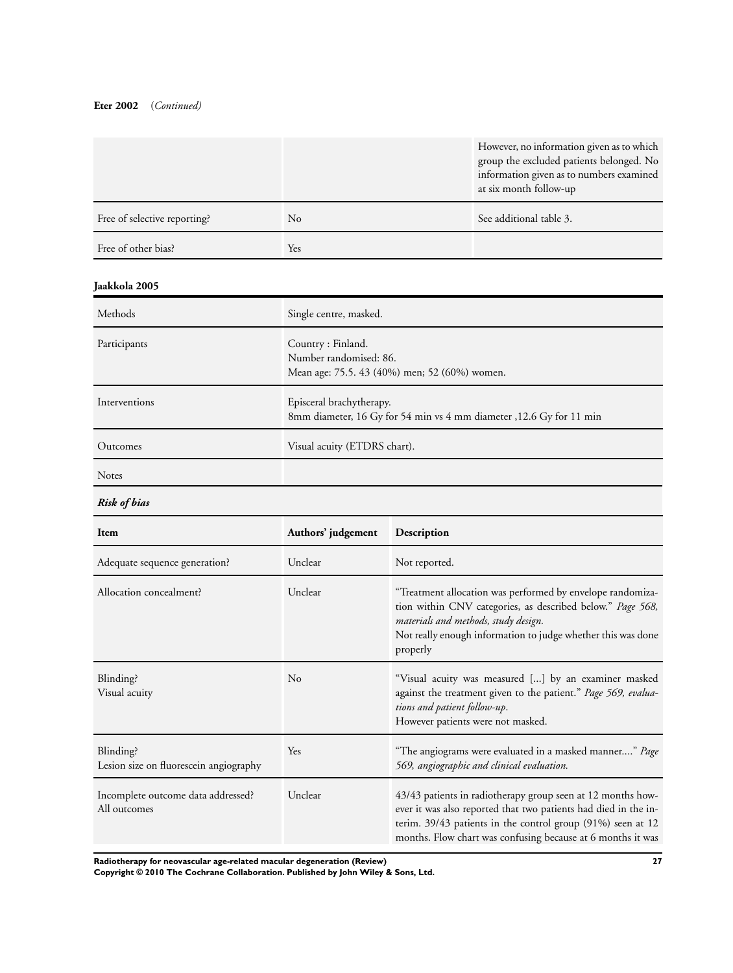### **Eter 2002** (*Continued)*

|                              |                | However, no information given as to which<br>group the excluded patients belonged. No<br>information given as to numbers examined<br>at six month follow-up |
|------------------------------|----------------|-------------------------------------------------------------------------------------------------------------------------------------------------------------|
| Free of selective reporting? | N <sub>o</sub> | See additional table 3.                                                                                                                                     |
| Free of other bias?          | Yes            |                                                                                                                                                             |

### **Jaakkola 2005**

| Methods       | Single centre, masked.                                                                          |
|---------------|-------------------------------------------------------------------------------------------------|
| Participants  | Country : Finland.<br>Number randomised: 86.<br>Mean age: 75.5. 43 (40%) men; 52 (60%) women.   |
| Interventions | Episceral brachytherapy.<br>8mm diameter, 16 Gy for 54 min vs 4 mm diameter, 12.6 Gy for 11 min |
| Outcomes      | Visual acuity (ETDRS chart).                                                                    |
| <b>Notes</b>  |                                                                                                 |

### *Risk of bias*

| Item                                                | Authors' judgement | Description                                                                                                                                                                                                                                                  |
|-----------------------------------------------------|--------------------|--------------------------------------------------------------------------------------------------------------------------------------------------------------------------------------------------------------------------------------------------------------|
| Adequate sequence generation?                       | Unclear            | Not reported.                                                                                                                                                                                                                                                |
| Allocation concealment?                             | Unclear            | "Treatment allocation was performed by envelope randomiza-<br>tion within CNV categories, as described below." Page 568,<br>materials and methods, study design.<br>Not really enough information to judge whether this was done<br>properly                 |
| Blinding?<br>Visual acuity                          | No                 | "Visual acuity was measured [] by an examiner masked<br>against the treatment given to the patient." Page 569, evalua-<br>tions and patient follow-up.<br>However patients were not masked.                                                                  |
| Blinding?<br>Lesion size on fluorescein angiography | Yes                | "The angiograms were evaluated in a masked manner" Page<br>569, angiographic and clinical evaluation.                                                                                                                                                        |
| Incomplete outcome data addressed?<br>All outcomes  | Unclear            | 43/43 patients in radiotherapy group seen at 12 months how-<br>ever it was also reported that two patients had died in the in-<br>terim. 39/43 patients in the control group (91%) seen at 12<br>months. Flow chart was confusing because at 6 months it was |

**Radiotherapy for neovascular age-related macular degeneration (Review) 27**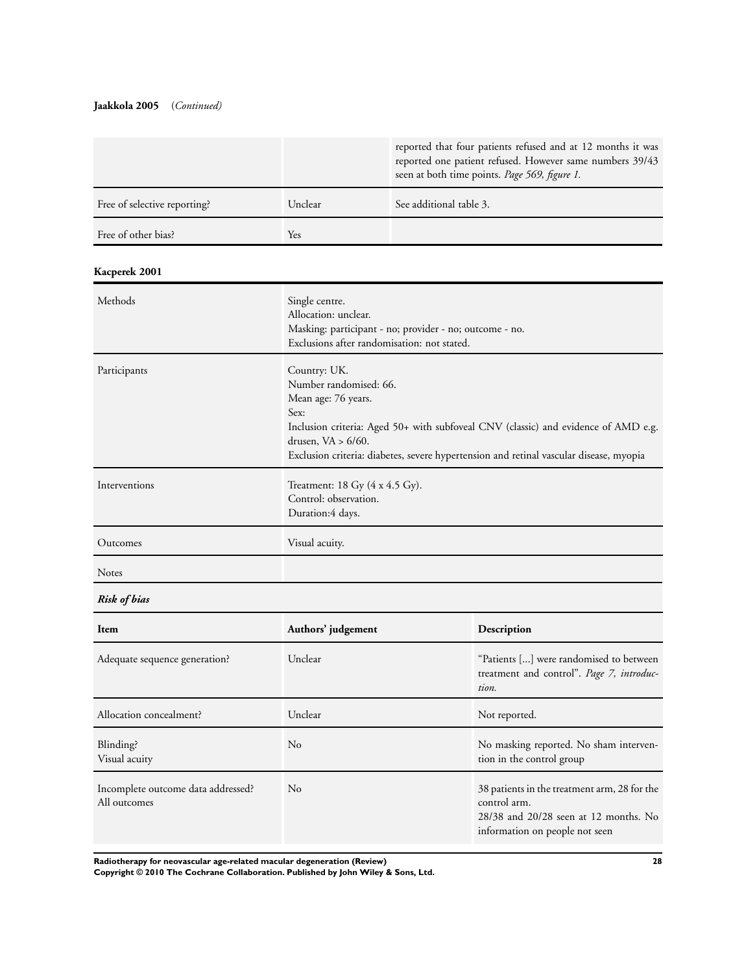### **Jaakkola 2005** (*Continued)*

|                                                    |                                                                                                                                                                                                                                                                                |                         | reported that four patients refused and at 12 months it was<br>reported one patient refused. However same numbers 39/43<br>seen at both time points. Page 569, figure 1. |
|----------------------------------------------------|--------------------------------------------------------------------------------------------------------------------------------------------------------------------------------------------------------------------------------------------------------------------------------|-------------------------|--------------------------------------------------------------------------------------------------------------------------------------------------------------------------|
| Free of selective reporting?                       | Unclear                                                                                                                                                                                                                                                                        | See additional table 3. |                                                                                                                                                                          |
| Free of other bias?                                | Yes                                                                                                                                                                                                                                                                            |                         |                                                                                                                                                                          |
| Kacperek 2001                                      |                                                                                                                                                                                                                                                                                |                         |                                                                                                                                                                          |
| Methods                                            | Single centre.<br>Allocation: unclear.<br>Masking: participant - no; provider - no; outcome - no.<br>Exclusions after randomisation: not stated.                                                                                                                               |                         |                                                                                                                                                                          |
| Participants                                       | Country: UK.<br>Number randomised: 66.<br>Mean age: 76 years.<br>Sex:<br>Inclusion criteria: Aged 50+ with subfoveal CNV (classic) and evidence of AMD e.g.<br>drusen, $VA > 6/60$ .<br>Exclusion criteria: diabetes, severe hypertension and retinal vascular disease, myopia |                         |                                                                                                                                                                          |
| Interventions                                      | Treatment: 18 Gy $(4 \times 4.5 \text{ Gy})$ .<br>Control: observation.<br>Duration:4 days.                                                                                                                                                                                    |                         |                                                                                                                                                                          |
| Outcomes                                           | Visual acuity.                                                                                                                                                                                                                                                                 |                         |                                                                                                                                                                          |
| Notes                                              |                                                                                                                                                                                                                                                                                |                         |                                                                                                                                                                          |
| <b>Risk of bias</b>                                |                                                                                                                                                                                                                                                                                |                         |                                                                                                                                                                          |
| Item                                               | Authors' judgement                                                                                                                                                                                                                                                             |                         | Description                                                                                                                                                              |
| Adequate sequence generation?                      | Unclear                                                                                                                                                                                                                                                                        |                         | "Patients [] were randomised to between<br>treatment and control". Page 7, introduc-<br>tion.                                                                            |
| Allocation concealment?                            | Unclear<br>Not reported.                                                                                                                                                                                                                                                       |                         |                                                                                                                                                                          |
| Blinding?<br>Visual acuity                         | No<br>tion in the control group                                                                                                                                                                                                                                                |                         | No masking reported. No sham interven-                                                                                                                                   |
| Incomplete outcome data addressed?<br>All outcomes | No                                                                                                                                                                                                                                                                             |                         | 38 patients in the treatment arm, 28 for the<br>control arm.<br>28/38 and 20/28 seen at 12 months. No<br>information on people not seen                                  |

**Radiotherapy for neovascular age-related macular degeneration (Review) 28**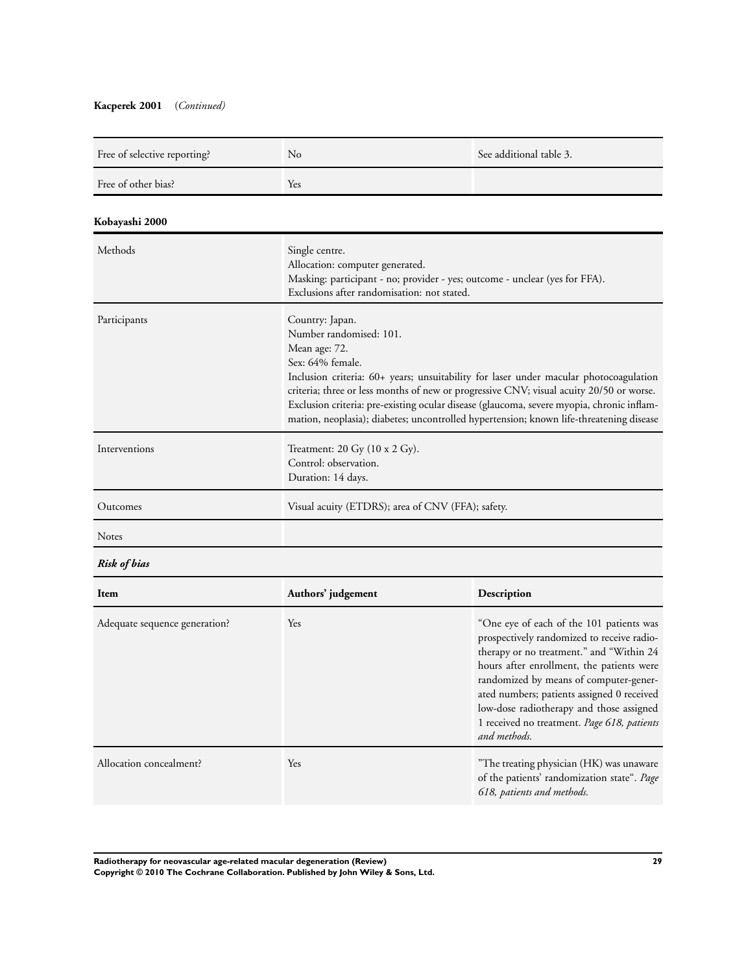### **Kacperek 2001** (*Continued)*

| Free of selective reporting? | No  | See additional table 3. |
|------------------------------|-----|-------------------------|
| Free of other bias?          | Yes |                         |

### **Kobayashi 2000**

| Methods       | Single centre.<br>Allocation: computer generated.<br>Masking: participant - no; provider - yes; outcome - unclear (yes for FFA).<br>Exclusions after randomisation: not stated.                                                                                                                                                                                                                                                                             |
|---------------|-------------------------------------------------------------------------------------------------------------------------------------------------------------------------------------------------------------------------------------------------------------------------------------------------------------------------------------------------------------------------------------------------------------------------------------------------------------|
| Participants  | Country: Japan.<br>Number randomised: 101.<br>Mean age: 72.<br>Sex: 64% female.<br>Inclusion criteria: 60+ years; unsuitability for laser under macular photocoagulation<br>criteria; three or less months of new or progressive CNV; visual acuity 20/50 or worse.<br>Exclusion criteria: pre-existing ocular disease (glaucoma, severe myopia, chronic inflam-<br>mation, neoplasia); diabetes; uncontrolled hypertension; known life-threatening disease |
| Interventions | Treatment: $20 \text{ Gy } (10 \text{ x } 2 \text{ Gy}).$<br>Control: observation.<br>Duration: 14 days.                                                                                                                                                                                                                                                                                                                                                    |
| Outcomes      | Visual acuity (ETDRS); area of CNV (FFA); safety.                                                                                                                                                                                                                                                                                                                                                                                                           |
| <b>Notes</b>  |                                                                                                                                                                                                                                                                                                                                                                                                                                                             |

### *Risk of bias*

| <b>Item</b>                   | Authors' judgement | Description                                                                                                                                                                                                                                                                                                                                                                        |
|-------------------------------|--------------------|------------------------------------------------------------------------------------------------------------------------------------------------------------------------------------------------------------------------------------------------------------------------------------------------------------------------------------------------------------------------------------|
| Adequate sequence generation? | Yes                | "One eye of each of the 101 patients was<br>prospectively randomized to receive radio-<br>therapy or no treatment." and "Within 24<br>hours after enrollment, the patients were<br>randomized by means of computer-gener-<br>ated numbers; patients assigned 0 received<br>low-dose radiotherapy and those assigned<br>1 received no treatment. Page 618, patients<br>and methods. |
| Allocation concealment?       | Yes                | "The treating physician (HK) was unaware<br>of the patients' randomization state". Page<br>618, patients and methods.                                                                                                                                                                                                                                                              |

**Radiotherapy for neovascular age-related macular degeneration (Review) 29 Copyright © 2010 The Cochrane Collaboration. Published by John Wiley & Sons, Ltd.**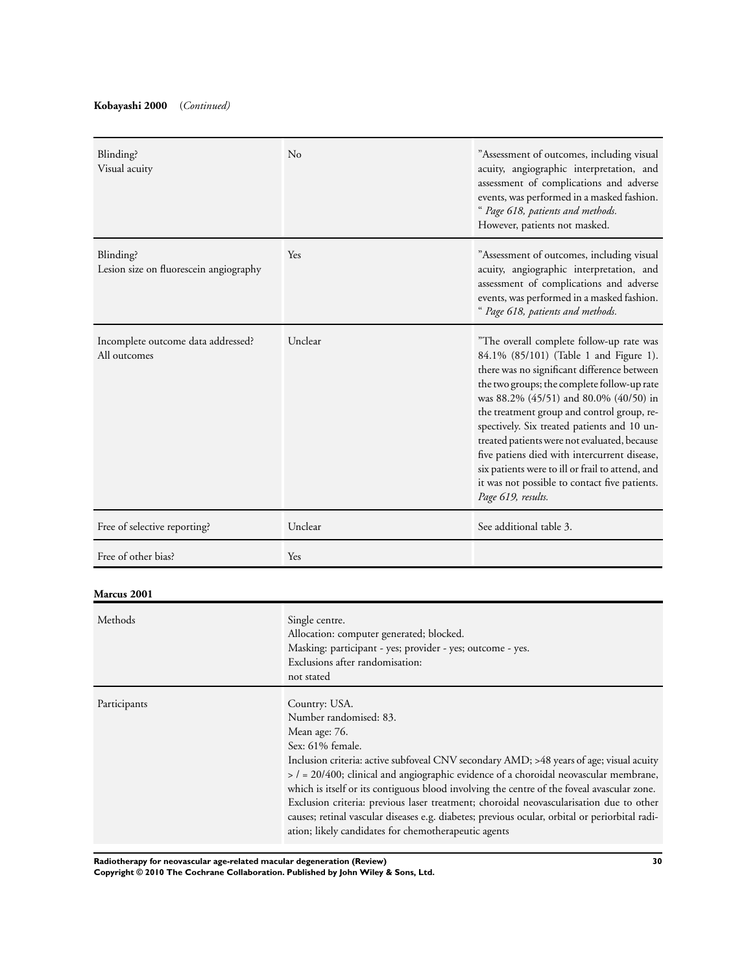### **Kobayashi 2000** (*Continued)*

| Blinding?<br>Visual acuity                          | N <sub>o</sub> | "Assessment of outcomes, including visual<br>acuity, angiographic interpretation, and<br>assessment of complications and adverse<br>events, was performed in a masked fashion.<br>" Page 618, patients and methods.<br>However, patients not masked.                                                                                                                                                                                                                                                                                               |
|-----------------------------------------------------|----------------|----------------------------------------------------------------------------------------------------------------------------------------------------------------------------------------------------------------------------------------------------------------------------------------------------------------------------------------------------------------------------------------------------------------------------------------------------------------------------------------------------------------------------------------------------|
| Blinding?<br>Lesion size on fluorescein angiography | Yes            | "Assessment of outcomes, including visual<br>acuity, angiographic interpretation, and<br>assessment of complications and adverse<br>events, was performed in a masked fashion.<br>" Page 618, patients and methods.                                                                                                                                                                                                                                                                                                                                |
| Incomplete outcome data addressed?<br>All outcomes  | Unclear        | "The overall complete follow-up rate was<br>84.1% (85/101) (Table 1 and Figure 1).<br>there was no significant difference between<br>the two groups; the complete follow-up rate<br>was 88.2% (45/51) and 80.0% (40/50) in<br>the treatment group and control group, re-<br>spectively. Six treated patients and 10 un-<br>treated patients were not evaluated, because<br>five patiens died with intercurrent disease,<br>six patients were to ill or frail to attend, and<br>it was not possible to contact five patients.<br>Page 619, results. |
| Free of selective reporting?                        | Unclear        | See additional table 3.                                                                                                                                                                                                                                                                                                                                                                                                                                                                                                                            |
| Free of other bias?                                 | Yes            |                                                                                                                                                                                                                                                                                                                                                                                                                                                                                                                                                    |

### **Marcus 2001**

| Methods      | Single centre.<br>Allocation: computer generated; blocked.<br>Masking: participant - yes; provider - yes; outcome - yes.<br>Exclusions after randomisation:<br>not stated                                                                                                                                                                                                                                                                                                                                                                                                                                             |
|--------------|-----------------------------------------------------------------------------------------------------------------------------------------------------------------------------------------------------------------------------------------------------------------------------------------------------------------------------------------------------------------------------------------------------------------------------------------------------------------------------------------------------------------------------------------------------------------------------------------------------------------------|
| Participants | Country: USA.<br>Number randomised: 83.<br>Mean age: 76.<br>Sex: 61% female.<br>Inclusion criteria: active subfoveal CNV secondary AMD; >48 years of age; visual acuity<br>$>$ / = 20/400; clinical and angiographic evidence of a choroidal neovascular membrane,<br>which is itself or its contiguous blood involving the centre of the foveal avascular zone.<br>Exclusion criteria: previous laser treatment; choroidal neovascularisation due to other<br>causes; retinal vascular diseases e.g. diabetes; previous ocular, orbital or periorbital radi-<br>ation; likely candidates for chemotherapeutic agents |

**Radiotherapy for neovascular age-related macular degeneration (Review) 30**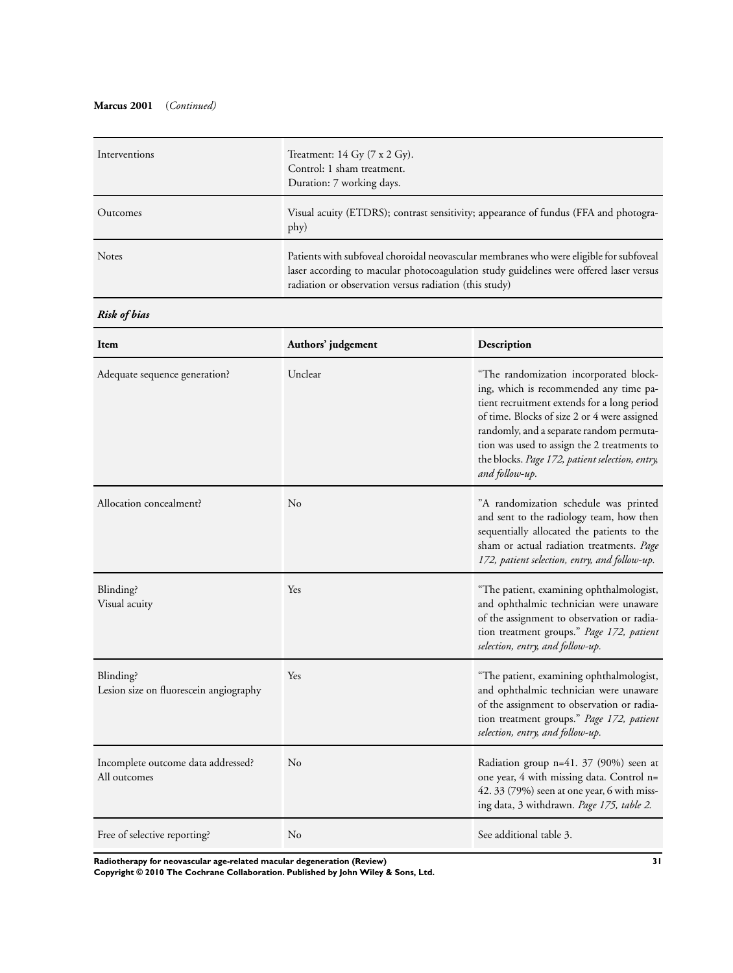### **Marcus 2001** (*Continued)*

| Interventions | Treatment: $14 \text{ Gy} (7 \text{ x } 2 \text{ Gy}).$<br>Control: 1 sham treatment.<br>Duration: 7 working days.                                                                                                                          |
|---------------|---------------------------------------------------------------------------------------------------------------------------------------------------------------------------------------------------------------------------------------------|
| Outcomes      | Visual acuity (ETDRS); contrast sensitivity; appearance of fundus (FFA and photogra-<br>phy)                                                                                                                                                |
| <b>Notes</b>  | Patients with subfoveal choroidal neovascular membranes who were eligible for subfoveal<br>laser according to macular photocoagulation study guidelines were offered laser versus<br>radiation or observation versus radiation (this study) |

### *Risk of bias*

| Item                                                | Authors' judgement | Description                                                                                                                                                                                                                                                                                                                                     |
|-----------------------------------------------------|--------------------|-------------------------------------------------------------------------------------------------------------------------------------------------------------------------------------------------------------------------------------------------------------------------------------------------------------------------------------------------|
| Adequate sequence generation?                       | Unclear            | "The randomization incorporated block-<br>ing, which is recommended any time pa-<br>tient recruitment extends for a long period<br>of time. Blocks of size 2 or 4 were assigned<br>randomly, and a separate random permuta-<br>tion was used to assign the 2 treatments to<br>the blocks. Page 172, patient selection, entry,<br>and follow-up. |
| Allocation concealment?                             | No                 | "A randomization schedule was printed<br>and sent to the radiology team, how then<br>sequentially allocated the patients to the<br>sham or actual radiation treatments. Page<br>172, patient selection, entry, and follow-up.                                                                                                                   |
| Blinding?<br>Visual acuity                          | Yes                | "The patient, examining ophthalmologist,<br>and ophthalmic technician were unaware<br>of the assignment to observation or radia-<br>tion treatment groups." Page 172, patient<br>selection, entry, and follow-up.                                                                                                                               |
| Blinding?<br>Lesion size on fluorescein angiography | Yes                | "The patient, examining ophthalmologist,<br>and ophthalmic technician were unaware<br>of the assignment to observation or radia-<br>tion treatment groups." Page 172, patient<br>selection, entry, and follow-up.                                                                                                                               |
| Incomplete outcome data addressed?<br>All outcomes  | No                 | Radiation group n=41. 37 (90%) seen at<br>one year, 4 with missing data. Control n=<br>42. 33 (79%) seen at one year, 6 with miss-<br>ing data, 3 withdrawn. Page 175, table 2.                                                                                                                                                                 |
| Free of selective reporting?                        | No                 | See additional table 3.                                                                                                                                                                                                                                                                                                                         |

**Radiotherapy for neovascular age-related macular degeneration (Review) 31**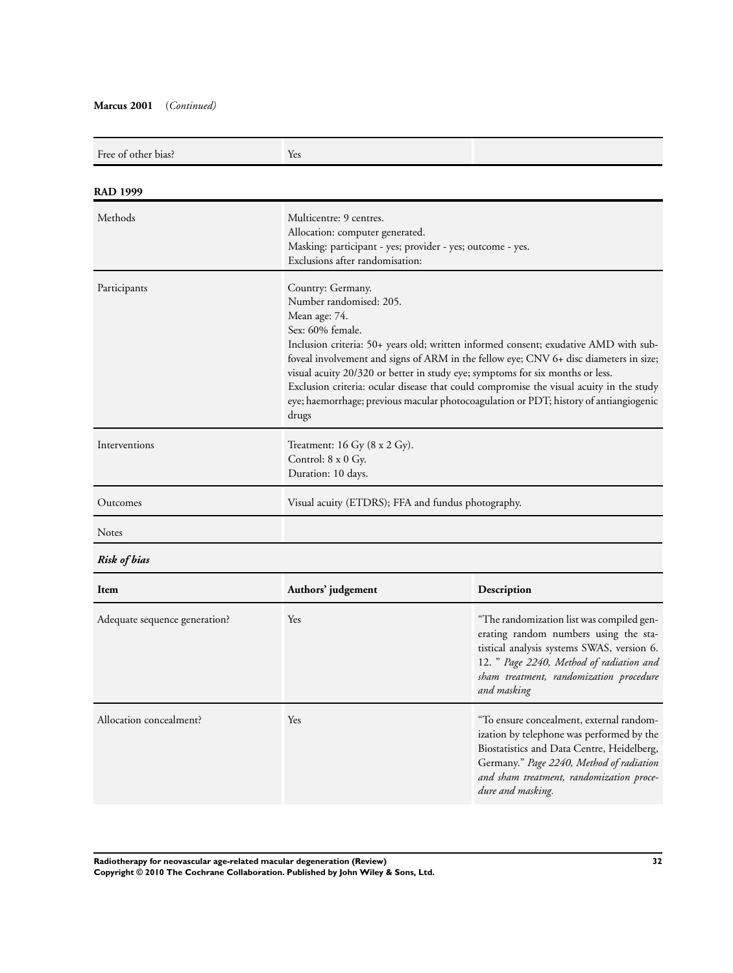### **Marcus 2001** (*Continued)*

| Free of other bias? | Yes                                                                                                                                                                                                                                                                                                                                                                                                                                                                                                                                              |
|---------------------|--------------------------------------------------------------------------------------------------------------------------------------------------------------------------------------------------------------------------------------------------------------------------------------------------------------------------------------------------------------------------------------------------------------------------------------------------------------------------------------------------------------------------------------------------|
| <b>RAD 1999</b>     |                                                                                                                                                                                                                                                                                                                                                                                                                                                                                                                                                  |
| Methods             | Multicentre: 9 centres.<br>Allocation: computer generated.<br>Masking: participant - yes; provider - yes; outcome - yes.<br>Exclusions after randomisation:                                                                                                                                                                                                                                                                                                                                                                                      |
| Participants        | Country: Germany.<br>Number randomised: 205.<br>Mean age: 74.<br>Sex: 60% female.<br>Inclusion criteria: 50+ years old; written informed consent; exudative AMD with sub-<br>foveal involvement and signs of ARM in the fellow eye; CNV 6+ disc diameters in size;<br>visual acuity 20/320 or better in study eye; symptoms for six months or less.<br>Exclusion criteria: ocular disease that could compromise the visual acuity in the study<br>eye; haemorrhage; previous macular photocoagulation or PDT; history of antiangiogenic<br>drugs |
| Interventions       | Treatment: 16 Gy (8 x 2 Gy).<br>Control: 8 x 0 Gy.<br>Duration: 10 days.                                                                                                                                                                                                                                                                                                                                                                                                                                                                         |
| Outcomes            | Visual acuity (ETDRS); FFA and fundus photography.                                                                                                                                                                                                                                                                                                                                                                                                                                                                                               |
| <b>Notes</b>        |                                                                                                                                                                                                                                                                                                                                                                                                                                                                                                                                                  |
|                     |                                                                                                                                                                                                                                                                                                                                                                                                                                                                                                                                                  |

*Risk of bias*

| Item                          | Authors' judgement | Description                                                                                                                                                                                                                                      |
|-------------------------------|--------------------|--------------------------------------------------------------------------------------------------------------------------------------------------------------------------------------------------------------------------------------------------|
| Adequate sequence generation? | Yes                | "The randomization list was compiled gen-<br>erating random numbers using the sta-<br>tistical analysis systems SWAS, version 6.<br>12. " Page 2240, Method of radiation and<br>sham treatment, randomization procedure<br>and masking           |
| Allocation concealment?       | Yes                | "To ensure concealment, external random-<br>ization by telephone was performed by the<br>Biostatistics and Data Centre, Heidelberg,<br>Germany." Page 2240, Method of radiation<br>and sham treatment, randomization proce-<br>dure and masking. |

**Radiotherapy for neovascular age-related macular degeneration (Review) 32 Copyright © 2010 The Cochrane Collaboration. Published by John Wiley & Sons, Ltd.**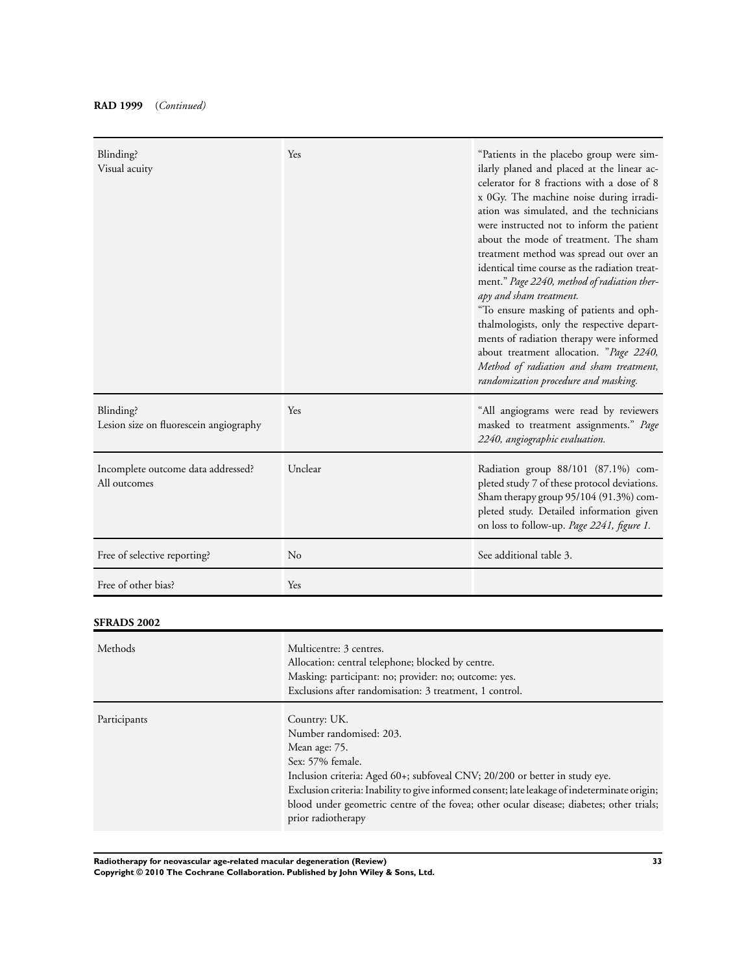### **RAD 1999** (*Continued)*

| Blinding?<br>Visual acuity                          | Yes            | "Patients in the placebo group were sim-<br>ilarly planed and placed at the linear ac-<br>celerator for 8 fractions with a dose of 8<br>x 0Gy. The machine noise during irradi-<br>ation was simulated, and the technicians<br>were instructed not to inform the patient<br>about the mode of treatment. The sham<br>treatment method was spread out over an<br>identical time course as the radiation treat-<br>ment." Page 2240, method of radiation ther-<br>apy and sham treatment.<br>"To ensure masking of patients and oph-<br>thalmologists, only the respective depart-<br>ments of radiation therapy were informed<br>about treatment allocation. "Page 2240,<br>Method of radiation and sham treatment,<br>randomization procedure and masking. |
|-----------------------------------------------------|----------------|------------------------------------------------------------------------------------------------------------------------------------------------------------------------------------------------------------------------------------------------------------------------------------------------------------------------------------------------------------------------------------------------------------------------------------------------------------------------------------------------------------------------------------------------------------------------------------------------------------------------------------------------------------------------------------------------------------------------------------------------------------|
| Blinding?<br>Lesion size on fluorescein angiography | Yes            | "All angiograms were read by reviewers<br>masked to treatment assignments." Page<br>2240, angiographic evaluation.                                                                                                                                                                                                                                                                                                                                                                                                                                                                                                                                                                                                                                         |
| Incomplete outcome data addressed?<br>All outcomes  | Unclear        | Radiation group 88/101 (87.1%) com-<br>pleted study 7 of these protocol deviations.<br>Sham therapy group 95/104 (91.3%) com-<br>pleted study. Detailed information given<br>on loss to follow-up. Page 2241, figure 1.                                                                                                                                                                                                                                                                                                                                                                                                                                                                                                                                    |
| Free of selective reporting?                        | N <sub>o</sub> | See additional table 3.                                                                                                                                                                                                                                                                                                                                                                                                                                                                                                                                                                                                                                                                                                                                    |
| Free of other bias?                                 | Yes            |                                                                                                                                                                                                                                                                                                                                                                                                                                                                                                                                                                                                                                                                                                                                                            |

### **SFRADS 2002**

| Methods      | Multicentre: 3 centres.<br>Allocation: central telephone; blocked by centre.<br>Masking: participant: no; provider: no; outcome: yes.<br>Exclusions after randomisation: 3 treatment, 1 control.                                                                                                                                                                               |
|--------------|--------------------------------------------------------------------------------------------------------------------------------------------------------------------------------------------------------------------------------------------------------------------------------------------------------------------------------------------------------------------------------|
| Participants | Country: UK.<br>Number randomised: 203.<br>Mean age: 75.<br>Sex: 57% female.<br>Inclusion criteria: Aged 60+; subfoveal CNV; 20/200 or better in study eye.<br>Exclusion criteria: Inability to give informed consent; late leakage of indeterminate origin;<br>blood under geometric centre of the fovea; other ocular disease; diabetes; other trials;<br>prior radiotherapy |

**Radiotherapy for neovascular age-related macular degeneration (Review) 33**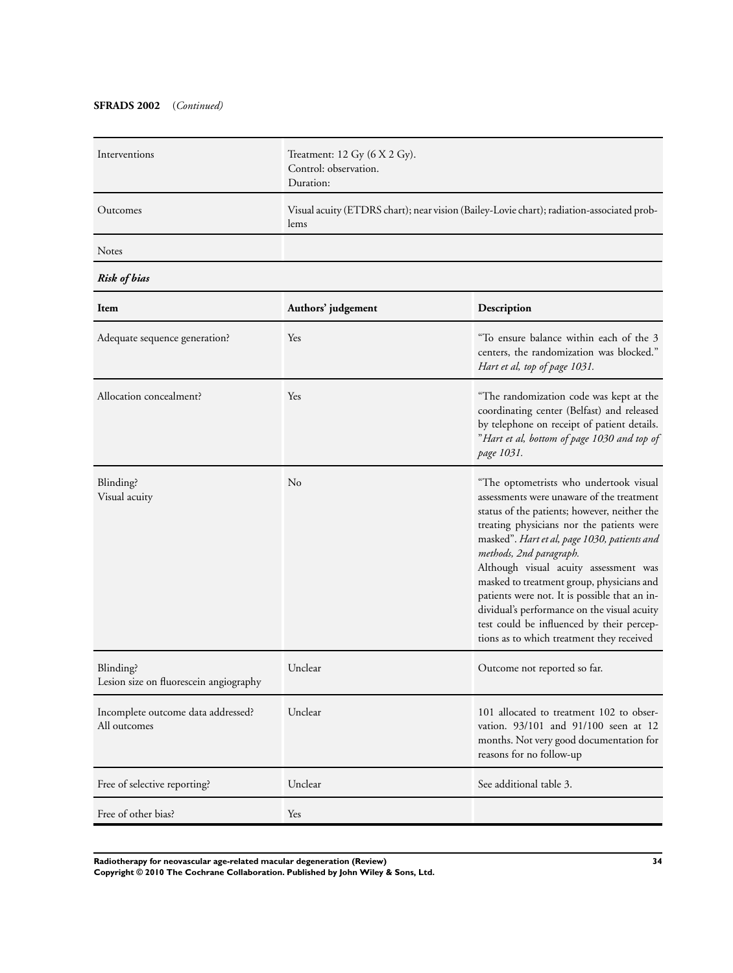### **SFRADS 2002** (*Continued)*

| Interventions                                       | Treatment: 12 Gy (6 X 2 Gy).<br>Control: observation.<br>Duration:                                |                                                                                                                                                                                                                                                                                                                                                                                                                                                                                                                                             |
|-----------------------------------------------------|---------------------------------------------------------------------------------------------------|---------------------------------------------------------------------------------------------------------------------------------------------------------------------------------------------------------------------------------------------------------------------------------------------------------------------------------------------------------------------------------------------------------------------------------------------------------------------------------------------------------------------------------------------|
| Outcomes                                            | Visual acuity (ETDRS chart); near vision (Bailey-Lovie chart); radiation-associated prob-<br>lems |                                                                                                                                                                                                                                                                                                                                                                                                                                                                                                                                             |
| Notes                                               |                                                                                                   |                                                                                                                                                                                                                                                                                                                                                                                                                                                                                                                                             |
| <b>Risk of bias</b>                                 |                                                                                                   |                                                                                                                                                                                                                                                                                                                                                                                                                                                                                                                                             |
| Item                                                | Authors' judgement                                                                                | Description                                                                                                                                                                                                                                                                                                                                                                                                                                                                                                                                 |
| Adequate sequence generation?                       | Yes                                                                                               | "To ensure balance within each of the 3<br>centers, the randomization was blocked."<br>Hart et al, top of page 1031.                                                                                                                                                                                                                                                                                                                                                                                                                        |
| Allocation concealment?                             | Yes                                                                                               | "The randomization code was kept at the<br>coordinating center (Belfast) and released<br>by telephone on receipt of patient details.<br>"Hart et al, bottom of page 1030 and top of<br>page 1031.                                                                                                                                                                                                                                                                                                                                           |
| Blinding?<br>Visual acuity                          | No                                                                                                | "The optometrists who undertook visual<br>assessments were unaware of the treatment<br>status of the patients; however, neither the<br>treating physicians nor the patients were<br>masked". Hart et al, page 1030, patients and<br>methods, 2nd paragraph.<br>Although visual acuity assessment was<br>masked to treatment group, physicians and<br>patients were not. It is possible that an in-<br>dividual's performance on the visual acuity<br>test could be influenced by their percep-<br>tions as to which treatment they received |
| Blinding?<br>Lesion size on fluorescein angiography | Unclear                                                                                           | Outcome not reported so far.                                                                                                                                                                                                                                                                                                                                                                                                                                                                                                                |
| Incomplete outcome data addressed?<br>All outcomes  | Unclear                                                                                           | 101 allocated to treatment 102 to obser-<br>vation. 93/101 and 91/100 seen at 12<br>months. Not very good documentation for<br>reasons for no follow-up                                                                                                                                                                                                                                                                                                                                                                                     |
| Free of selective reporting?                        | Unclear                                                                                           | See additional table 3.                                                                                                                                                                                                                                                                                                                                                                                                                                                                                                                     |
| Free of other bias?                                 | Yes                                                                                               |                                                                                                                                                                                                                                                                                                                                                                                                                                                                                                                                             |

**Radiotherapy for neovascular age-related macular degeneration (Review) 34 Copyright © 2010 The Cochrane Collaboration. Published by John Wiley & Sons, Ltd.**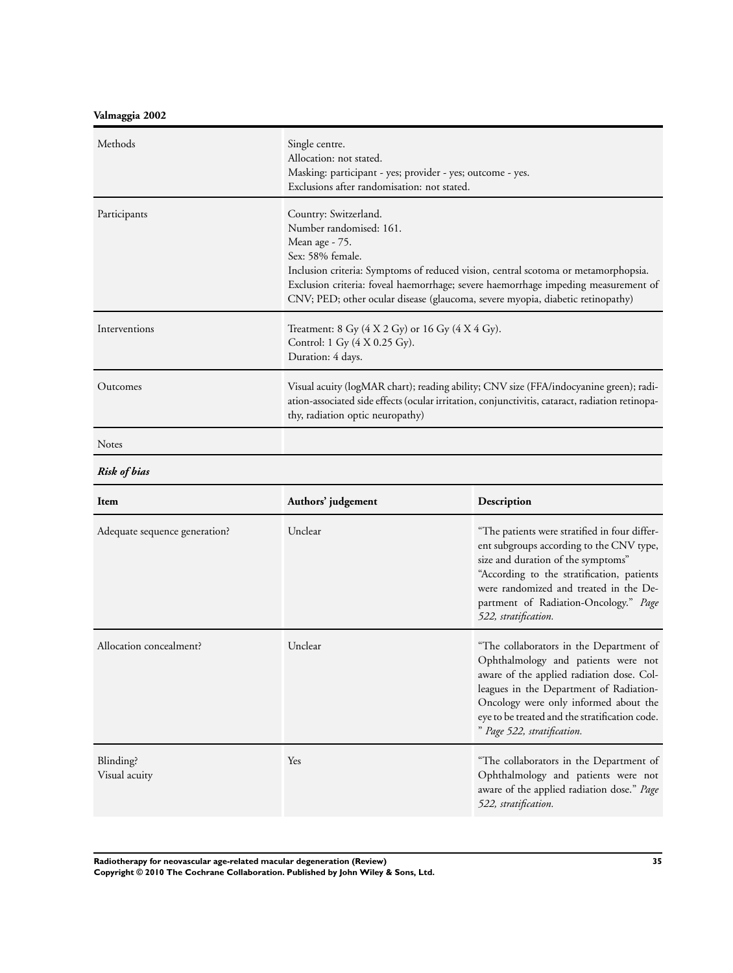# **Valmaggia 2002**

| Methods       | Single centre.<br>Allocation: not stated.<br>Masking: participant - yes; provider - yes; outcome - yes.<br>Exclusions after randomisation: not stated.                                                                                                                                                                                               |
|---------------|------------------------------------------------------------------------------------------------------------------------------------------------------------------------------------------------------------------------------------------------------------------------------------------------------------------------------------------------------|
| Participants  | Country: Switzerland.<br>Number randomised: 161.<br>Mean age - 75.<br>Sex: 58% female.<br>Inclusion criteria: Symptoms of reduced vision, central scotoma or metamorphopsia.<br>Exclusion criteria: foveal haemorrhage; severe haemorrhage impeding measurement of<br>CNV; PED; other ocular disease (glaucoma, severe myopia, diabetic retinopathy) |
| Interventions | Treatment: 8 Gy $(4 \times 2 \text{ Gy})$ or 16 Gy $(4 \times 4 \text{ Gy})$ .<br>Control: 1 Gy $(4 \times 0.25 \text{ Gy})$ .<br>Duration: 4 days.                                                                                                                                                                                                  |
| Outcomes      | Visual acuity (logMAR chart); reading ability; CNV size (FFA/indocyanine green); radi-<br>ation-associated side effects (ocular irritation, conjunctivitis, cataract, radiation retinopa-<br>thy, radiation optic neuropathy)                                                                                                                        |
|               |                                                                                                                                                                                                                                                                                                                                                      |

Notes

*Risk of bias*

| Item                          | Authors' judgement | Description                                                                                                                                                                                                                                                                                      |
|-------------------------------|--------------------|--------------------------------------------------------------------------------------------------------------------------------------------------------------------------------------------------------------------------------------------------------------------------------------------------|
| Adequate sequence generation? | Unclear            | "The patients were stratified in four differ-<br>ent subgroups according to the CNV type,<br>size and duration of the symptoms"<br>"According to the stratification, patients<br>were randomized and treated in the De-<br>partment of Radiation-Oncology." Page<br>522, stratification.         |
| Allocation concealment?       | Unclear            | "The collaborators in the Department of<br>Ophthalmology and patients were not<br>aware of the applied radiation dose. Col-<br>leagues in the Department of Radiation-<br>Oncology were only informed about the<br>eye to be treated and the stratification code.<br>" Page 522, stratification. |
| Blinding?<br>Visual acuity    | Yes                | "The collaborators in the Department of<br>Ophthalmology and patients were not<br>aware of the applied radiation dose." Page<br>522, stratification.                                                                                                                                             |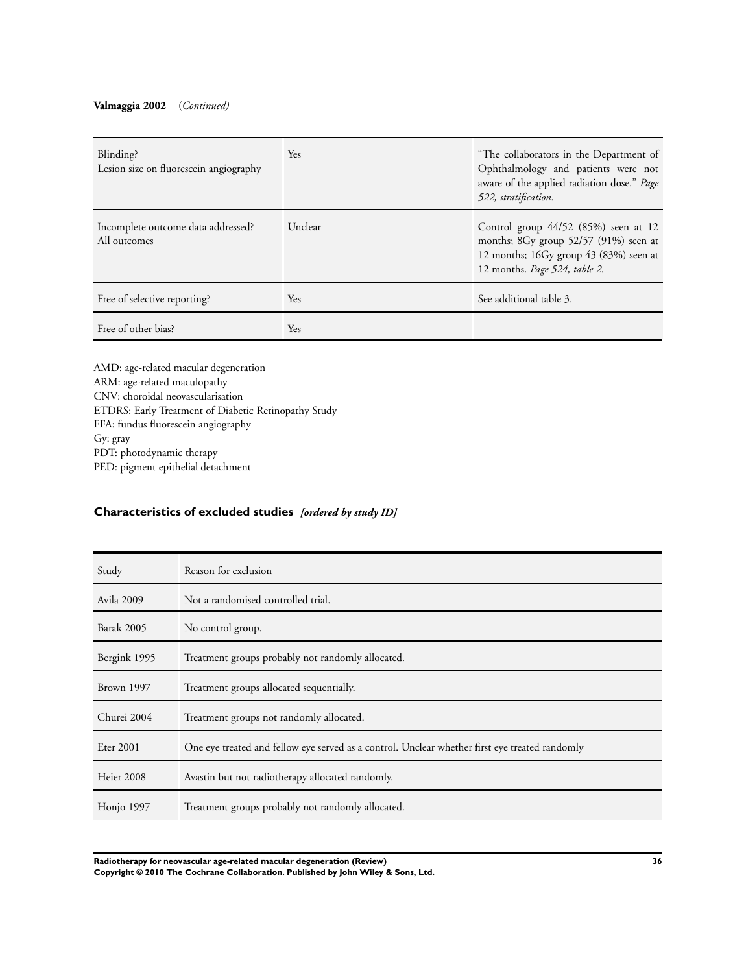#### **Valmaggia 2002** (*Continued)*

| Blinding?<br>Lesion size on fluorescein angiography | <b>Yes</b> | "The collaborators in the Department of<br>Ophthalmology and patients were not<br>aware of the applied radiation dose." Page<br>522, stratification.       |
|-----------------------------------------------------|------------|------------------------------------------------------------------------------------------------------------------------------------------------------------|
| Incomplete outcome data addressed?<br>All outcomes  | Unclear    | Control group $44/52$ (85%) seen at 12<br>months; 8Gy group 52/57 (91%) seen at<br>12 months; 16Gy group 43 (83%) seen at<br>12 months. Page 524, table 2. |
| Free of selective reporting?                        | Yes        | See additional table 3.                                                                                                                                    |
| Free of other bias?                                 | Yes        |                                                                                                                                                            |

AMD: age-related macular degeneration ARM: age-related maculopathy CNV: choroidal neovascularisation ETDRS: Early Treatment of Diabetic Retinopathy Study FFA: fundus fluorescein angiography Gy: gray PDT: photodynamic therapy PED: pigment epithelial detachment

### **Characteristics of excluded studies** *[ordered by study ID]*

| Study             | Reason for exclusion                                                                           |
|-------------------|------------------------------------------------------------------------------------------------|
| Avila 2009        | Not a randomised controlled trial.                                                             |
| <b>Barak 2005</b> | No control group.                                                                              |
| Bergink 1995      | Treatment groups probably not randomly allocated.                                              |
| Brown 1997        | Treatment groups allocated sequentially.                                                       |
| Churei 2004       | Treatment groups not randomly allocated.                                                       |
| Eter 2001         | One eye treated and fellow eye served as a control. Unclear whether first eye treated randomly |
| Heier 2008        | Avastin but not radiotherapy allocated randomly.                                               |
| Honjo 1997        | Treatment groups probably not randomly allocated.                                              |

**Radiotherapy for neovascular age-related macular degeneration (Review) 36 Copyright © 2010 The Cochrane Collaboration. Published by John Wiley & Sons, Ltd.**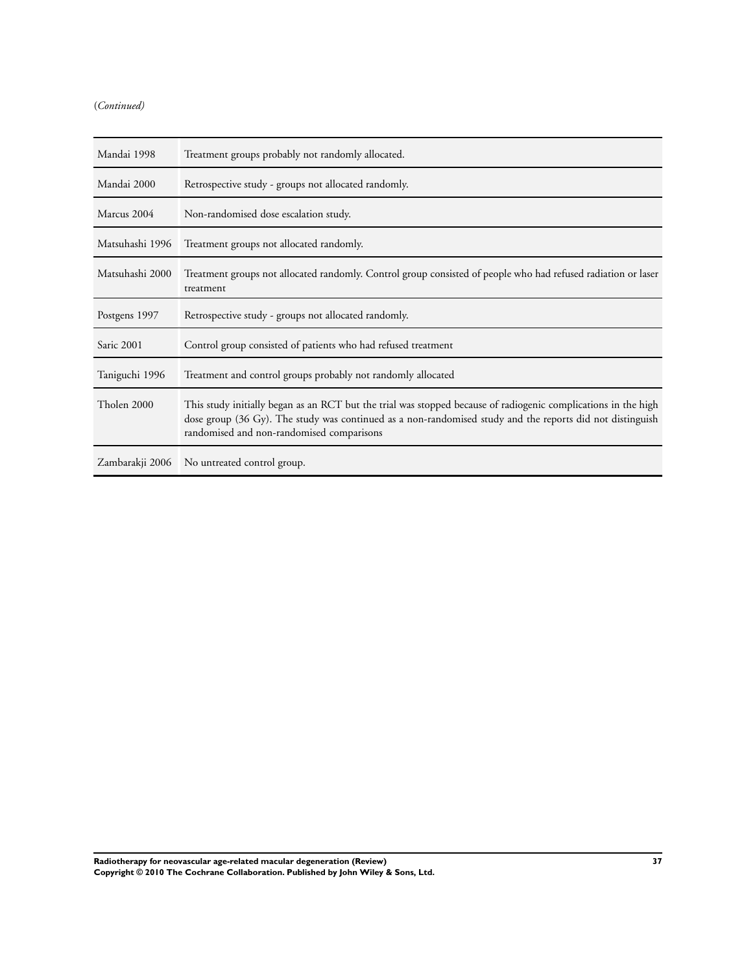| Mandai 1998     | Treatment groups probably not randomly allocated.                                                                                                                                                                                                                        |
|-----------------|--------------------------------------------------------------------------------------------------------------------------------------------------------------------------------------------------------------------------------------------------------------------------|
| Mandai 2000     | Retrospective study - groups not allocated randomly.                                                                                                                                                                                                                     |
| Marcus 2004     | Non-randomised dose escalation study.                                                                                                                                                                                                                                    |
| Matsuhashi 1996 | Treatment groups not allocated randomly.                                                                                                                                                                                                                                 |
| Matsuhashi 2000 | Treatment groups not allocated randomly. Control group consisted of people who had refused radiation or laser<br>treatment                                                                                                                                               |
| Postgens 1997   | Retrospective study - groups not allocated randomly.                                                                                                                                                                                                                     |
| Saric 2001      | Control group consisted of patients who had refused treatment                                                                                                                                                                                                            |
| Taniguchi 1996  | Treatment and control groups probably not randomly allocated                                                                                                                                                                                                             |
| Tholen 2000     | This study initially began as an RCT but the trial was stopped because of radiogenic complications in the high<br>dose group (36 Gy). The study was continued as a non-randomised study and the reports did not distinguish<br>randomised and non-randomised comparisons |
| Zambarakji 2006 | No untreated control group.                                                                                                                                                                                                                                              |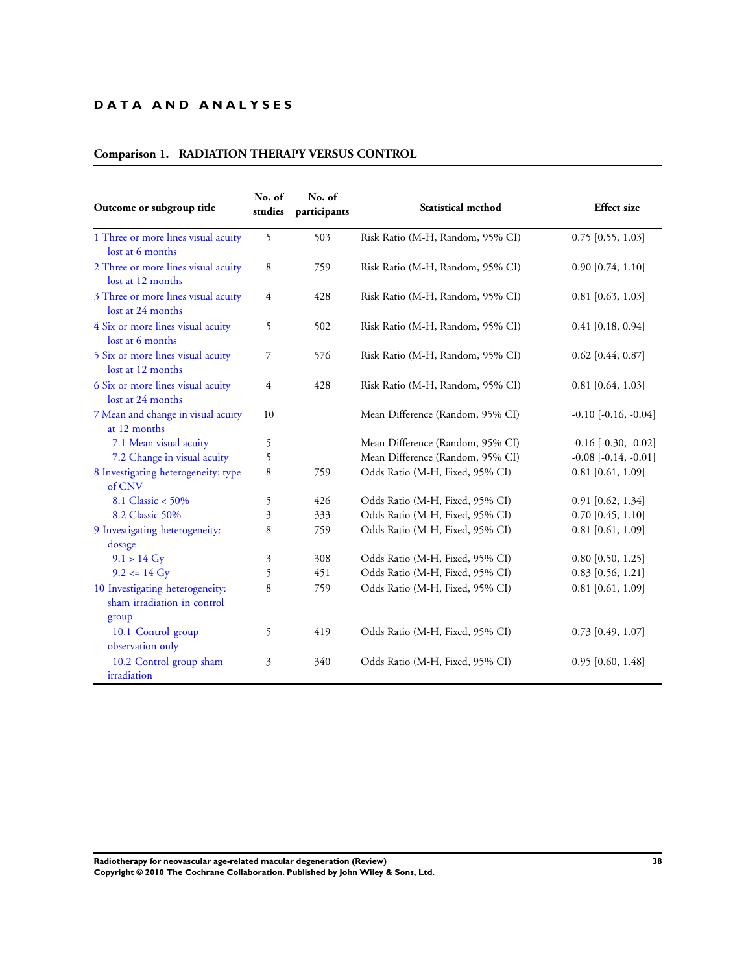# **D A T A A N D A N A L Y S E S**

### **Comparison 1. RADIATION THERAPY VERSUS CONTROL**

| Outcome or subgroup title                                               | No. of<br>studies | No. of<br>participants | <b>Statistical method</b>        | <b>Effect</b> size       |
|-------------------------------------------------------------------------|-------------------|------------------------|----------------------------------|--------------------------|
| 1 Three or more lines visual acuity<br>lost at 6 months                 | 5                 | 503                    | Risk Ratio (M-H, Random, 95% CI) | $0.75$ [0.55, 1.03]      |
| 2 Three or more lines visual acuity<br>lost at 12 months                | 8                 | 759                    | Risk Ratio (M-H, Random, 95% CI) | $0.90$ [0.74, 1.10]      |
| 3 Three or more lines visual acuity<br>lost at 24 months                | $\overline{4}$    | 428                    | Risk Ratio (M-H, Random, 95% CI) | $0.81$ [0.63, 1.03]      |
| 4 Six or more lines visual acuity<br>lost at 6 months                   | 5                 | 502                    | Risk Ratio (M-H, Random, 95% CI) | $0.41$ [0.18, 0.94]      |
| 5 Six or more lines visual acuity<br>lost at 12 months                  | 7                 | 576                    | Risk Ratio (M-H, Random, 95% CI) | $0.62$ [0.44, 0.87]      |
| 6 Six or more lines visual acuity<br>lost at 24 months                  | 4                 | 428                    | Risk Ratio (M-H, Random, 95% CI) | $0.81$ [0.64, 1.03]      |
| 7 Mean and change in visual acuity<br>at 12 months                      | 10                |                        | Mean Difference (Random, 95% CI) | $-0.10$ $[-0.16, -0.04]$ |
| 7.1 Mean visual acuity                                                  | 5                 |                        | Mean Difference (Random, 95% CI) | $-0.16$ $[-0.30, -0.02]$ |
| 7.2 Change in visual acuity                                             | 5                 |                        | Mean Difference (Random, 95% CI) | $-0.08$ $[-0.14, -0.01]$ |
| 8 Investigating heterogeneity: type<br>of CNV                           | 8                 | 759                    | Odds Ratio (M-H, Fixed, 95% CI)  | $0.81$ [0.61, 1.09]      |
| 8.1 Classic < 50%                                                       | 5                 | 426                    | Odds Ratio (M-H, Fixed, 95% CI)  | 0.91 [0.62, 1.34]        |
| 8.2 Classic 50%+                                                        | 3                 | 333                    | Odds Ratio (M-H, Fixed, 95% CI)  | $0.70$ [0.45, 1.10]      |
| 9 Investigating heterogeneity:<br>dosage                                | 8                 | 759                    | Odds Ratio (M-H, Fixed, 95% CI)  | $0.81$ [0.61, 1.09]      |
| $9.1 > 14$ Gy                                                           | 3                 | 308                    | Odds Ratio (M-H, Fixed, 95% CI)  | $0.80$ [0.50, 1.25]      |
| $9.2 \leq 14 \text{ Gy}$                                                | 5                 | 451                    | Odds Ratio (M-H, Fixed, 95% CI)  | $0.83$ [0.56, 1.21]      |
| 10 Investigating heterogeneity:<br>sham irradiation in control<br>group | 8                 | 759                    | Odds Ratio (M-H, Fixed, 95% CI)  | $0.81$ [0.61, 1.09]      |
| 10.1 Control group<br>observation only                                  | 5                 | 419                    | Odds Ratio (M-H, Fixed, 95% CI)  | $0.73$ [0.49, 1.07]      |
| 10.2 Control group sham<br>irradiation                                  | 3                 | 340                    | Odds Ratio (M-H, Fixed, 95% CI)  | $0.95$ [0.60, 1.48]      |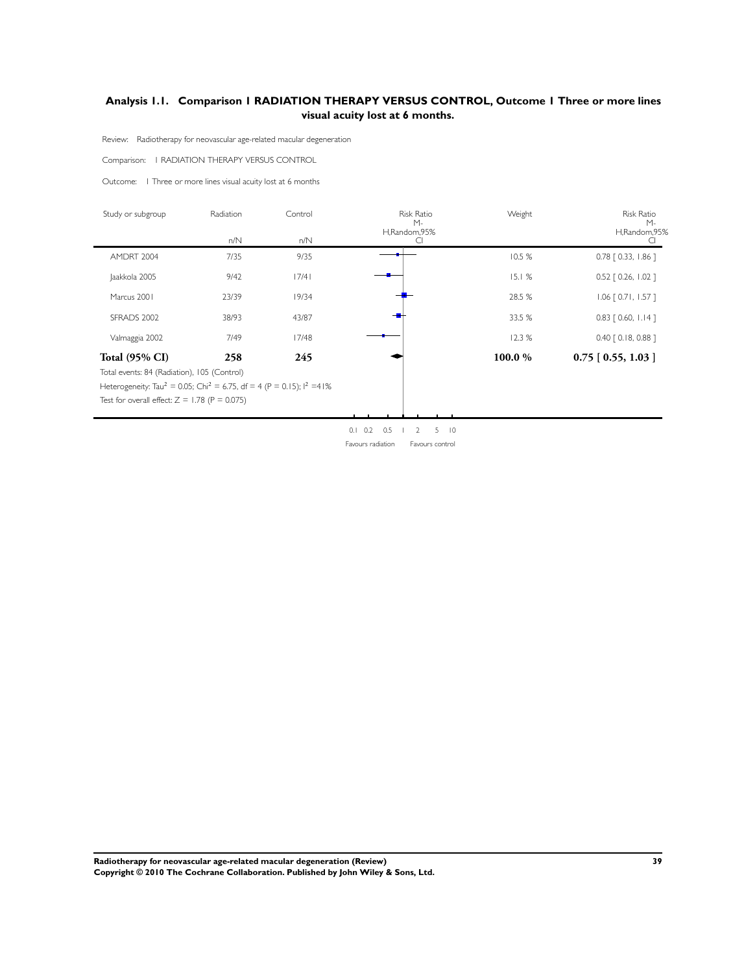## <span id="page-40-0"></span>**Analysis 1.1. Comparison 1 RADIATION THERAPY VERSUS CONTROL, Outcome 1 Three or more lines visual acuity lost at 6 months.**

Review: Radiotherapy for neovascular age-related macular degeneration

Comparison: 1 RADIATION THERAPY VERSUS CONTROL

Outcome: 1 Three or more lines visual acuity lost at 6 months

| Study or subgroup                                                                              | Radiation | Control | <b>Risk Ratio</b><br>$M -$<br>H,Random,95% | Weight | <b>Risk Ratio</b><br>$M -$<br>H,Random,95% |
|------------------------------------------------------------------------------------------------|-----------|---------|--------------------------------------------|--------|--------------------------------------------|
|                                                                                                | n/N       | n/N     | CI                                         |        | U.                                         |
| AMDRT 2004                                                                                     | 7/35      | 9/35    |                                            | 10.5%  | $0.78$ $[0.33, 1.86]$                      |
| laakkola 2005                                                                                  | 9/42      | 17/41   |                                            | 15.1%  | $0.52$ $[0.26, 1.02]$                      |
| Marcus 2001                                                                                    | 23/39     | 19/34   |                                            | 28.5 % | $1.06$ $[0.71, 1.57]$                      |
| SFRADS 2002                                                                                    | 38/93     | 43/87   |                                            | 33.5 % | $0.83$ [ 0.60, 1.14 ]                      |
| Valmaggia 2002                                                                                 | 7/49      | 17/48   |                                            | 12.3%  | $0.40$ $[0.18, 0.88]$                      |
| <b>Total (95% CI)</b>                                                                          | 258       | 245     |                                            | 100.0% | $0.75$ [ 0.55, 1.03 ]                      |
| Total events: 84 (Radiation), 105 (Control)                                                    |           |         |                                            |        |                                            |
| Heterogeneity: Tau <sup>2</sup> = 0.05; Chi <sup>2</sup> = 6.75, df = 4 (P = 0.15); $1^2$ =41% |           |         |                                            |        |                                            |
| Test for overall effect: $Z = 1.78$ (P = 0.075)                                                |           |         |                                            |        |                                            |
|                                                                                                |           |         |                                            |        |                                            |

0.1 0.2 0.5 1 2 5 10

Favours radiation Favours control

**Radiotherapy for neovascular age-related macular degeneration (Review) 39 Copyright © 2010 The Cochrane Collaboration. Published by John Wiley & Sons, Ltd.**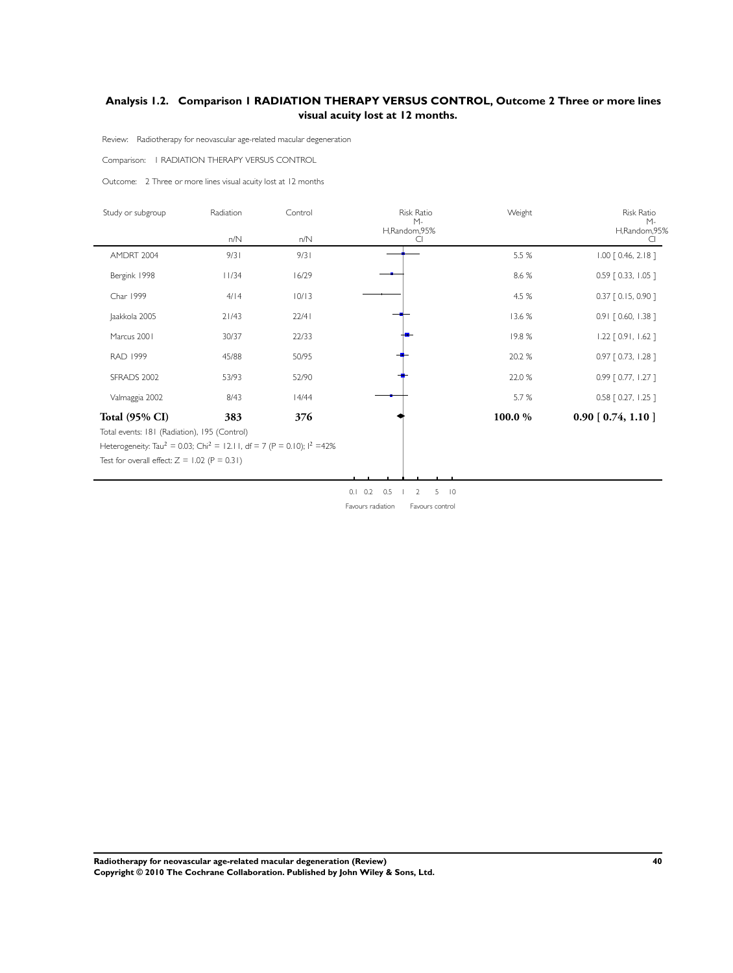## <span id="page-41-0"></span>**Analysis 1.2. Comparison 1 RADIATION THERAPY VERSUS CONTROL, Outcome 2 Three or more lines visual acuity lost at 12 months.**

Review: Radiotherapy for neovascular age-related macular degeneration

Comparison: 1 RADIATION THERAPY VERSUS CONTROL

Outcome: 2 Three or more lines visual acuity lost at 12 months

| Study or subgroup                                                                               | Radiation | Control | <b>Risk Ratio</b><br>$M -$ | Weight | <b>Risk Ratio</b><br>$M -$ |
|-------------------------------------------------------------------------------------------------|-----------|---------|----------------------------|--------|----------------------------|
|                                                                                                 | n/N       | n/N     | H,Random,95%<br>CI         |        | H,Random,95%               |
| AMDRT 2004                                                                                      | 9/31      | 9/31    |                            | 5.5 %  | $1.00$ $[0.46, 2.18]$      |
| Bergink 1998                                                                                    | 11/34     | 16/29   |                            | 8.6 %  | $0.59$ $[0.33, 1.05]$      |
| Char 1999                                                                                       | 4/14      | 10/13   |                            | 4.5 %  | $0.37$ $[0.15, 0.90]$      |
| Jaakkola 2005                                                                                   | 21/43     | 22/41   |                            | 13.6 % | 0.91 [0.60, 1.38]          |
| Marcus 2001                                                                                     | 30/37     | 22/33   |                            | 19.8%  | $1.22$ $[0.91, 1.62]$      |
| RAD 1999                                                                                        | 45/88     | 50/95   |                            | 20.2 % | 0.97 [ 0.73, 1.28 ]        |
| SFRADS 2002                                                                                     | 53/93     | 52/90   |                            | 22.0 % | 0.99 [ 0.77, 1.27 ]        |
| Valmaggia 2002                                                                                  | 8/43      | 14/44   |                            | 5.7 %  | 0.58 [ 0.27, 1.25 ]        |
| <b>Total (95% CI)</b>                                                                           | 383       | 376     |                            | 100.0% | $0.90$ [ $0.74$ , 1.10 ]   |
| Total events: 181 (Radiation), 195 (Control)                                                    |           |         |                            |        |                            |
| Heterogeneity: Tau <sup>2</sup> = 0.03; Chi <sup>2</sup> = 12.11, df = 7 (P = 0.10); $1^2$ =42% |           |         |                            |        |                            |
| Test for overall effect: $Z = 1.02$ (P = 0.31)                                                  |           |         |                            |        |                            |

0.1 0.2 0.5 1 2 5 10 Favours radiation Favours control

**Radiotherapy for neovascular age-related macular degeneration (Review) 40 Copyright © 2010 The Cochrane Collaboration. Published by John Wiley & Sons, Ltd.**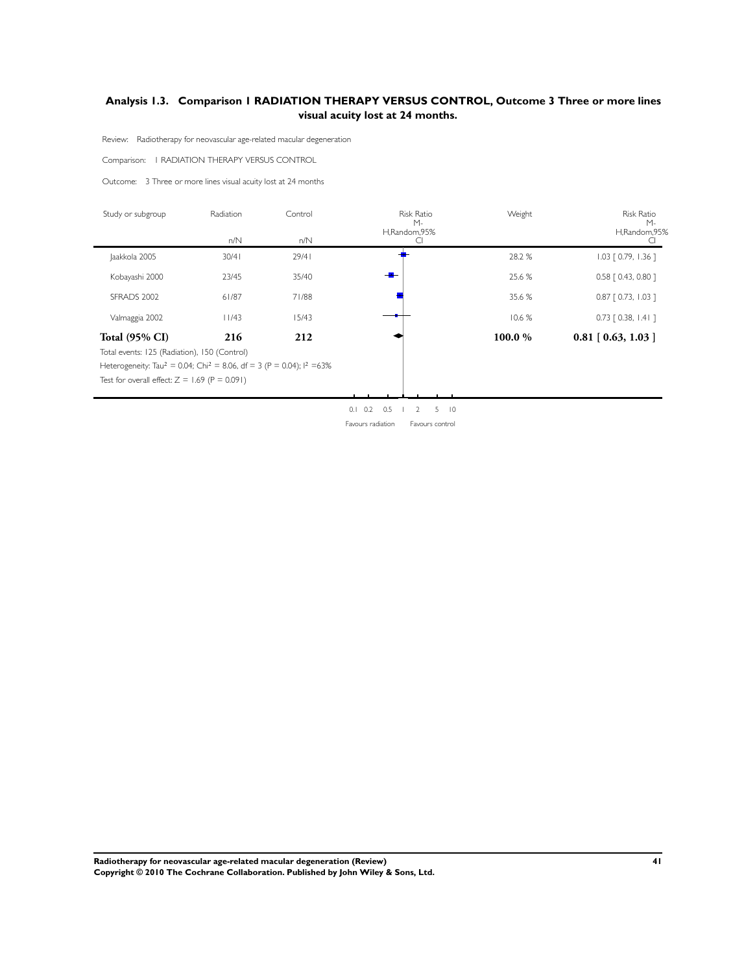## <span id="page-42-0"></span>**Analysis 1.3. Comparison 1 RADIATION THERAPY VERSUS CONTROL, Outcome 3 Three or more lines visual acuity lost at 24 months.**

Review: Radiotherapy for neovascular age-related macular degeneration

Comparison: 1 RADIATION THERAPY VERSUS CONTROL

Outcome: 3 Three or more lines visual acuity lost at 24 months

| Study or subgroup                                                                              | Radiation | Control | <b>Risk Ratio</b><br>$M -$ | Weight | <b>Risk Ratio</b><br>$M -$ |
|------------------------------------------------------------------------------------------------|-----------|---------|----------------------------|--------|----------------------------|
|                                                                                                | n/N       | n/N     | H,Random,95%               |        | H,Random,95%               |
| laakkola 2005                                                                                  | 30/41     | 29/41   |                            | 28.2 % | $1.03$ $[0.79, 1.36]$      |
| Kobayashi 2000                                                                                 | 23/45     | 35/40   | $-$ m $-$                  | 25.6 % | $0.58$ $[0.43, 0.80]$      |
| SFRADS 2002                                                                                    | 61/87     | 71/88   |                            | 35.6 % | $0.87$ $[ 0.73, 1.03 ]$    |
| Valmaggia 2002                                                                                 | 11/43     | 15/43   |                            | 10.6%  | $0.73$ $[0.38, 1.41]$      |
| <b>Total (95% CI)</b>                                                                          | 216       | 212     |                            | 100.0% | $0.81$ [ 0.63, 1.03 ]      |
| Total events: 125 (Radiation), 150 (Control)                                                   |           |         |                            |        |                            |
| Heterogeneity: Tau <sup>2</sup> = 0.04; Chi <sup>2</sup> = 8.06, df = 3 (P = 0.04); $1^2$ =63% |           |         |                            |        |                            |
| Test for overall effect: $Z = 1.69$ (P = 0.091)                                                |           |         |                            |        |                            |
|                                                                                                |           |         |                            |        |                            |

0.1 0.2 0.5 1 2 5 10 Favours radiation Favours control

**Radiotherapy for neovascular age-related macular degeneration (Review) 41 Copyright © 2010 The Cochrane Collaboration. Published by John Wiley & Sons, Ltd.**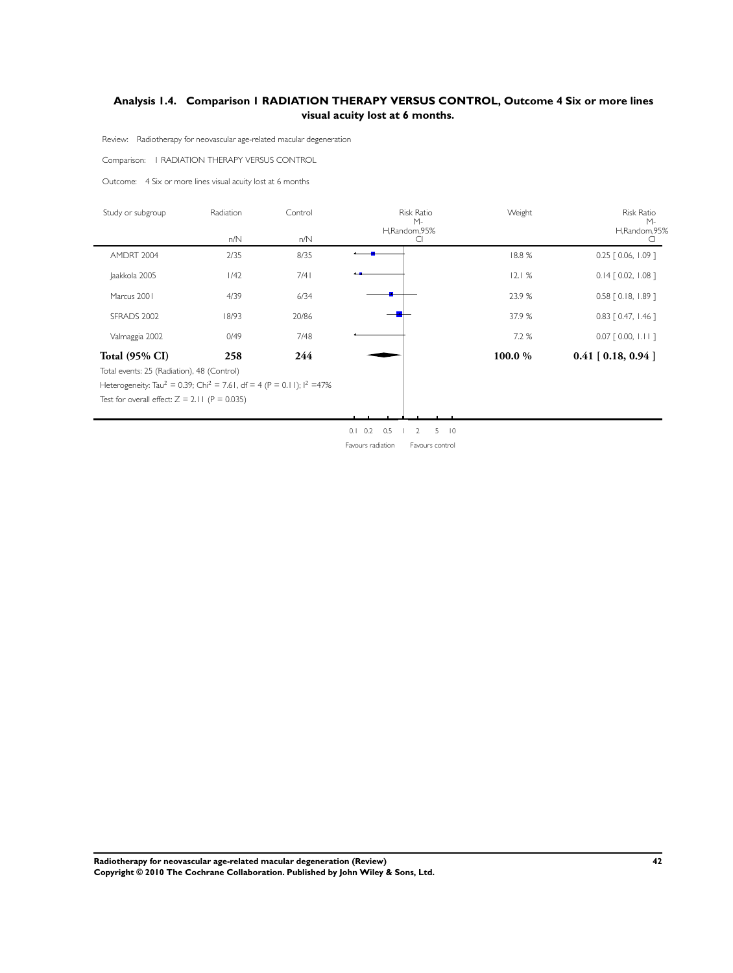# <span id="page-43-0"></span>**Analysis 1.4. Comparison 1 RADIATION THERAPY VERSUS CONTROL, Outcome 4 Six or more lines visual acuity lost at 6 months.**

Review: Radiotherapy for neovascular age-related macular degeneration

Comparison: 1 RADIATION THERAPY VERSUS CONTROL

Outcome: 4 Six or more lines visual acuity lost at 6 months

| Study or subgroup                                                                              | Radiation | Control | <b>Risk Ratio</b><br>$M -$ | Weight | <b>Risk Ratio</b><br>$M -$ |
|------------------------------------------------------------------------------------------------|-----------|---------|----------------------------|--------|----------------------------|
|                                                                                                | n/N       | n/N     | H,Random,95%<br>CI         |        | H,Random,95%               |
| AMDRT 2004                                                                                     | 2/35      | 8/35    |                            | 18.8%  | $0.25$ $[0.06, 1.09]$      |
| laakkola 2005                                                                                  | 1/42      | 7/41    |                            | 12.1%  | $0.14$ $[0.02, 1.08]$      |
| Marcus 2001                                                                                    | 4/39      | 6/34    |                            | 23.9%  | $0.58$ $[0.18, 1.89]$      |
| SFRADS 2002                                                                                    | 18/93     | 20/86   |                            | 37.9 % | $0.83$ [ 0.47, 1.46 ]      |
| Valmaggia 2002                                                                                 | 0/49      | 7/48    |                            | 7.2 %  | $0.07$ [ 0.00, 1.11 ]      |
| <b>Total (95% CI)</b>                                                                          | 258       | 244     |                            | 100.0% | $0.41$ [ 0.18, 0.94 ]      |
| Total events: 25 (Radiation), 48 (Control)                                                     |           |         |                            |        |                            |
| Heterogeneity: Tau <sup>2</sup> = 0.39; Chi <sup>2</sup> = 7.61, df = 4 (P = 0.11); $1^2$ =47% |           |         |                            |        |                            |
| Test for overall effect: $Z = 2.11$ (P = 0.035)                                                |           |         |                            |        |                            |
|                                                                                                |           |         |                            |        |                            |
|                                                                                                |           |         |                            |        |                            |

0.1 0.2 0.5 1 2 5 10

Favours radiation Favours control

**Radiotherapy for neovascular age-related macular degeneration (Review) 42 Copyright © 2010 The Cochrane Collaboration. Published by John Wiley & Sons, Ltd.**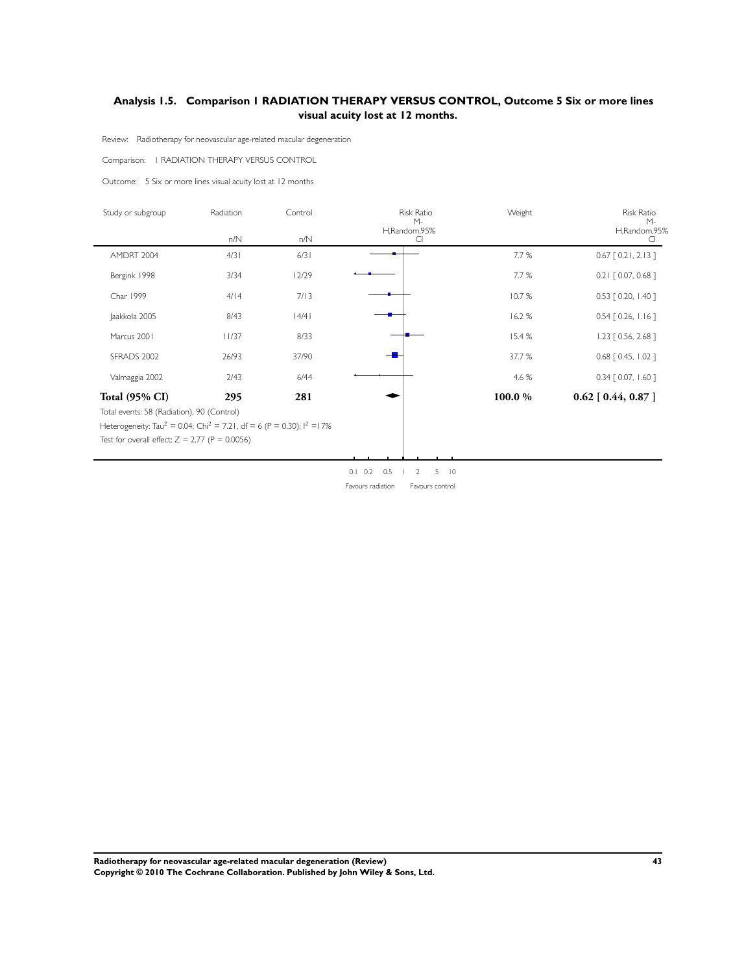## <span id="page-44-0"></span>**Analysis 1.5. Comparison 1 RADIATION THERAPY VERSUS CONTROL, Outcome 5 Six or more lines visual acuity lost at 12 months.**

Review: Radiotherapy for neovascular age-related macular degeneration

Comparison: 1 RADIATION THERAPY VERSUS CONTROL

Outcome: 5 Six or more lines visual acuity lost at 12 months

| Study or subgroup                                                                               | Radiation | Control | <b>Risk Ratio</b><br>$M -$ | Weight | <b>Risk Ratio</b><br>$M -$ |
|-------------------------------------------------------------------------------------------------|-----------|---------|----------------------------|--------|----------------------------|
|                                                                                                 | n/N       | n/N     | H,Random,95%<br>C          |        | H,Random,95%<br>C          |
| AMDRT 2004                                                                                      | 4/3       | 6/3     |                            | 7.7 %  | $0.67$ $[0.21, 2.13]$      |
| Bergink 1998                                                                                    | 3/34      | 12/29   |                            | 7.7 %  | $0.21$ $[0.07, 0.68]$      |
| Char 1999                                                                                       | 4/14      | 7/13    |                            | 10.7%  | $0.53$ [ 0.20, 1.40 ]      |
| Jaakkola 2005                                                                                   | 8/43      | 4/4     |                            | 16.2%  | $0.54$ [ 0.26, 1.16 ]      |
| Marcus 2001                                                                                     | 11/37     | 8/33    |                            | 15.4 % | $1.23$ $[0.56, 2.68]$      |
| SFRADS 2002                                                                                     | 26/93     | 37/90   |                            | 37.7 % | $0.68$ $[0.45, 1.02]$      |
| Valmaggia 2002                                                                                  | 2/43      | 6/44    |                            | 4.6 %  | $0.34$ $[0.07, 1.60]$      |
| <b>Total (95% CI)</b>                                                                           | 295       | 281     |                            | 100.0% | $0.62$ [ $0.44, 0.87$ ]    |
| Total events: 58 (Radiation), 90 (Control)                                                      |           |         |                            |        |                            |
| Heterogeneity: Tau <sup>2</sup> = 0.04; Chi <sup>2</sup> = 7.21, df = 6 (P = 0.30); $1^2$ = 17% |           |         |                            |        |                            |
| Test for overall effect: $Z = 2.77$ (P = 0.0056)                                                |           |         |                            |        |                            |
|                                                                                                 |           |         |                            |        |                            |

0.1 0.2 0.5 1 2 5 10

Favours radiation Favours control

**Radiotherapy for neovascular age-related macular degeneration (Review) 43 Copyright © 2010 The Cochrane Collaboration. Published by John Wiley & Sons, Ltd.**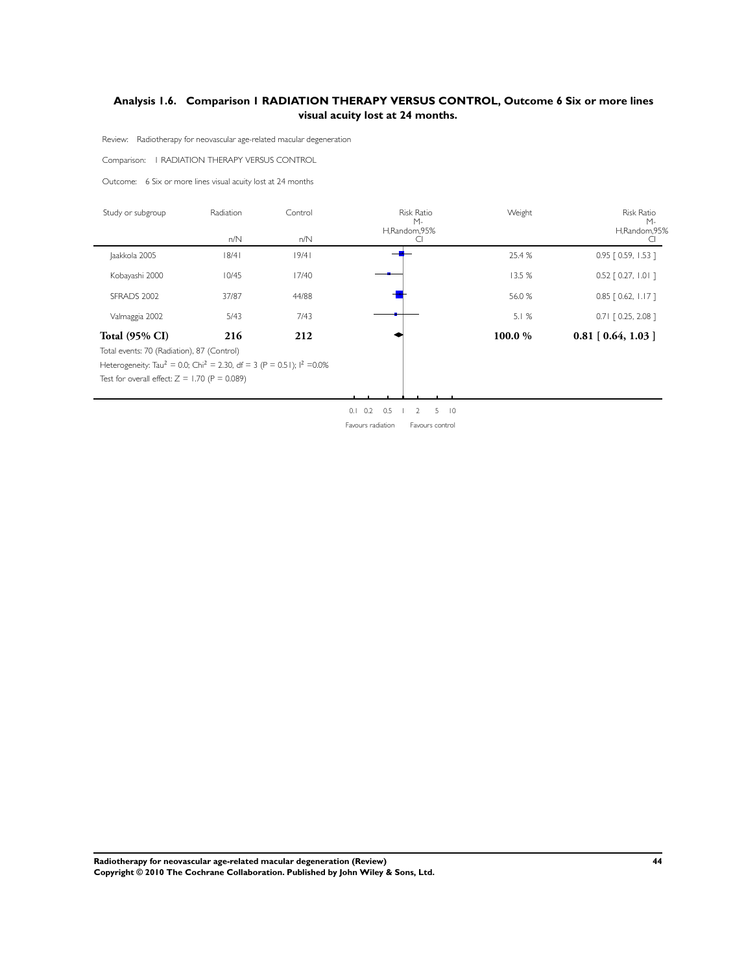## <span id="page-45-0"></span>**Analysis 1.6. Comparison 1 RADIATION THERAPY VERSUS CONTROL, Outcome 6 Six or more lines visual acuity lost at 24 months.**

Review: Radiotherapy for neovascular age-related macular degeneration

Comparison: 1 RADIATION THERAPY VERSUS CONTROL

Outcome: 6 Six or more lines visual acuity lost at 24 months

| Study or subgroup                                                                                        | Radiation | Control | <b>Risk Ratio</b><br>$M -$ | Weight | <b>Risk Ratio</b><br>$M -$ |
|----------------------------------------------------------------------------------------------------------|-----------|---------|----------------------------|--------|----------------------------|
|                                                                                                          | n/N       | n/N     | H,Random,95%<br>C          |        | H,Random,95%               |
| laakkola 2005                                                                                            | 18/41     | 19/41   |                            | 25.4 % | $0.95$ $[0.59, 1.53]$      |
| Kobayashi 2000                                                                                           | 10/45     | 17/40   |                            | 13.5 % | $0.52$ $[0.27, 1.01]$      |
| SFRADS 2002                                                                                              | 37/87     | 44/88   |                            | 56.0%  | $0.85$ $[0.62, 1.17]$      |
| Valmaggia 2002                                                                                           | 5/43      | 7/43    |                            | 5.1%   | $0.71$ $[0.25, 2.08]$      |
| <b>Total (95% CI)</b>                                                                                    | 216       | 212     |                            | 100.0% | $0.81$ [ $0.64$ , 1.03 ]   |
| Total events: 70 (Radiation), 87 (Control)                                                               |           |         |                            |        |                            |
| Heterogeneity: Tau <sup>2</sup> = 0.0; Chi <sup>2</sup> = 2.30, df = 3 (P = 0.51); l <sup>2</sup> = 0.0% |           |         |                            |        |                            |
| Test for overall effect: $Z = 1.70$ (P = 0.089)                                                          |           |         |                            |        |                            |
|                                                                                                          |           |         |                            |        |                            |

0.1 0.2 0.5 1 2 5 10 Favours radiation Favours control

**Radiotherapy for neovascular age-related macular degeneration (Review) 44 Copyright © 2010 The Cochrane Collaboration. Published by John Wiley & Sons, Ltd.**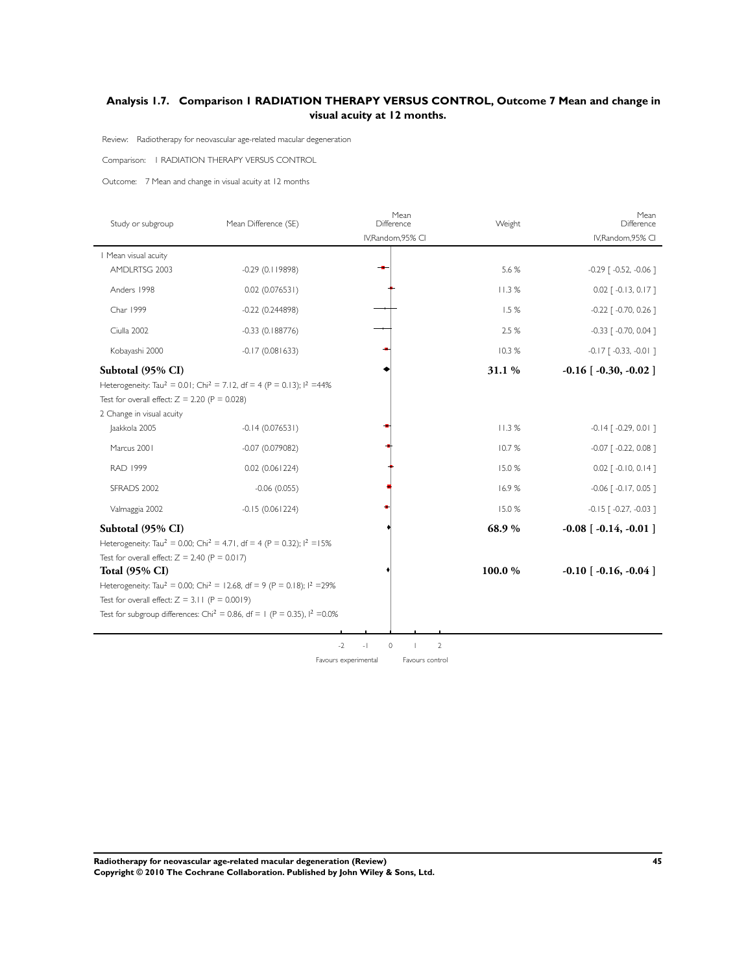# <span id="page-46-0"></span>**Analysis 1.7. Comparison 1 RADIATION THERAPY VERSUS CONTROL, Outcome 7 Mean and change in visual acuity at 12 months.**

Review: Radiotherapy for neovascular age-related macular degeneration

Comparison: 1 RADIATION THERAPY VERSUS CONTROL

Outcome: 7 Mean and change in visual acuity at 12 months

| Study or subgroup                                                            | Mean Difference (SE)                                                                                                                                                                                | Mean<br>Difference | Weight | Mean<br>Difference                  |
|------------------------------------------------------------------------------|-----------------------------------------------------------------------------------------------------------------------------------------------------------------------------------------------------|--------------------|--------|-------------------------------------|
|                                                                              |                                                                                                                                                                                                     | IV,Random,95% CI   |        | IV, Random, 95% CI                  |
| Mean visual acuity                                                           |                                                                                                                                                                                                     |                    |        |                                     |
| AMDLRTSG 2003                                                                | $-0.29(0.119898)$                                                                                                                                                                                   |                    | 5.6 %  | $-0.29$ [ $-0.52$ , $-0.06$ ]       |
| Anders 1998                                                                  | 0.02(0.076531)                                                                                                                                                                                      |                    | 11.3%  | $0.02$ $\lceil -0.13, 0.17 \rceil$  |
| Char 1999                                                                    | $-0.22(0.244898)$                                                                                                                                                                                   |                    | 1.5%   | $-0.22$ [ $-0.70$ , 0.26 ]          |
| Ciulla 2002                                                                  | $-0.33(0.188776)$                                                                                                                                                                                   |                    | 2.5 %  | $-0.33$ [ $-0.70$ , 0.04 ]          |
| Kobayashi 2000                                                               | $-0.17(0.081633)$                                                                                                                                                                                   |                    | 10.3 % | $-0.17$ [ $-0.33$ , $-0.01$ ]       |
| Subtotal (95% CI)                                                            |                                                                                                                                                                                                     |                    | 31.1 % | $-0.16$ [ $-0.30$ , $-0.02$ ]       |
| Test for overall effect: $Z = 2.20$ (P = 0.028)<br>2 Change in visual acuity | Heterogeneity: Tau <sup>2</sup> = 0.01; Chi <sup>2</sup> = 7.12, df = 4 (P = 0.13); $1^2$ =44%                                                                                                      |                    |        |                                     |
| laakkola 2005                                                                | $-0.14(0.076531)$                                                                                                                                                                                   |                    | 11.3%  | $-0.14$ $[-0.29, 0.01]$             |
| Marcus 2001                                                                  | $-0.07(0.079082)$                                                                                                                                                                                   |                    | 10.7%  | $-0.07$ [ $-0.22$ , 0.08]           |
| RAD 1999                                                                     | $0.02$ (0.061224)                                                                                                                                                                                   |                    | 15.0%  | $0.02$ $\lceil -0.10, 0.14 \rceil$  |
| SFRADS 2002                                                                  | $-0.06(0.055)$                                                                                                                                                                                      |                    | 16.9%  | $-0.06$ $\lceil -0.17, 0.05 \rceil$ |
| Valmaggia 2002                                                               | $-0.15(0.061224)$                                                                                                                                                                                   |                    | 15.0%  | $-0.15$ [ $-0.27$ , $-0.03$ ]       |
| Subtotal (95% CI)<br>Test for overall effect: $Z = 2.40$ (P = 0.017)         | Heterogeneity: Tau <sup>2</sup> = 0.00; Chi <sup>2</sup> = 4.71, df = 4 (P = 0.32); $1^2$ = 15%                                                                                                     |                    | 68.9%  | $-0.08$ [ $-0.14$ , $-0.01$ ]       |
| <b>Total (95% CI)</b><br>Test for overall effect: $Z = 3.11$ (P = 0.0019)    | Heterogeneity: Tau <sup>2</sup> = 0.00; Chi <sup>2</sup> = 12.68, df = 9 (P = 0.18); l <sup>2</sup> = 29%<br>Test for subgroup differences: Chi <sup>2</sup> = 0.86, df = 1 (P = 0.35), $1^2$ =0.0% |                    | 100.0% | $-0.10$ [ $-0.16$ , $-0.04$ ]       |

Favours experimental Favours control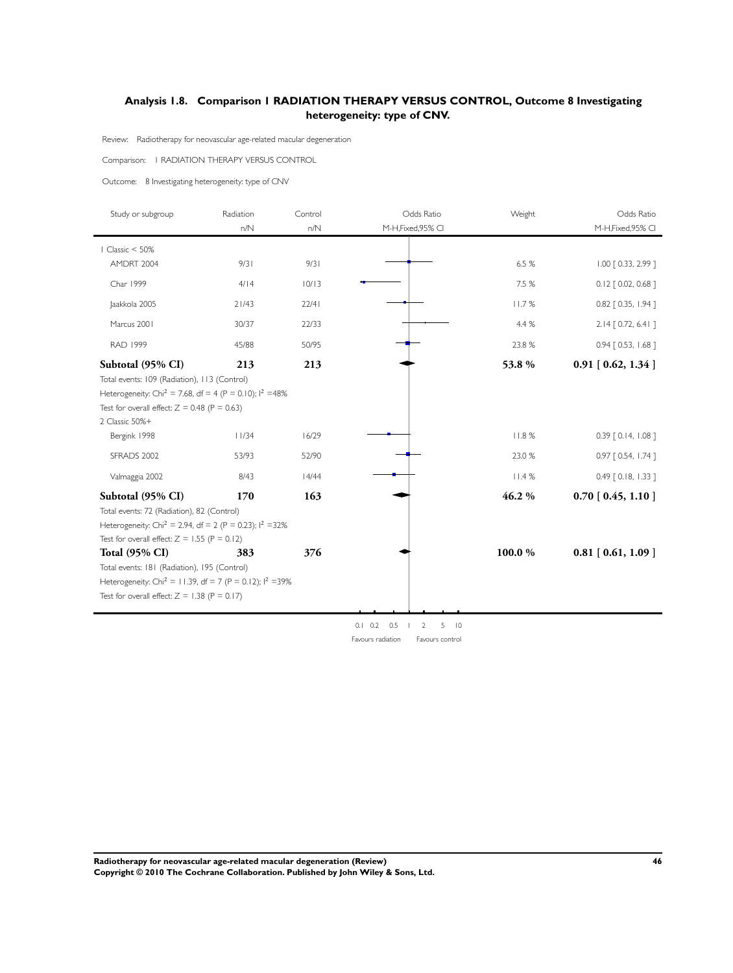# <span id="page-47-0"></span>**Analysis 1.8. Comparison 1 RADIATION THERAPY VERSUS CONTROL, Outcome 8 Investigating heterogeneity: type of CNV.**

Review: Radiotherapy for neovascular age-related macular degeneration

Comparison: 1 RADIATION THERAPY VERSUS CONTROL

Outcome: 8 Investigating heterogeneity: type of CNV

| Study or subgroup                                                      | Radiation | Control | Odds Ratio                                                                         | Weight | Odds Ratio                 |
|------------------------------------------------------------------------|-----------|---------|------------------------------------------------------------------------------------|--------|----------------------------|
|                                                                        | n/N       | n/N     | M-H, Fixed, 95% CI                                                                 |        | M-H,Fixed,95% Cl           |
| Classic < 50%                                                          |           |         |                                                                                    |        |                            |
| AMDRT 2004                                                             | 9/31      | 9/31    |                                                                                    | 6.5 %  | 1.00 [ 0.33, 2.99 ]        |
| Char 1999                                                              | 4/14      | 10/13   |                                                                                    | 7.5 %  | $0.12$ $[0.02, 0.68]$      |
| Jaakkola 2005                                                          | 21/43     | 22/41   |                                                                                    | 11.7%  | 0.82 [ 0.35, 1.94 ]        |
| Marcus 2001                                                            | 30/37     | 22/33   |                                                                                    | 4.4 %  | 2.14 [ 0.72, 6.41 ]        |
| RAD 1999                                                               | 45/88     | 50/95   |                                                                                    | 23.8%  | 0.94 [ 0.53, 1.68 ]        |
| Subtotal (95% CI)                                                      | 213       | 213     |                                                                                    | 53.8%  | $0.91$ [ $0.62$ , $1.34$ ] |
| Total events: 109 (Radiation), 113 (Control)                           |           |         |                                                                                    |        |                            |
| Heterogeneity: Chi <sup>2</sup> = 7.68, df = 4 (P = 0.10); $1^2$ =48%  |           |         |                                                                                    |        |                            |
| Test for overall effect: $Z = 0.48$ (P = 0.63)                         |           |         |                                                                                    |        |                            |
| 2 Classic 50%+                                                         |           |         |                                                                                    |        |                            |
| Bergink 1998                                                           | 11/34     | 16/29   |                                                                                    | 11.8%  | $0.39$ $[0.14, 1.08]$      |
| SFRADS 2002                                                            | 53/93     | 52/90   |                                                                                    | 23.0 % | 0.97 [ 0.54, 1.74 ]        |
| Valmaggia 2002                                                         | 8/43      | 14/44   |                                                                                    | 11.4%  | 0.49 [ 0.18, 1.33 ]        |
| Subtotal (95% CI)                                                      | 170       | 163     |                                                                                    | 46.2%  | $0.70$ [ $0.45$ , 1.10 ]   |
| Total events: 72 (Radiation), 82 (Control)                             |           |         |                                                                                    |        |                            |
| Heterogeneity: Chi <sup>2</sup> = 2.94, df = 2 (P = 0.23); $1^2$ =32%  |           |         |                                                                                    |        |                            |
| Test for overall effect: $Z = 1.55$ (P = 0.12)                         |           |         |                                                                                    |        |                            |
| <b>Total (95% CI)</b>                                                  | 383       | 376     |                                                                                    | 100.0% | $0.81$ [ $0.61$ , 1.09 ]   |
| Total events: 181 (Radiation), 195 (Control)                           |           |         |                                                                                    |        |                            |
| Heterogeneity: Chi <sup>2</sup> = 11.39, df = 7 (P = 0.12); $1^2$ =39% |           |         |                                                                                    |        |                            |
| Test for overall effect: $Z = 1.38$ (P = 0.17)                         |           |         |                                                                                    |        |                            |
|                                                                        |           |         |                                                                                    |        |                            |
|                                                                        |           |         | $0.1 \quad 0.2$<br>0.5<br>5<br>$\overline{10}$<br>$\overline{1}$<br>$\overline{2}$ |        |                            |
|                                                                        |           |         | Favours radiation<br>Favours control                                               |        |                            |

**Radiotherapy for neovascular age-related macular degeneration (Review) 46 Copyright © 2010 The Cochrane Collaboration. Published by John Wiley & Sons, Ltd.**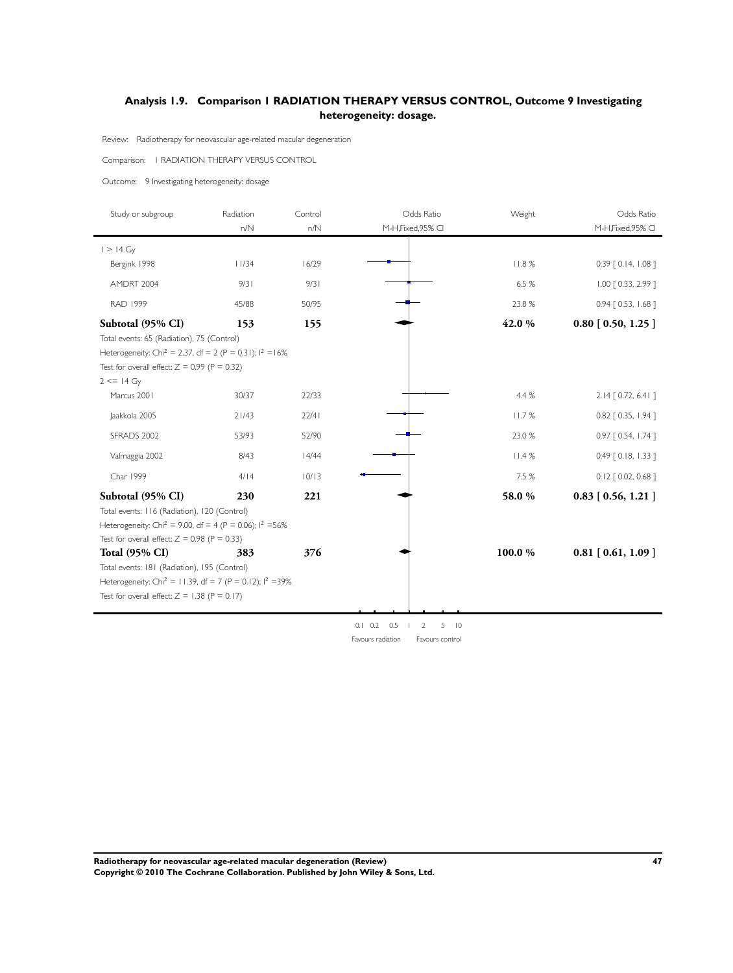# <span id="page-48-0"></span>**Analysis 1.9. Comparison 1 RADIATION THERAPY VERSUS CONTROL, Outcome 9 Investigating heterogeneity: dosage.**

Review: Radiotherapy for neovascular age-related macular degeneration

Comparison: 1 RADIATION THERAPY VERSUS CONTROL

Outcome: 9 Investigating heterogeneity: dosage

| Study or subgroup                                                                                                                                                                                      | Radiation<br>n/N | Control<br>n/N | Odds Ratio<br>M-H, Fixed, 95% CI                                                 | Weight | Odds Ratio<br>M-H,Fixed,95% CI |
|--------------------------------------------------------------------------------------------------------------------------------------------------------------------------------------------------------|------------------|----------------|----------------------------------------------------------------------------------|--------|--------------------------------|
|                                                                                                                                                                                                        |                  |                |                                                                                  |        |                                |
| $1 > 14$ Gy                                                                                                                                                                                            |                  |                |                                                                                  |        |                                |
| Bergink 1998                                                                                                                                                                                           | 11/34            | 16/29          |                                                                                  | 11.8%  | $0.39$ $[0.14, 1.08]$          |
| AMDRT 2004                                                                                                                                                                                             | 9/31             | 9/31           |                                                                                  | 6.5 %  | $1.00$ $[0.33, 2.99]$          |
| RAD 1999                                                                                                                                                                                               | 45/88            | 50/95          |                                                                                  | 23.8%  | 0.94 [ 0.53, 1.68 ]            |
| Subtotal (95% CI)                                                                                                                                                                                      | 153              | 155            |                                                                                  | 42.0%  | $0.80$ [ 0.50, 1.25 ]          |
| Total events: 65 (Radiation), 75 (Control)<br>Heterogeneity: Chi <sup>2</sup> = 2.37, df = 2 (P = 0.31); $1^2$ = 16%<br>Test for overall effect: $Z = 0.99$ (P = 0.32)<br>$2 \leq 14 \text{ Gy}$       |                  |                |                                                                                  |        |                                |
| Marcus 2001                                                                                                                                                                                            | 30/37            | 22/33          |                                                                                  | 4.4 %  | 2.14 [ 0.72, 6.41 ]            |
| Jaakkola 2005                                                                                                                                                                                          | 21/43            | 22/41          |                                                                                  | 11.7%  | $0.82$ $[0.35, 1.94]$          |
| SFRADS 2002                                                                                                                                                                                            | 53/93            | 52/90          |                                                                                  | 23.0 % | 0.97 [ 0.54, 1.74 ]            |
| Valmaggia 2002                                                                                                                                                                                         | 8/43             | 14/44          |                                                                                  | 11.4%  | 0.49 [ 0.18, 1.33 ]            |
| Char 1999                                                                                                                                                                                              | 4/14             | 10/13          |                                                                                  | 7.5 %  | $0.12$ $[0.02, 0.68]$          |
| Subtotal (95% CI)<br>Total events: 116 (Radiation), 120 (Control)<br>Heterogeneity: Chi <sup>2</sup> = 9.00, df = 4 (P = 0.06); l <sup>2</sup> = 56%<br>Test for overall effect: $Z = 0.98$ (P = 0.33) | 230              | 221            |                                                                                  | 58.0%  | $0.83$ [ $0.56$ , 1.21 ]       |
| <b>Total (95% CI)</b><br>Total events: 181 (Radiation), 195 (Control)<br>Heterogeneity: Chi <sup>2</sup> = 11.39, df = 7 (P = 0.12); $1^2$ =39%<br>Test for overall effect: $Z = 1.38$ (P = 0.17)      | 383              | 376            |                                                                                  | 100.0% | $0.81$ [ $0.61$ , 1.09 ]       |
|                                                                                                                                                                                                        |                  |                |                                                                                  |        |                                |
|                                                                                                                                                                                                        |                  |                | 5<br>$0.1 \quad 0.2$<br>0.5<br>$\overline{10}$<br>$\overline{2}$<br>$\mathbf{I}$ |        |                                |
|                                                                                                                                                                                                        |                  |                | Favours radiation<br>Favours control                                             |        |                                |

**Radiotherapy for neovascular age-related macular degeneration (Review) 47 Copyright © 2010 The Cochrane Collaboration. Published by John Wiley & Sons, Ltd.**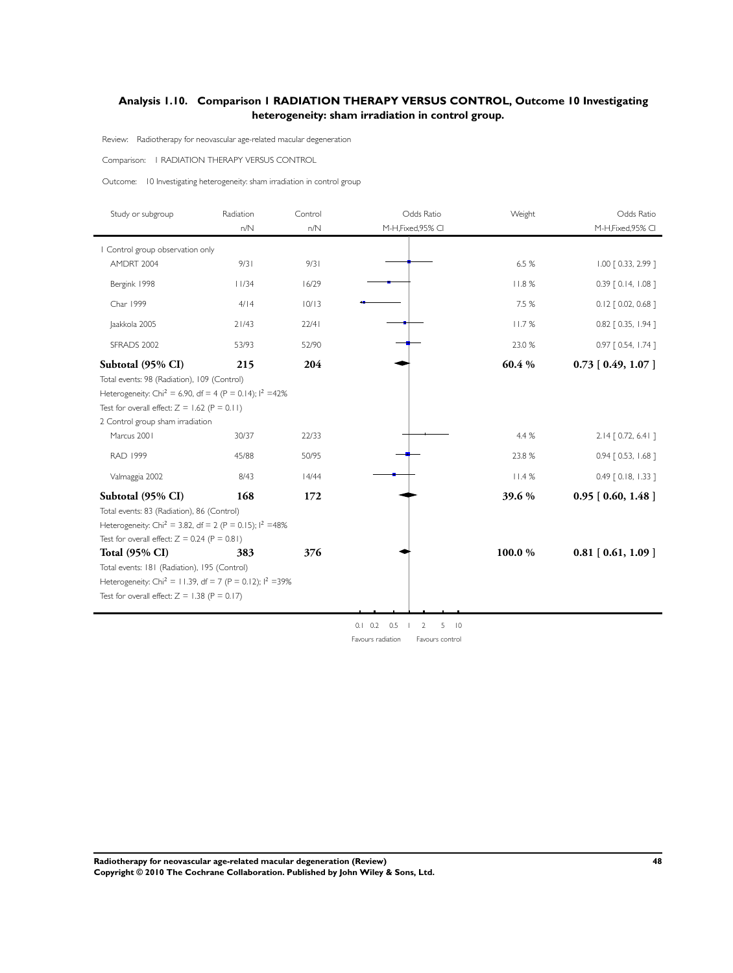## <span id="page-49-0"></span>**Analysis 1.10. Comparison 1 RADIATION THERAPY VERSUS CONTROL, Outcome 10 Investigating heterogeneity: sham irradiation in control group.**

Review: Radiotherapy for neovascular age-related macular degeneration

Comparison: 1 RADIATION THERAPY VERSUS CONTROL

Outcome: 10 Investigating heterogeneity: sham irradiation in control group

| Study or subgroup                                                      | Radiation<br>n/N | Control<br>n/N | Odds Ratio<br>M-H, Fixed, 95% CI | Weight | Odds Ratio<br>M-H,Fixed,95% Cl |
|------------------------------------------------------------------------|------------------|----------------|----------------------------------|--------|--------------------------------|
| I Control group observation only                                       |                  |                |                                  |        |                                |
| AMDRT 2004                                                             | 9/31             | 9/31           |                                  | 6.5 %  | $1.00$ $[0.33, 2.99]$          |
| Bergink 1998                                                           | 11/34            | 16/29          |                                  | 11.8%  | $0.39$ $[0.14, 1.08]$          |
|                                                                        |                  |                |                                  |        |                                |
| Char 1999                                                              | 4/14             | 10/13          |                                  | 7.5 %  | $0.12$ $[0.02, 0.68]$          |
| Jaakkola 2005                                                          | 21/43            | 22/41          |                                  | 11.7%  | 0.82 [ 0.35, 1.94 ]            |
| SFRADS 2002                                                            | 53/93            | 52/90          |                                  | 23.0 % | 0.97 [ 0.54, 1.74 ]            |
| Subtotal (95% CI)                                                      | 215              | 204            |                                  | 60.4 % | $0.73$ [ $0.49, 1.07$ ]        |
| Total events: 98 (Radiation), 109 (Control)                            |                  |                |                                  |        |                                |
| Heterogeneity: Chi <sup>2</sup> = 6.90, df = 4 (P = 0.14); $1^2$ =42%  |                  |                |                                  |        |                                |
| Test for overall effect: $Z = 1.62$ (P = 0.11)                         |                  |                |                                  |        |                                |
| 2 Control group sham irradiation                                       |                  |                |                                  |        |                                |
| Marcus 2001                                                            | 30/37            | 22/33          |                                  | 4.4 %  | 2.14 [ 0.72, 6.41 ]            |
| RAD 1999                                                               | 45/88            | 50/95          |                                  | 23.8%  | $0.94$ $[ 0.53, 1.68 ]$        |
| Valmaggia 2002                                                         | 8/43             | 14/44          |                                  | 11.4%  | 0.49 [ 0.18, 1.33 ]            |
| Subtotal (95% CI)                                                      | 168              | 172            |                                  | 39.6 % | $0.95$ [ $0.60, 1.48$ ]        |
| Total events: 83 (Radiation), 86 (Control)                             |                  |                |                                  |        |                                |
| Heterogeneity: Chi <sup>2</sup> = 3.82, df = 2 (P = 0.15); $1^2$ =48%  |                  |                |                                  |        |                                |
| Test for overall effect: $Z = 0.24$ (P = 0.81)                         |                  |                |                                  |        |                                |
| <b>Total (95% CI)</b>                                                  | 383              | 376            |                                  | 100.0% | $0.81$ [ $0.61$ , $1.09$ ]     |
| Total events: 181 (Radiation), 195 (Control)                           |                  |                |                                  |        |                                |
| Heterogeneity: Chi <sup>2</sup> = 11.39, df = 7 (P = 0.12); $1^2$ =39% |                  |                |                                  |        |                                |
| Test for overall effect: $Z = 1.38$ (P = 0.17)                         |                  |                |                                  |        |                                |
|                                                                        |                  |                | $0.1$ $0.2$ $0.5$<br>$5 \t10$    |        |                                |
|                                                                        |                  |                | 2<br>-1                          |        |                                |

Favours radiation Favours control

**Radiotherapy for neovascular age-related macular degeneration (Review) 48 Copyright © 2010 The Cochrane Collaboration. Published by John Wiley & Sons, Ltd.**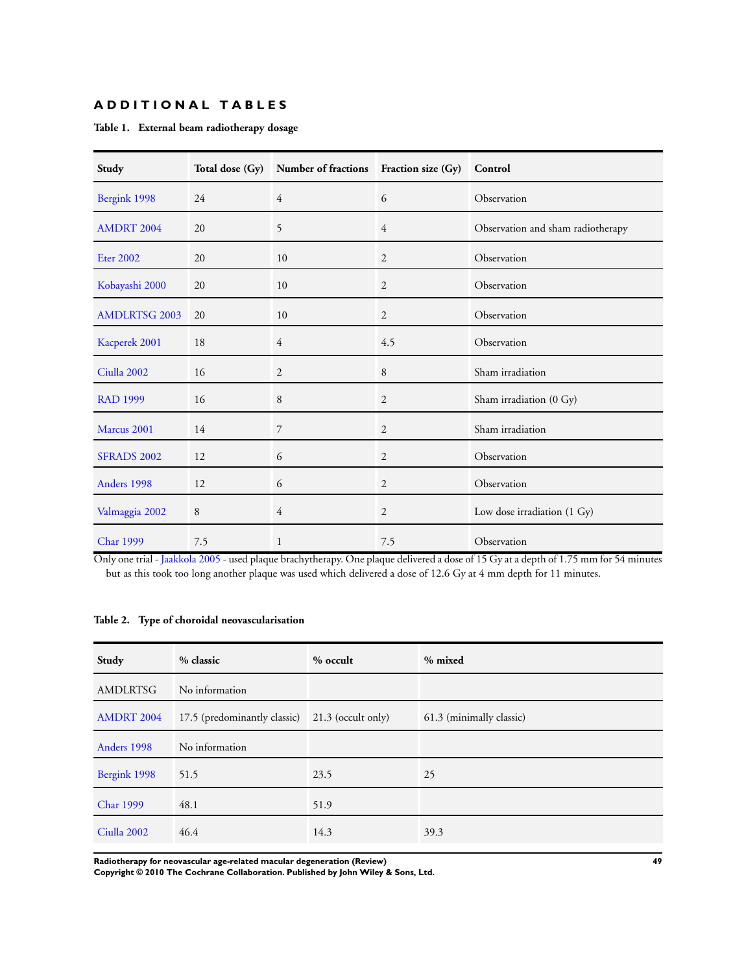### **A D D I T I O N A L T A B L E S**

**Table 1. External beam radiotherapy dosage**

| Study                | Total dose (Gy) | Number of fractions Fraction size (Gy) |                | Control                           |
|----------------------|-----------------|----------------------------------------|----------------|-----------------------------------|
| Bergink 1998         | 24              | 4                                      | 6              | Observation                       |
| <b>AMDRT 2004</b>    | 20              | 5                                      | 4              | Observation and sham radiotherapy |
| <b>Eter 2002</b>     | 20              | 10                                     | 2              | Observation                       |
| Kobayashi 2000       | 20              | 10                                     | $\mathfrak{2}$ | Observation                       |
| <b>AMDLRTSG 2003</b> | 20              | 10                                     | $\overline{2}$ | Observation                       |
| Kacperek 2001        | 18              | 4                                      | 4.5            | Observation                       |
| Ciulla 2002          | 16              | 2                                      | 8              | Sham irradiation                  |
| <b>RAD 1999</b>      | 16              | 8                                      | 2              | Sham irradiation (0 Gy)           |
| Marcus 2001          | 14              | 7                                      | $\mathfrak{2}$ | Sham irradiation                  |
| <b>SFRADS 2002</b>   | 12              | 6                                      | $\mathfrak{2}$ | Observation                       |
| Anders 1998          | 12              | 6                                      | $\mathfrak{2}$ | Observation                       |
| Valmaggia 2002       | 8               | 4                                      | 2              | Low dose irradiation (1 Gy)       |
| <b>Char 1999</b>     | 7.5             | 1                                      | 7.5            | Observation                       |

Only one trial - [Jaakkola 2005](#page-16-0) - used plaque brachytherapy. One plaque delivered a dose of 15 Gy at a depth of 1.75 mm for 54 minutes but as this took too long another plaque was used which delivered a dose of 12.6 Gy at 4 mm depth for 11 minutes.

#### **Table 2. Type of choroidal neovascularisation**

| Study             | % classic                                       | $%$ occult | $%$ mixed                |
|-------------------|-------------------------------------------------|------------|--------------------------|
| <b>AMDLRTSG</b>   | No information                                  |            |                          |
| <b>AMDRT 2004</b> | 17.5 (predominantly classic) 21.3 (occult only) |            | 61.3 (minimally classic) |
| Anders 1998       | No information                                  |            |                          |
| Bergink 1998      | 51.5                                            | 23.5       | 25                       |
| <b>Char 1999</b>  | 48.1                                            | 51.9       |                          |
| Ciulla 2002       | 46.4                                            | 14.3       | 39.3                     |

**Radiotherapy for neovascular age-related macular degeneration (Review) 49**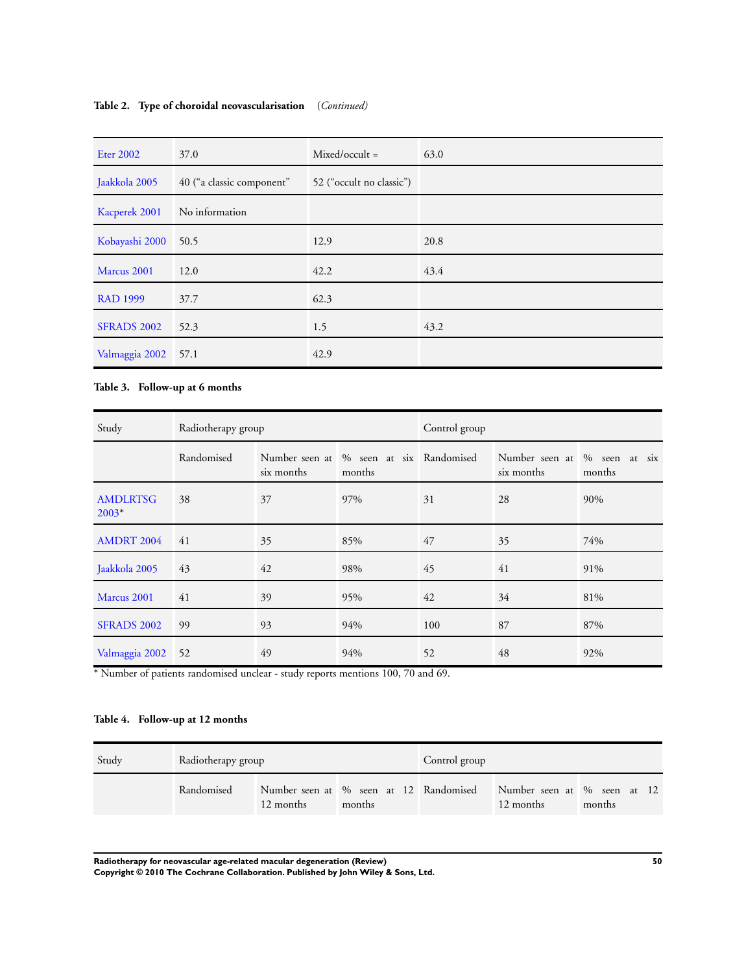| <b>Eter 2002</b>   | 37.0                      | $Mixed/occut =$          | 63.0 |
|--------------------|---------------------------|--------------------------|------|
| Jaakkola 2005      | 40 ("a classic component" | 52 ("occult no classic") |      |
| Kacperek 2001      | No information            |                          |      |
| Kobayashi 2000     | 50.5                      | 12.9                     | 20.8 |
| Marcus 2001        | 12.0                      | 42.2                     | 43.4 |
| <b>RAD 1999</b>    | 37.7                      | 62.3                     |      |
| <b>SFRADS 2002</b> | 52.3                      | 1.5                      | 43.2 |
| Valmaggia 2002     | 57.1                      | 42.9                     |      |

#### **Table 3. Follow-up at 6 months**

| Study                      | Radiotherapy group |                                                                 |     | Control group                              |           |        |  |
|----------------------------|--------------------|-----------------------------------------------------------------|-----|--------------------------------------------|-----------|--------|--|
|                            | Randomised         | Number seen at % seen at six Randomised<br>six months<br>months |     | Number seen at % seen at six<br>six months |           | months |  |
| <b>AMDLRTSG</b><br>$2003*$ | 38                 | 37                                                              | 97% | 31                                         | 90%<br>28 |        |  |
| <b>AMDRT 2004</b>          | 41                 | 35                                                              | 85% | 47                                         | 35        | 74%    |  |
| Jaakkola 2005              | 43                 | 42                                                              | 98% | 45                                         | 41        | 91%    |  |
| Marcus 2001                | 41                 | 39                                                              | 95% | 42                                         | 34        | 81%    |  |
| <b>SFRADS 2002</b>         | 99                 | 93                                                              | 94% | 100                                        | 87        | 87%    |  |
| Valmaggia 2002             | 52                 | 49                                                              | 94% | 52                                         | 48        | 92%    |  |

\* Number of patients randomised unclear - study reports mentions 100, 70 and 69.

### **Table 4. Follow-up at 12 months**

| Study | Radiotherapy group |           |        | Control group |                                                                                 |        |  |
|-------|--------------------|-----------|--------|---------------|---------------------------------------------------------------------------------|--------|--|
|       | Randomised         | 12 months | months |               | Number seen at % seen at 12 Randomised Number seen at % seen at 12<br>12 months | months |  |

**Radiotherapy for neovascular age-related macular degeneration (Review) 50 Copyright © 2010 The Cochrane Collaboration. Published by John Wiley & Sons, Ltd.**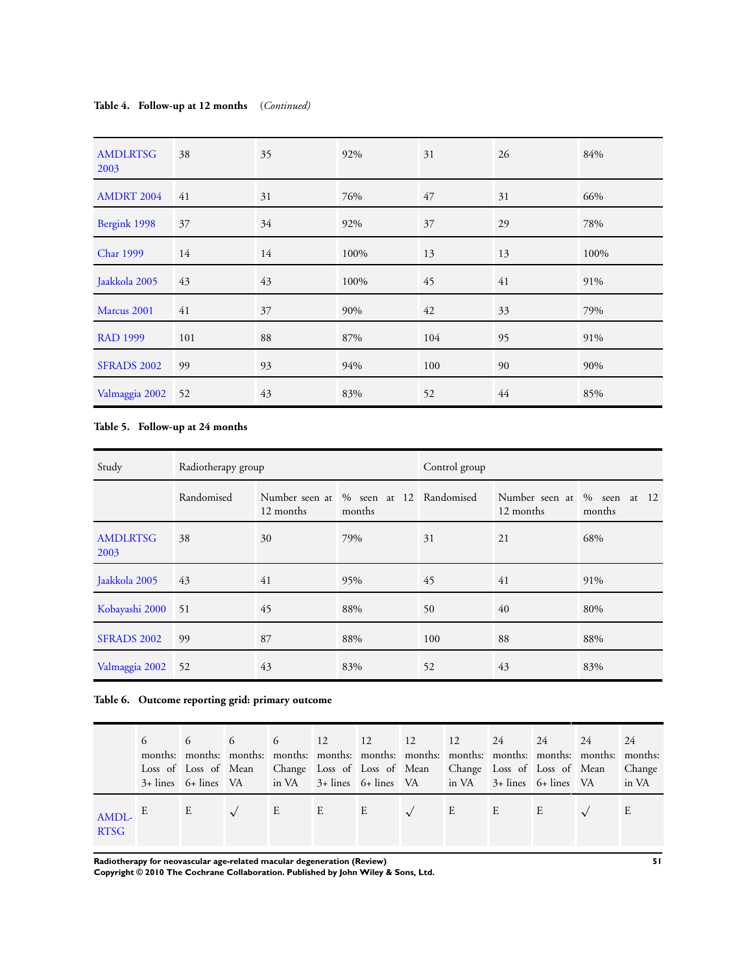### **Table 4. Follow-up at 12 months** (*Continued)*

| <b>AMDLRTSG</b><br>2003 | 38  | 35 | 92%  | 31  | 26 | 84%  |
|-------------------------|-----|----|------|-----|----|------|
| <b>AMDRT 2004</b>       | 41  | 31 | 76%  | 47  | 31 | 66%  |
| Bergink 1998            | 37  | 34 | 92%  | 37  | 29 | 78%  |
| <b>Char 1999</b>        | 14  | 14 | 100% | 13  | 13 | 100% |
| Jaakkola 2005           | 43  | 43 | 100% | 45  | 41 | 91%  |
| Marcus 2001             | 41  | 37 | 90%  | 42  | 33 | 79%  |
| <b>RAD 1999</b>         | 101 | 88 | 87%  | 104 | 95 | 91%  |
| <b>SFRADS 2002</b>      | 99  | 93 | 94%  | 100 | 90 | 90%  |
| Valmaggia 2002          | 52  | 43 | 83%  | 52  | 44 | 85%  |

## **Table 5. Follow-up at 24 months**

| Study                   | Radiotherapy group |           |                                                  | Control group |                                       |              |
|-------------------------|--------------------|-----------|--------------------------------------------------|---------------|---------------------------------------|--------------|
|                         | Randomised         | 12 months | Number seen at % seen at 12 Randomised<br>months |               | Number seen at % seen at<br>12 months | 12<br>months |
| <b>AMDLRTSG</b><br>2003 | 38                 | 30        | 79%                                              | 31            | 21                                    | 68%          |
| Jaakkola 2005           | 43                 | 41        | 95%                                              | 45            | 41                                    | 91%          |
| Kobayashi 2000 51       |                    | 45        | 88%                                              | 50            | 40                                    | 80%          |
| <b>SFRADS 2002</b>      | 99                 | 87        | 88%                                              | 100           | 88                                    | 88%          |
| Valmaggia 2002          | 52                 | 43        | 83%                                              | 52            | 43                                    | 83%          |

# **Table 6. Outcome reporting grid: primary outcome**

|             |  | 6 6 6 6 6 12 12 12 12 24 24 24 24<br>months: months: months: months: months: months: months: months: months: months: months: months:<br>Loss of Loss of Mean Change Loss of Loss of Mean Change Loss of Loss of Mean Change<br>$3+$ lines $6+$ lines VA in VA $3+$ lines $6+$ lines VA in VA $3+$ lines $6+$ lines VA in VA |  |  |  |  |
|-------------|--|-----------------------------------------------------------------------------------------------------------------------------------------------------------------------------------------------------------------------------------------------------------------------------------------------------------------------------|--|--|--|--|
| <b>RTSG</b> |  | AMDLE EVERENT EXPLORED EXPLORED EXPLORED EXPLORED EXPLORED EXPLORED EXPLORED EXPLORED EXPLORED EXPLORED EXPLORED EXPLORED EXPLORED EXPLORED EXPLORED EXPLORED EXPLORED EXPLORED EXPLORED EXPLORED EXPLORED EXPLORED EXPLORED                                                                                                |  |  |  |  |

**Radiotherapy for neovascular age-related macular degeneration (Review) 51**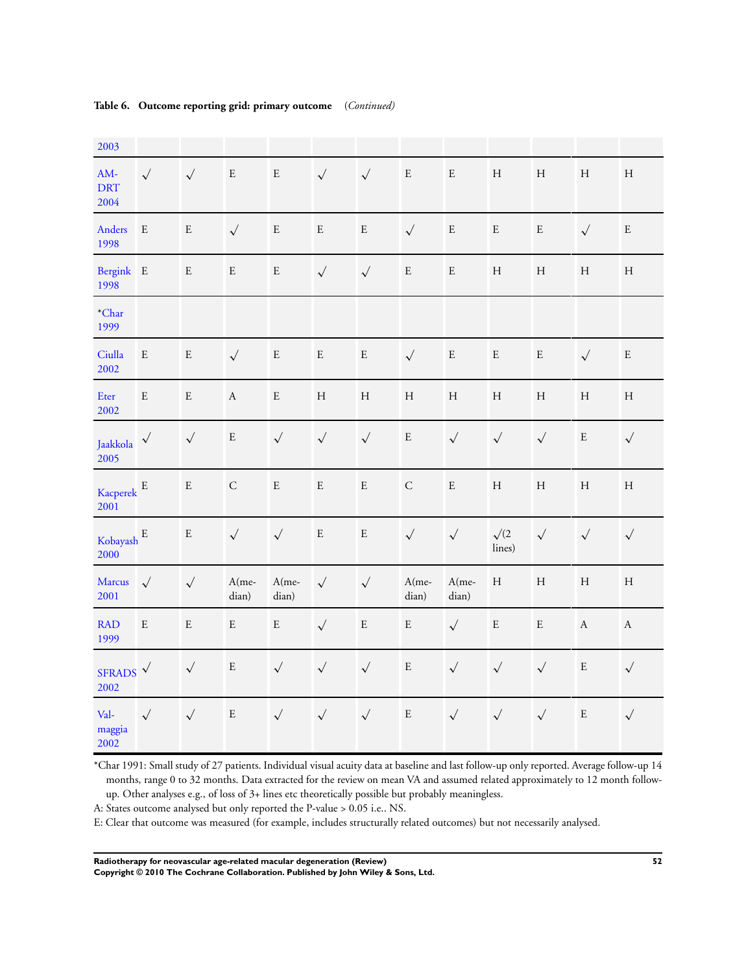| 2003                          |             |             |                  |                |                           |                           |                           |                           |                           |                           |                           |                           |
|-------------------------------|-------------|-------------|------------------|----------------|---------------------------|---------------------------|---------------------------|---------------------------|---------------------------|---------------------------|---------------------------|---------------------------|
| AM-<br><b>DRT</b><br>2004     | $\sqrt{}$   | $\sqrt{}$   | ${\bf E}$        | $\mathbf E$    | $\sqrt{ }$                | $\sqrt{ }$                | $\mathbf E$               | ${\bf E}$                 | $\boldsymbol{\mathrm{H}}$ | $\boldsymbol{\mathrm{H}}$ | $\boldsymbol{\mathrm{H}}$ | $\boldsymbol{\mathrm{H}}$ |
| Anders<br>1998                | $\mathbf E$ | ${\bf E}$   | $\sqrt{ }$       | $\mathbf E$    | $\mathbf E$               | ${\bf E}$                 | $\sqrt{ }$                | ${\bf E}$                 | ${\bf E}$                 | ${\bf E}$                 | $\sqrt{ }$                | ${\bf E}$                 |
| Bergink E<br>1998             |             | ${\bf E}$   | ${\bf E}$        | ${\bf E}$      | $\sqrt{ }$                | $\sqrt{ }$                | ${\bf E}$                 | ${\bf E}$                 | $\boldsymbol{\mathrm{H}}$ | $\boldsymbol{\mathrm{H}}$ | $H_{\rm}$                 | $\boldsymbol{\mathrm{H}}$ |
| *Char<br>1999                 |             |             |                  |                |                           |                           |                           |                           |                           |                           |                           |                           |
| Ciulla<br>2002                | ${\bf E}$   | ${\bf E}$   | $\sqrt{ }$       | $\mathbf E$    | $\mathbf E$               | $\mathbf E$               | $\sqrt{ }$                | ${\bf E}$                 | $\mathbf E$               | ${\bf E}$                 | $\sqrt{ }$                | ${\bf E}$                 |
| Eter<br>2002                  | $\mathbf E$ | ${\bf E}$   | $\boldsymbol{A}$ | $\mathbf E$    | $\boldsymbol{\mathrm{H}}$ | $\boldsymbol{\mathrm{H}}$ | $\boldsymbol{\mathrm{H}}$ | $\boldsymbol{\mathrm{H}}$ | $\boldsymbol{\mathrm{H}}$ | $\boldsymbol{\mathrm{H}}$ | $\boldsymbol{\mathrm{H}}$ | $\boldsymbol{\mathrm{H}}$ |
| Jaakkola<br>2005              | $\sqrt{2}$  | $\sqrt{ }$  | ${\bf E}$        | $\sqrt{ }$     | $\sqrt{ }$                | $\sqrt{ }$                | $\mathbf E$               | $\sqrt{ }$                | $\sqrt{ }$                | $\sqrt{ }$                | $\mathbf E$               | $\sqrt{ }$                |
| $\mbox{Kacperek}$ E<br>2001   |             | ${\bf E}$   | $\mathsf C$      | $\mathbf E$    | $\mathbf E$               | $\mathbf E$               | $\mathsf{C}$              | ${\bf E}$                 | $\boldsymbol{\mathrm{H}}$ | $\boldsymbol{\mathrm{H}}$ | $\boldsymbol{\mathrm{H}}$ | $\boldsymbol{\mathrm{H}}$ |
| Kobayash <sup>E</sup><br>2000 |             | $\mathbf E$ | $\sqrt{ }$       | $\sqrt{ }$     | $\mathbf E$               | $\mathbf E$               | $\sqrt{ }$                | $\sqrt{\phantom{a}}$      | $\sqrt{2}$<br>lines)      | $\sqrt{ }$                | $\sqrt{}$                 | $\sqrt{ }$                |
| Marcus<br>2001                | $\sqrt{ }$  | $\sqrt{ }$  | A(me-<br>dian)   | A(me-<br>dian) | $\sqrt{ }$                | $\sqrt{ }$                | A(me-<br>dian)            | A(me-<br>dian)            | $\boldsymbol{\mathrm{H}}$ | $\boldsymbol{\mathrm{H}}$ | $\boldsymbol{\mathrm{H}}$ | $\boldsymbol{\mathrm{H}}$ |
| <b>RAD</b><br>1999            | $\mathbf E$ | ${\bf E}$   | ${\bf E}$        | ${\bf E}$      | $\sqrt{ }$                | $\mathbf E$               | ${\bf E}$                 | $\sqrt{ }$                | ${\bf E}$                 | $\mathbf E$               | $\boldsymbol{A}$          | $\boldsymbol{A}$          |
| SFRADS $\sqrt$<br>2002        |             | $\sqrt{ }$  | ${\bf E}$        | $\sqrt{ }$     | $\sqrt{ }$                | $\sqrt{ }$                | $\mathbf E$               | $\sqrt{ }$                | $\sqrt{ }$                | $\sqrt{ }$                | ${\bf E}$                 | $\sqrt{ }$                |
| Val-<br>maggia<br>2002        | $\sqrt{ }$  | $\sqrt{ }$  | ${\bf E}$        | $\sqrt{ }$     | $\sqrt{ }$                | $\sqrt{ }$                | $\mathbf E$               | $\sqrt{ }$                | $\sqrt{ }$                | $\sqrt{ }$                | ${\bf E}$                 | $\sqrt{ }$                |

**Table 6. Outcome reporting grid: primary outcome** (*Continued)*

\*Char 1991: Small study of 27 patients. Individual visual acuity data at baseline and last follow-up only reported. Average follow-up 14 months, range 0 to 32 months. Data extracted for the review on mean VA and assumed related approximately to 12 month followup. Other analyses e.g., of loss of 3+ lines etc theoretically possible but probably meaningless.

A: States outcome analysed but only reported the P-value > 0.05 i.e.. NS.

E: Clear that outcome was measured (for example, includes structurally related outcomes) but not necessarily analysed.

**Radiotherapy for neovascular age-related macular degeneration (Review) 52**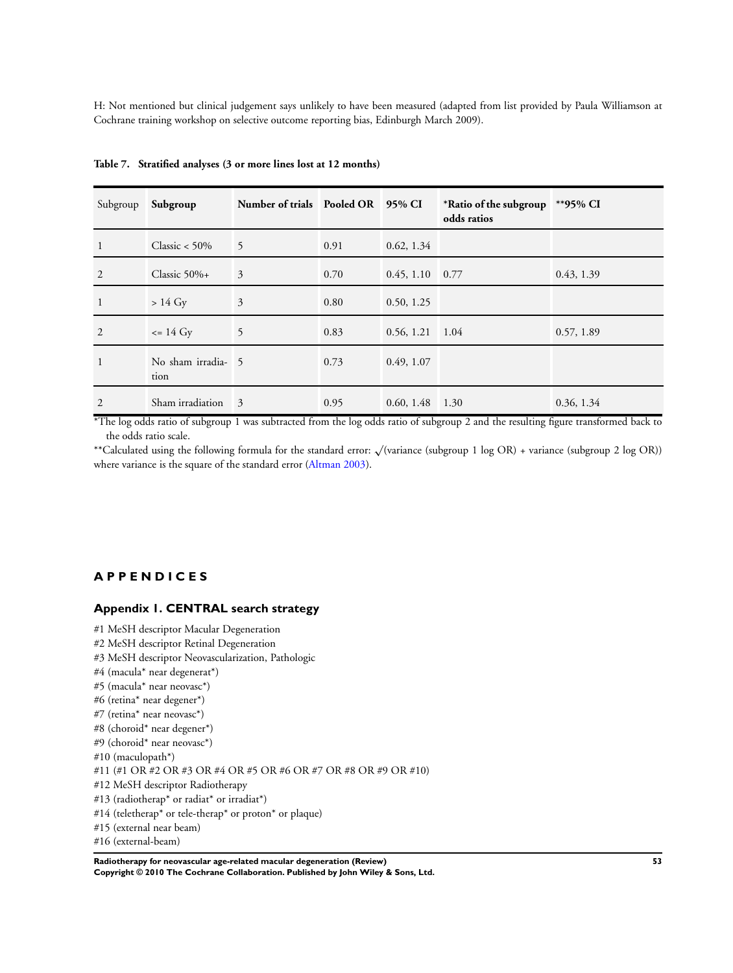H: Not mentioned but clinical judgement says unlikely to have been measured (adapted from list provided by Paula Williamson at Cochrane training workshop on selective outcome reporting bias, Edinburgh March 2009).

| Subgroup     | Subgroup                   | Number of trials Pooled OR |      | 95% CI            | *Ratio of the subgroup<br>odds ratios | **95% CI   |
|--------------|----------------------------|----------------------------|------|-------------------|---------------------------------------|------------|
| 1            | Classic $<$ 50%            | 5                          | 0.91 | 0.62, 1.34        |                                       |            |
| 2            | Classic $50\%$ +           | 3                          | 0.70 | $0.45, 1.10$ 0.77 |                                       | 0.43, 1.39 |
| $\mathbf{1}$ | $>14 \text{ Gy}$           | 3                          | 0.80 | 0.50, 1.25        |                                       |            |
| 2            | $\epsilon$ = 14 Gy         | 5                          | 0.83 | $0.56, 1.21$ 1.04 |                                       | 0.57, 1.89 |
| 1            | No sham irradia-15<br>tion |                            | 0.73 | 0.49, 1.07        |                                       |            |
| 2            | Sham irradiation           | 3                          | 0.95 | 0.60, 1.48        | 1.30                                  | 0.36, 1.34 |

**Table 7. Stratified analyses (3 or more lines lost at 12 months)**

\*The log odds ratio of subgroup 1 was subtracted from the log odds ratio of subgroup 2 and the resulting figure transformed back to the odds ratio scale.

\*\*Calculated using the following formula for the standard error: √ (variance (subgroup 1 log OR) + variance (subgroup 2 log OR)) where variance is the square of the standard error ([Altman 2003](#page-16-0)).

## **A P P E N D I C E S**

#### **Appendix 1. CENTRAL search strategy**

#1 MeSH descriptor Macular Degeneration

- #2 MeSH descriptor Retinal Degeneration
- #3 MeSH descriptor Neovascularization, Pathologic
- #4 (macula\* near degenerat\*)
- #5 (macula\* near neovasc\*)
- #6 (retina\* near degener\*)
- #7 (retina\* near neovasc\*)
- #8 (choroid\* near degener\*)
- #9 (choroid\* near neovasc\*)
- #10 (maculopath\*)

#11 (#1 OR #2 OR #3 OR #4 OR #5 OR #6 OR #7 OR #8 OR #9 OR #10)

- #12 MeSH descriptor Radiotherapy
- #13 (radiotherap\* or radiat\* or irradiat\*)
- #14 (teletherap\* or tele-therap\* or proton\* or plaque)
- #15 (external near beam)
- #16 (external-beam)

**Radiotherapy for neovascular age-related macular degeneration (Review) 53 Copyright © 2010 The Cochrane Collaboration. Published by John Wiley & Sons, Ltd.**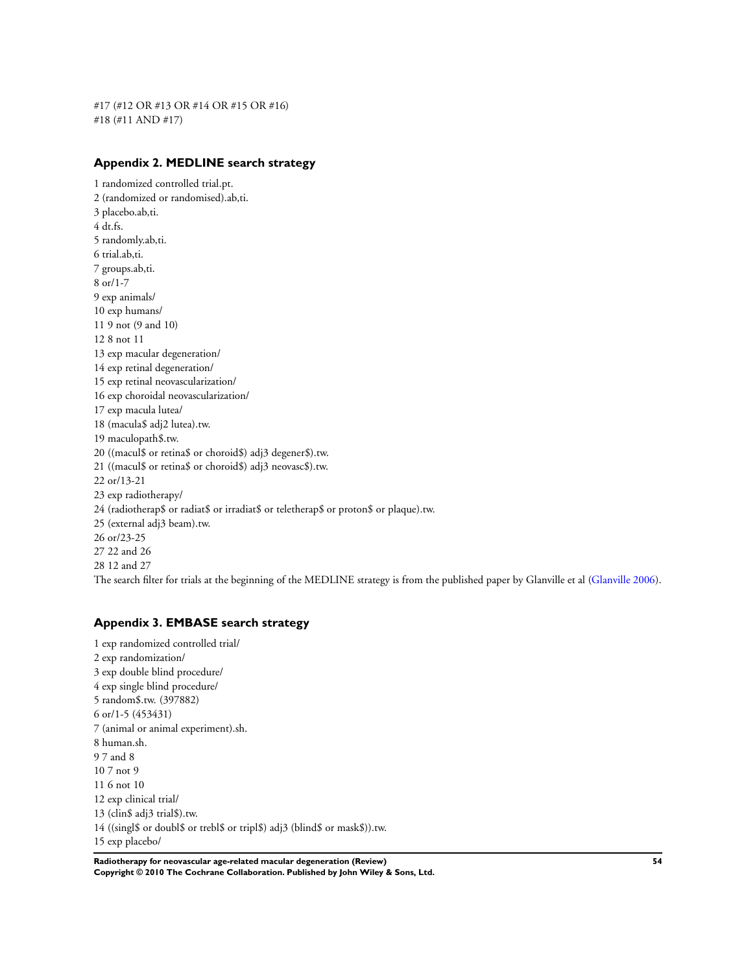#17 (#12 OR #13 OR #14 OR #15 OR #16) #18 (#11 AND #17)

#### **Appendix 2. MEDLINE search strategy**

1 randomized controlled trial.pt. 2 (randomized or randomised).ab,ti. 3 placebo.ab,ti. 4 dt.fs. 5 randomly.ab,ti. 6 trial.ab,ti. 7 groups.ab,ti. 8 or/1-7 9 exp animals/ 10 exp humans/ 11 9 not (9 and 10) 12 8 not 11 13 exp macular degeneration/ 14 exp retinal degeneration/ 15 exp retinal neovascularization/ 16 exp choroidal neovascularization/ 17 exp macula lutea/ 18 (macula\$ adj2 lutea).tw. 19 maculopath\$.tw. 20 ((macul\$ or retina\$ or choroid\$) adj3 degener\$).tw. 21 ((macul\$ or retina\$ or choroid\$) adj3 neovasc\$).tw. 22 or/13-21 23 exp radiotherapy/ 24 (radiotherap\$ or radiat\$ or irradiat\$ or teletherap\$ or proton\$ or plaque).tw. 25 (external adj3 beam).tw. 26 or/23-25 27 22 and 26 28 12 and 27 The search filter for trials at the beginning of the MEDLINE strategy is from the published paper by Glanville et al ([Glanville 2006\)](#page-16-0).

# **Appendix 3. EMBASE search strategy**

1 exp randomized controlled trial/ 2 exp randomization/ 3 exp double blind procedure/ 4 exp single blind procedure/ 5 random\$.tw. (397882) 6 or/1-5 (453431) 7 (animal or animal experiment).sh. 8 human.sh. 9 7 and 8 10 7 not 9 11 6 not 10 12 exp clinical trial/ 13 (clin\$ adj3 trial\$).tw. 14 ((singl\$ or doubl\$ or trebl\$ or tripl\$) adj3 (blind\$ or mask\$)).tw. 15 exp placebo/

**Radiotherapy for neovascular age-related macular degeneration (Review) 54 Copyright © 2010 The Cochrane Collaboration. Published by John Wiley & Sons, Ltd.**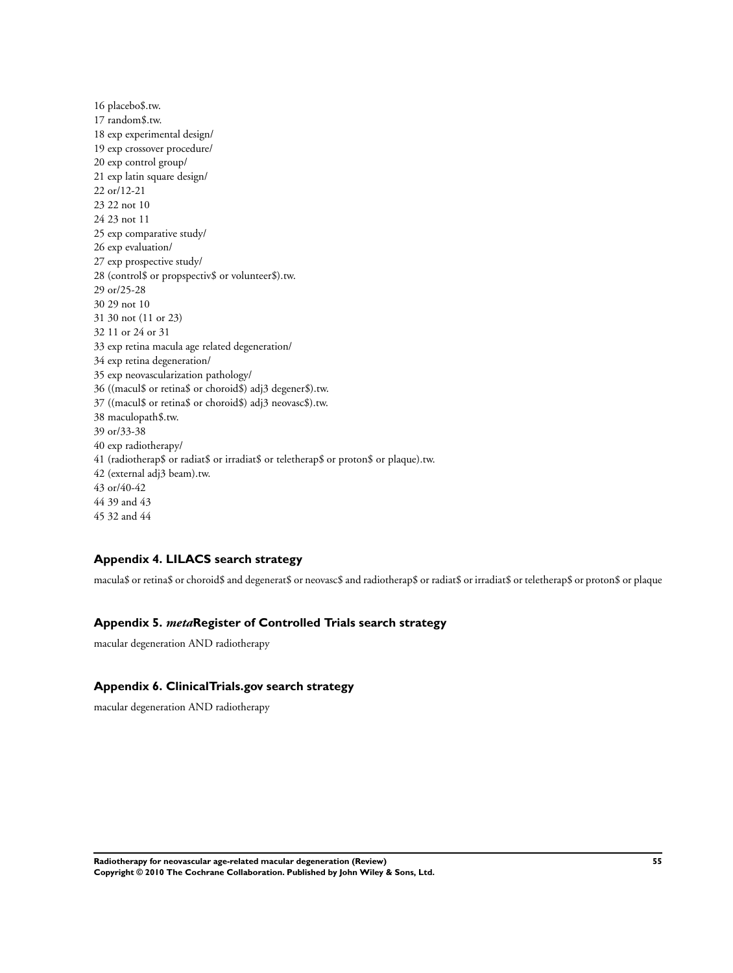16 placebo\$.tw. 17 random\$.tw. 18 exp experimental design/ 19 exp crossover procedure/ 20 exp control group/ 21 exp latin square design/ 22 or/12-21 23 22 not 10 24 23 not 11 25 exp comparative study/ 26 exp evaluation/ 27 exp prospective study/ 28 (control\$ or propspectiv\$ or volunteer\$).tw. 29 or/25-28 30 29 not 10 31 30 not (11 or 23) 32 11 or 24 or 31 33 exp retina macula age related degeneration/ 34 exp retina degeneration/ 35 exp neovascularization pathology/ 36 ((macul\$ or retina\$ or choroid\$) adj3 degener\$).tw. 37 ((macul\$ or retina\$ or choroid\$) adj3 neovasc\$).tw. 38 maculopath\$.tw. 39 or/33-38 40 exp radiotherapy/ 41 (radiotherap\$ or radiat\$ or irradiat\$ or teletherap\$ or proton\$ or plaque).tw. 42 (external adj3 beam).tw. 43 or/40-42 44 39 and 43 45 32 and 44

# **Appendix 4. LILACS search strategy**

macula\$ or retina\$ or choroid\$ and degenerat\$ or neovasc\$ and radiotherap\$ or radiat\$ or irradiat\$ or teletherap\$ or proton\$ or plaque

### **Appendix 5.** *meta***Register of Controlled Trials search strategy**

macular degeneration AND radiotherapy

#### **Appendix 6. ClinicalTrials.gov search strategy**

macular degeneration AND radiotherapy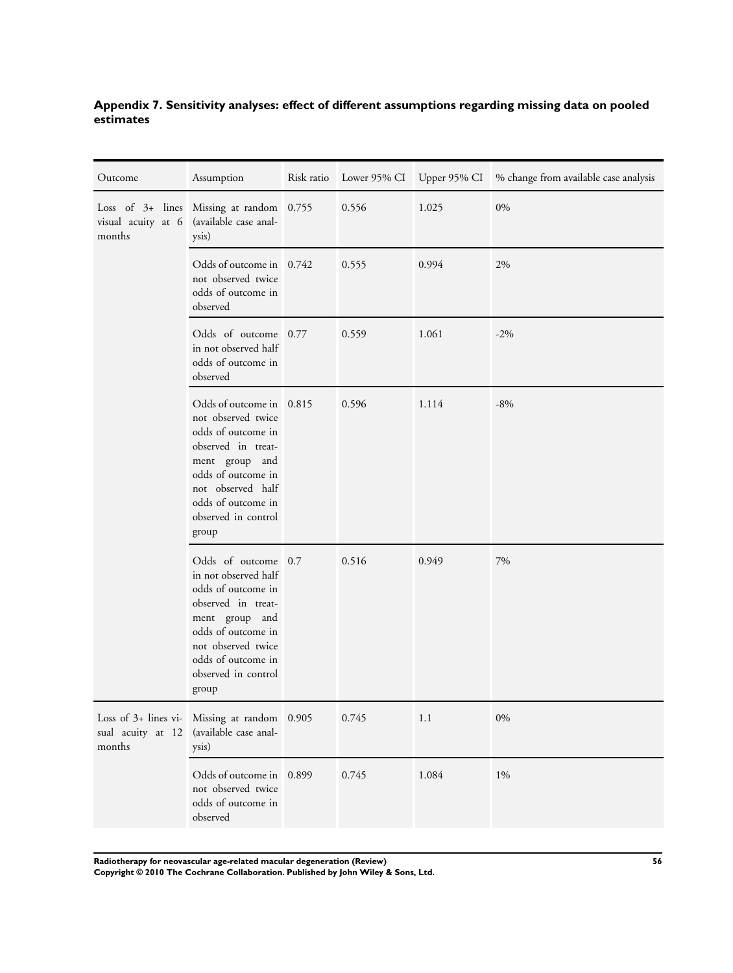# **Appendix 7. Sensitivity analyses: effect of different assumptions regarding missing data on pooled estimates**

| Outcome                                           | Assumption                                                                                                                                                                                                    | Risk ratio |       |       | Lower 95% CI Upper 95% CI % change from available case analysis |
|---------------------------------------------------|---------------------------------------------------------------------------------------------------------------------------------------------------------------------------------------------------------------|------------|-------|-------|-----------------------------------------------------------------|
| visual acuity at 6<br>months                      | Loss of 3+ lines Missing at random 0.755<br>(available case anal-<br>ysis)                                                                                                                                    |            | 0.556 | 1.025 | 0%                                                              |
|                                                   | Odds of outcome in 0.742<br>not observed twice<br>odds of outcome in<br>observed                                                                                                                              |            | 0.555 | 0.994 | 2%                                                              |
|                                                   | Odds of outcome 0.77<br>in not observed half<br>odds of outcome in<br>observed                                                                                                                                |            | 0.559 | 1.061 | $-2%$                                                           |
|                                                   | Odds of outcome in 0.815<br>not observed twice<br>odds of outcome in<br>observed in treat-<br>ment group and<br>odds of outcome in<br>not observed half<br>odds of outcome in<br>observed in control<br>group |            | 0.596 | 1.114 | $-8\%$                                                          |
|                                                   | Odds of outcome 0.7<br>in not observed half<br>odds of outcome in<br>observed in treat-<br>ment group and<br>odds of outcome in<br>not observed twice<br>odds of outcome in<br>observed in control<br>group   |            | 0.516 | 0.949 | 7%                                                              |
| sual acuity at 12 (available case anal-<br>months | Loss of 3+ lines vi- Missing at random 0.905<br>ysis)                                                                                                                                                         |            | 0.745 | 1.1   | $0\%$                                                           |
|                                                   | Odds of outcome in 0.899<br>not observed twice<br>odds of outcome in<br>observed                                                                                                                              |            | 0.745 | 1.084 | 1%                                                              |

**Radiotherapy for neovascular age-related macular degeneration (Review) 56 Copyright © 2010 The Cochrane Collaboration. Published by John Wiley & Sons, Ltd.**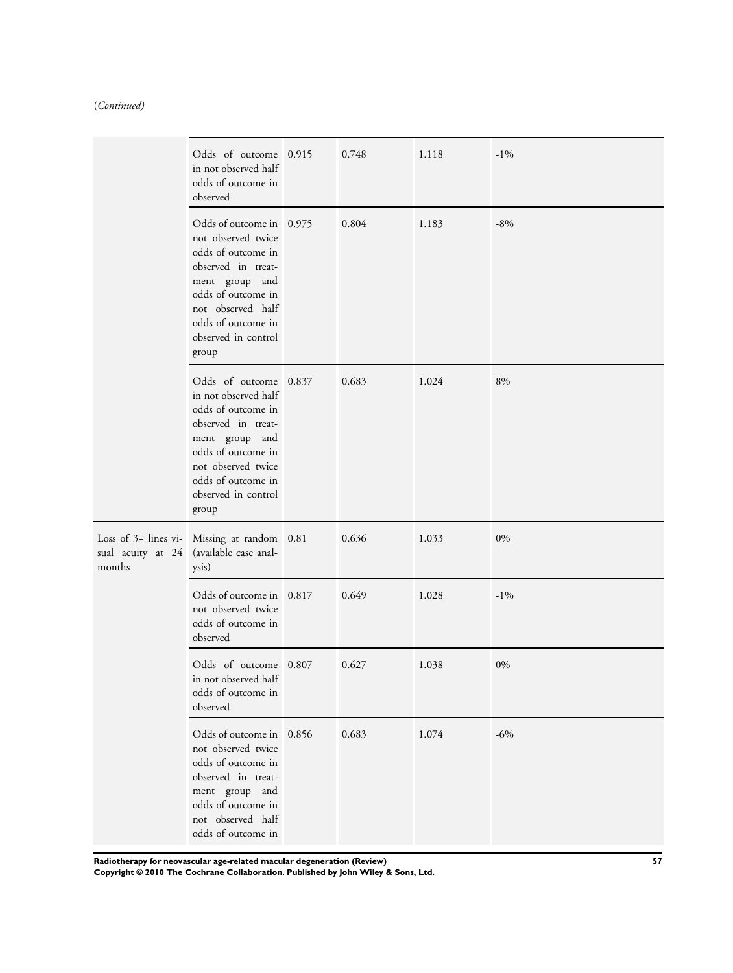|        | Odds of outcome 0.915<br>in not observed half<br>odds of outcome in<br>observed                                                                                                                               | 0.748 | 1.118 | $-1\%$ |
|--------|---------------------------------------------------------------------------------------------------------------------------------------------------------------------------------------------------------------|-------|-------|--------|
|        | Odds of outcome in 0.975<br>not observed twice<br>odds of outcome in<br>observed in treat-<br>ment group and<br>odds of outcome in<br>not observed half<br>odds of outcome in<br>observed in control<br>group | 0.804 | 1.183 | $-8\%$ |
|        | Odds of outcome 0.837<br>in not observed half<br>odds of outcome in<br>observed in treat-<br>ment group and<br>odds of outcome in<br>not observed twice<br>odds of outcome in<br>observed in control<br>group | 0.683 | 1.024 | 8%     |
| months | Loss of 3+ lines vi- Missing at random 0.81<br>sual acuity at 24 (available case anal-<br>ysis)                                                                                                               | 0.636 | 1.033 | 0%     |
|        | Odds of outcome in 0.817<br>not observed twice<br>odds of outcome in<br>observed                                                                                                                              | 0.649 | 1.028 | $-1\%$ |
|        | Odds of outcome 0.807<br>in not observed half<br>odds of outcome in<br>observed                                                                                                                               | 0.627 | 1.038 | 0%     |
|        | Odds of outcome in 0.856<br>not observed twice<br>odds of outcome in<br>observed in treat-<br>ment group and<br>odds of outcome in<br>not observed half<br>odds of outcome in                                 | 0.683 | 1.074 | $-6%$  |

**Radiotherapy for neovascular age-related macular degeneration (Review) 57**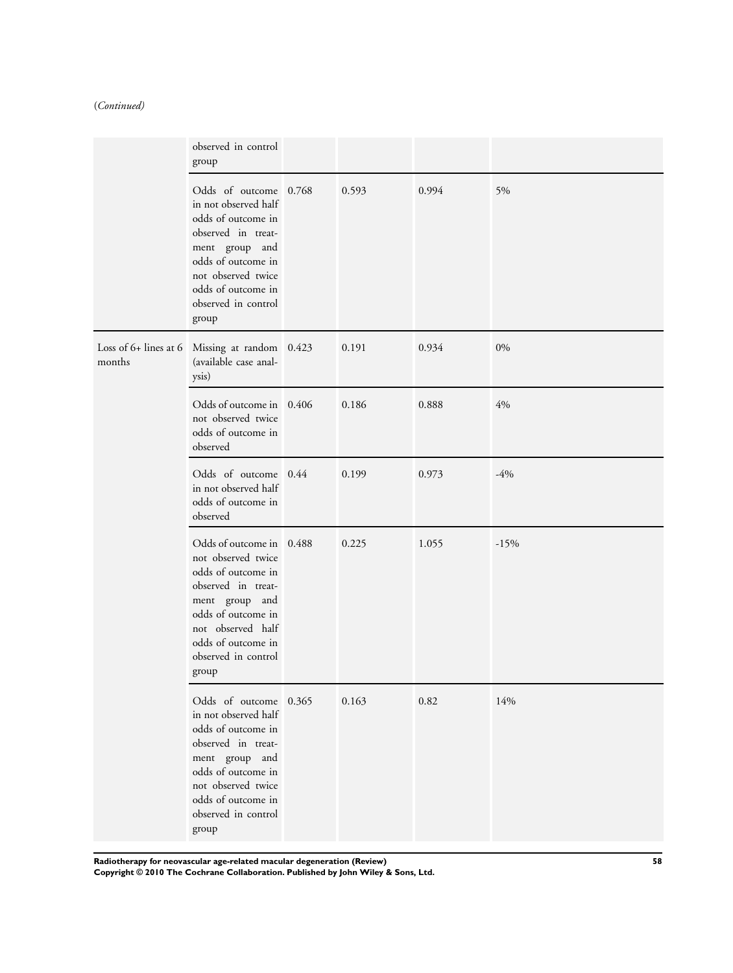|                                      | observed in control<br>group                                                                                                                                                                                  |       |       |        |
|--------------------------------------|---------------------------------------------------------------------------------------------------------------------------------------------------------------------------------------------------------------|-------|-------|--------|
|                                      | Odds of outcome 0.768<br>in not observed half<br>odds of outcome in<br>observed in treat-<br>ment group and<br>odds of outcome in<br>not observed twice<br>odds of outcome in<br>observed in control<br>group | 0.593 | 0.994 | 5%     |
| Loss of $6+$ lines at $6-$<br>months | Missing at random 0.423<br>(available case anal-<br>ysis)                                                                                                                                                     | 0.191 | 0.934 | 0%     |
|                                      | Odds of outcome in 0.406<br>not observed twice<br>odds of outcome in<br>observed                                                                                                                              | 0.186 | 0.888 | 4%     |
|                                      | Odds of outcome 0.44<br>in not observed half<br>odds of outcome in<br>observed                                                                                                                                | 0.199 | 0.973 | $-4%$  |
|                                      | Odds of outcome in 0.488<br>not observed twice<br>odds of outcome in<br>observed in treat-<br>ment group and<br>odds of outcome in<br>not observed half<br>odds of outcome in<br>observed in control<br>group | 0.225 | 1.055 | $-15%$ |
|                                      | Odds of outcome 0.365<br>in not observed half<br>odds of outcome in<br>observed in treat-<br>ment group and<br>odds of outcome in<br>not observed twice<br>odds of outcome in<br>observed in control<br>group | 0.163 | 0.82  | 14%    |

**Radiotherapy for neovascular age-related macular degeneration (Review) 58**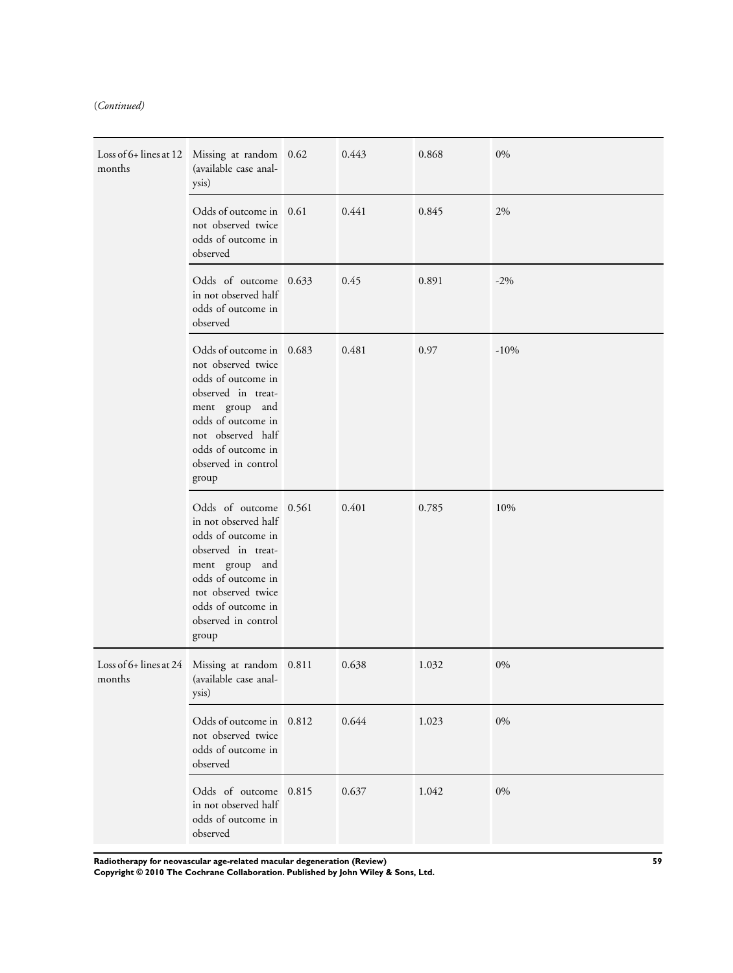| months                               | Loss of 6+ lines at 12 Missing at random 0.62<br>(available case anal-<br>ysis)                                                                                                                               | 0.443 | 0.868 | 0%     |
|--------------------------------------|---------------------------------------------------------------------------------------------------------------------------------------------------------------------------------------------------------------|-------|-------|--------|
|                                      | Odds of outcome in 0.61<br>not observed twice<br>odds of outcome in<br>observed                                                                                                                               | 0.441 | 0.845 | 2%     |
|                                      | Odds of outcome 0.633<br>in not observed half<br>odds of outcome in<br>observed                                                                                                                               | 0.45  | 0.891 | $-2\%$ |
|                                      | Odds of outcome in 0.683<br>not observed twice<br>odds of outcome in<br>observed in treat-<br>ment group and<br>odds of outcome in<br>not observed half<br>odds of outcome in<br>observed in control<br>group | 0.481 | 0.97  | $-10%$ |
|                                      | Odds of outcome 0.561<br>in not observed half<br>odds of outcome in<br>observed in treat-<br>ment group and<br>odds of outcome in<br>not observed twice<br>odds of outcome in<br>observed in control<br>group | 0.401 | 0.785 | 10%    |
| Loss of $6+$ lines at $24$<br>months | Missing at random 0.811<br>(available case anal-<br>ysis)                                                                                                                                                     | 0.638 | 1.032 | 0%     |
|                                      | Odds of outcome in 0.812<br>not observed twice<br>odds of outcome in<br>observed                                                                                                                              | 0.644 | 1.023 | 0%     |
|                                      | Odds of outcome 0.815<br>in not observed half<br>odds of outcome in<br>observed                                                                                                                               | 0.637 | 1.042 | 0%     |

**Radiotherapy for neovascular age-related macular degeneration (Review) 59**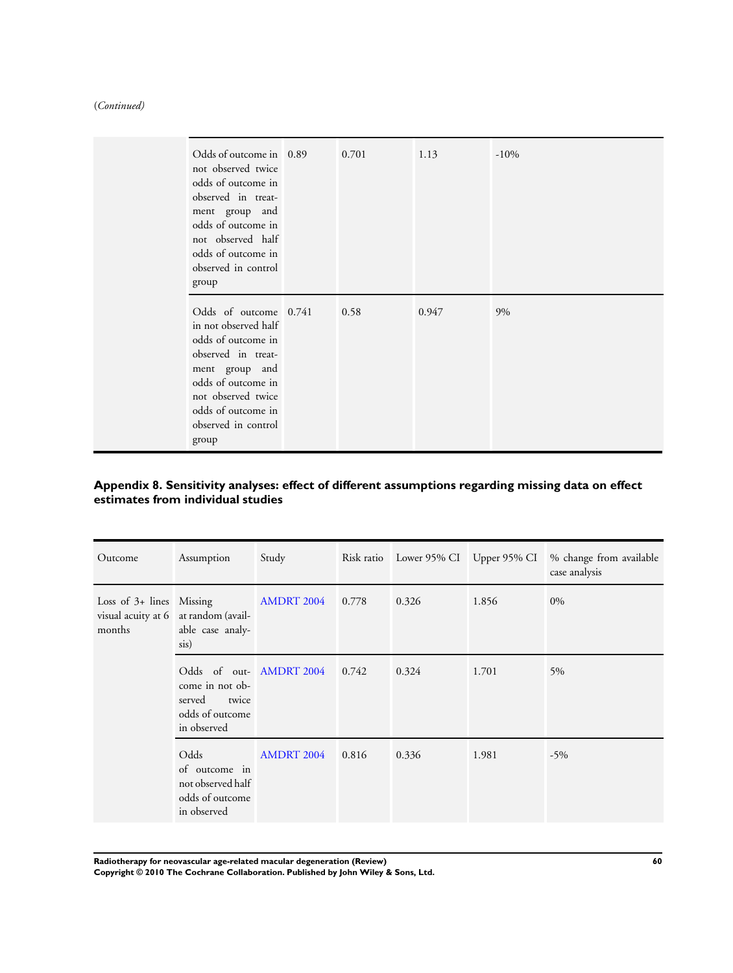| Odds of outcome in 0.89<br>not observed twice<br>odds of outcome in<br>observed in treat-<br>ment group and<br>odds of outcome in<br>not observed half<br>odds of outcome in<br>observed in control<br>group  | 0.701 | 1.13  | $-10%$ |
|---------------------------------------------------------------------------------------------------------------------------------------------------------------------------------------------------------------|-------|-------|--------|
| Odds of outcome 0.741<br>in not observed half<br>odds of outcome in<br>observed in treat-<br>ment group and<br>odds of outcome in<br>not observed twice<br>odds of outcome in<br>observed in control<br>group | 0.58  | 0.947 | 9%     |

# **Appendix 8. Sensitivity analyses: effect of different assumptions regarding missing data on effect estimates from individual studies**

| Outcome | Assumption                                                                                              | Study      |       | Risk ratio Lower 95% CI Upper 95% CI |       | % change from available<br>case analysis |
|---------|---------------------------------------------------------------------------------------------------------|------------|-------|--------------------------------------|-------|------------------------------------------|
| months  | Loss of 3+ lines Missing AMDRT 2004<br>visual acuity at 6 at random (avail-<br>able case analy-<br>sis) |            | 0.778 | 0.326                                | 1.856 | $0\%$                                    |
|         | Odds of out- AMDRT 2004<br>come in not ob-<br>served<br>twice<br>odds of outcome<br>in observed         |            | 0.742 | 0.324                                | 1.701 | 5%                                       |
|         | Odds<br>of outcome in<br>not observed half<br>odds of outcome<br>in observed                            | AMDRT 2004 | 0.816 | 0.336                                | 1.981 | $-5\%$                                   |

**Radiotherapy for neovascular age-related macular degeneration (Review) 60 Copyright © 2010 The Cochrane Collaboration. Published by John Wiley & Sons, Ltd.**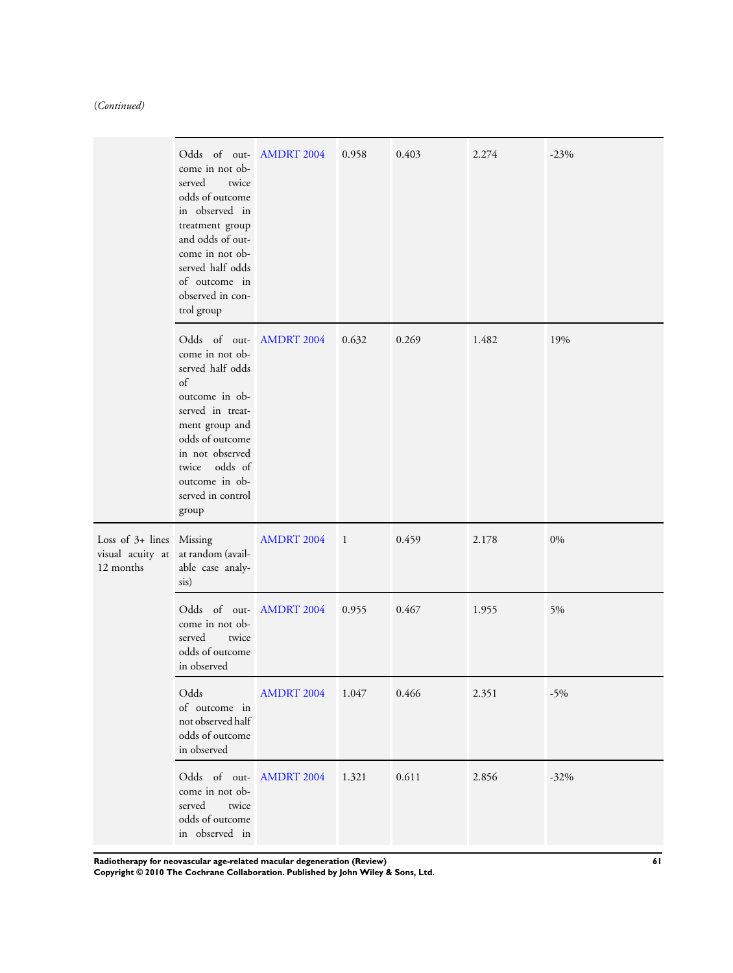|                                       | Odds of out- AMDRT 2004<br>come in not ob-<br>served<br>twice<br>odds of outcome<br>in observed in<br>treatment group<br>and odds of out-<br>come in not ob-<br>served half odds<br>of outcome in<br>observed in con-<br>trol group          |                   | 0.958 | 0.403 | 2.274 | $-23%$ |
|---------------------------------------|----------------------------------------------------------------------------------------------------------------------------------------------------------------------------------------------------------------------------------------------|-------------------|-------|-------|-------|--------|
|                                       | Odds of out- AMDRT 2004<br>come in not ob-<br>served half odds<br>$\sigma$<br>outcome in ob-<br>served in treat-<br>ment group and<br>odds of outcome<br>in not observed<br>odds of<br>twice<br>outcome in ob-<br>served in control<br>group |                   | 0.632 | 0.269 | 1.482 | 19%    |
| Loss of 3+ lines Missing<br>12 months | visual acuity at at random (avail-<br>able case analy-<br>sis)                                                                                                                                                                               | <b>AMDRT 2004</b> | -1    | 0.459 | 2.178 | $0\%$  |
|                                       | Odds of out- AMDRT 2004<br>come in not ob-<br>twice<br>served<br>odds of outcome<br>in observed                                                                                                                                              |                   | 0.955 | 0.467 | 1.955 | 5%     |
|                                       | $\rm Odds$<br>of outcome in<br>not observed half<br>odds of outcome<br>in observed                                                                                                                                                           | AMDRT 2004        | 1.047 | 0.466 | 2.351 | $-5%$  |
|                                       | Odds of out- AMDRT 2004<br>come in not ob-<br>served<br>twice<br>odds of outcome<br>in observed in                                                                                                                                           |                   | 1.321 | 0.611 | 2.856 | $-32%$ |

**Radiotherapy for neovascular age-related macular degeneration (Review) 61**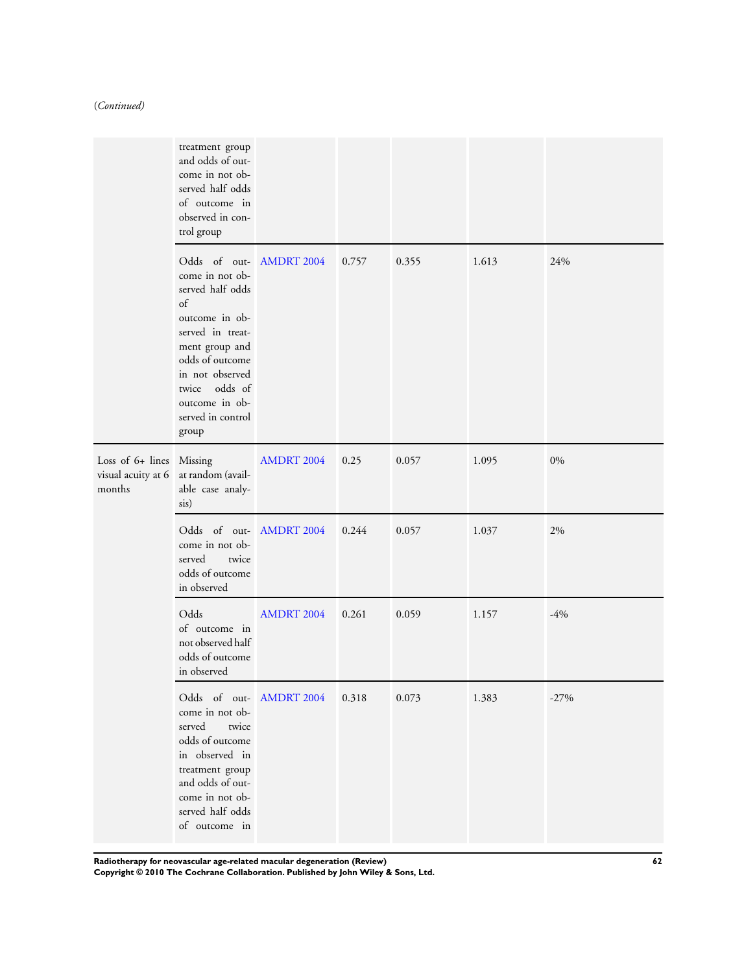|                                                    | treatment group<br>and odds of out-<br>come in not ob-<br>served half odds<br>of outcome in<br>observed in con-<br>trol group                                                                                                                |                   |       |       |       |        |
|----------------------------------------------------|----------------------------------------------------------------------------------------------------------------------------------------------------------------------------------------------------------------------------------------------|-------------------|-------|-------|-------|--------|
|                                                    | Odds of out- AMDRT 2004<br>come in not ob-<br>served half odds<br>$\sigma$<br>outcome in ob-<br>served in treat-<br>ment group and<br>odds of outcome<br>in not observed<br>odds of<br>twice<br>outcome in ob-<br>served in control<br>group |                   | 0.757 | 0.355 | 1.613 | 24%    |
| Loss of $6+$ lines<br>visual acuity at 6<br>months | Missing<br>at random (avail-<br>able case analy-<br>sis)                                                                                                                                                                                     | <b>AMDRT 2004</b> | 0.25  | 0.057 | 1.095 | $0\%$  |
|                                                    | Odds of out- AMDRT 2004<br>come in not ob-<br>twice<br>served<br>odds of outcome<br>in observed                                                                                                                                              |                   | 0.244 | 0.057 | 1.037 | 2%     |
|                                                    | Odds<br>of outcome in<br>not observed half<br>odds of outcome<br>in observed                                                                                                                                                                 | <b>AMDRT 2004</b> | 0.261 | 0.059 | 1.157 | $-4%$  |
|                                                    | Odds of out- AMDRT 2004<br>come in not ob-<br>served<br>twice<br>odds of outcome<br>in observed in<br>treatment group<br>and odds of out-<br>come in not ob-<br>served half odds<br>of outcome in                                            |                   | 0.318 | 0.073 | 1.383 | $-27%$ |

**Radiotherapy for neovascular age-related macular degeneration (Review) 62**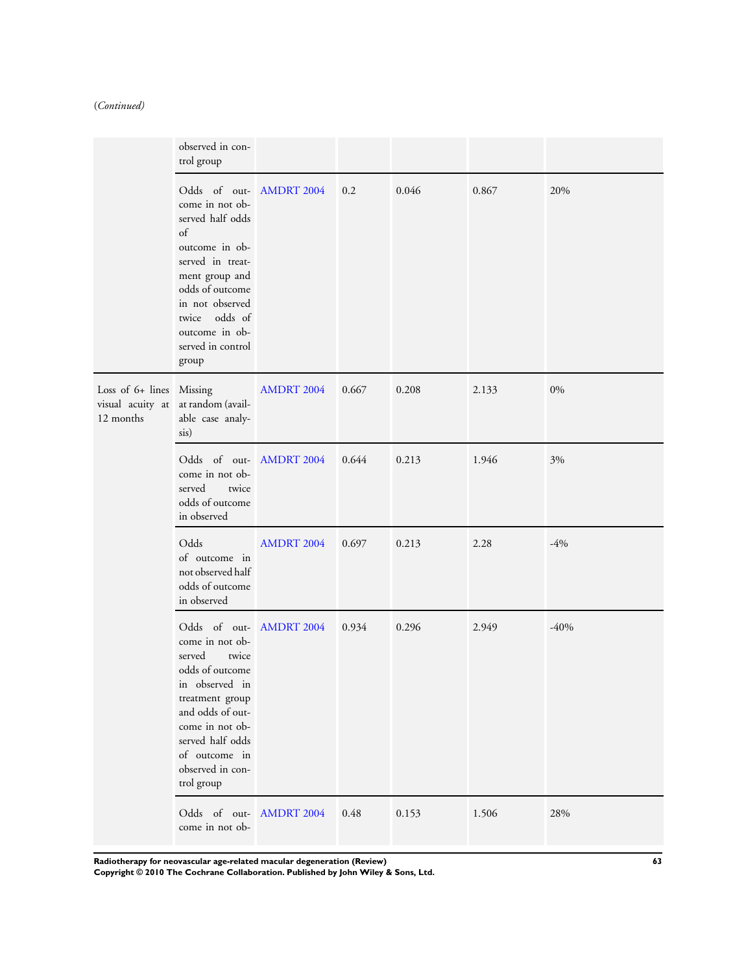|                                                     | observed in con-<br>trol group                                                                                                                                                                                                            |                   |       |       |       |        |
|-----------------------------------------------------|-------------------------------------------------------------------------------------------------------------------------------------------------------------------------------------------------------------------------------------------|-------------------|-------|-------|-------|--------|
|                                                     | Odds of out- AMDRT 2004<br>come in not ob-<br>served half odds<br>$\sigma$<br>outcome in ob-<br>served in treat-<br>ment group and<br>odds of outcome<br>in not observed<br>twice odds of<br>outcome in ob-<br>served in control<br>group |                   | 0.2   | 0.046 | 0.867 | 20%    |
| Loss of $6+$ lines<br>visual acuity at<br>12 months | Missing<br>at random (avail-<br>able case analy-<br>sis)                                                                                                                                                                                  | AMDRT 2004        | 0.667 | 0.208 | 2.133 | $0\%$  |
|                                                     | Odds of out- AMDRT 2004<br>come in not ob-<br>served<br>twice<br>odds of outcome<br>in observed                                                                                                                                           |                   | 0.644 | 0.213 | 1.946 | 3%     |
|                                                     | Odds<br>of outcome in<br>not observed half<br>odds of outcome<br>in observed                                                                                                                                                              | <b>AMDRT 2004</b> | 0.697 | 0.213 | 2.28  | $-4%$  |
|                                                     | Odds of out- AMDRT 2004<br>come in not ob-<br>served<br>twice<br>odds of outcome<br>in observed in<br>treatment group<br>and odds of out-<br>come in not ob-<br>served half odds<br>of outcome in<br>observed in con-<br>trol group       |                   | 0.934 | 0.296 | 2.949 | $-40%$ |
|                                                     | Odds of out- AMDRT 2004<br>come in not ob-                                                                                                                                                                                                |                   | 0.48  | 0.153 | 1.506 | 28%    |

**Radiotherapy for neovascular age-related macular degeneration (Review) 63**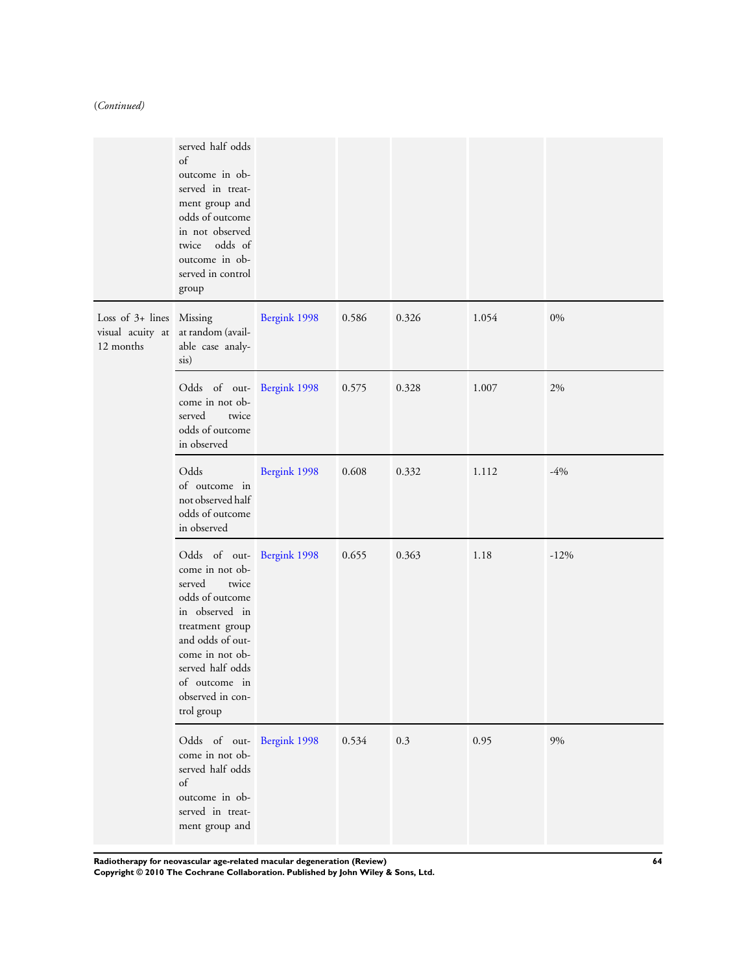|                                                                             | served half odds<br>$\sigma$<br>outcome in ob-<br>served in treat-<br>ment group and<br>odds of outcome<br>in not observed<br>odds of<br>twice<br>outcome in ob-<br>served in control<br>group                                        |              |       |       |       |        |
|-----------------------------------------------------------------------------|---------------------------------------------------------------------------------------------------------------------------------------------------------------------------------------------------------------------------------------|--------------|-------|-------|-------|--------|
| Loss of 3+ lines Missing<br>visual acuity at at random (avail-<br>12 months | able case analy-<br>sis)                                                                                                                                                                                                              | Bergink 1998 | 0.586 | 0.326 | 1.054 | $0\%$  |
|                                                                             | Odds of out- Bergink 1998<br>come in not ob-<br>twice<br>served<br>odds of outcome<br>in observed                                                                                                                                     |              | 0.575 | 0.328 | 1.007 | 2%     |
|                                                                             | Odds<br>of outcome in<br>not observed half<br>odds of outcome<br>in observed                                                                                                                                                          | Bergink 1998 | 0.608 | 0.332 | 1.112 | $-4%$  |
|                                                                             | Odds of out- Bergink 1998<br>come in not ob-<br>served<br>twice<br>odds of outcome<br>in observed in<br>treatment group<br>and odds of out-<br>come in not ob-<br>served half odds<br>of outcome in<br>observed in con-<br>trol group |              | 0.655 | 0.363 | 1.18  | $-12%$ |
|                                                                             | Odds of out- Bergink 1998<br>come in not ob-<br>served half odds<br>of<br>outcome in ob-<br>served in treat-<br>ment group and                                                                                                        |              | 0.534 | 0.3   | 0.95  | 9%     |

**Radiotherapy for neovascular age-related macular degeneration (Review) 64**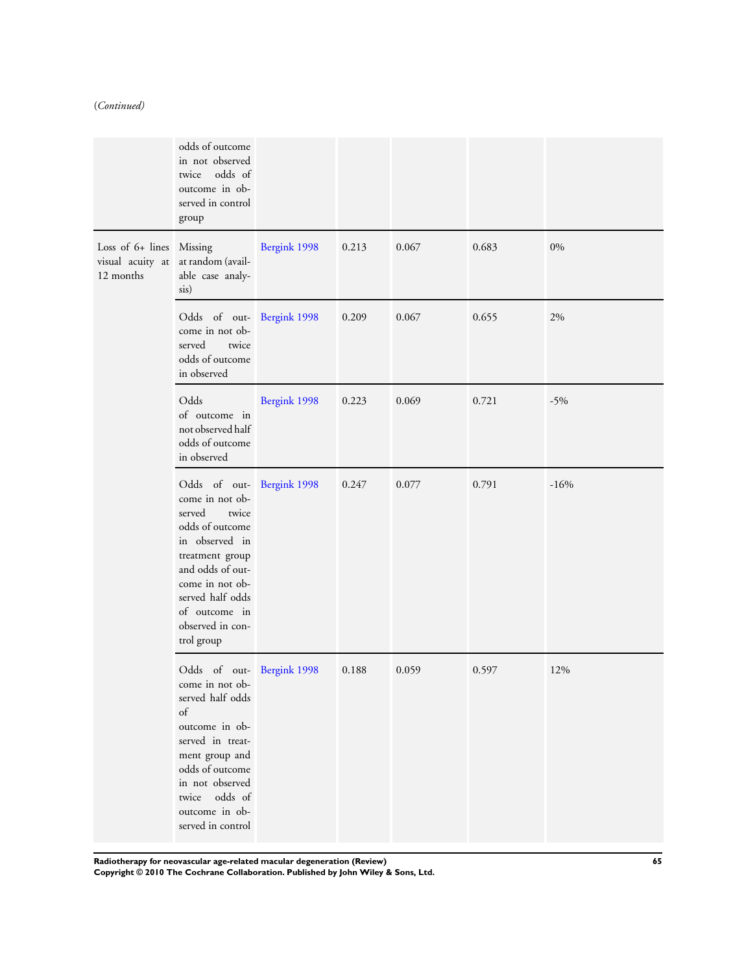|                                                           | odds of outcome<br>in not observed<br>odds of<br>twice<br>outcome in ob-<br>served in control<br>group                                                                                                                                |              |       |       |       |        |
|-----------------------------------------------------------|---------------------------------------------------------------------------------------------------------------------------------------------------------------------------------------------------------------------------------------|--------------|-------|-------|-------|--------|
| Loss of 6+ lines Missing<br>visual acuity at<br>12 months | at random (avail-<br>able case analy-<br>sis)                                                                                                                                                                                         | Bergink 1998 | 0.213 | 0.067 | 0.683 | $0\%$  |
|                                                           | Odds of out- Bergink 1998<br>come in not ob-<br>served<br>twice<br>odds of outcome<br>in observed                                                                                                                                     |              | 0.209 | 0.067 | 0.655 | $2\%$  |
|                                                           | Odds<br>of outcome in<br>not observed half<br>odds of outcome<br>in observed                                                                                                                                                          | Bergink 1998 | 0.223 | 0.069 | 0.721 | $-5%$  |
|                                                           | Odds of out- Bergink 1998<br>come in not ob-<br>served<br>twice<br>odds of outcome<br>in observed in<br>treatment group<br>and odds of out-<br>come in not ob-<br>served half odds<br>of outcome in<br>observed in con-<br>trol group |              | 0.247 | 0.077 | 0.791 | $-16%$ |
|                                                           | Odds of out-<br>come in not ob-<br>served half odds<br>of<br>outcome in ob-<br>served in treat-<br>ment group and<br>odds of outcome<br>in not observed<br>odds of<br>twice<br>outcome in ob-<br>served in control                    | Bergink 1998 | 0.188 | 0.059 | 0.597 | 12%    |

**Radiotherapy for neovascular age-related macular degeneration (Review) 65**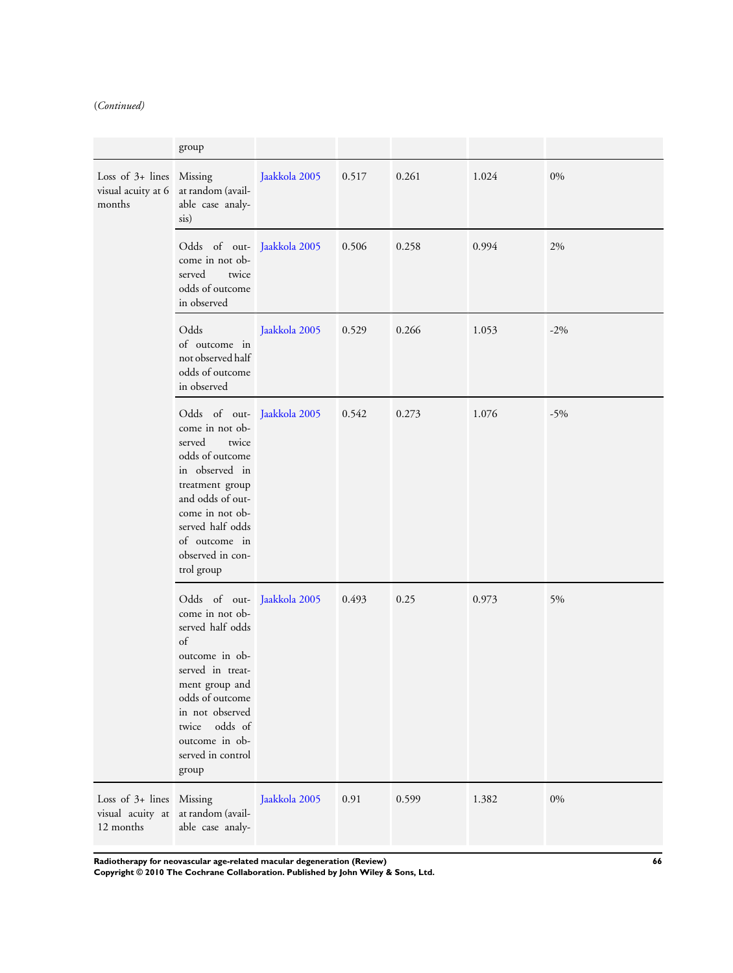|                                                          | group                                                                                                                                                                                                                                     |               |       |       |       |       |
|----------------------------------------------------------|-------------------------------------------------------------------------------------------------------------------------------------------------------------------------------------------------------------------------------------------|---------------|-------|-------|-------|-------|
| Loss of 3+ lines Missing<br>visual acuity at 6<br>months | at random (avail-<br>able case analy-<br>sis)                                                                                                                                                                                             | Jaakkola 2005 | 0.517 | 0.261 | 1.024 | $0\%$ |
|                                                          | Odds of out- Jaakkola 2005<br>come in not ob-<br>served<br>twice<br>odds of outcome<br>in observed                                                                                                                                        |               | 0.506 | 0.258 | 0.994 | $2\%$ |
|                                                          | Odds<br>of outcome in<br>not observed half<br>odds of outcome<br>in observed                                                                                                                                                              | Jaakkola 2005 | 0.529 | 0.266 | 1.053 | $-2%$ |
|                                                          | Odds of out- Jaakkola 2005<br>come in not ob-<br>served<br>twice<br>odds of outcome<br>in observed in<br>treatment group<br>and odds of out-<br>come in not ob-<br>served half odds<br>of outcome in<br>observed in con-<br>trol group    |               | 0.542 | 0.273 | 1.076 | $-5%$ |
|                                                          | Odds of out- Jaakkola 2005<br>come in not ob-<br>served half odds<br>of<br>outcome in ob-<br>served in treat-<br>ment group and<br>odds of outcome<br>in not observed<br>odds of<br>twice<br>outcome in ob-<br>served in control<br>group |               | 0.493 | 0.25  | 0.973 | 5%    |
| Loss of $3+$ lines<br>12 months                          | Missing<br>visual acuity at at random (avail-<br>able case analy-                                                                                                                                                                         | Jaakkola 2005 | 0.91  | 0.599 | 1.382 | $0\%$ |

**Radiotherapy for neovascular age-related macular degeneration (Review) 66**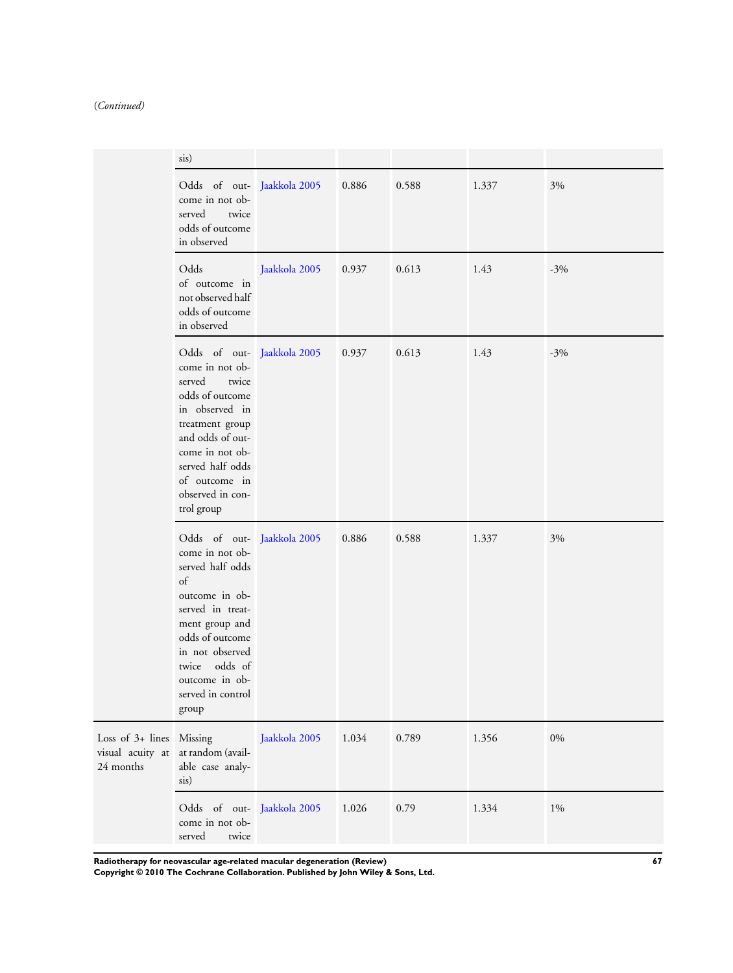|                                                     | sis)                                                                                                                                                                                                                                            |               |       |       |       |       |
|-----------------------------------------------------|-------------------------------------------------------------------------------------------------------------------------------------------------------------------------------------------------------------------------------------------------|---------------|-------|-------|-------|-------|
|                                                     | Odds of out- Jaakkola 2005<br>come in not ob-<br>twice<br>served<br>odds of outcome<br>in observed                                                                                                                                              |               | 0.886 | 0.588 | 1.337 | 3%    |
|                                                     | Odds<br>of outcome in<br>not observed half<br>odds of outcome<br>in observed                                                                                                                                                                    | Jaakkola 2005 | 0.937 | 0.613 | 1.43  | $-3%$ |
|                                                     | Odds of out- Jaakkola 2005<br>come in not ob-<br>served<br>twice<br>odds of outcome<br>in observed in<br>treatment group<br>and odds of out-<br>come in not ob-<br>served half odds<br>of outcome in<br>observed in con-<br>trol group          |               | 0.937 | 0.613 | 1.43  | $-3%$ |
|                                                     | Odds of out- Jaakkola 2005<br>come in not ob-<br>served half odds<br>$\sigma$<br>outcome in ob-<br>served in treat-<br>ment group and<br>odds of outcome<br>in not observed<br>odds of<br>twice<br>outcome in ob-<br>served in control<br>group |               | 0.886 | 0.588 | 1.337 | 3%    |
| Loss of $3+$ lines<br>visual acuity at<br>24 months | Missing<br>at random (avail-<br>able case analy-<br>sis)                                                                                                                                                                                        | Jaakkola 2005 | 1.034 | 0.789 | 1.356 | $0\%$ |
|                                                     | Odds of out- Jaakkola 2005<br>come in not ob-<br>served<br>twice                                                                                                                                                                                |               | 1.026 | 0.79  | 1.334 | $1\%$ |

**Radiotherapy for neovascular age-related macular degeneration (Review) 67**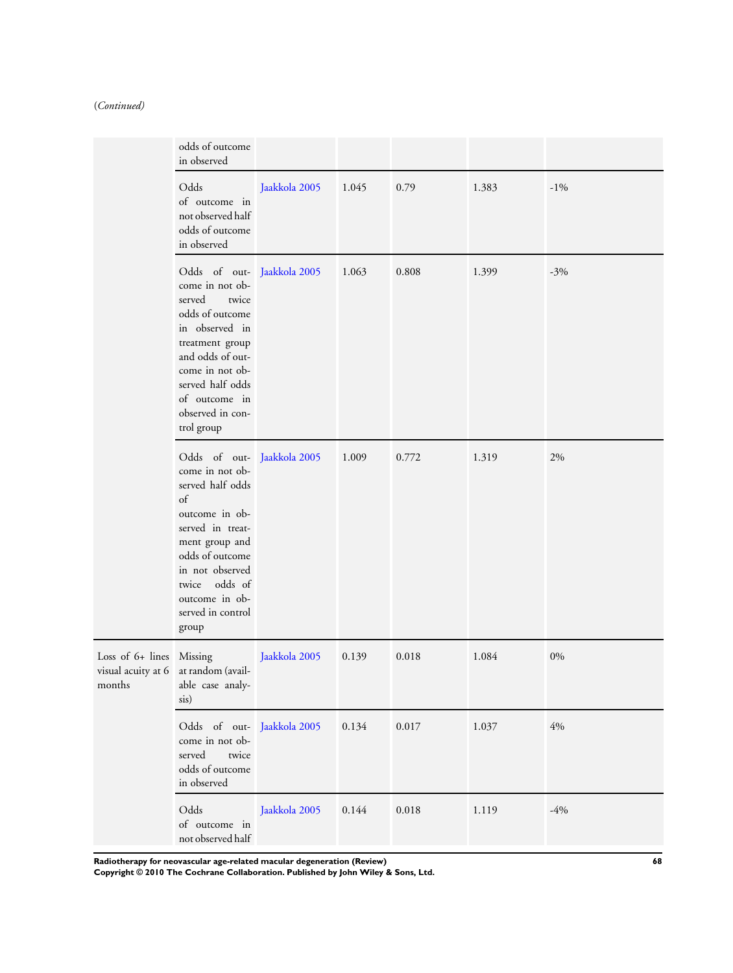|                                                                    | odds of outcome<br>in observed                                                                                                                                                                                                            |               |       |       |       |        |
|--------------------------------------------------------------------|-------------------------------------------------------------------------------------------------------------------------------------------------------------------------------------------------------------------------------------------|---------------|-------|-------|-------|--------|
|                                                                    | Odds<br>of outcome in<br>not observed half<br>odds of outcome<br>in observed                                                                                                                                                              | Jaakkola 2005 | 1.045 | 0.79  | 1.383 | $-1\%$ |
|                                                                    | Odds of out- Jaakkola 2005<br>come in not ob-<br>twice<br>served<br>odds of outcome<br>in observed in<br>treatment group<br>and odds of out-<br>come in not ob-<br>served half odds<br>of outcome in<br>observed in con-<br>trol group    |               | 1.063 | 0.808 | 1.399 | $-3%$  |
|                                                                    | Odds of out- Jaakkola 2005<br>come in not ob-<br>served half odds<br>of<br>outcome in ob-<br>served in treat-<br>ment group and<br>odds of outcome<br>in not observed<br>odds of<br>twice<br>outcome in ob-<br>served in control<br>group |               | 1.009 | 0.772 | 1.319 | 2%     |
| Loss of 6+ lines<br>visual acuity at 6 at random (avail-<br>months | Missing<br>able case analy-<br>sis)                                                                                                                                                                                                       | Jaakkola 2005 | 0.139 | 0.018 | 1.084 | $0\%$  |
|                                                                    | Odds of out- Jaakkola 2005<br>come in not ob-<br>served<br>twice<br>odds of outcome<br>in observed                                                                                                                                        |               | 0.134 | 0.017 | 1.037 | 4%     |
|                                                                    | Odds<br>of outcome in<br>not observed half                                                                                                                                                                                                | Jaakkola 2005 | 0.144 | 0.018 | 1.119 | $-4%$  |

**Radiotherapy for neovascular age-related macular degeneration (Review) 68**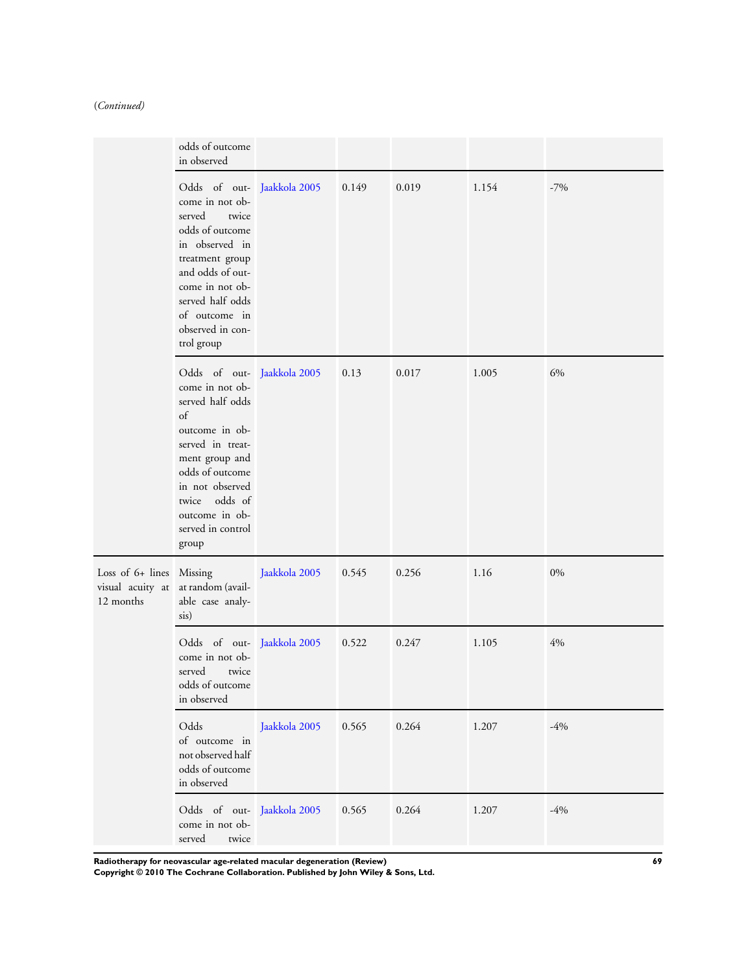|                                                   | odds of outcome<br>in observed                                                                                                                                                                                                                  |               |       |       |       |       |
|---------------------------------------------------|-------------------------------------------------------------------------------------------------------------------------------------------------------------------------------------------------------------------------------------------------|---------------|-------|-------|-------|-------|
|                                                   | Odds of out- Jaakkola 2005<br>come in not ob-<br>served<br>twice<br>odds of outcome<br>in observed in<br>treatment group<br>and odds of out-<br>come in not ob-<br>served half odds<br>of outcome in<br>observed in con-<br>trol group          |               | 0.149 | 0.019 | 1.154 | $-7%$ |
|                                                   | Odds of out- Jaakkola 2005<br>come in not ob-<br>served half odds<br>$\sigma$<br>outcome in ob-<br>served in treat-<br>ment group and<br>odds of outcome<br>in not observed<br>odds of<br>twice<br>outcome in ob-<br>served in control<br>group |               | 0.13  | 0.017 | 1.005 | 6%    |
| Loss of 6+ lines<br>visual acuity at<br>12 months | Missing<br>at random (avail-<br>able case analy-<br>sis)                                                                                                                                                                                        | Jaakkola 2005 | 0.545 | 0.256 | 1.16  | 0%    |
|                                                   | Odds of out- Jaakkola 2005<br>come in not ob-<br>twice<br>served<br>odds of outcome<br>in observed                                                                                                                                              |               | 0.522 | 0.247 | 1.105 | 4%    |
|                                                   | Odds<br>of outcome in<br>not observed half<br>odds of outcome<br>in observed                                                                                                                                                                    | Jaakkola 2005 | 0.565 | 0.264 | 1.207 | $-4%$ |
|                                                   | Odds of out- Jaakkola 2005<br>come in not ob-<br>served<br>twice                                                                                                                                                                                |               | 0.565 | 0.264 | 1.207 | $-4%$ |

**Radiotherapy for neovascular age-related macular degeneration (Review) 69**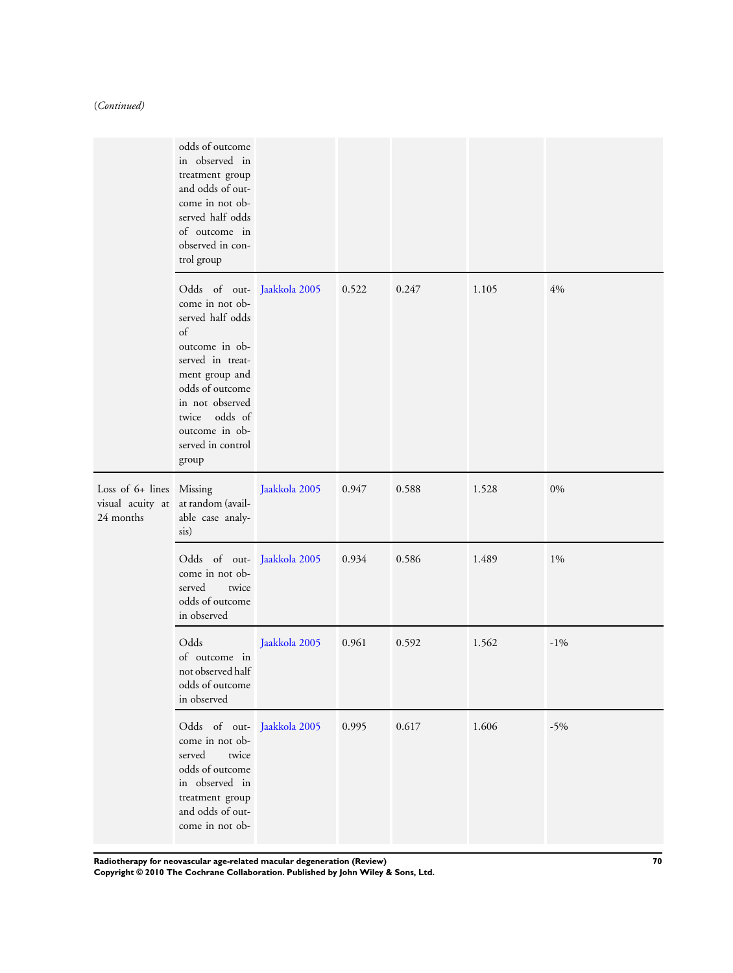|                                                   | odds of outcome<br>in observed in<br>treatment group<br>and odds of out-<br>come in not ob-<br>served half odds<br>of outcome in<br>observed in con-<br>trol group                                                                        |               |       |       |       |        |
|---------------------------------------------------|-------------------------------------------------------------------------------------------------------------------------------------------------------------------------------------------------------------------------------------------|---------------|-------|-------|-------|--------|
|                                                   | Odds of out- Jaakkola 2005<br>come in not ob-<br>served half odds<br>of<br>outcome in ob-<br>served in treat-<br>ment group and<br>odds of outcome<br>in not observed<br>odds of<br>twice<br>outcome in ob-<br>served in control<br>group |               | 0.522 | 0.247 | 1.105 | 4%     |
| Loss of 6+ lines<br>visual acuity at<br>24 months | Missing<br>at random (avail-<br>able case analy-<br>sis)                                                                                                                                                                                  | Jaakkola 2005 | 0.947 | 0.588 | 1.528 | $0\%$  |
|                                                   | Odds of out- Jaakkola 2005<br>come in not ob-<br>served<br>twice<br>odds of outcome<br>in observed                                                                                                                                        |               | 0.934 | 0.586 | 1.489 | 1%     |
|                                                   | Odds<br>of outcome in<br>not observed half<br>odds of outcome<br>in observed                                                                                                                                                              | Jaakkola 2005 | 0.961 | 0.592 | 1.562 | $-1\%$ |
|                                                   | Odds of out- Jaakkola 2005<br>come in not ob-<br>served<br>twice<br>odds of outcome<br>in observed in<br>treatment group<br>and odds of out-<br>come in not ob-                                                                           |               | 0.995 | 0.617 | 1.606 | $-5%$  |

**Radiotherapy for neovascular age-related macular degeneration (Review) 70**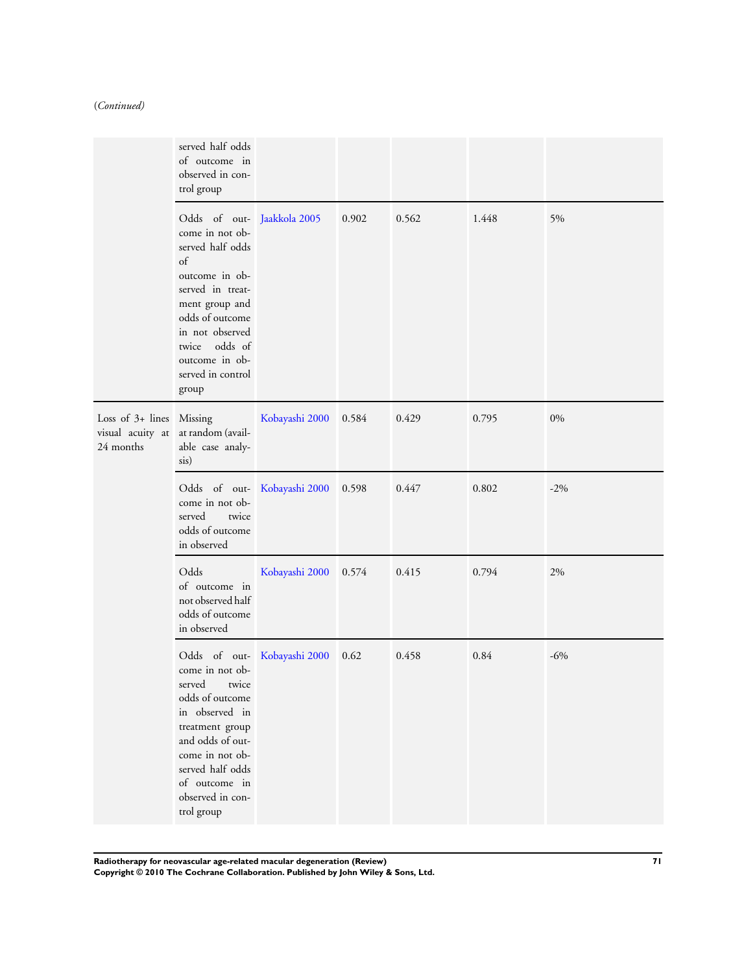|                                                                       | served half odds<br>of outcome in<br>observed in con-<br>trol group                                                                                                                                                                       |                |       |       |       |        |
|-----------------------------------------------------------------------|-------------------------------------------------------------------------------------------------------------------------------------------------------------------------------------------------------------------------------------------|----------------|-------|-------|-------|--------|
|                                                                       | Odds of out- Jaakkola 2005<br>come in not ob-<br>served half odds<br>of<br>outcome in ob-<br>served in treat-<br>ment group and<br>odds of outcome<br>in not observed<br>odds of<br>twice<br>outcome in ob-<br>served in control<br>group |                | 0.902 | 0.562 | 1.448 | 5%     |
| Loss of $3+$ lines<br>visual acuity at at random (avail-<br>24 months | Missing<br>able case analy-<br>sis)                                                                                                                                                                                                       | Kobayashi 2000 | 0.584 | 0.429 | 0.795 | $0\%$  |
|                                                                       | Odds of out- Kobayashi 2000<br>come in not ob-<br>served<br>twice<br>odds of outcome<br>in observed                                                                                                                                       |                | 0.598 | 0.447 | 0.802 | $-2\%$ |
|                                                                       | Odds<br>of outcome in<br>not observed half<br>odds of outcome<br>in observed                                                                                                                                                              | Kobayashi 2000 | 0.574 | 0.415 | 0.794 | 2%     |
|                                                                       | Odds of out- Kobayashi 2000<br>come in not ob-<br>served<br>twice<br>odds of outcome<br>in observed in<br>treatment group<br>and odds of out-<br>come in not ob-<br>served half odds<br>of outcome in<br>observed in con-<br>trol group   |                | 0.62  | 0.458 | 0.84  | $-6%$  |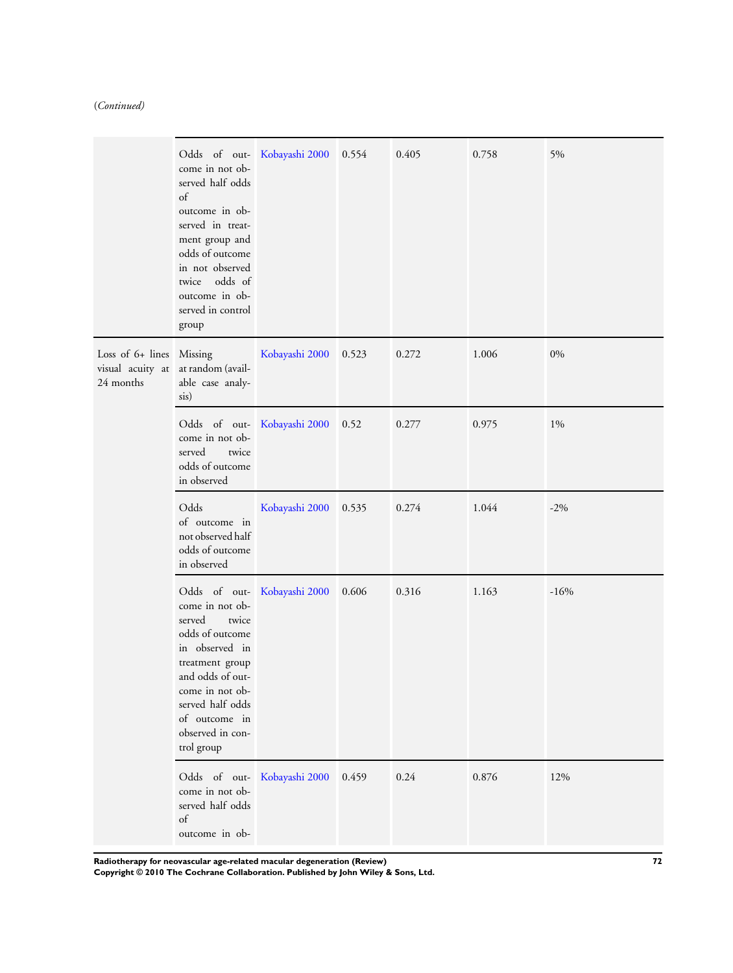|                                 | come in not ob-<br>served half odds<br>of<br>outcome in ob-<br>served in treat-<br>ment group and<br>odds of outcome<br>in not observed<br>odds of<br>twice<br>outcome in ob-<br>served in control<br>group              | Odds of out- Kobayashi 2000 0.554 |       | 0.405 | 0.758 | 5%     |
|---------------------------------|--------------------------------------------------------------------------------------------------------------------------------------------------------------------------------------------------------------------------|-----------------------------------|-------|-------|-------|--------|
| Loss of $6+$ lines<br>24 months | Missing<br>visual acuity at at random (avail-<br>able case analy-<br>sis)                                                                                                                                                | Kobayashi 2000                    | 0.523 | 0.272 | 1.006 | 0%     |
|                                 | Odds of out- Kobayashi 2000<br>come in not ob-<br>twice<br>served<br>odds of outcome<br>in observed                                                                                                                      |                                   | 0.52  | 0.277 | 0.975 | $1\%$  |
|                                 | Odds<br>of outcome in<br>not observed half<br>odds of outcome<br>in observed                                                                                                                                             | Kobayashi 2000                    | 0.535 | 0.274 | 1.044 | $-2\%$ |
|                                 | Odds of out-<br>come in not ob-<br>served<br>twice<br>odds of outcome<br>in observed in<br>treatment group<br>and odds of out-<br>come in not ob-<br>served half odds<br>of outcome in<br>observed in con-<br>trol group | Kobayashi 2000                    | 0.606 | 0.316 | 1.163 | $-16%$ |
|                                 | Odds of out- Kobayashi 2000<br>come in not ob-<br>served half odds<br>of<br>outcome in ob-                                                                                                                               |                                   | 0.459 | 0.24  | 0.876 | 12%    |

**Radiotherapy for neovascular age-related macular degeneration (Review) 72**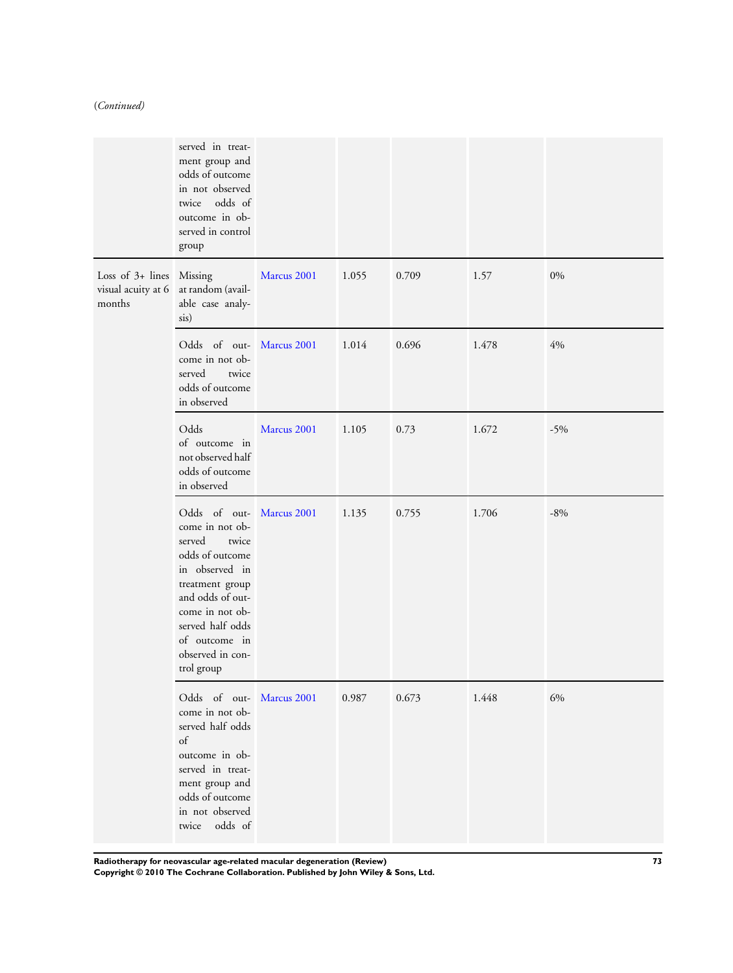|                                                    | served in treat-<br>ment group and<br>odds of outcome<br>in not observed<br>odds of<br>twice<br>outcome in ob-<br>served in control<br>group                                                                                         |             |       |       |       |       |
|----------------------------------------------------|--------------------------------------------------------------------------------------------------------------------------------------------------------------------------------------------------------------------------------------|-------------|-------|-------|-------|-------|
| Loss of $3+$ lines<br>visual acuity at 6<br>months | Missing<br>at random (avail-<br>able case analy-<br>sis)                                                                                                                                                                             | Marcus 2001 | 1.055 | 0.709 | 1.57  | $0\%$ |
|                                                    | Odds of out-<br>come in not ob-<br>twice<br>served<br>odds of outcome<br>in observed                                                                                                                                                 | Marcus 2001 | 1.014 | 0.696 | 1.478 | 4%    |
|                                                    | Odds<br>of outcome in<br>not observed half<br>odds of outcome<br>in observed                                                                                                                                                         | Marcus 2001 | 1.105 | 0.73  | 1.672 | $-5%$ |
|                                                    | Odds of out- Marcus 2001<br>come in not ob-<br>served<br>twice<br>odds of outcome<br>in observed in<br>treatment group<br>and odds of out-<br>come in not ob-<br>served half odds<br>of outcome in<br>observed in con-<br>trol group |             | 1.135 | 0.755 | 1.706 | $-8%$ |
|                                                    | Odds of out- Marcus 2001<br>come in not ob-<br>served half odds<br>of<br>outcome in ob-<br>served in treat-<br>ment group and<br>odds of outcome<br>in not observed<br>odds of<br>twice                                              |             | 0.987 | 0.673 | 1.448 | $6\%$ |

**Radiotherapy for neovascular age-related macular degeneration (Review) 73**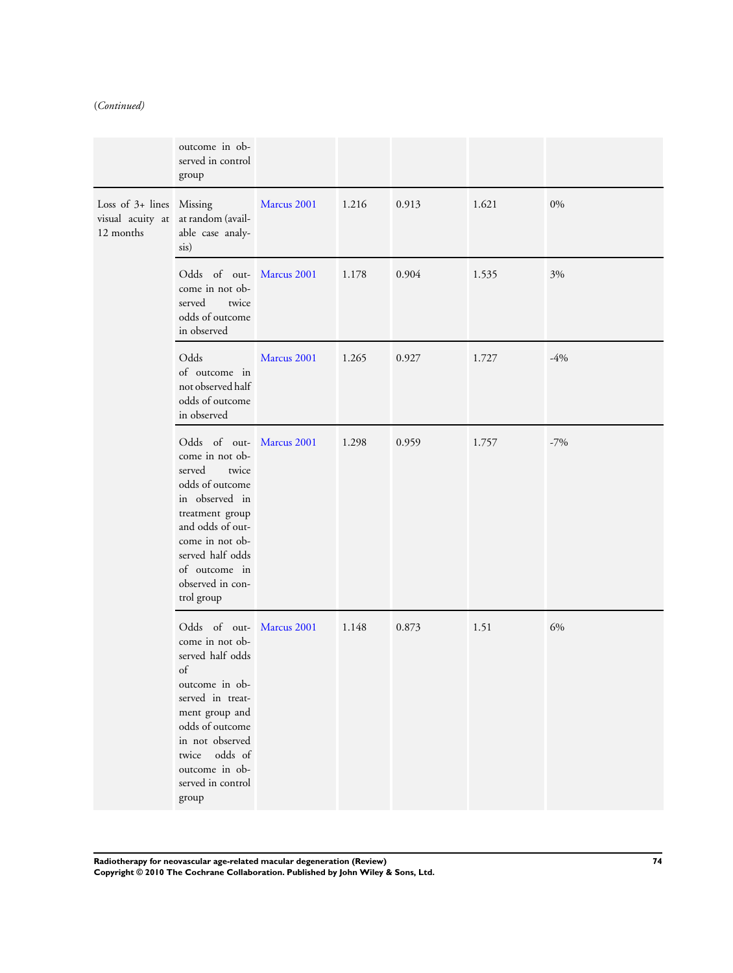|                                       | outcome in ob-<br>served in control<br>group                                                                                                                                                                                         |             |       |       |       |       |
|---------------------------------------|--------------------------------------------------------------------------------------------------------------------------------------------------------------------------------------------------------------------------------------|-------------|-------|-------|-------|-------|
| Loss of 3+ lines Missing<br>12 months | visual acuity at at random (avail-<br>able case analy-<br>sis)                                                                                                                                                                       | Marcus 2001 | 1.216 | 0.913 | 1.621 | $0\%$ |
|                                       | Odds of out- Marcus 2001<br>come in not ob-<br>served<br>twice<br>odds of outcome<br>in observed                                                                                                                                     |             | 1.178 | 0.904 | 1.535 | 3%    |
|                                       | Odds<br>of outcome in<br>not observed half<br>odds of outcome<br>in observed                                                                                                                                                         | Marcus 2001 | 1.265 | 0.927 | 1.727 | $-4%$ |
|                                       | Odds of out-<br>come in not ob-<br>served<br>twice<br>odds of outcome<br>in observed in<br>treatment group<br>and odds of out-<br>come in not ob-<br>served half odds<br>of outcome in<br>observed in con-<br>trol group             | Marcus 2001 | 1.298 | 0.959 | 1.757 | $-7%$ |
|                                       | Odds of out- Marcus 2001<br>come in not ob-<br>served half odds<br>of<br>outcome in ob-<br>served in treat-<br>ment group and<br>odds of outcome<br>in not observed<br>twice odds of<br>outcome in ob-<br>served in control<br>group |             | 1.148 | 0.873 | 1.51  | 6%    |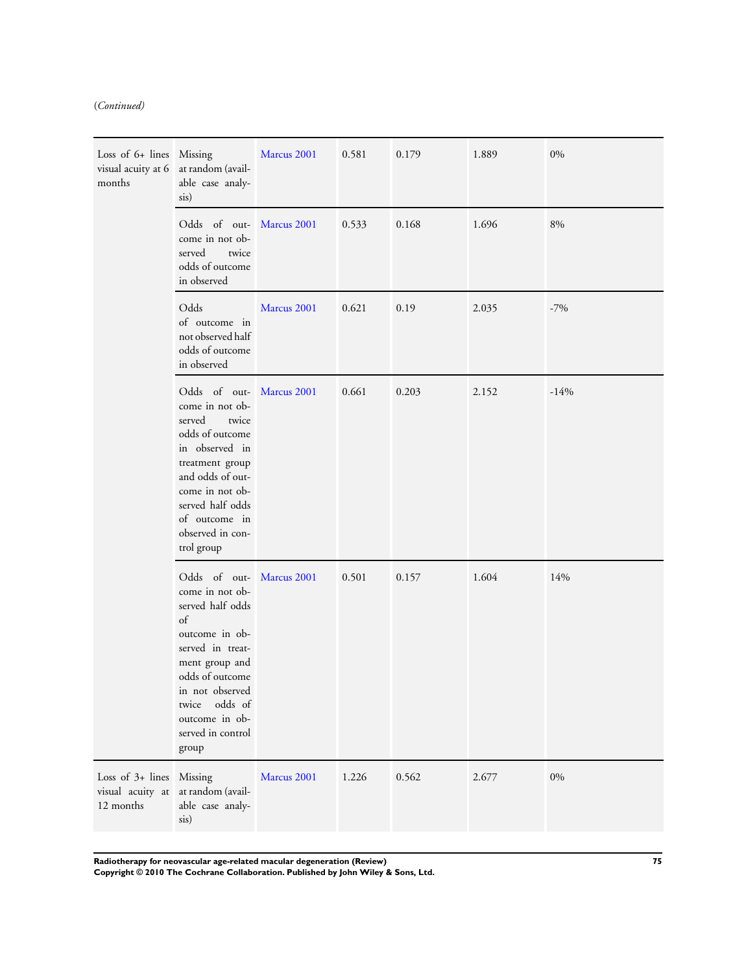| Loss of 6+ lines Missing<br>visual acuity at 6<br>months | at random (avail-<br>able case analy-<br>sis)                                                                                                                                                                               | Marcus 2001 | 0.581 | 0.179 | 1.889 | $0\%$  |
|----------------------------------------------------------|-----------------------------------------------------------------------------------------------------------------------------------------------------------------------------------------------------------------------------|-------------|-------|-------|-------|--------|
|                                                          | Odds of out- Marcus 2001<br>come in not ob-<br>twice<br>served<br>odds of outcome<br>in observed                                                                                                                            |             | 0.533 | 0.168 | 1.696 | 8%     |
|                                                          | Odds<br>of outcome in<br>not observed half<br>odds of outcome<br>in observed                                                                                                                                                | Marcus 2001 | 0.621 | 0.19  | 2.035 | $-7%$  |
|                                                          | Odds of out-<br>come in not ob-<br>twice<br>served<br>odds of outcome<br>in observed in<br>treatment group<br>and odds of out-<br>come in not ob-<br>served half odds<br>of outcome in<br>observed in con-<br>trol group    | Marcus 2001 | 0.661 | 0.203 | 2.152 | $-14%$ |
|                                                          | Odds of out-<br>come in not ob-<br>served half odds<br>of<br>outcome in ob-<br>served in treat-<br>ment group and<br>odds of outcome<br>in not observed<br>odds of<br>twice<br>outcome in ob-<br>served in control<br>group | Marcus 2001 | 0.501 | 0.157 | 1.604 | 14%    |
| Loss of 3+ lines Missing<br>12 months                    | visual acuity at at random (avail-<br>able case analy-<br>sis)                                                                                                                                                              | Marcus 2001 | 1.226 | 0.562 | 2.677 | $0\%$  |

**Radiotherapy for neovascular age-related macular degeneration (Review) 75 Copyright © 2010 The Cochrane Collaboration. Published by John Wiley & Sons, Ltd.**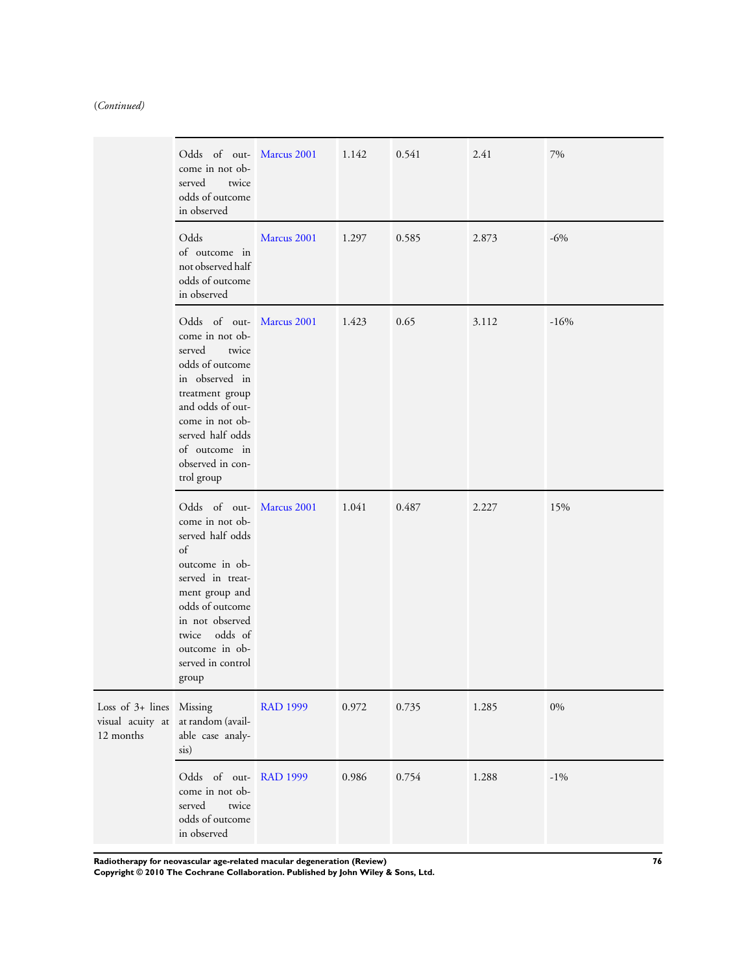|                                                                             | Odds of out- Marcus 2001<br>come in not ob-<br>served<br>twice<br>odds of outcome<br>in observed                                                                                                                                              |                 | 1.142 | 0.541 | 2.41  | 7%     |
|-----------------------------------------------------------------------------|-----------------------------------------------------------------------------------------------------------------------------------------------------------------------------------------------------------------------------------------------|-----------------|-------|-------|-------|--------|
|                                                                             | Odds<br>of outcome in<br>not observed half<br>odds of outcome<br>in observed                                                                                                                                                                  | Marcus 2001     | 1.297 | 0.585 | 2.873 | $-6%$  |
|                                                                             | Odds of out- Marcus 2001<br>come in not ob-<br>served<br>twice<br>odds of outcome<br>in observed in<br>treatment group<br>and odds of out-<br>come in not ob-<br>served half odds<br>of outcome in<br>observed in con-<br>trol group          |                 | 1.423 | 0.65  | 3.112 | $-16%$ |
|                                                                             | Odds of out- Marcus 2001<br>come in not ob-<br>served half odds<br>$\sigma$<br>outcome in ob-<br>served in treat-<br>ment group and<br>odds of outcome<br>in not observed<br>odds of<br>twice<br>outcome in ob-<br>served in control<br>group |                 | 1.041 | 0.487 | 2.227 | 15%    |
| Loss of 3+ lines Missing<br>visual acuity at at random (avail-<br>12 months | able case analy-<br>sis)                                                                                                                                                                                                                      | <b>RAD 1999</b> | 0.972 | 0.735 | 1.285 | $0\%$  |
|                                                                             | Odds of out-RAD 1999<br>come in not ob-<br>twice<br>served<br>odds of outcome<br>in observed                                                                                                                                                  |                 | 0.986 | 0.754 | 1.288 | $-1\%$ |

**Radiotherapy for neovascular age-related macular degeneration (Review) 76**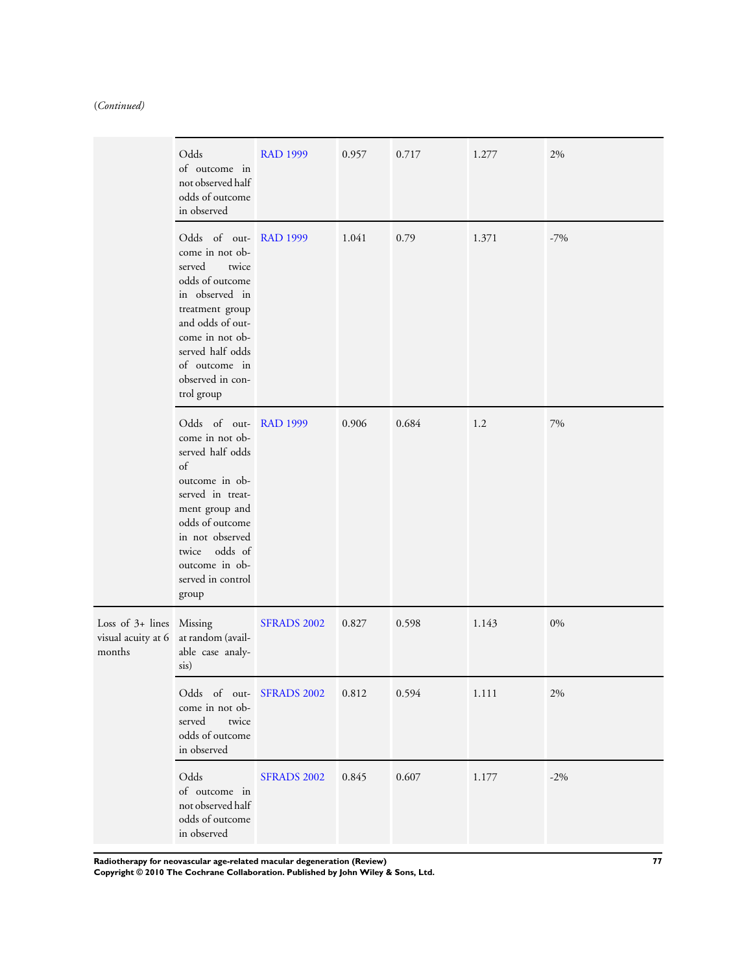|                                                    | Odds<br>of outcome in<br>not observed half<br>odds of outcome<br>in observed                                                                                                                                                           | <b>RAD 1999</b>    | 0.957 | 0.717 | 1.277 | 2%     |
|----------------------------------------------------|----------------------------------------------------------------------------------------------------------------------------------------------------------------------------------------------------------------------------------------|--------------------|-------|-------|-------|--------|
|                                                    | Odds of out-RAD 1999<br>come in not ob-<br>served<br>twice<br>odds of outcome<br>in observed in<br>treatment group<br>and odds of out-<br>come in not ob-<br>served half odds<br>of outcome in<br>observed in con-<br>trol group       |                    | 1.041 | 0.79  | 1.371 | $-7%$  |
|                                                    | Odds of out-RAD 1999<br>come in not ob-<br>served half odds<br>$\sigma$<br>outcome in ob-<br>served in treat-<br>ment group and<br>odds of outcome<br>in not observed<br>twice odds of<br>outcome in ob-<br>served in control<br>group |                    | 0.906 | 0.684 | 1.2   | 7%     |
| Loss of $3+$ lines<br>visual acuity at 6<br>months | Missing<br>at random (avail-<br>able case analy-<br>sis)                                                                                                                                                                               | <b>SFRADS 2002</b> | 0.827 | 0.598 | 1.143 | $0\%$  |
|                                                    | Odds of out- SFRADS 2002<br>come in not ob-<br>served<br>twice<br>odds of outcome<br>in observed                                                                                                                                       |                    | 0.812 | 0.594 | 1.111 | $2\%$  |
|                                                    | Odds<br>of outcome in<br>not observed half<br>odds of outcome<br>in observed                                                                                                                                                           | <b>SFRADS 2002</b> | 0.845 | 0.607 | 1.177 | $-2\%$ |

**Radiotherapy for neovascular age-related macular degeneration (Review) 77**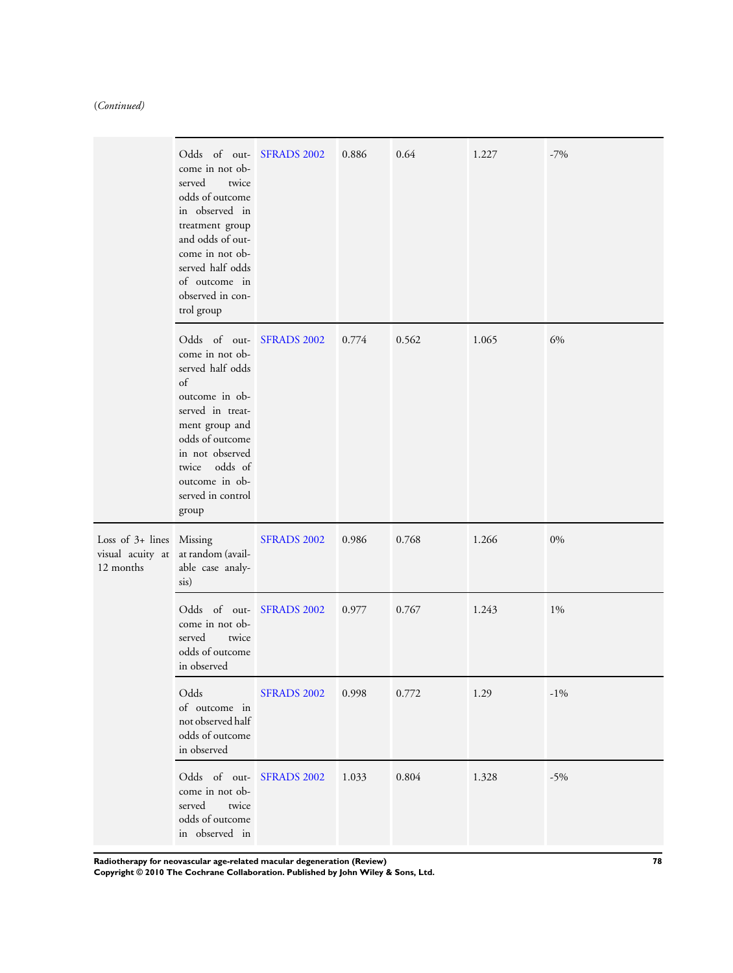|                                       | Odds of out- SFRADS 2002<br>come in not ob-<br>served<br>twice<br>odds of outcome<br>in observed in<br>treatment group<br>and odds of out-<br>come in not ob-<br>served half odds<br>of outcome in<br>observed in con-<br>trol group |                    | 0.886 | 0.64  | 1.227 | $-7%$  |
|---------------------------------------|--------------------------------------------------------------------------------------------------------------------------------------------------------------------------------------------------------------------------------------|--------------------|-------|-------|-------|--------|
|                                       | Odds of out-<br>come in not ob-<br>served half odds<br>$\sigma$<br>outcome in ob-<br>served in treat-<br>ment group and<br>odds of outcome<br>in not observed<br>odds of<br>twice<br>outcome in ob-<br>served in control<br>group    | SFRADS 2002        | 0.774 | 0.562 | 1.065 | 6%     |
| Loss of 3+ lines Missing<br>12 months | visual acuity at at random (avail-<br>able case analy-<br>sis)                                                                                                                                                                       | <b>SFRADS 2002</b> | 0.986 | 0.768 | 1.266 | $0\%$  |
|                                       | Odds of out- SFRADS 2002<br>come in not ob-<br>twice<br>served<br>odds of outcome<br>in observed                                                                                                                                     |                    | 0.977 | 0.767 | 1.243 | $1\%$  |
|                                       | Odds<br>of outcome in<br>not observed half<br>odds of outcome<br>in observed                                                                                                                                                         | SFRADS 2002 0.998  |       | 0.772 | 1.29  | $-1\%$ |
|                                       | Odds of out- SFRADS 2002<br>come in not ob-<br>served<br>twice<br>odds of outcome<br>in observed in                                                                                                                                  |                    | 1.033 | 0.804 | 1.328 | $-5%$  |

**Radiotherapy for neovascular age-related macular degeneration (Review) 78**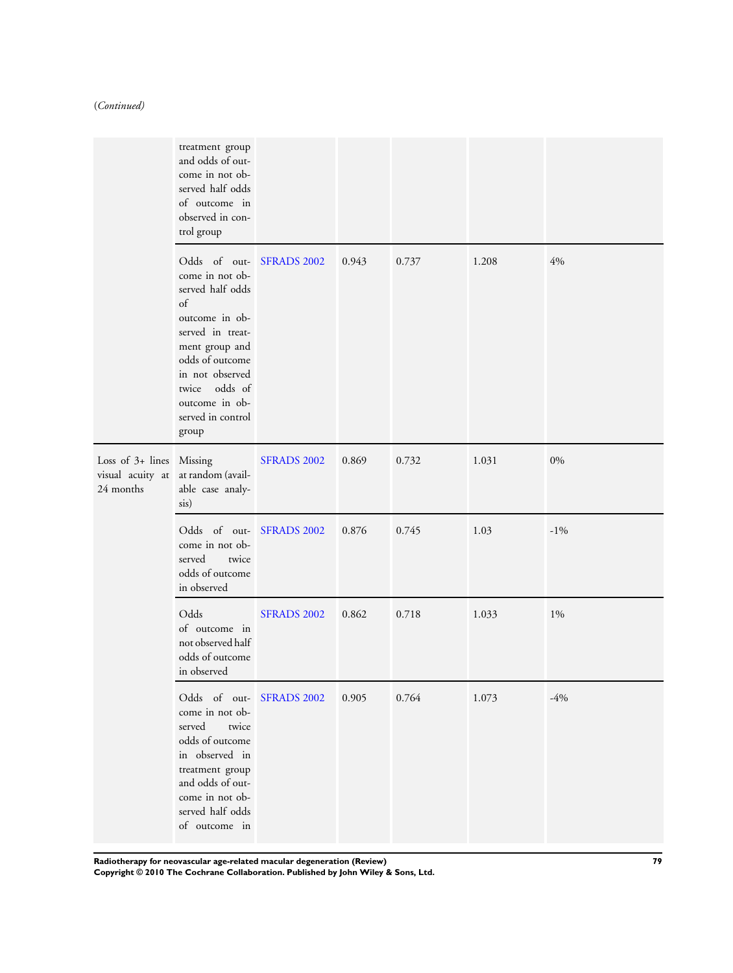|                                 | treatment group<br>and odds of out-<br>come in not ob-<br>served half odds<br>of outcome in<br>observed in con-<br>trol group                                                                                                                 |                    |       |       |       |        |
|---------------------------------|-----------------------------------------------------------------------------------------------------------------------------------------------------------------------------------------------------------------------------------------------|--------------------|-------|-------|-------|--------|
|                                 | Odds of out- SFRADS 2002<br>come in not ob-<br>served half odds<br>$\sigma$<br>outcome in ob-<br>served in treat-<br>ment group and<br>odds of outcome<br>in not observed<br>odds of<br>twice<br>outcome in ob-<br>served in control<br>group |                    | 0.943 | 0.737 | 1.208 | 4%     |
| Loss of $3+$ lines<br>24 months | Missing<br>visual acuity at at random (avail-<br>able case analy-<br>sis)                                                                                                                                                                     | <b>SFRADS 2002</b> | 0.869 | 0.732 | 1.031 | $0\%$  |
|                                 | Odds of out-<br>come in not ob-<br>served<br>twice<br>odds of outcome<br>in observed                                                                                                                                                          | <b>SFRADS 2002</b> | 0.876 | 0.745 | 1.03  | $-1\%$ |
|                                 | Odds<br>of outcome in<br>not observed half<br>odds of outcome<br>in observed                                                                                                                                                                  | <b>SFRADS 2002</b> | 0.862 | 0.718 | 1.033 | $1\%$  |
|                                 | Odds of out- SFRADS 2002<br>come in not ob-<br>served<br>twice<br>odds of outcome<br>in observed in<br>treatment group<br>and odds of out-<br>come in not ob-<br>served half odds<br>of outcome in                                            |                    | 0.905 | 0.764 | 1.073 | $-4%$  |

**Radiotherapy for neovascular age-related macular degeneration (Review) 79**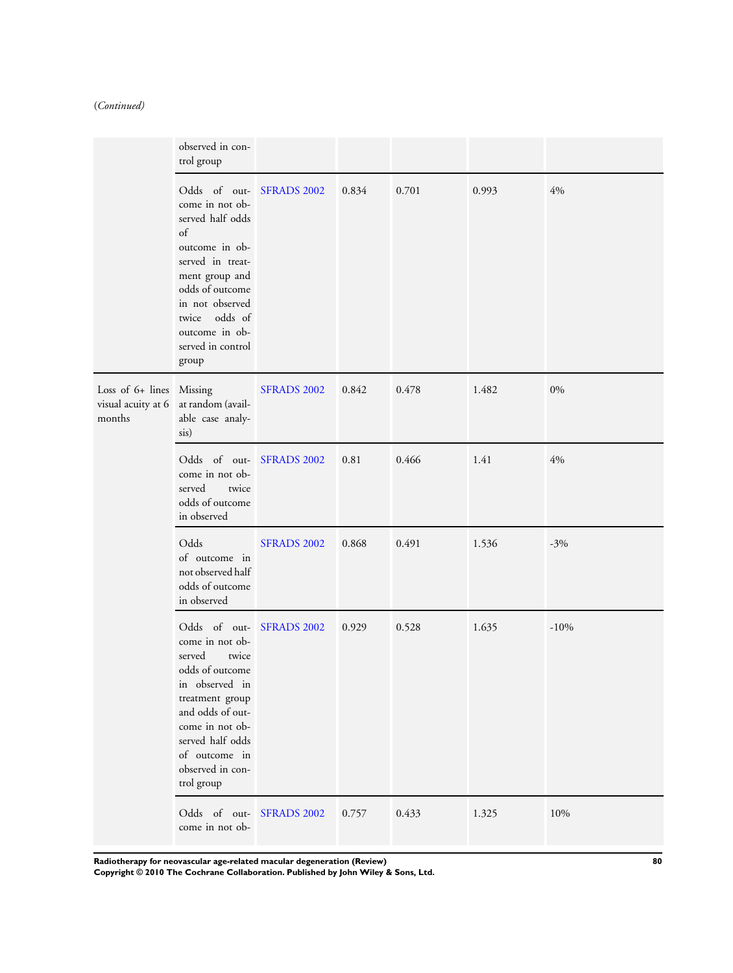|                                                  | observed in con-<br>trol group                                                                                                                                                                                                       |                    |       |       |       |        |
|--------------------------------------------------|--------------------------------------------------------------------------------------------------------------------------------------------------------------------------------------------------------------------------------------|--------------------|-------|-------|-------|--------|
|                                                  | Odds of out-<br>come in not ob-<br>served half odds<br>$\sigma$<br>outcome in ob-<br>served in treat-<br>ment group and<br>odds of outcome<br>in not observed<br>odds of<br>twice<br>outcome in ob-<br>served in control<br>group    | <b>SFRADS 2002</b> | 0.834 | 0.701 | 0.993 | 4%     |
| Loss of 6+ lines<br>visual acuity at 6<br>months | Missing<br>at random (avail-<br>able case analy-<br>sis)                                                                                                                                                                             | <b>SFRADS 2002</b> | 0.842 | 0.478 | 1.482 | $0\%$  |
|                                                  | Odds of out-<br>come in not ob-<br>twice<br>served<br>odds of outcome<br>in observed                                                                                                                                                 | <b>SFRADS 2002</b> | 0.81  | 0.466 | 1.41  | 4%     |
|                                                  | Odds<br>of outcome in<br>not observed half<br>odds of outcome<br>in observed                                                                                                                                                         | <b>SFRADS 2002</b> | 0.868 | 0.491 | 1.536 | $-3%$  |
|                                                  | Odds of out- SFRADS 2002<br>come in not ob-<br>served<br>twice<br>odds of outcome<br>in observed in<br>treatment group<br>and odds of out-<br>come in not ob-<br>served half odds<br>of outcome in<br>observed in con-<br>trol group |                    | 0.929 | 0.528 | 1.635 | $-10%$ |
|                                                  | Odds of out- SFRADS 2002<br>come in not ob-                                                                                                                                                                                          |                    | 0.757 | 0.433 | 1.325 | 10%    |

**Radiotherapy for neovascular age-related macular degeneration (Review) 80**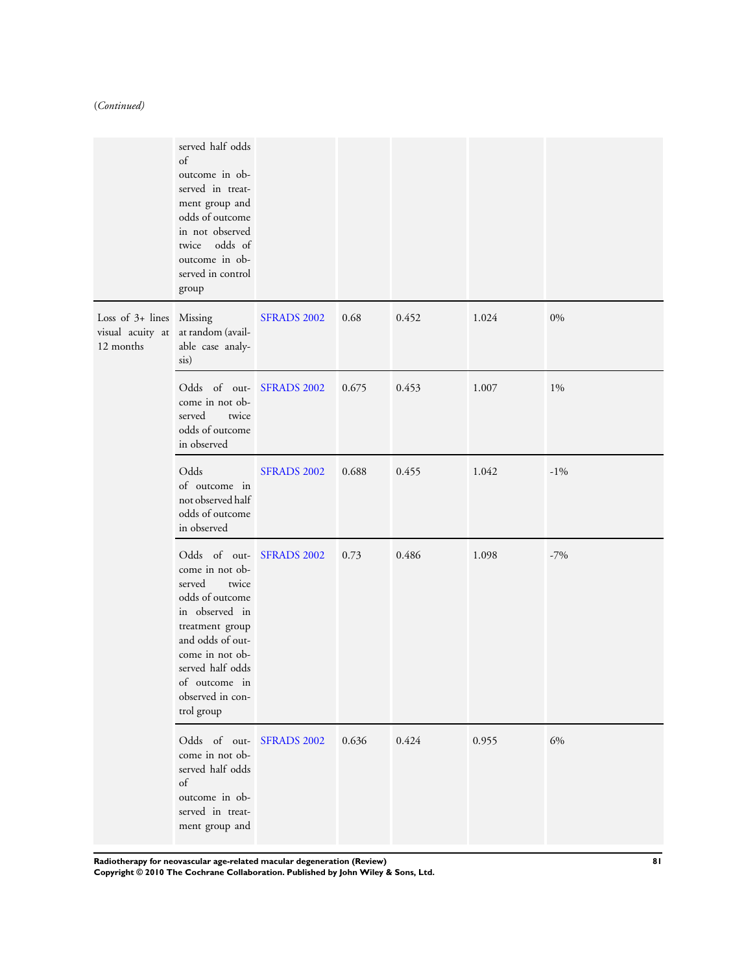|                                                                             | served half odds<br>$\sigma$<br>outcome in ob-<br>served in treat-<br>ment group and<br>odds of outcome<br>in not observed<br>odds of<br>twice<br>outcome in ob-<br>served in control<br>group                           |                    |       |       |       |        |
|-----------------------------------------------------------------------------|--------------------------------------------------------------------------------------------------------------------------------------------------------------------------------------------------------------------------|--------------------|-------|-------|-------|--------|
| Loss of 3+ lines Missing<br>visual acuity at at random (avail-<br>12 months | able case analy-<br>sis)                                                                                                                                                                                                 | <b>SFRADS 2002</b> | 0.68  | 0.452 | 1.024 | $0\%$  |
|                                                                             | Odds of out-<br>come in not ob-<br>twice<br>served<br>odds of outcome<br>in observed                                                                                                                                     | SFRADS 2002        | 0.675 | 0.453 | 1.007 | $1\%$  |
|                                                                             | Odds<br>of outcome in<br>not observed half<br>odds of outcome<br>in observed                                                                                                                                             | <b>SFRADS 2002</b> | 0.688 | 0.455 | 1.042 | $-1\%$ |
|                                                                             | Odds of out-<br>come in not ob-<br>served<br>twice<br>odds of outcome<br>in observed in<br>treatment group<br>and odds of out-<br>come in not ob-<br>served half odds<br>of outcome in<br>observed in con-<br>trol group | SFRADS 2002        | 0.73  | 0.486 | 1.098 | $-7%$  |
|                                                                             | Odds of out- SFRADS 2002<br>come in not ob-<br>served half odds<br>of<br>outcome in ob-<br>served in treat-<br>ment group and                                                                                            |                    | 0.636 | 0.424 | 0.955 | 6%     |

**Radiotherapy for neovascular age-related macular degeneration (Review) 81**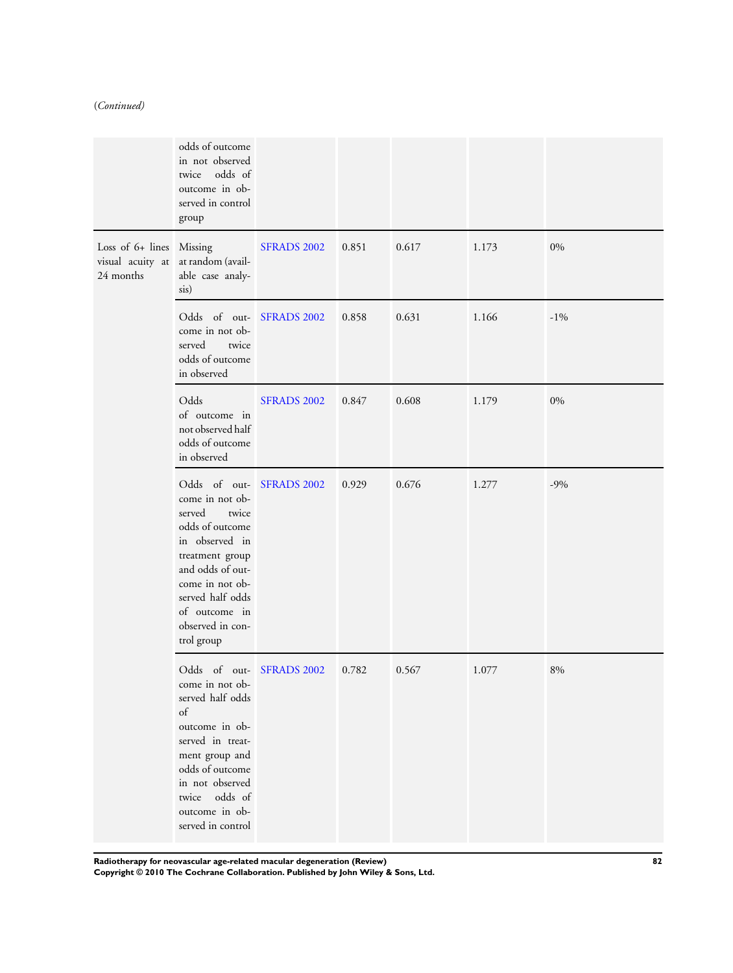|                                       | odds of outcome<br>in not observed<br>odds of<br>twice<br>outcome in ob-<br>served in control<br>group                                                                                                                   |                    |       |       |       |        |
|---------------------------------------|--------------------------------------------------------------------------------------------------------------------------------------------------------------------------------------------------------------------------|--------------------|-------|-------|-------|--------|
| Loss of 6+ lines Missing<br>24 months | visual acuity at at random (avail-<br>able case analy-<br>sis)                                                                                                                                                           | <b>SFRADS 2002</b> | 0.851 | 0.617 | 1.173 | $0\%$  |
|                                       | Odds of out-<br>come in not ob-<br>served<br>twice<br>odds of outcome<br>in observed                                                                                                                                     | SFRADS 2002        | 0.858 | 0.631 | 1.166 | $-1\%$ |
|                                       | Odds<br>of outcome in<br>not observed half<br>odds of outcome<br>in observed                                                                                                                                             | <b>SFRADS 2002</b> | 0.847 | 0.608 | 1.179 | $0\%$  |
|                                       | Odds of out-<br>come in not ob-<br>served<br>twice<br>odds of outcome<br>in observed in<br>treatment group<br>and odds of out-<br>come in not ob-<br>served half odds<br>of outcome in<br>observed in con-<br>trol group | <b>SFRADS 2002</b> | 0.929 | 0.676 | 1.277 | $-9\%$ |
|                                       | Odds of out-<br>come in not ob-<br>served half odds<br>of<br>outcome in ob-<br>served in treat-<br>ment group and<br>odds of outcome<br>in not observed<br>odds of<br>twice<br>outcome in ob-<br>served in control       | <b>SFRADS 2002</b> | 0.782 | 0.567 | 1.077 | $8\%$  |

**Radiotherapy for neovascular age-related macular degeneration (Review) 82**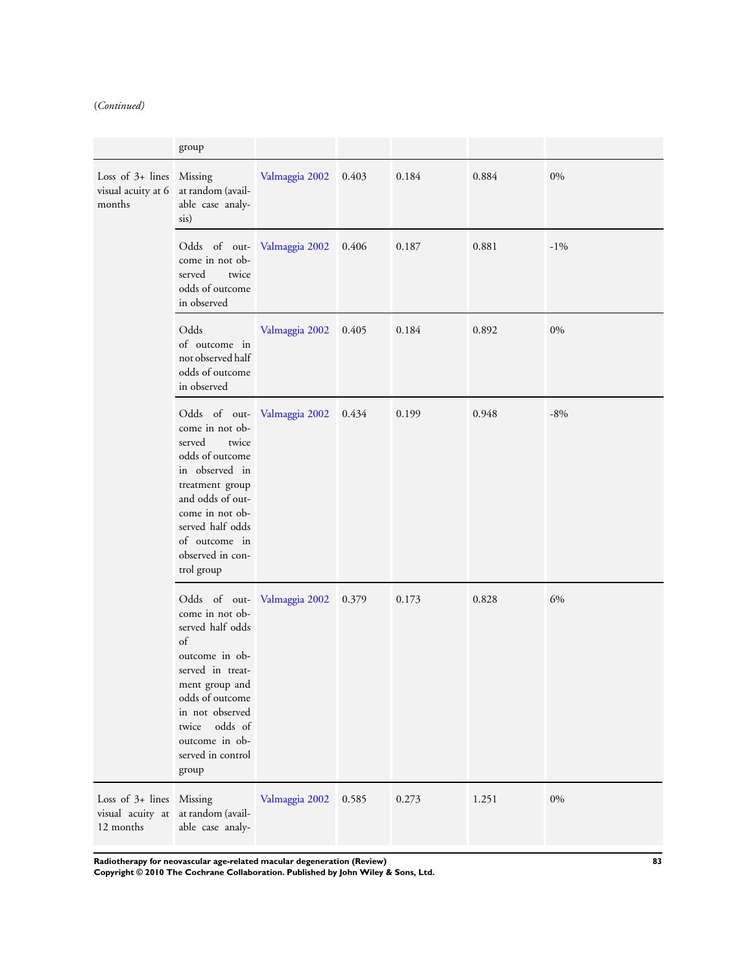|                                                    | group                                                                                                                                                                                                                       |                |       |       |       |        |
|----------------------------------------------------|-----------------------------------------------------------------------------------------------------------------------------------------------------------------------------------------------------------------------------|----------------|-------|-------|-------|--------|
| Loss of $3+$ lines<br>visual acuity at 6<br>months | Missing<br>at random (avail-<br>able case analy-<br>sis)                                                                                                                                                                    | Valmaggia 2002 | 0.403 | 0.184 | 0.884 | $0\%$  |
|                                                    | Odds of out-<br>come in not ob-<br>twice<br>served<br>odds of outcome<br>in observed                                                                                                                                        | Valmaggia 2002 | 0.406 | 0.187 | 0.881 | $-1\%$ |
|                                                    | Odds<br>of outcome in<br>not observed half<br>odds of outcome<br>in observed                                                                                                                                                | Valmaggia 2002 | 0.405 | 0.184 | 0.892 | $0\%$  |
|                                                    | Odds of out-<br>come in not ob-<br>served<br>twice<br>odds of outcome<br>in observed in<br>treatment group<br>and odds of out-<br>come in not ob-<br>served half odds<br>of outcome in<br>observed in con-<br>trol group    | Valmaggia 2002 | 0.434 | 0.199 | 0.948 | $-8%$  |
|                                                    | Odds of out-<br>come in not ob-<br>served half odds<br>of<br>outcome in ob-<br>served in treat-<br>ment group and<br>odds of outcome<br>in not observed<br>odds of<br>twice<br>outcome in ob-<br>served in control<br>group | Valmaggia 2002 | 0.379 | 0.173 | 0.828 | 6%     |
| Loss of 3+ lines Missing<br>12 months              | visual acuity at at random (avail-<br>able case analy-                                                                                                                                                                      | Valmaggia 2002 | 0.585 | 0.273 | 1.251 | $0\%$  |

**Radiotherapy for neovascular age-related macular degeneration (Review) 83**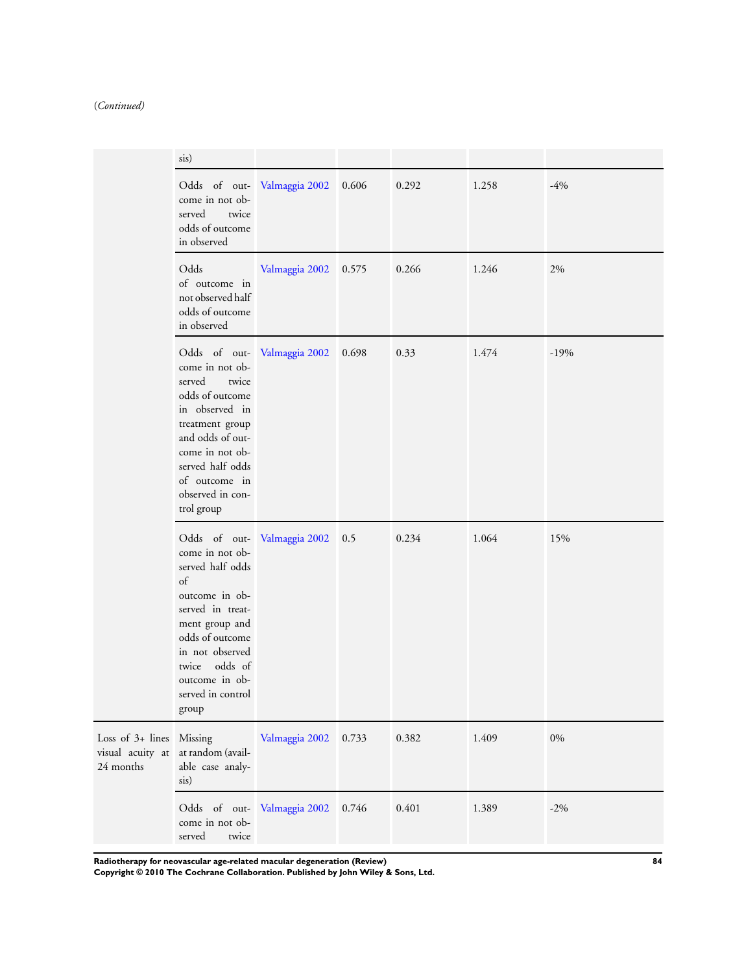|                                                   | sis)                                                                                                                                                                                                                                       |                |       |       |       |        |
|---------------------------------------------------|--------------------------------------------------------------------------------------------------------------------------------------------------------------------------------------------------------------------------------------------|----------------|-------|-------|-------|--------|
|                                                   | Odds of out- Valmaggia 2002<br>come in not ob-<br>served<br>twice<br>odds of outcome<br>in observed                                                                                                                                        |                | 0.606 | 0.292 | 1.258 | $-4%$  |
|                                                   | Odds<br>of outcome in<br>not observed half<br>odds of outcome<br>in observed                                                                                                                                                               | Valmaggia 2002 | 0.575 | 0.266 | 1.246 | 2%     |
|                                                   | Odds of out- Valmaggia 2002<br>come in not ob-<br>served<br>twice<br>odds of outcome<br>in observed in<br>treatment group<br>and odds of out-<br>come in not ob-<br>served half odds<br>of outcome in<br>observed in con-<br>trol group    |                | 0.698 | 0.33  | 1.474 | $-19%$ |
|                                                   | Odds of out- Valmaggia 2002<br>come in not ob-<br>served half odds<br>of<br>outcome in ob-<br>served in treat-<br>ment group and<br>odds of outcome<br>in not observed<br>odds of<br>twice<br>outcome in ob-<br>served in control<br>group |                | 0.5   | 0.234 | 1.064 | 15%    |
| Loss of 3+ lines<br>visual acuity at<br>24 months | Missing<br>at random (avail-<br>able case analy-<br>sis)                                                                                                                                                                                   | Valmaggia 2002 | 0.733 | 0.382 | 1.409 | $0\%$  |
|                                                   | Odds of out- Valmaggia 2002<br>come in not ob-<br>served<br>twice                                                                                                                                                                          |                | 0.746 | 0.401 | 1.389 | $-2%$  |

**Radiotherapy for neovascular age-related macular degeneration (Review) 84**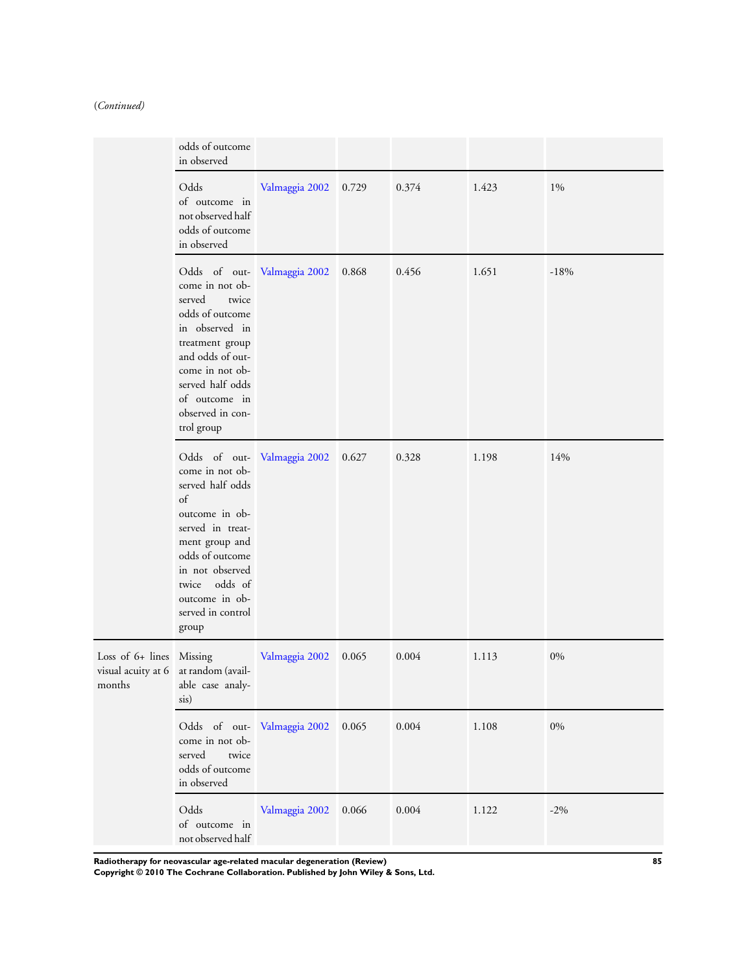|                                                                    | odds of outcome<br>in observed                                                                                                                                                                                                          |                |       |       |       |        |
|--------------------------------------------------------------------|-----------------------------------------------------------------------------------------------------------------------------------------------------------------------------------------------------------------------------------------|----------------|-------|-------|-------|--------|
|                                                                    | Odds<br>of outcome in<br>not observed half<br>odds of outcome<br>in observed                                                                                                                                                            | Valmaggia 2002 | 0.729 | 0.374 | 1.423 | 1%     |
|                                                                    | Odds of out- Valmaggia 2002<br>come in not ob-<br>twice<br>served<br>odds of outcome<br>in observed in<br>treatment group<br>and odds of out-<br>come in not ob-<br>served half odds<br>of outcome in<br>observed in con-<br>trol group |                | 0.868 | 0.456 | 1.651 | $-18%$ |
|                                                                    | Odds of out-<br>come in not ob-<br>served half odds<br>of<br>outcome in ob-<br>served in treat-<br>ment group and<br>odds of outcome<br>in not observed<br>odds of<br>twice<br>outcome in ob-<br>served in control<br>group             | Valmaggia 2002 | 0.627 | 0.328 | 1.198 | 14%    |
| Loss of 6+ lines<br>visual acuity at 6 at random (avail-<br>months | Missing<br>able case analy-<br>sis)                                                                                                                                                                                                     | Valmaggia 2002 | 0.065 | 0.004 | 1.113 | 0%     |
|                                                                    | Odds of out- Valmaggia 2002<br>come in not ob-<br>served<br>twice<br>odds of outcome<br>in observed                                                                                                                                     |                | 0.065 | 0.004 | 1.108 | $0\%$  |
|                                                                    | Odds<br>of outcome in<br>not observed half                                                                                                                                                                                              | Valmaggia 2002 | 0.066 | 0.004 | 1.122 | $-2%$  |

**Radiotherapy for neovascular age-related macular degeneration (Review) 85**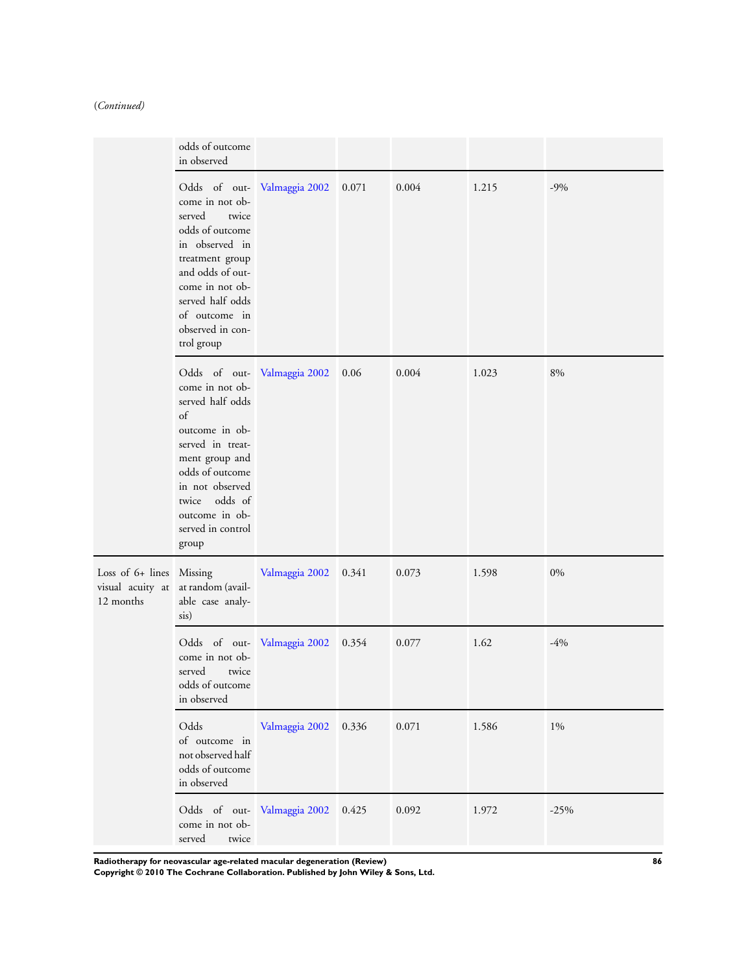|                               | odds of outcome<br>in observed                                                                                                                                                                                                                   |                |       |       |       |        |
|-------------------------------|--------------------------------------------------------------------------------------------------------------------------------------------------------------------------------------------------------------------------------------------------|----------------|-------|-------|-------|--------|
|                               | Odds of out- Valmaggia 2002<br>come in not ob-<br>served<br>twice<br>odds of outcome<br>in observed in<br>treatment group<br>and odds of out-<br>come in not ob-<br>served half odds<br>of outcome in<br>observed in con-<br>trol group          |                | 0.071 | 0.004 | 1.215 | $-9\%$ |
|                               | Odds of out- Valmaggia 2002<br>come in not ob-<br>served half odds<br>$\sigma$<br>outcome in ob-<br>served in treat-<br>ment group and<br>odds of outcome<br>in not observed<br>odds of<br>twice<br>outcome in ob-<br>served in control<br>group |                | 0.06  | 0.004 | 1.023 | $8\%$  |
| Loss of 6+ lines<br>12 months | Missing<br>visual acuity at at random (avail-<br>able case analy-<br>sis)                                                                                                                                                                        | Valmaggia 2002 | 0.341 | 0.073 | 1.598 | $0\%$  |
|                               | Odds of out- Valmaggia 2002<br>come in not ob-<br>twice<br>served<br>odds of outcome<br>in observed                                                                                                                                              |                | 0.354 | 0.077 | 1.62  | $-4%$  |
|                               | Odds<br>of outcome in<br>not observed half<br>odds of outcome<br>in observed                                                                                                                                                                     | Valmaggia 2002 | 0.336 | 0.071 | 1.586 | 1%     |
|                               | Odds of out- Valmaggia 2002<br>come in not ob-<br>twice<br>served                                                                                                                                                                                |                | 0.425 | 0.092 | 1.972 | $-25%$ |

**Radiotherapy for neovascular age-related macular degeneration (Review) 86**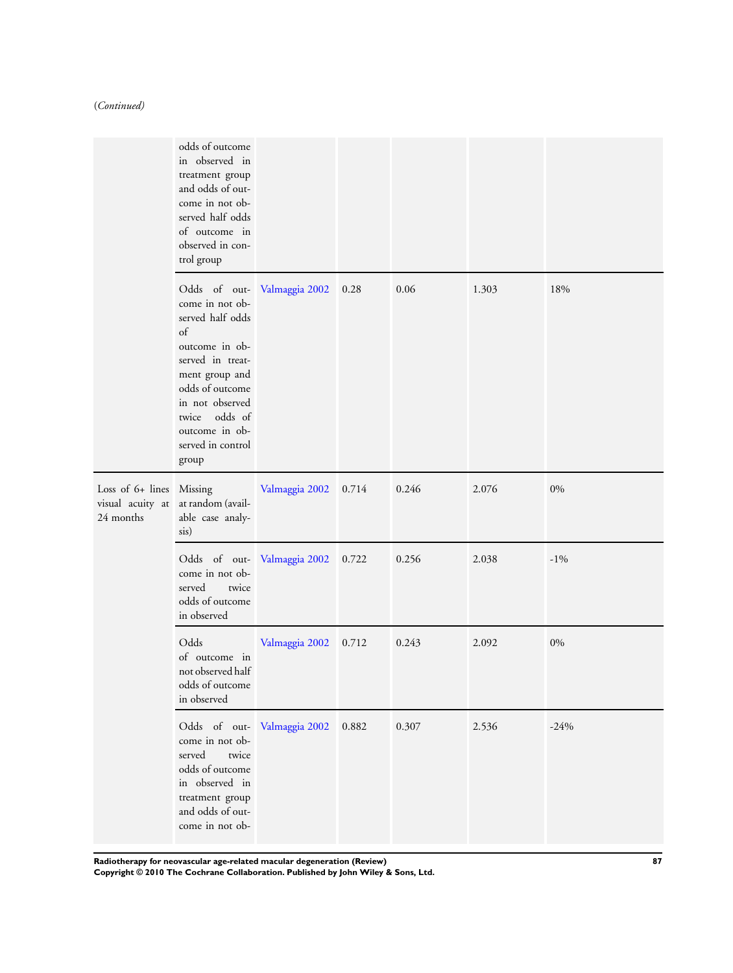|                                                     | odds of outcome<br>in observed in<br>treatment group<br>and odds of out-<br>come in not ob-<br>served half odds<br>of outcome in<br>observed in con-<br>trol group                                                                         |                |       |       |       |        |
|-----------------------------------------------------|--------------------------------------------------------------------------------------------------------------------------------------------------------------------------------------------------------------------------------------------|----------------|-------|-------|-------|--------|
|                                                     | Odds of out- Valmaggia 2002<br>come in not ob-<br>served half odds<br>of<br>outcome in ob-<br>served in treat-<br>ment group and<br>odds of outcome<br>in not observed<br>odds of<br>twice<br>outcome in ob-<br>served in control<br>group |                | 0.28  | 0.06  | 1.303 | 18%    |
| Loss of $6+$ lines<br>visual acuity at<br>24 months | Missing<br>at random (avail-<br>able case analy-<br>sis)                                                                                                                                                                                   | Valmaggia 2002 | 0.714 | 0.246 | 2.076 | $0\%$  |
|                                                     | Odds of out- Valmaggia 2002<br>come in not ob-<br>twice<br>served<br>odds of outcome<br>in observed                                                                                                                                        |                | 0.722 | 0.256 | 2.038 | $-1\%$ |
|                                                     | Odds<br>of outcome in<br>not observed half<br>odds of outcome<br>in observed                                                                                                                                                               | Valmaggia 2002 | 0.712 | 0.243 | 2.092 | $0\%$  |
|                                                     | Odds of out- Valmaggia 2002<br>come in not ob-<br>served<br>twice<br>odds of outcome<br>in observed in<br>treatment group<br>and odds of out-<br>come in not ob-                                                                           |                | 0.882 | 0.307 | 2.536 | $-24%$ |

**Radiotherapy for neovascular age-related macular degeneration (Review) 87**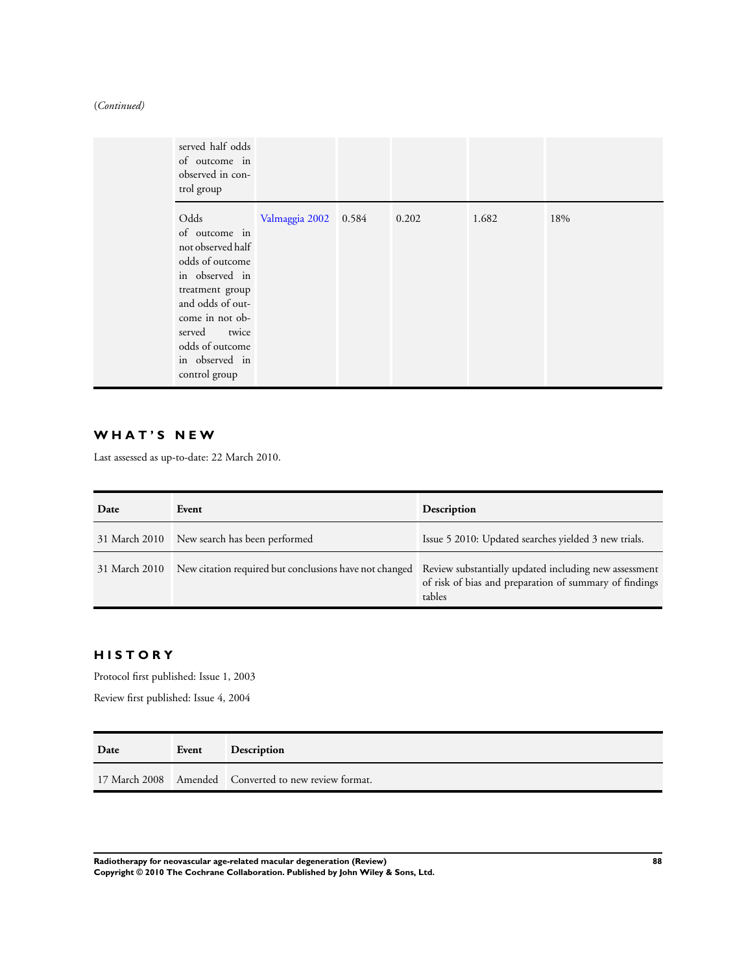| Odds<br>Valmaggia 2002 0.584<br>1.682<br>0.202<br>18%<br>of outcome in<br>not observed half<br>odds of outcome<br>in observed in<br>treatment group<br>and odds of out-<br>come in not ob-<br>twice<br>served<br>odds of outcome<br>in observed in | served half odds<br>of outcome in<br>observed in con-<br>trol group |  |  |  |
|----------------------------------------------------------------------------------------------------------------------------------------------------------------------------------------------------------------------------------------------------|---------------------------------------------------------------------|--|--|--|
|                                                                                                                                                                                                                                                    | control group                                                       |  |  |  |

## **W H A T ' S N E W**

Last assessed as up-to-date: 22 March 2010.

| Date          | Event                                       | Description                                                                                                                                                                      |
|---------------|---------------------------------------------|----------------------------------------------------------------------------------------------------------------------------------------------------------------------------------|
|               | 31 March 2010 New search has been performed | Issue 5 2010: Updated searches yielded 3 new trials.                                                                                                                             |
| 31 March 2010 |                                             | New citation required but conclusions have not changed Review substantially updated including new assessment<br>of risk of bias and preparation of summary of findings<br>tables |

# **H I S T O R Y**

Protocol first published: Issue 1, 2003

Review first published: Issue 4, 2004

| Date | Event | <b>Description</b>                                    |
|------|-------|-------------------------------------------------------|
|      |       | 17 March 2008 Amended Converted to new review format. |

**Radiotherapy for neovascular age-related macular degeneration (Review) 88 Copyright © 2010 The Cochrane Collaboration. Published by John Wiley & Sons, Ltd.**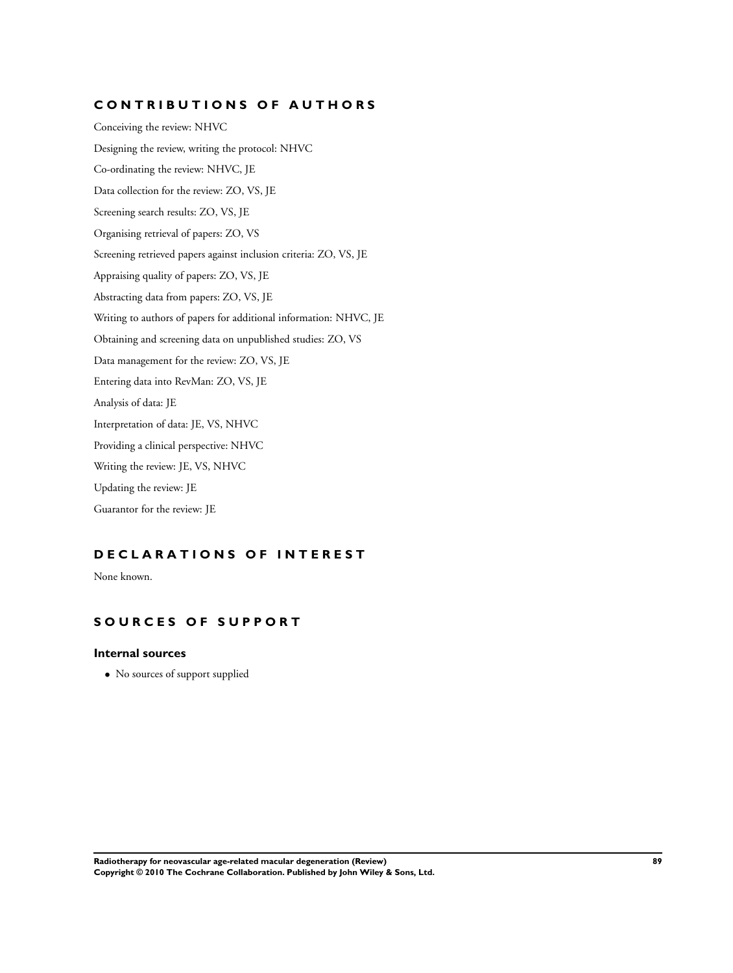## **C O N T R I B U T I O N S O F A U T H O R S**

Conceiving the review: NHVC Designing the review, writing the protocol: NHVC Co-ordinating the review: NHVC, JE Data collection for the review: ZO, VS, JE Screening search results: ZO, VS, JE Organising retrieval of papers: ZO, VS Screening retrieved papers against inclusion criteria: ZO, VS, JE Appraising quality of papers: ZO, VS, JE Abstracting data from papers: ZO, VS, JE Writing to authors of papers for additional information: NHVC, JE Obtaining and screening data on unpublished studies: ZO, VS Data management for the review: ZO, VS, JE Entering data into RevMan: ZO, VS, JE Analysis of data: JE Interpretation of data: JE, VS, NHVC Providing a clinical perspective: NHVC Writing the review: JE, VS, NHVC Updating the review: JE Guarantor for the review: JE

#### **D E C L A R A T I O N S O F I N T E R E S T**

None known.

# **S O U R C E S O F S U P P O R T**

#### **Internal sources**

• No sources of support supplied